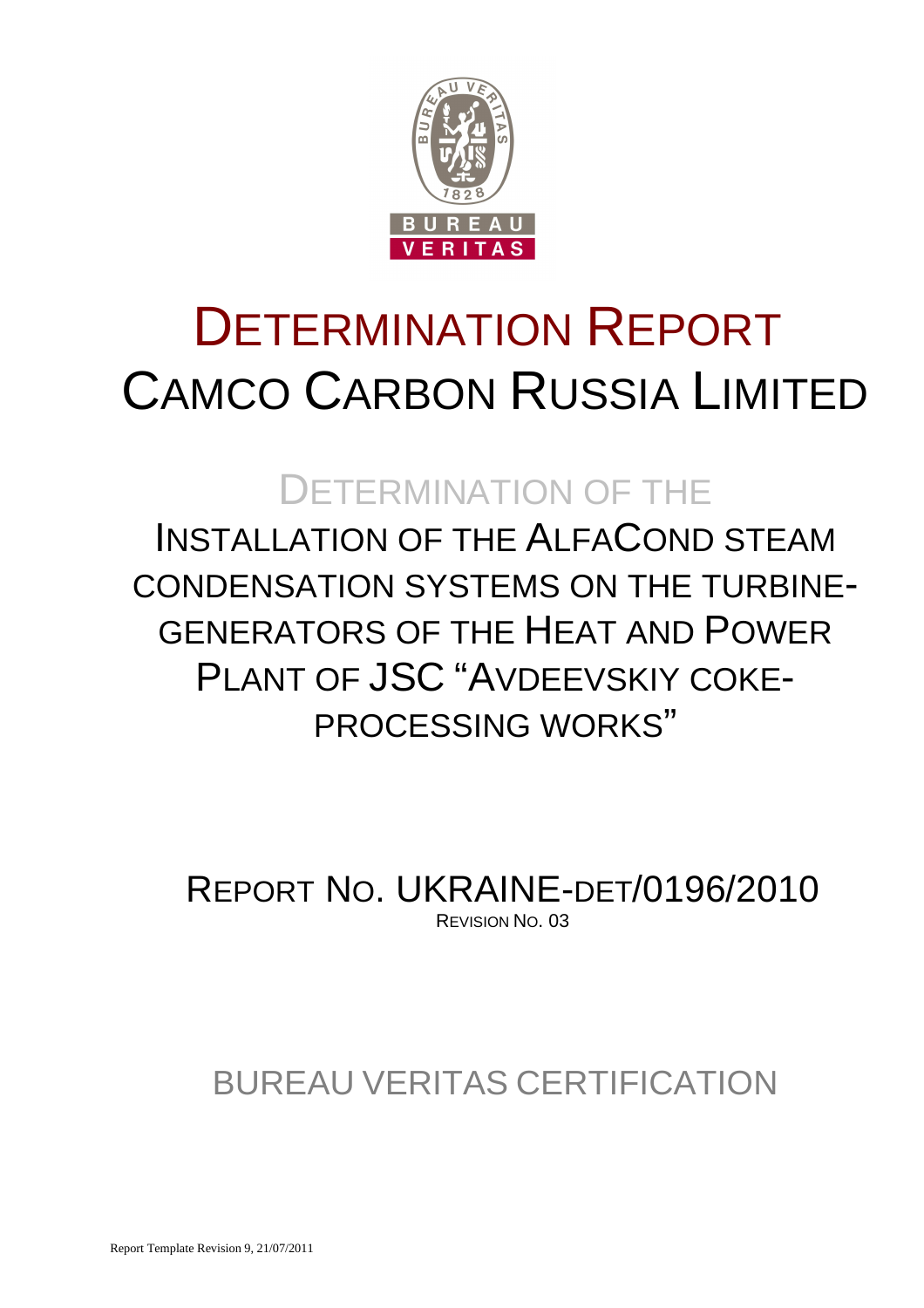

# DETERMINATION REPORT CAMCO CARBON RUSSIA LIMITED

## DETERMINATION OF THE

INSTALLATION OF THE ALFACOND STEAM CONDENSATION SYSTEMS ON THE TURBINE-GENERATORS OF THE HEAT AND POWER PI ANT OF JSC "AVDEEVSKIY COKE-PROCESSING WORKS"

REPORT NO. UKRAINE-DET/0196/2010 REVISION NO. 03

## BUREAU VERITAS CERTIFICATION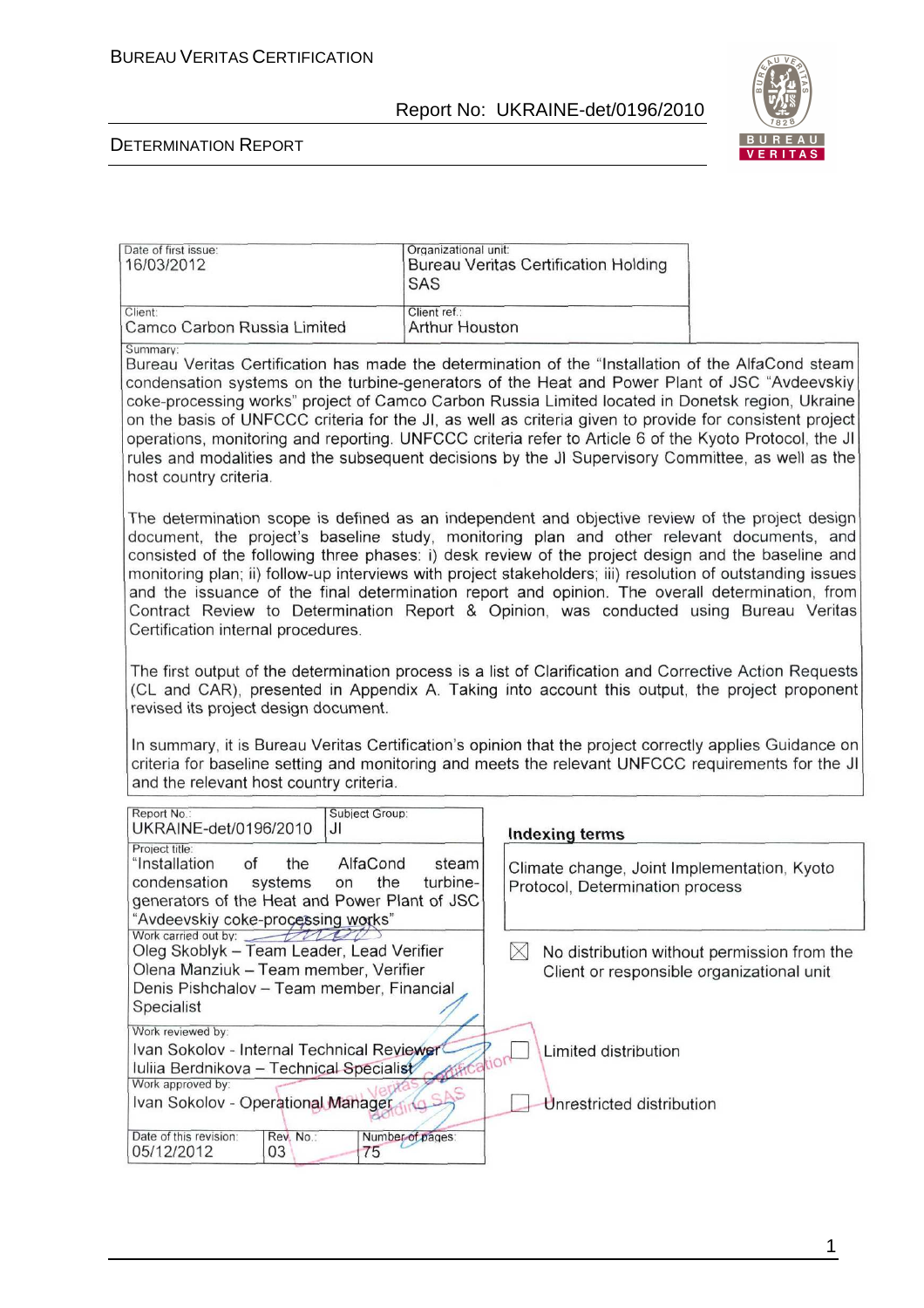

#### DETERMINATION REPORT

| Date of first issue:<br>16/03/2012      | Organizational unit:<br>Bureau Veritas Certification Holding<br><b>SAS</b> |  |
|-----------------------------------------|----------------------------------------------------------------------------|--|
| Client:                                 | Client ref.:                                                               |  |
| Camco Carbon Russia Limited<br>Summary: | Arthur Houston                                                             |  |

Bureau Veritas Certification has made the determination of the "Installation of the AlfaCond steam condensation systems on the turbine-generators of the Heat and Power Plant of JSC "Avdeevskiy coke-processing works" project of Camco Carbon Russia Limited located in Donetsk region, Ukraine on the basis of UNFCCC criteria for the JI, as well as criteria given to provide for consistent project operations, monitoring and reporting. UNFCCC criteria refer to Article 6 of the Kyoto Protocol, the JI rules and modalities and the subsequent decisions by the JJ Supervisory Committee, as well as the host country criteria.

The determination scope is defined as an independent and objective review of the project design document, the project's baseline study, monitoring plan and other relevant documents, and consisted of the following three phases: i) desk review of the project design and the baseline and monitoring plan; ii) follow-up interviews with project stakeholders; iii) resolution of outstanding issues and the issuance of the final determination report and opinion. The overall determination, from Contract Review to Determination Report & Opinion, was conducted using Bureau Veritas Certification internal procedures.

The first output of the determination process is a list of Clarification and Corrective Action Requests (CL and CAR), presented in Appendix A. Taking into account this output, the project proponent revised its project design document.

In summary, it is Bureau Veritas Certification's opinion that the project correctly applies Guidance on criteria for baseline setting and monitoring and meets the relevant UNFCCC requirements for the JI and the relevant host country criteria.

| Report No.:<br>Subject Group:<br>UKRAINE-det/0196/2010<br>JI                                                                                                                                                                      | <b>Indexing terms</b>                                                                    |
|-----------------------------------------------------------------------------------------------------------------------------------------------------------------------------------------------------------------------------------|------------------------------------------------------------------------------------------|
| Project title:<br>"Installation<br>of<br>AlfaCond<br>steam<br>the<br>the<br>turbine-<br>condensation<br>systems on<br>generators of the Heat and Power Plant of JSC<br>"Avdeevskiy coke-processing works"                         | Climate change, Joint Implementation, Kyoto<br>Protocol, Determination process           |
| Work carried out by:<br>Oleg Skoblyk - Team Leader, Lead Verifier<br>Olena Manziuk - Team member, Verifier<br>Denis Pishchalov - Team member, Financial<br>Specialist                                                             | No distribution without permission from the<br>Client or responsible organizational unit |
| Work reviewed by:<br>Ivan Sokolov - Internal Technical Reviewer<br>Iuliia Berdnikova - Technical Specialist<br>Work approved by:<br>Ivan Sokolov - Operational Manager<br>Date of this revision:<br>Rev. No.:<br>Number of pages: | Limited distribution<br>Unrestricted distribution                                        |
| 05/12/2012<br>03<br>75                                                                                                                                                                                                            |                                                                                          |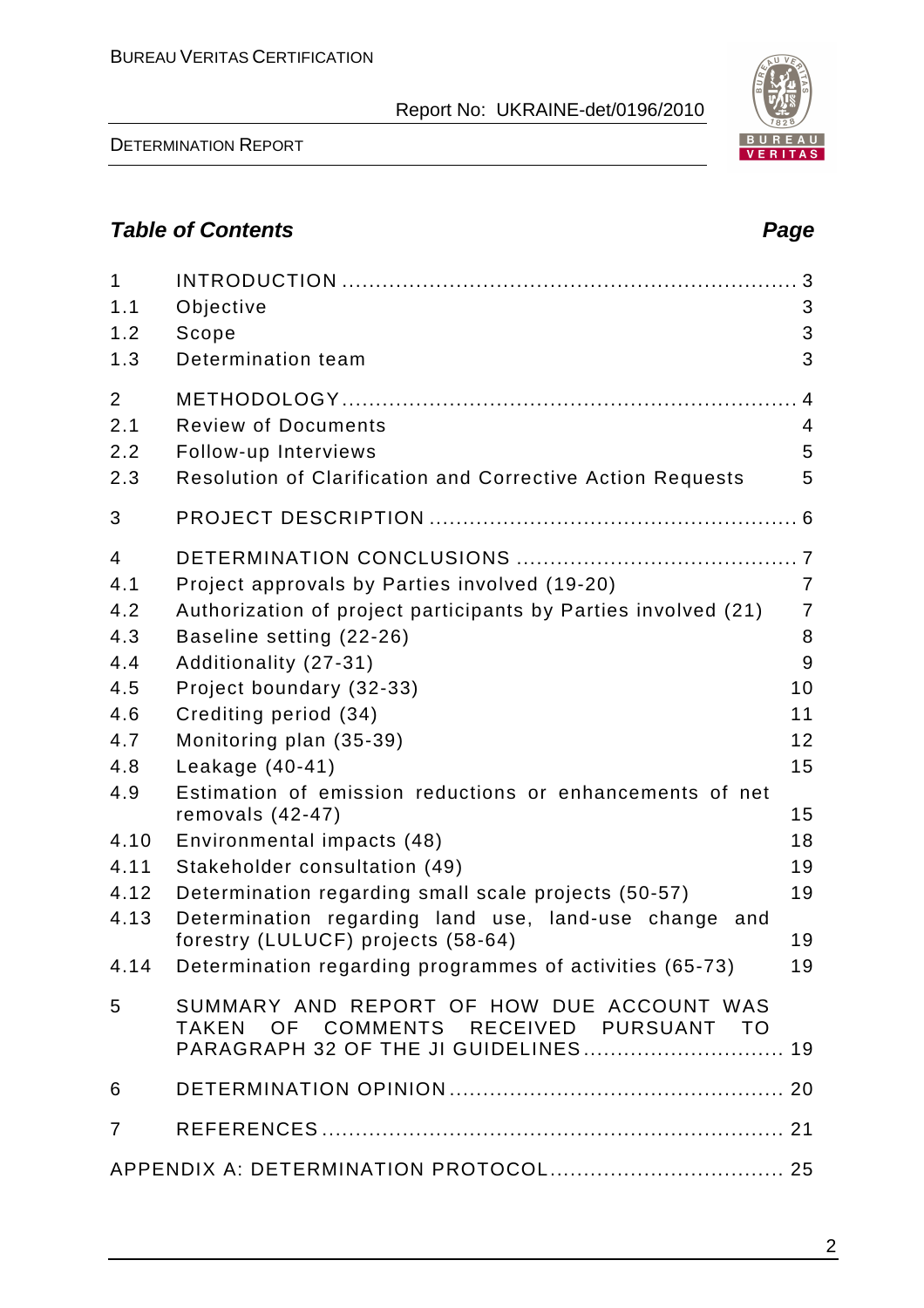DETERMINATION REPORT

#### **Table of Contents Page 2018**

| $\mathbf{1}$<br>1.1<br>1.2<br>1.3                                                        | Objective<br>Scope<br>Determination team                                                                                                                                                                                                                                                                                                                                                                                                                                           | 3<br>3<br>3                                                                                |
|------------------------------------------------------------------------------------------|------------------------------------------------------------------------------------------------------------------------------------------------------------------------------------------------------------------------------------------------------------------------------------------------------------------------------------------------------------------------------------------------------------------------------------------------------------------------------------|--------------------------------------------------------------------------------------------|
| 2<br>2.1<br>2.2<br>2.3                                                                   | <b>Review of Documents</b><br>Follow-up Interviews<br><b>Resolution of Clarification and Corrective Action Requests</b>                                                                                                                                                                                                                                                                                                                                                            | 4<br>4<br>5<br>5                                                                           |
| 3                                                                                        |                                                                                                                                                                                                                                                                                                                                                                                                                                                                                    |                                                                                            |
| 4<br>4.1<br>4.2<br>4.3<br>4.4<br>4.5<br>4.6<br>4.7<br>4.8<br>4.9<br>4.10<br>4.11<br>4.12 | Project approvals by Parties involved (19-20)<br>Authorization of project participants by Parties involved (21)<br>Baseline setting (22-26)<br>Additionality (27-31)<br>Project boundary (32-33)<br>Crediting period (34)<br>Monitoring plan (35-39)<br>Leakage $(40-41)$<br>Estimation of emission reductions or enhancements of net<br>removals $(42-47)$<br>Environmental impacts (48)<br>Stakeholder consultation (49)<br>Determination regarding small scale projects (50-57) | $\overline{7}$<br>$\overline{7}$<br>8<br>9<br>10<br>11<br>12<br>15<br>15<br>18<br>19<br>19 |
| 4.13                                                                                     | Determination regarding land use, land-use change<br>and<br>forestry (LULUCF) projects (58-64)                                                                                                                                                                                                                                                                                                                                                                                     | 19                                                                                         |
|                                                                                          | 4.14 Determination regarding programmes of activities (65-73)                                                                                                                                                                                                                                                                                                                                                                                                                      | 19                                                                                         |
| 5                                                                                        | SUMMARY AND REPORT OF HOW DUE ACCOUNT WAS<br>TAKEN OF COMMENTS RECEIVED PURSUANT TO<br>PARAGRAPH 32 OF THE JI GUIDELINES 19                                                                                                                                                                                                                                                                                                                                                        |                                                                                            |
| 6                                                                                        |                                                                                                                                                                                                                                                                                                                                                                                                                                                                                    |                                                                                            |
| $\overline{7}$                                                                           |                                                                                                                                                                                                                                                                                                                                                                                                                                                                                    |                                                                                            |
|                                                                                          |                                                                                                                                                                                                                                                                                                                                                                                                                                                                                    |                                                                                            |

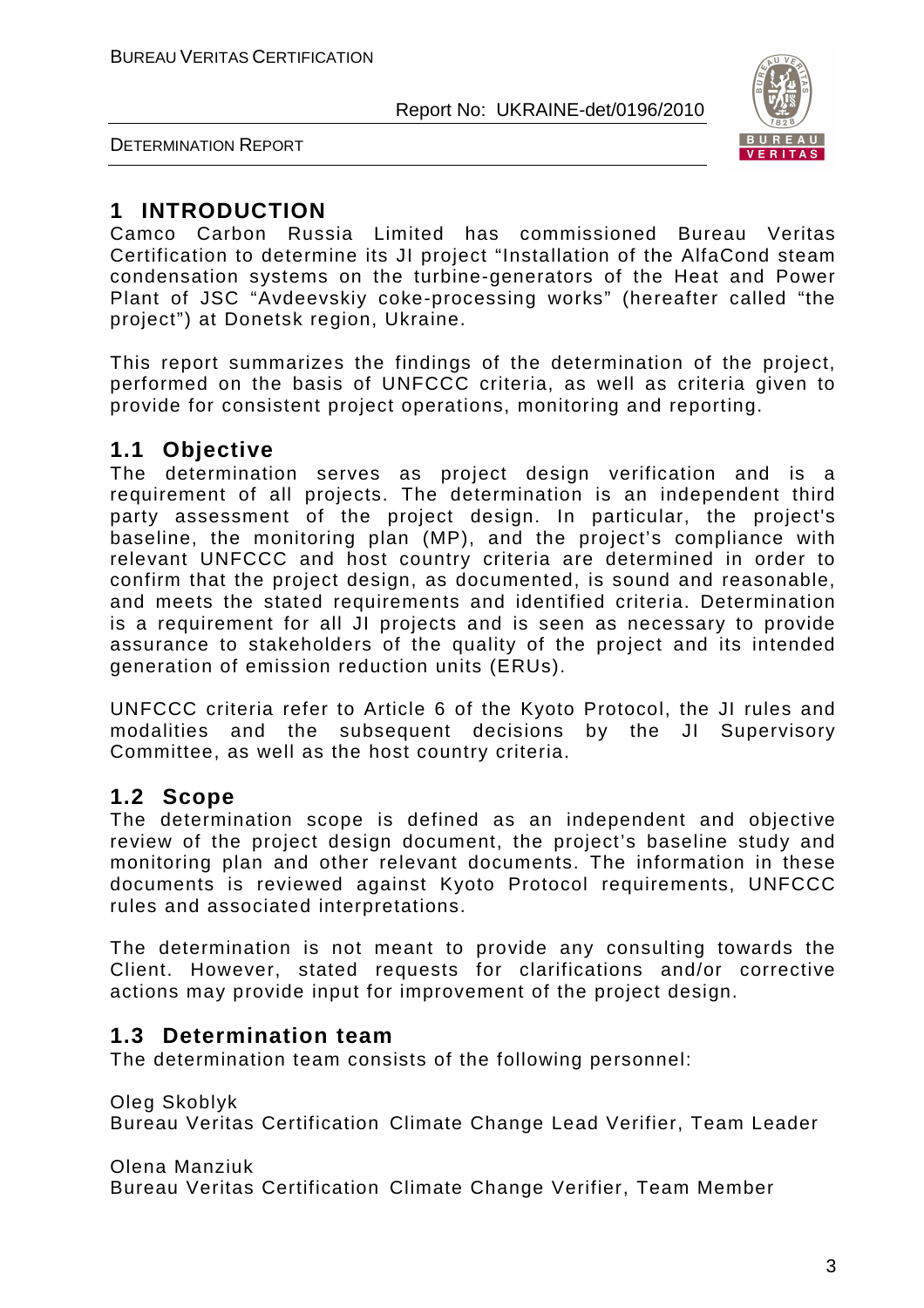



### **1 INTRODUCTION**

Camco Carbon Russia Limited has commissioned Bureau Veritas Certification to determine its JI project "Installation of the AlfaCond steam condensation systems on the turbine-generators of the Heat and Power Plant of JSC "Avdeevskiy coke-processing works" (hereafter called "the project") at Donetsk region, Ukraine.

This report summarizes the findings of the determination of the project, performed on the basis of UNFCCC criteria, as well as criteria given to provide for consistent project operations, monitoring and reporting.

#### **1.1 Objective**

The determination serves as project design verification and is a requirement of all projects. The determination is an independent third party assessment of the project design. In particular, the project's baseline, the monitoring plan (MP), and the project's compliance with relevant UNFCCC and host country criteria are determined in order to confirm that the project design, as documented, is sound and reasonable, and meets the stated requirements and identified criteria. Determination is a requirement for all JI projects and is seen as necessary to provide assurance to stakeholders of the quality of the project and its intended generation of emission reduction units (ERUs).

UNFCCC criteria refer to Article 6 of the Kyoto Protocol, the JI rules and modalities and the subsequent decisions by the JI Supervisory Committee, as well as the host country criteria.

#### **1.2 Scope**

The determination scope is defined as an independent and objective review of the project design document, the project's baseline study and monitoring plan and other relevant documents. The information in these documents is reviewed against Kyoto Protocol requirements, UNFCCC rules and associated interpretations.

The determination is not meant to provide any consulting towards the Client. However, stated requests for clarifications and/or corrective actions may provide input for improvement of the project design.

#### **1.3 Determination team**

The determination team consists of the following personnel:

Oleg Skoblyk Bureau Veritas Certification Climate Change Lead Verifier, Team Leader

Olena Manziuk

Bureau Veritas Certification Climate Change Verifier, Team Member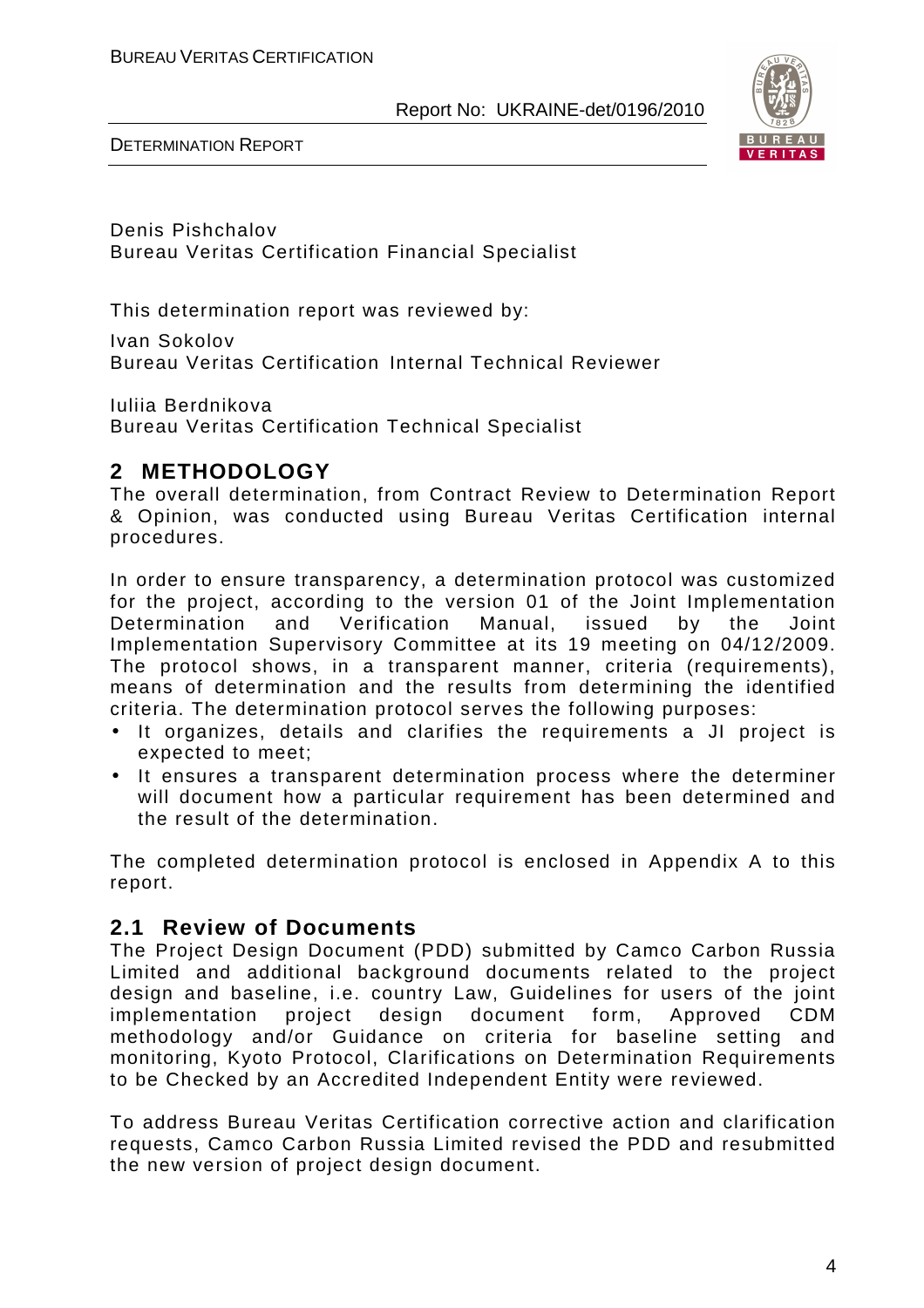

DETERMINATION REPORT

Denis Pishchalov Bureau Veritas Certification Financial Specialist

This determination report was reviewed by:

Ivan Sokolov Bureau Veritas Certification Internal Technical Reviewer

Iuliia Berdnikova Bureau Veritas Certification Technical Specialist

#### **2 METHODOLOGY**

The overall determination, from Contract Review to Determination Report & Opinion, was conducted using Bureau Veritas Certification internal procedures.

In order to ensure transparency, a determination protocol was customized for the project, according to the version 01 of the Joint Implementation Determination and Verification Manual, issued by the Joint Implementation Supervisory Committee at its 19 meeting on 04/12/2009. The protocol shows, in a transparent manner, criteria (requirements), means of determination and the results from determining the identified criteria. The determination protocol serves the following purposes:

- It organizes, details and clarifies the requirements a JI project is expected to meet;
- It ensures a transparent determination process where the determiner will document how a particular requirement has been determined and the result of the determination.

The completed determination protocol is enclosed in Appendix A to this report.

#### **2.1 Review of Documents**

The Project Design Document (PDD) submitted by Camco Carbon Russia Limited and additional background documents related to the project design and baseline, i.e. country Law, Guidelines for users of the joint implementation project design document form, Approved CDM methodology and/or Guidance on criteria for baseline setting and monitoring, Kyoto Protocol, Clarifications on Determination Requirements to be Checked by an Accredited Independent Entity were reviewed.

To address Bureau Veritas Certification corrective action and clarification requests, Camco Carbon Russia Limited revised the PDD and resubmitted the new version of project design document.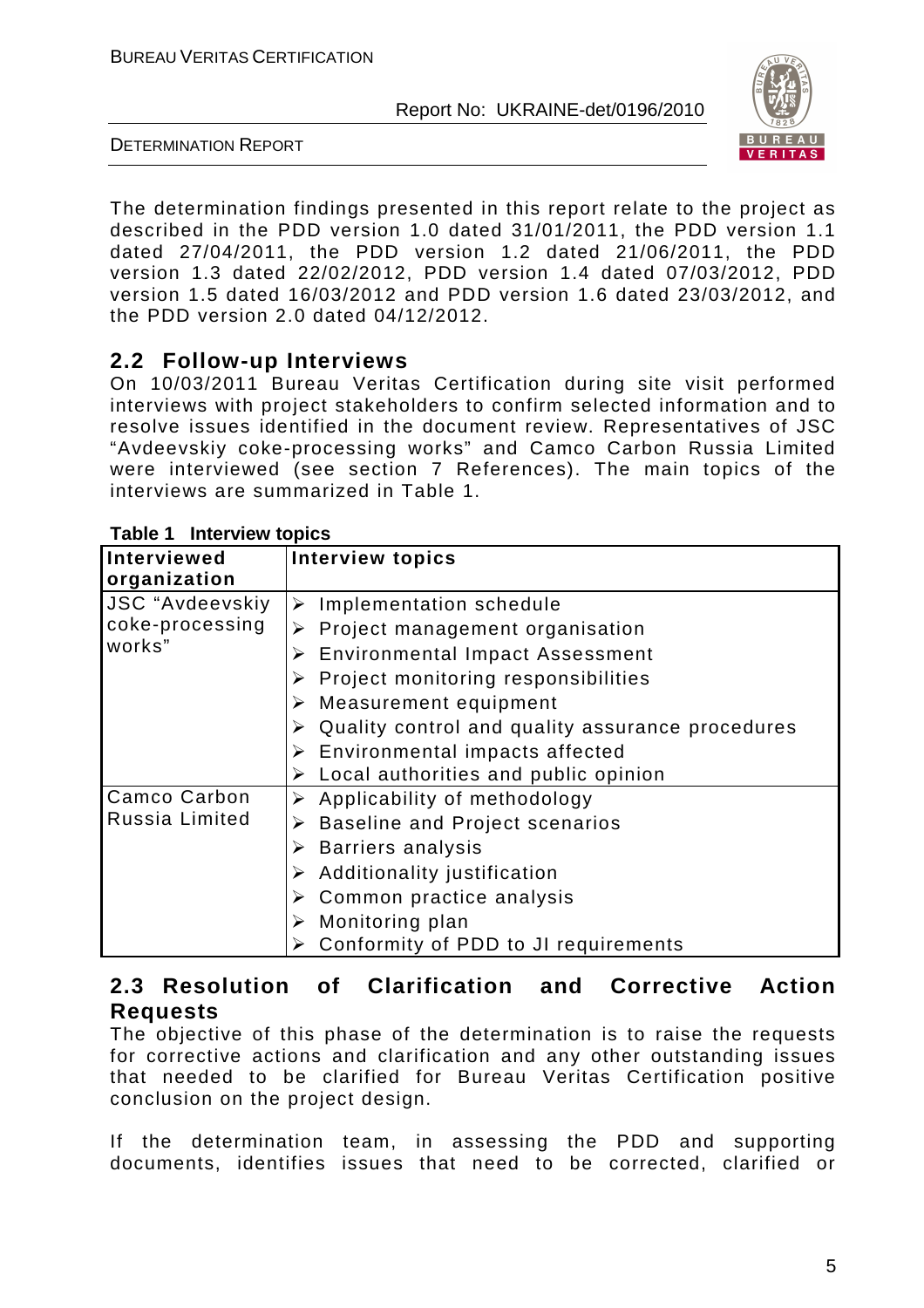

DETERMINATION REPORT

The determination findings presented in this report relate to the project as described in the PDD version 1.0 dated 31/01/2011, the PDD version 1.1 dated 27/04/2011, the PDD version 1.2 dated 21/06/2011, the PDD version 1.3 dated 22/02/2012, PDD version 1.4 dated 07/03/2012, PDD version 1.5 dated 16/03/2012 and PDD version 1.6 dated 23/03/2012, and the PDD version 2.0 dated 04/12/2012.

#### **2.2 Follow-up Interviews**

On 10/03/2011 Bureau Veritas Certification during site visit performed interviews with project stakeholders to confirm selected information and to resolve issues identified in the document review. Representatives of JSC "Avdeevskiy coke-processing works" and Camco Carbon Russia Limited were interviewed (see section 7 References). The main topics of the interviews are summarized in Table 1.

| <b>Table I Interview topics</b> |                                                       |  |  |  |  |
|---------------------------------|-------------------------------------------------------|--|--|--|--|
| <b>Interviewed</b>              | <b>Interview topics</b>                               |  |  |  |  |
| organization                    |                                                       |  |  |  |  |
| <b>JSC "Avdeevskiy</b>          | Implementation schedule<br>➤                          |  |  |  |  |
| coke-processing                 | Project management organisation<br>➤                  |  |  |  |  |
| works"                          | <b>Environmental Impact Assessment</b><br>➤           |  |  |  |  |
|                                 | Project monitoring responsibilities<br>➤              |  |  |  |  |
|                                 | $\triangleright$ Measurement equipment                |  |  |  |  |
|                                 | Quality control and quality assurance procedures<br>➤ |  |  |  |  |
|                                 | $\triangleright$ Environmental impacts affected       |  |  |  |  |
|                                 | Local authorities and public opinion                  |  |  |  |  |
| Camco Carbon                    | $\triangleright$ Applicability of methodology         |  |  |  |  |
| Russia Limited                  | Baseline and Project scenarios<br>➤                   |  |  |  |  |
|                                 | <b>Barriers analysis</b><br>➤                         |  |  |  |  |
|                                 | Additionality justification<br>➤                      |  |  |  |  |
|                                 | Common practice analysis<br>➤                         |  |  |  |  |
|                                 | Monitoring plan                                       |  |  |  |  |
|                                 | Conformity of PDD to JI requirements                  |  |  |  |  |

#### **Table 1 Interview topics**

#### **2.3 Resolution of Clarification and Corrective Action Requests**

The objective of this phase of the determination is to raise the requests for corrective actions and clarification and any other outstanding issues that needed to be clarified for Bureau Veritas Certification positive conclusion on the project design.

If the determination team, in assessing the PDD and supporting documents, identifies issues that need to be corrected, clarified or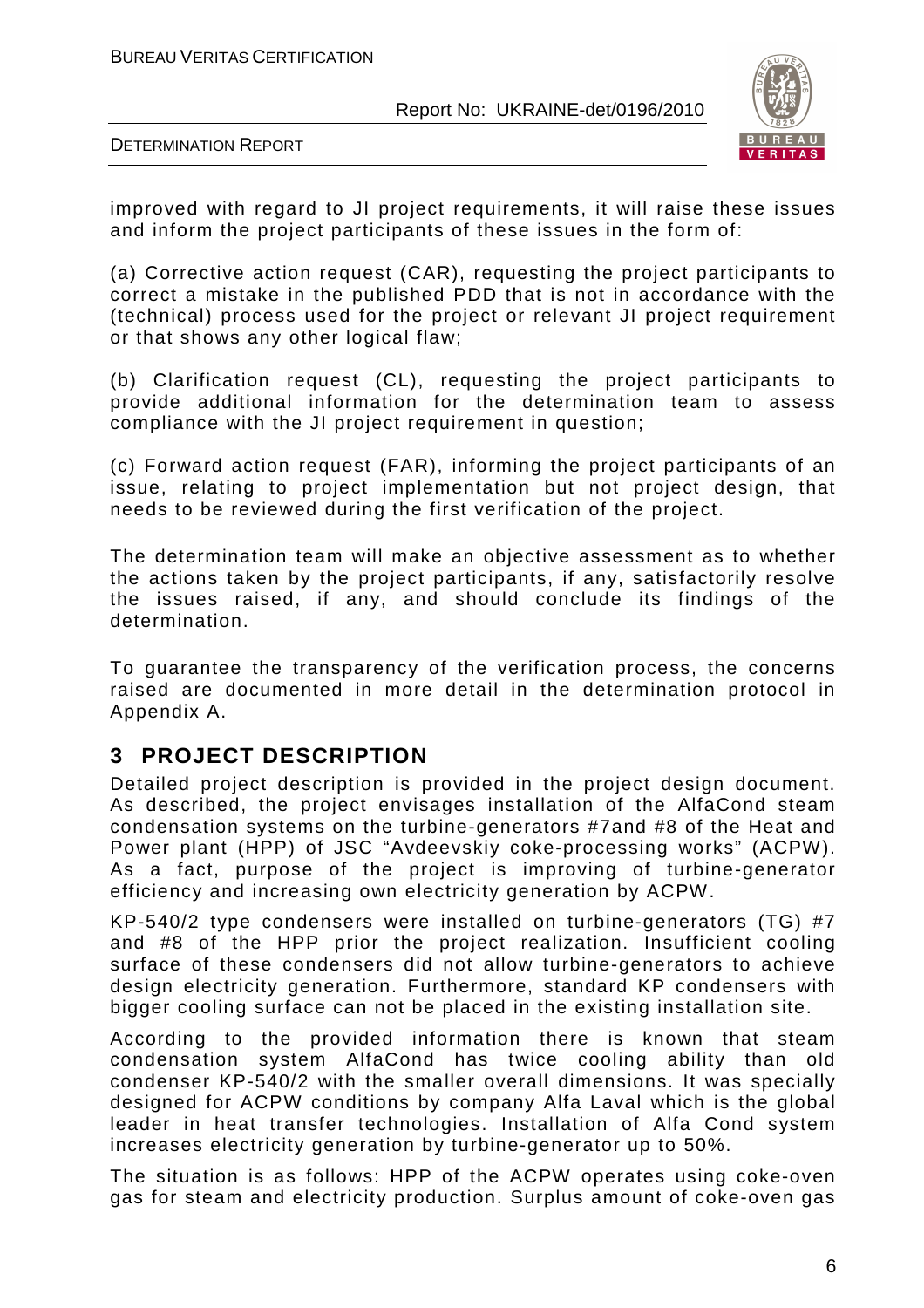

DETERMINATION REPORT

improved with regard to JI project requirements, it will raise these issues and inform the project participants of these issues in the form of:

(a) Corrective action request (CAR), requesting the project participants to correct a mistake in the published PDD that is not in accordance with the (technical) process used for the project or relevant JI project requirement or that shows any other logical flaw;

(b) Clarification request (CL), requesting the project participants to provide additional information for the determination team to assess compliance with the JI project requirement in question;

(c) Forward action request (FAR), informing the project participants of an issue, relating to project implementation but not project design, that needs to be reviewed during the first verification of the project.

The determination team will make an objective assessment as to whether the actions taken by the project participants, if any, satisfactorily resolve the issues raised, if any, and should conclude its findings of the determination.

To guarantee the transparency of the verification process, the concerns raised are documented in more detail in the determination protocol in Appendix A.

#### **3 PROJECT DESCRIPTION**

Detailed project description is provided in the project design document. As described, the project envisages installation of the AlfaCond steam condensation systems on the turbine-generators #7and #8 of the Heat and Power plant (HPP) of JSC "Avdeevskiy coke-processing works" (ACPW). As a fact, purpose of the project is improving of turbine-generator efficiency and increasing own electricity generation by ACPW.

KP-540/2 type condensers were installed on turbine-generators (TG) #7 and #8 of the HPP prior the project realization. Insufficient cooling surface of these condensers did not allow turbine-generators to achieve design electricity generation. Furthermore, standard KP condensers with bigger cooling surface can not be placed in the existing installation site.

According to the provided information there is known that steam condensation system AlfaCond has twice cooling ability than old condenser KP-540/2 with the smaller overall dimensions. It was specially designed for ACPW conditions by company Alfa Laval which is the global leader in heat transfer technologies. Installation of Alfa Cond system increases electricity generation by turbine-generator up to 50%.

The situation is as follows: HPP of the ACPW operates using coke-oven gas for steam and electricity production. Surplus amount of coke-oven gas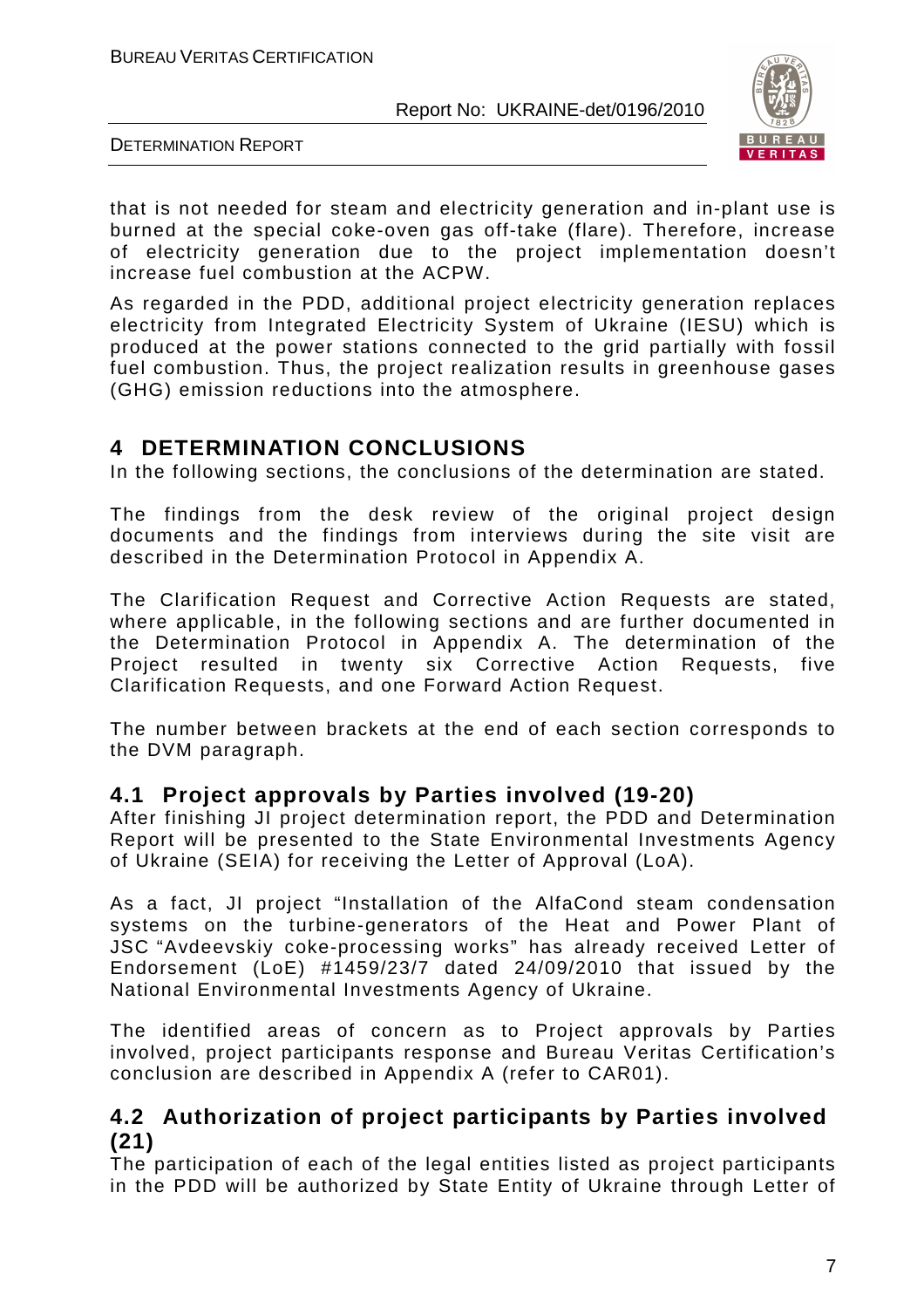

DETERMINATION REPORT

that is not needed for steam and electricity generation and in-plant use is burned at the special coke-oven gas off-take (flare). Therefore, increase of electricity generation due to the project implementation doesn't increase fuel combustion at the ACPW.

As regarded in the PDD, additional project electricity generation replaces electricity from Integrated Electricity System of Ukraine (IESU) which is produced at the power stations connected to the grid partially with fossil fuel combustion. Thus, the project realization results in greenhouse gases (GHG) emission reductions into the atmosphere.

#### **4 DETERMINATION CONCLUSIONS**

In the following sections, the conclusions of the determination are stated.

The findings from the desk review of the original project design documents and the findings from interviews during the site visit are described in the Determination Protocol in Appendix A.

The Clarification Request and Corrective Action Requests are stated, where applicable, in the following sections and are further documented in the Determination Protocol in Appendix A. The determination of the Project resulted in twenty six Corrective Action Requests, five Clarification Requests, and one Forward Action Request.

The number between brackets at the end of each section corresponds to the DVM paragraph.

#### **4.1 Project approvals by Parties involved (19-20)**

After finishing JI project determination report, the PDD and Determination Report will be presented to the State Environmental Investments Agency of Ukraine (SEIA) for receiving the Letter of Approval (LoA).

As a fact, JI project "Installation of the AlfaCond steam condensation systems on the turbine-generators of the Heat and Power Plant of JSC "Avdeevskiy coke-processing works" has already received Letter of Endorsement (LoE) #1459/23/7 dated 24/09/2010 that issued by the National Environmental Investments Agency of Ukraine.

The identified areas of concern as to Project approvals by Parties involved, project participants response and Bureau Veritas Certification's conclusion are described in Appendix A (refer to CAR01).

#### **4.2 Authorization of project participants by Parties involved (21)**

The participation of each of the legal entities listed as project participants in the PDD will be authorized by State Entity of Ukraine through Letter of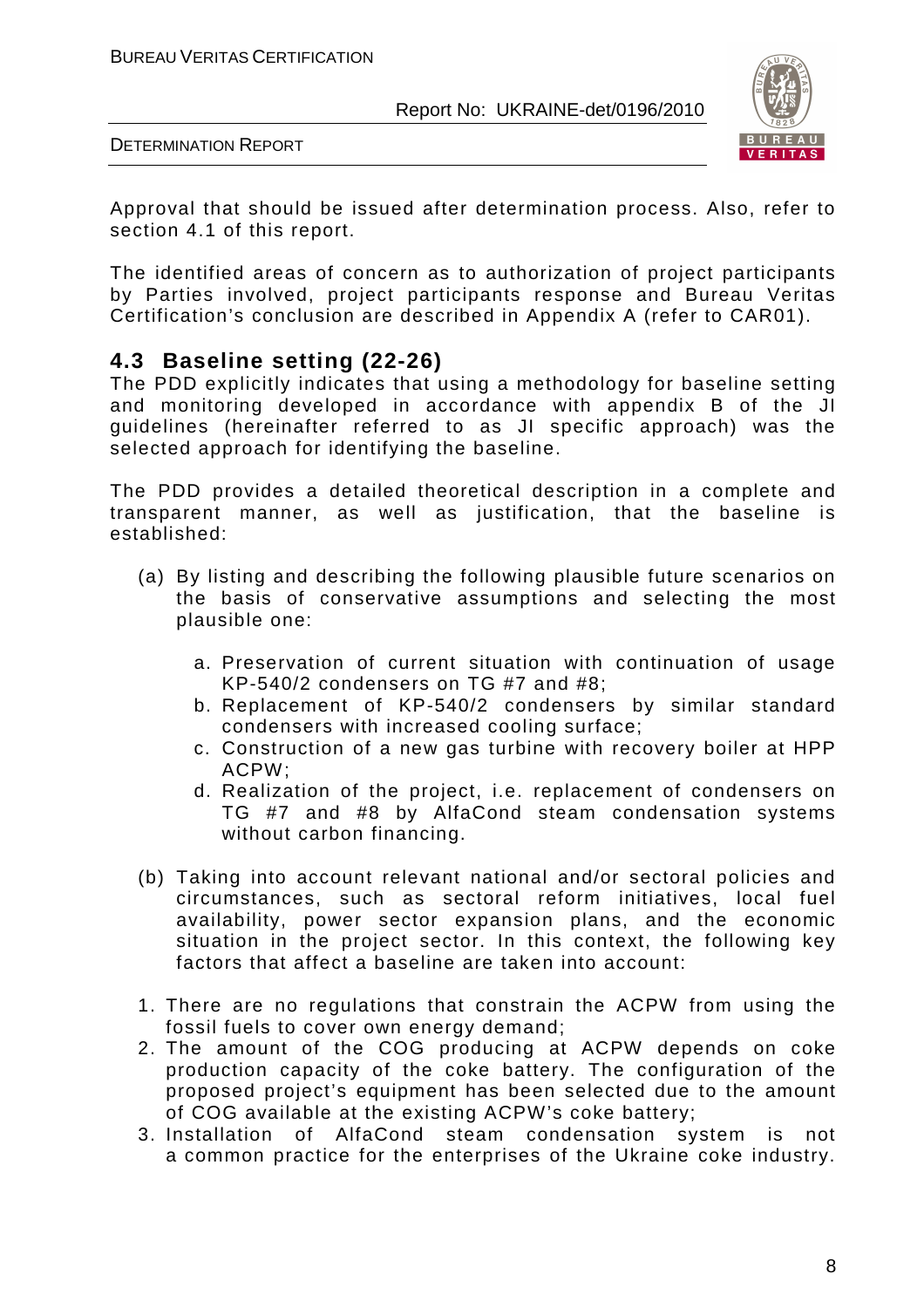

DETERMINATION REPORT

Approval that should be issued after determination process. Also, refer to section 4.1 of this report.

The identified areas of concern as to authorization of project participants by Parties involved, project participants response and Bureau Veritas Certification's conclusion are described in Appendix A (refer to CAR01).

#### **4.3 Baseline setting (22-26)**

The PDD explicitly indicates that using a methodology for baseline setting and monitoring developed in accordance with appendix B of the JI guidelines (hereinafter referred to as JI specific approach) was the selected approach for identifying the baseline.

The PDD provides a detailed theoretical description in a complete and transparent manner, as well as justification, that the baseline is established:

- (a) By listing and describing the following plausible future scenarios on the basis of conservative assumptions and selecting the most plausible one:
	- a. Preservation of current situation with continuation of usage KP-540/2 condensers on TG #7 and #8;
	- b. Replacement of KP-540/2 condensers by similar standard condensers with increased cooling surface;
	- c. Construction of a new gas turbine with recovery boiler at HPP ACPW;
	- d. Realization of the project, i.e. replacement of condensers on TG #7 and #8 by AlfaCond steam condensation systems without carbon financing.
- (b) Taking into account relevant national and/or sectoral policies and circumstances, such as sectoral reform initiatives, local fuel availability, power sector expansion plans, and the economic situation in the project sector. In this context, the following key factors that affect a baseline are taken into account:
- 1. There are no regulations that constrain the ACPW from using the fossil fuels to cover own energy demand;
- 2. The amount of the COG producing at ACPW depends on coke production capacity of the coke battery. The configuration of the proposed project's equipment has been selected due to the amount of COG available at the existing ACPW's coke battery;
- 3. Installation of AlfaCond steam condensation system is not a common practice for the enterprises of the Ukraine coke industry.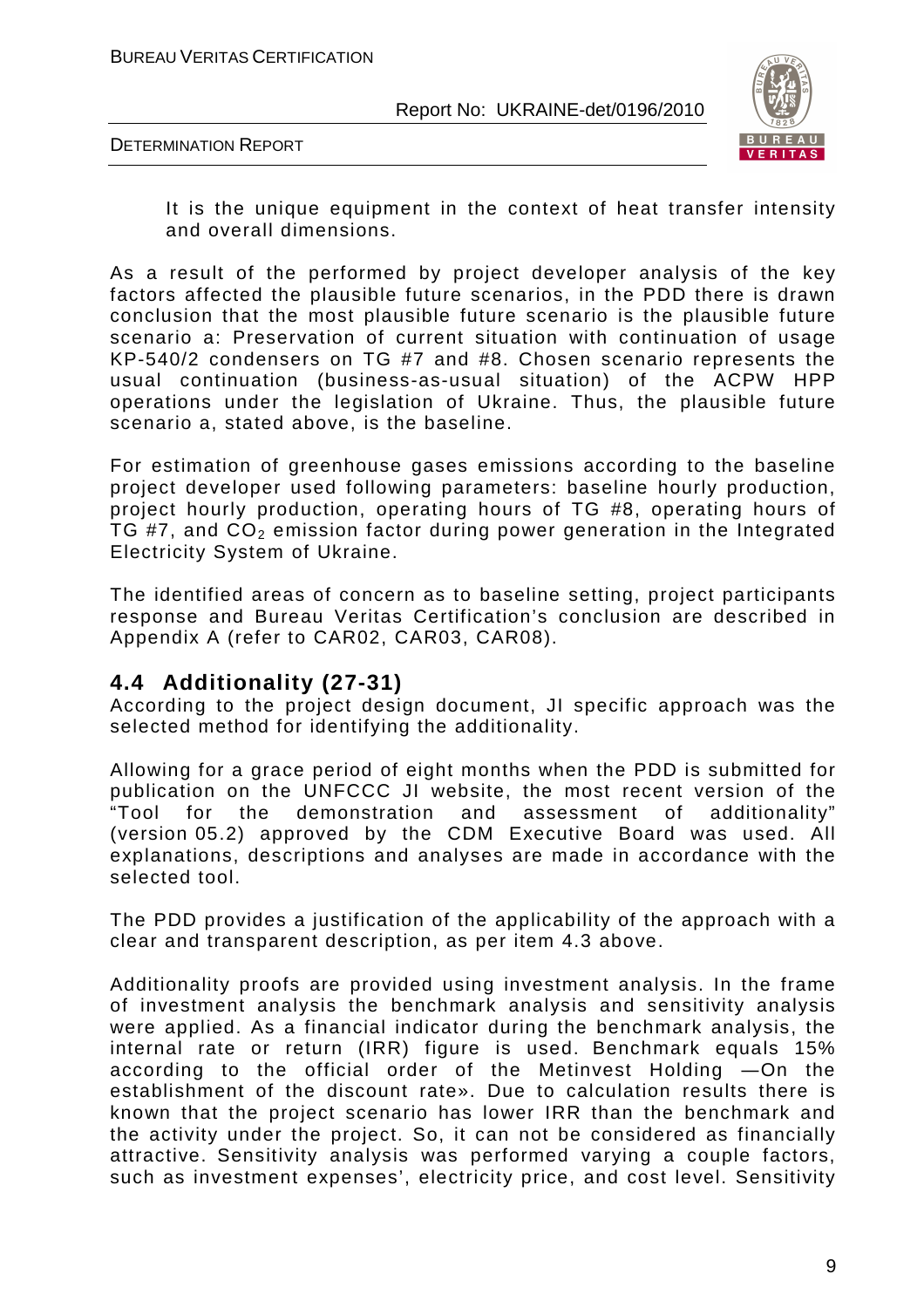

DETERMINATION REPORT

It is the unique equipment in the context of heat transfer intensity and overall dimensions.

As a result of the performed by project developer analysis of the key factors affected the plausible future scenarios, in the PDD there is drawn conclusion that the most plausible future scenario is the plausible future scenario a: Preservation of current situation with continuation of usage KP-540/2 condensers on TG #7 and #8. Chosen scenario represents the usual continuation (business-as-usual situation) of the ACPW HPP operations under the legislation of Ukraine. Thus, the plausible future scenario a, stated above, is the baseline.

For estimation of greenhouse gases emissions according to the baseline project developer used following parameters: baseline hourly production, project hourly production, operating hours of TG #8, operating hours of TG #7, and  $CO<sub>2</sub>$  emission factor during power generation in the Integrated Electricity System of Ukraine.

The identified areas of concern as to baseline setting, project participants response and Bureau Veritas Certification's conclusion are described in Appendix A (refer to CAR02, CAR03, CAR08).

#### **4.4 Additionality (27-31)**

According to the project design document, JI specific approach was the selected method for identifying the additionality.

Allowing for a grace period of eight months when the PDD is submitted for publication on the UNFCCC JI website, the most recent version of the fine of the demonstration and assessment of additionality" for the demonstration and assessment of additionality" (version 05.2) approved by the CDM Executive Board was used. All explanations, descriptions and analyses are made in accordance with the selected tool.

The PDD provides a justification of the applicability of the approach with a clear and transparent description, as per item 4.3 above.

Additionality proofs are provided using investment analysis. In the frame of investment analysis the benchmark analysis and sensitivity analysis were applied. As a financial indicator during the benchmark analysis, the internal rate or return (IRR) figure is used. Benchmark equals 15% according to the official order of the Metinvest Holding ―On the establishment of the discount rate». Due to calculation results there is known that the project scenario has lower IRR than the benchmark and the activity under the project. So, it can not be considered as financially attractive. Sensitivity analysis was performed varying a couple factors, such as investment expenses', electricity price, and cost level. Sensitivity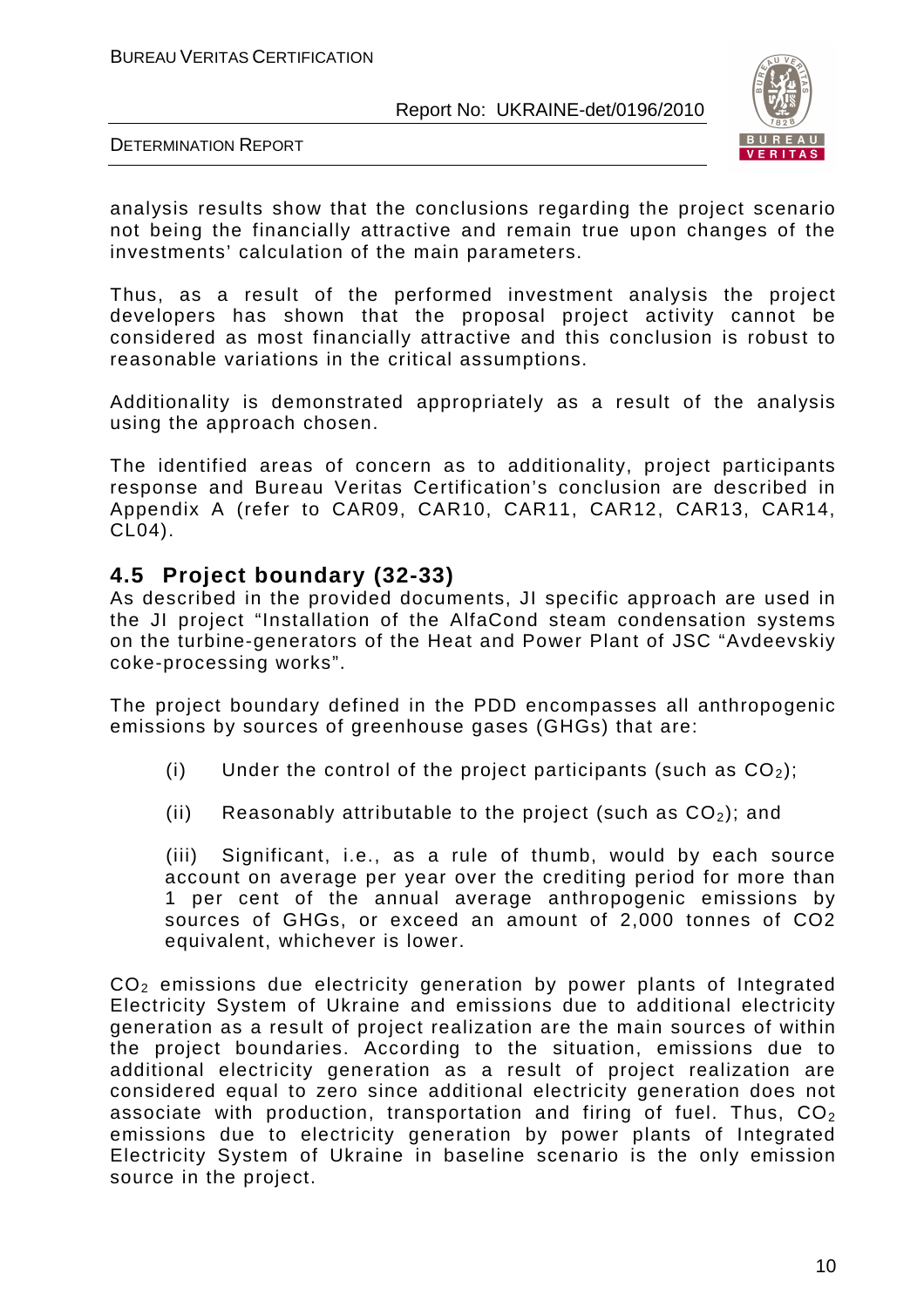

DETERMINATION REPORT

analysis results show that the conclusions regarding the project scenario not being the financially attractive and remain true upon changes of the investments' calculation of the main parameters.

Thus, as a result of the performed investment analysis the project developers has shown that the proposal project activity cannot be considered as most financially attractive and this conclusion is robust to reasonable variations in the critical assumptions.

Additionality is demonstrated appropriately as a result of the analysis using the approach chosen.

The identified areas of concern as to additionality, project participants response and Bureau Veritas Certification's conclusion are described in Appendix A (refer to CAR09, CAR10, CAR11, CAR12, CAR13, CAR14, CL04).

#### **4.5 Project boundary (32-33)**

As described in the provided documents, JI specific approach are used in the JI project "Installation of the AlfaCond steam condensation systems on the turbine-generators of the Heat and Power Plant of JSC "Avdeevskiy coke-processing works".

The project boundary defined in the PDD encompasses all anthropogenic emissions by sources of greenhouse gases (GHGs) that are:

- (i) Under the control of the project participants (such as  $CO<sub>2</sub>$ );
- (ii) Reasonably attributable to the project (such as  $CO<sub>2</sub>$ ); and

(iii) Significant, i.e., as a rule of thumb, would by each source account on average per year over the crediting period for more than 1 per cent of the annual average anthropogenic emissions by sources of GHGs, or exceed an amount of 2,000 tonnes of CO2 equivalent, whichever is lower.

CO2 emissions due electricity generation by power plants of Integrated Electricity System of Ukraine and emissions due to additional electricity generation as a result of project realization are the main sources of within the project boundaries. According to the situation, emissions due to additional electricity generation as a result of project realization are considered equal to zero since additional electricity generation does not associate with production, transportation and firing of fuel. Thus,  $CO<sub>2</sub>$ emissions due to electricity generation by power plants of Integrated Electricity System of Ukraine in baseline scenario is the only emission source in the project.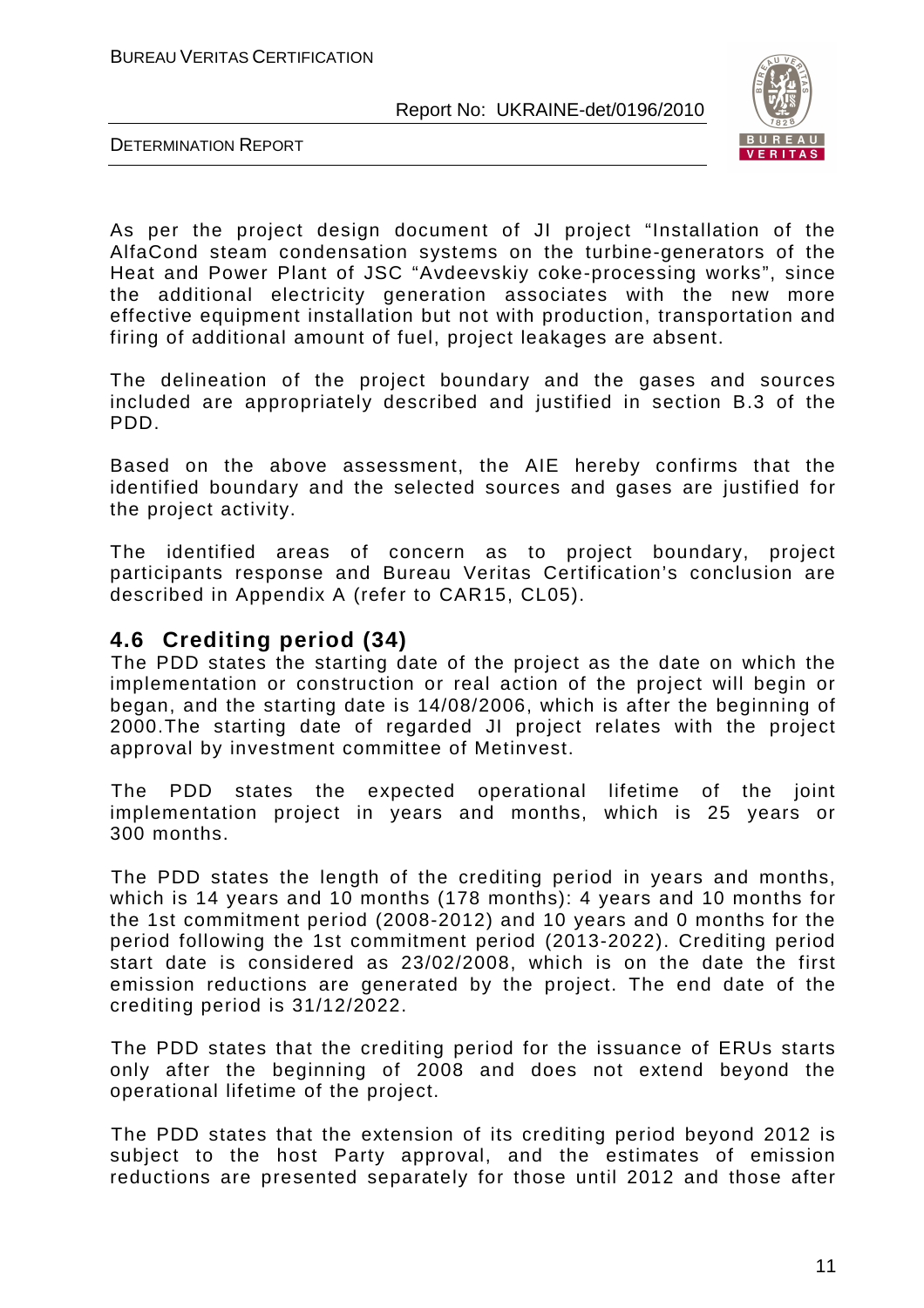

DETERMINATION REPORT

As per the project design document of JI project "Installation of the AlfaCond steam condensation systems on the turbine-generators of the Heat and Power Plant of JSC "Avdeevskiy coke-processing works", since the additional electricity generation associates with the new more effective equipment installation but not with production, transportation and firing of additional amount of fuel, project leakages are absent.

The delineation of the project boundary and the gases and sources included are appropriately described and justified in section B.3 of the PDD.

Based on the above assessment, the AIE hereby confirms that the identified boundary and the selected sources and gases are justified for the project activity.

The identified areas of concern as to project boundary, project participants response and Bureau Veritas Certification's conclusion are described in Appendix A (refer to CAR15, CL05).

#### **4.6 Crediting period (34)**

The PDD states the starting date of the project as the date on which the implementation or construction or real action of the project will begin or began, and the starting date is 14/08/2006, which is after the beginning of 2000.The starting date of regarded JI project relates with the project approval by investment committee of Metinvest.

The PDD states the expected operational lifetime of the joint implementation project in years and months, which is 25 years or 300 months.

The PDD states the length of the crediting period in years and months, which is 14 years and 10 months (178 months): 4 years and 10 months for the 1st commitment period (2008-2012) and 10 years and 0 months for the period following the 1st commitment period (2013-2022). Crediting period start date is considered as 23/02/2008, which is on the date the first emission reductions are generated by the project. The end date of the crediting period is 31/12/2022.

The PDD states that the crediting period for the issuance of ERUs starts only after the beginning of 2008 and does not extend beyond the operational lifetime of the project.

The PDD states that the extension of its crediting period beyond 2012 is subject to the host Party approval, and the estimates of emission reductions are presented separately for those until 2012 and those after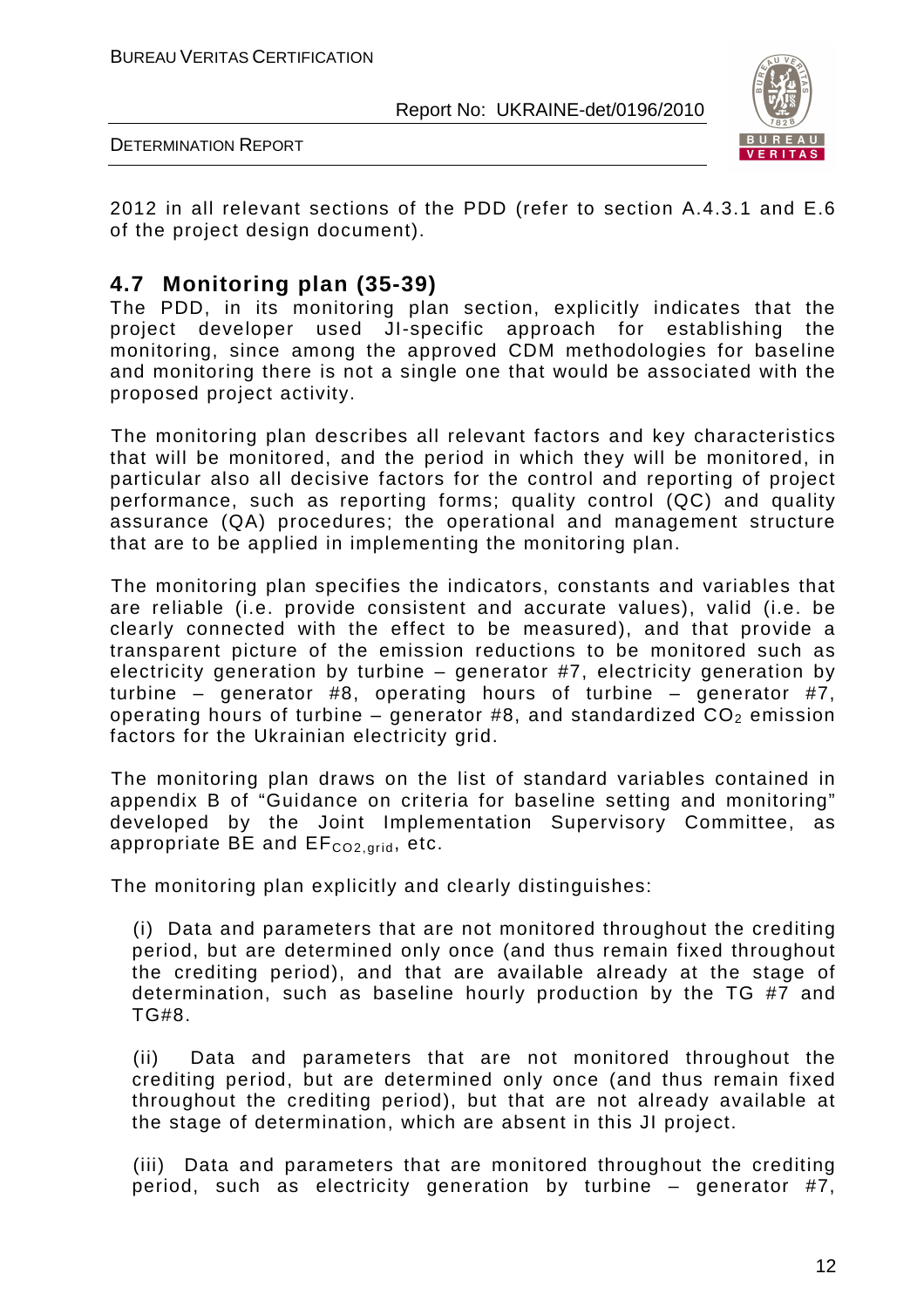

DETERMINATION REPORT

2012 in all relevant sections of the PDD (refer to section A.4.3.1 and E.6 of the project design document).

#### **4.7 Monitoring plan (35-39)**

The PDD, in its monitoring plan section, explicitly indicates that the project developer used JI-specific approach for establishing the monitoring, since among the approved CDM methodologies for baseline and monitoring there is not a single one that would be associated with the proposed project activity.

The monitoring plan describes all relevant factors and key characteristics that will be monitored, and the period in which they will be monitored, in particular also all decisive factors for the control and reporting of project performance, such as reporting forms; quality control (QC) and quality assurance (QA) procedures; the operational and management structure that are to be applied in implementing the monitoring plan.

The monitoring plan specifies the indicators, constants and variables that are reliable (i.e. provide consistent and accurate values), valid (i.e. be clearly connected with the effect to be measured), and that provide a transparent picture of the emission reductions to be monitored such as electricity generation by turbine – generator #7, electricity generation by turbine – generator #8, operating hours of turbine – generator #7, operating hours of turbine – generator #8, and standardized  $CO<sub>2</sub>$  emission factors for the Ukrainian electricity grid.

The monitoring plan draws on the list of standard variables contained in appendix B of "Guidance on criteria for baseline setting and monitoring" developed by the Joint Implementation Supervisory Committee, as appropriate  $BE$  and  $EF_{CO2,grid}$ , etc.

The monitoring plan explicitly and clearly distinguishes:

(i) Data and parameters that are not monitored throughout the crediting period, but are determined only once (and thus remain fixed throughout the crediting period), and that are available already at the stage of determination, such as baseline hourly production by the TG #7 and TG#8.

(ii) Data and parameters that are not monitored throughout the crediting period, but are determined only once (and thus remain fixed throughout the crediting period), but that are not already available at the stage of determination, which are absent in this JI project.

(iii) Data and parameters that are monitored throughout the crediting period, such as electricity generation by turbine – generator #7,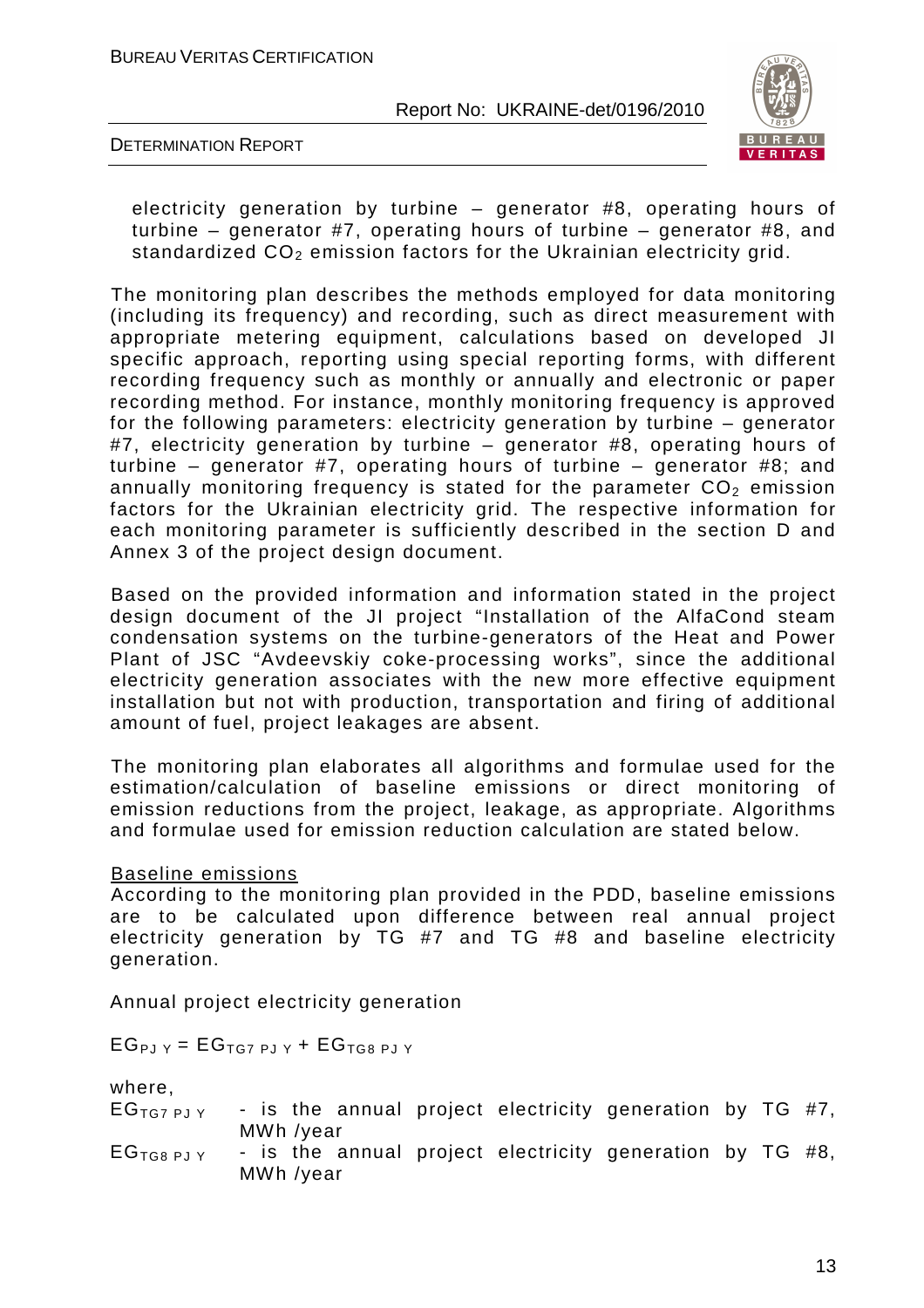

DETERMINATION REPORT

electricity generation by turbine – generator #8, operating hours of turbine – generator #7, operating hours of turbine – generator #8, and standardized  $CO<sub>2</sub>$  emission factors for the Ukrainian electricity grid.

The monitoring plan describes the methods employed for data monitoring (including its frequency) and recording, such as direct measurement with appropriate metering equipment, calculations based on developed JI specific approach, reporting using special reporting forms, with different recording frequency such as monthly or annually and electronic or paper recording method. For instance, monthly monitoring frequency is approved for the following parameters: electricity generation by turbine – generator #7, electricity generation by turbine – generator #8, operating hours of turbine – generator #7, operating hours of turbine – generator #8; and annually monitoring frequency is stated for the parameter  $CO<sub>2</sub>$  emission factors for the Ukrainian electricity grid. The respective information for each monitoring parameter is sufficiently described in the section D and Annex 3 of the project design document.

Based on the provided information and information stated in the project design document of the JI project "Installation of the AlfaCond steam condensation systems on the turbine-generators of the Heat and Power Plant of JSC "Avdeevskiy coke-processing works", since the additional electricity generation associates with the new more effective equipment installation but not with production, transportation and firing of additional amount of fuel, project leakages are absent.

The monitoring plan elaborates all algorithms and formulae used for the estimation/calculation of baseline emissions or direct monitoring of emission reductions from the project, leakage, as appropriate. Algorithms and formulae used for emission reduction calculation are stated below.

Baseline emissions

According to the monitoring plan provided in the PDD, baseline emissions are to be calculated upon difference between real annual project electricity generation by TG #7 and TG #8 and baseline electricity generation.

Annual project electricity generation

 $EG_{PJY} = EG_{TGZ PJY} + EG_{TG8 PJY}$ 

where,

| $EGTG7$ PJ Y         |                        |  |  | - is the annual project electricity generation by TG #7, |  |  |
|----------------------|------------------------|--|--|----------------------------------------------------------|--|--|
| EG <sub>TGBPJY</sub> | MWh /year<br>MWh /year |  |  | - is the annual project electricity generation by TG #8, |  |  |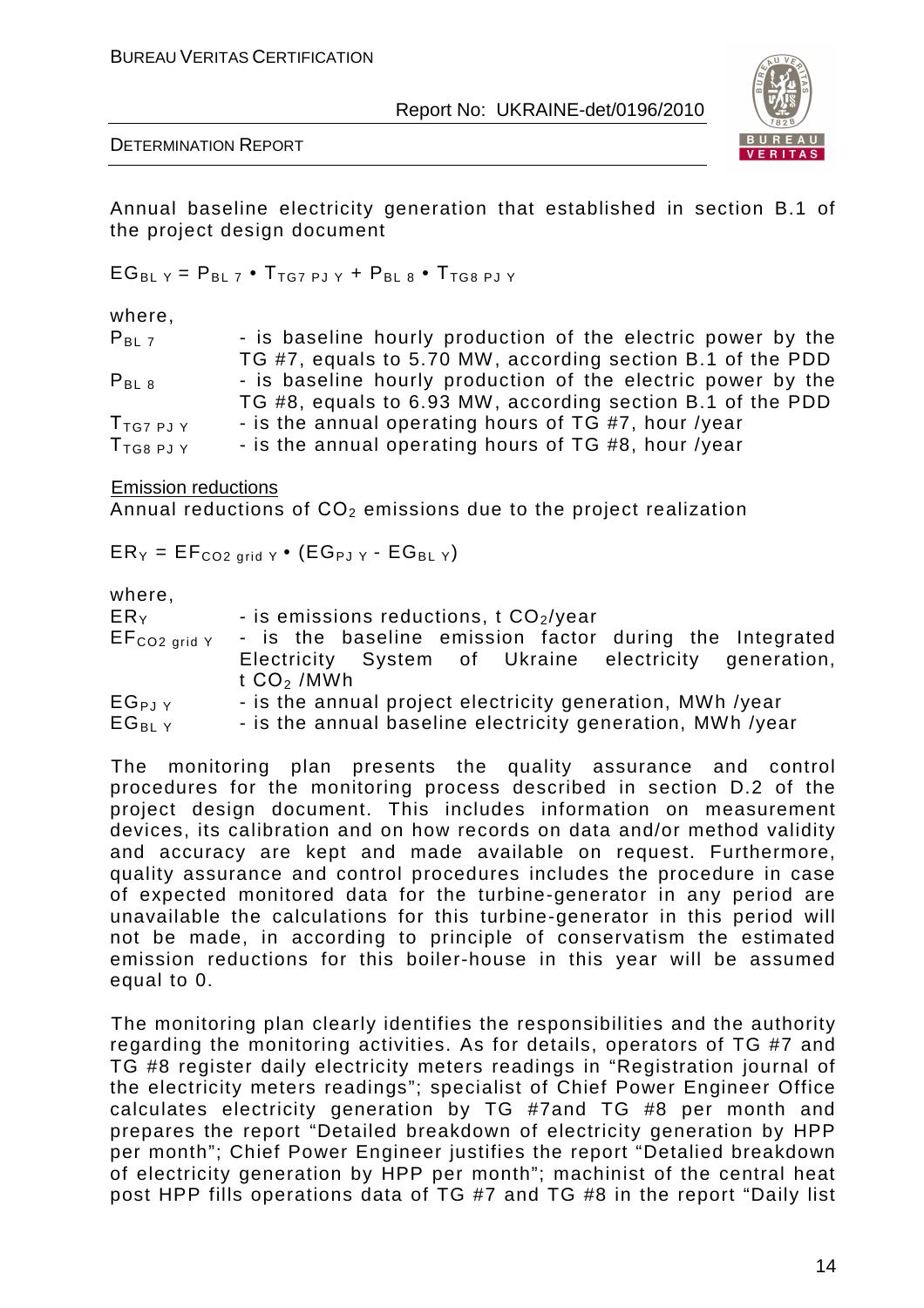

DETERMINATION REPORT

Annual baseline electricity generation that established in section B.1 of the project design document

 $EG_{BLY} = P_{BLZ} \cdot T_{TGZ PJY} + P_{BLB} \cdot T_{TG8 PJY}$ 

where,

| $P_{BL}$ 7       | - is baseline hourly production of the electric power by the |
|------------------|--------------------------------------------------------------|
|                  | TG #7, equals to 5.70 MW, according section B.1 of the PDD   |
| $P_{BL,8}$       | - is baseline hourly production of the electric power by the |
|                  | TG #8, equals to 6.93 MW, according section B.1 of the PDD   |
| $T_{TG7PJY}$     | - is the annual operating hours of TG #7, hour /year         |
| $T_{TGB\ PJ\ Y}$ | - is the annual operating hours of TG #8, hour /year         |

Emission reductions

Annual reductions of  $CO<sub>2</sub>$  emissions due to the project realization

 $ER_Y = EF_{CO2 \text{ grid } Y} \cdot (EG_{PJ} Y - EG_{BJ} Y)$ 

where

| ER <sub>Y</sub>     | - is emissions reductions, $t CO2/year$                    |  |  |  |  |  |  |
|---------------------|------------------------------------------------------------|--|--|--|--|--|--|
| $EF_{CO2\ grid\ Y}$ | - is the baseline emission factor during the Integrated    |  |  |  |  |  |  |
|                     | Electricity System of Ukraine electricity generation,      |  |  |  |  |  |  |
|                     | t $CO2$ /MWh                                               |  |  |  |  |  |  |
| $EG_{PJY}$          | - is the annual project electricity generation, MWh /year  |  |  |  |  |  |  |
| $EG_{BIY}$          | - is the annual baseline electricity generation, MWh /year |  |  |  |  |  |  |

The monitoring plan presents the quality assurance and control procedures for the monitoring process described in section D.2 of the project design document. This includes information on measurement devices, its calibration and on how records on data and/or method validity and accuracy are kept and made available on request. Furthermore, quality assurance and control procedures includes the procedure in case of expected monitored data for the turbine-generator in any period are unavailable the calculations for this turbine-generator in this period will not be made, in according to principle of conservatism the estimated emission reductions for this boiler-house in this year will be assumed equal to 0.

The monitoring plan clearly identifies the responsibilities and the authority regarding the monitoring activities. As for details, operators of TG #7 and TG #8 register daily electricity meters readings in "Registration journal of the electricity meters readings"; specialist of Chief Power Engineer Office calculates electricity generation by TG #7and TG #8 per month and prepares the report "Detailed breakdown of electricity generation by HPP per month"; Chief Power Engineer justifies the report "Detalied breakdown of electricity generation by HPP per month"; machinist of the central heat post HPP fills operations data of TG #7 and TG #8 in the report "Daily list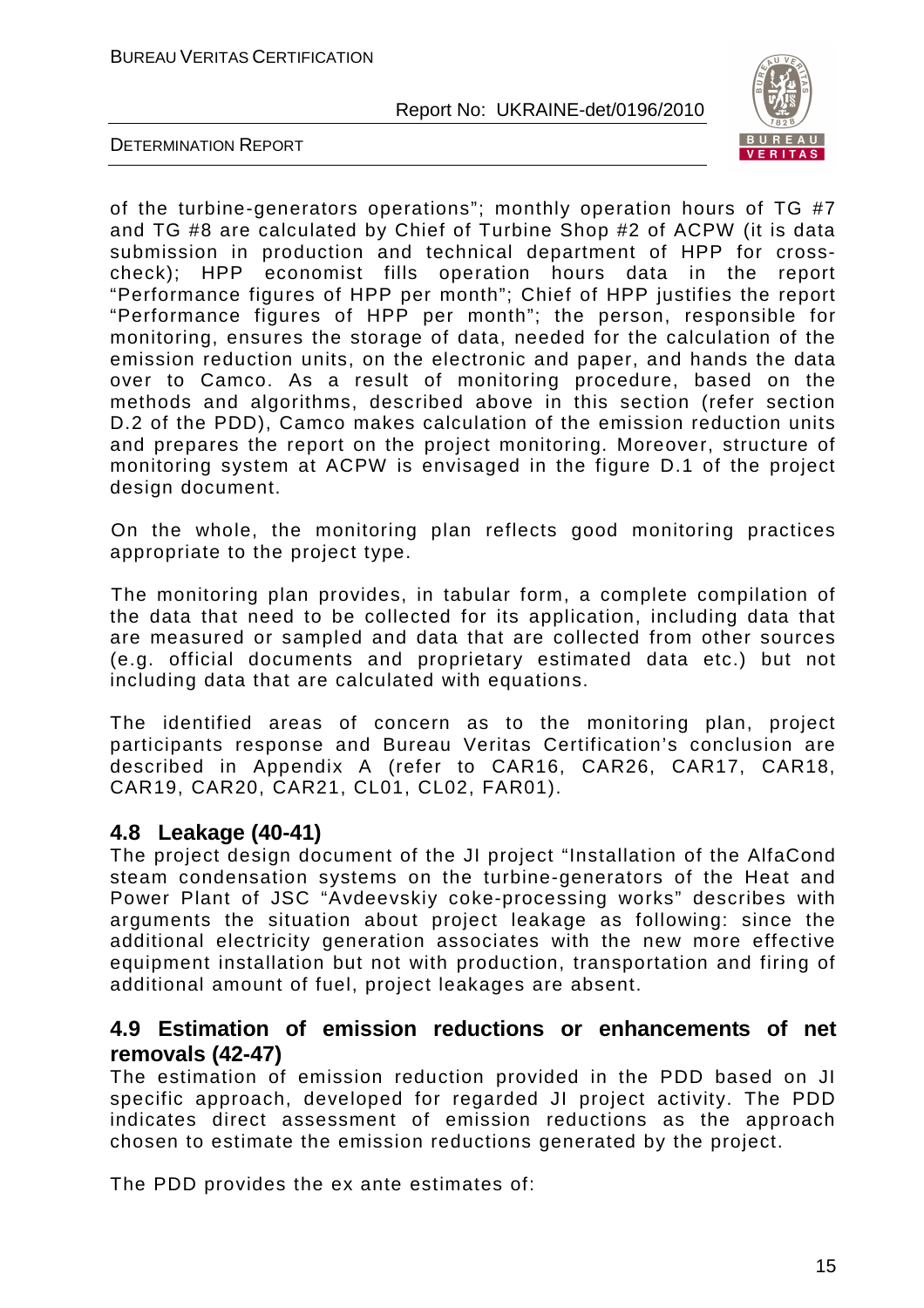

DETERMINATION REPORT

of the turbine-generators operations"; monthly operation hours of TG #7 and TG #8 are calculated by Chief of Turbine Shop #2 of ACPW (it is data submission in production and technical department of HPP for crosscheck); HPP economist fills operation hours data in the report "Performance figures of HPP per month"; Chief of HPP justifies the report "Performance figures of HPP per month"; the person, responsible for monitoring, ensures the storage of data, needed for the calculation of the emission reduction units, on the electronic and paper, and hands the data over to Camco. As a result of monitoring procedure, based on the methods and algorithms, described above in this section (refer section D.2 of the PDD), Camco makes calculation of the emission reduction units and prepares the report on the project monitoring. Moreover, structure of monitoring system at ACPW is envisaged in the figure D.1 of the project design document.

On the whole, the monitoring plan reflects good monitoring practices appropriate to the project type.

The monitoring plan provides, in tabular form, a complete compilation of the data that need to be collected for its application, including data that are measured or sampled and data that are collected from other sources (e.g. official documents and proprietary estimated data etc.) but not including data that are calculated with equations.

The identified areas of concern as to the monitoring plan, project participants response and Bureau Veritas Certification's conclusion are described in Appendix A (refer to CAR16, CAR26, CAR17, CAR18, CAR19, CAR20, CAR21, CL01, CL02, FAR01).

#### **4.8 Leakage (40-41)**

The project design document of the JI project "Installation of the AlfaCond steam condensation systems on the turbine-generators of the Heat and Power Plant of JSC "Avdeevskiy coke-processing works" describes with arguments the situation about project leakage as following: since the additional electricity generation associates with the new more effective equipment installation but not with production, transportation and firing of additional amount of fuel, project leakages are absent.

#### **4.9 Estimation of emission reductions or enhancements of net removals (42-47)**

The estimation of emission reduction provided in the PDD based on JI specific approach, developed for regarded JI project activity. The PDD indicates direct assessment of emission reductions as the approach chosen to estimate the emission reductions generated by the project.

The PDD provides the ex ante estimates of: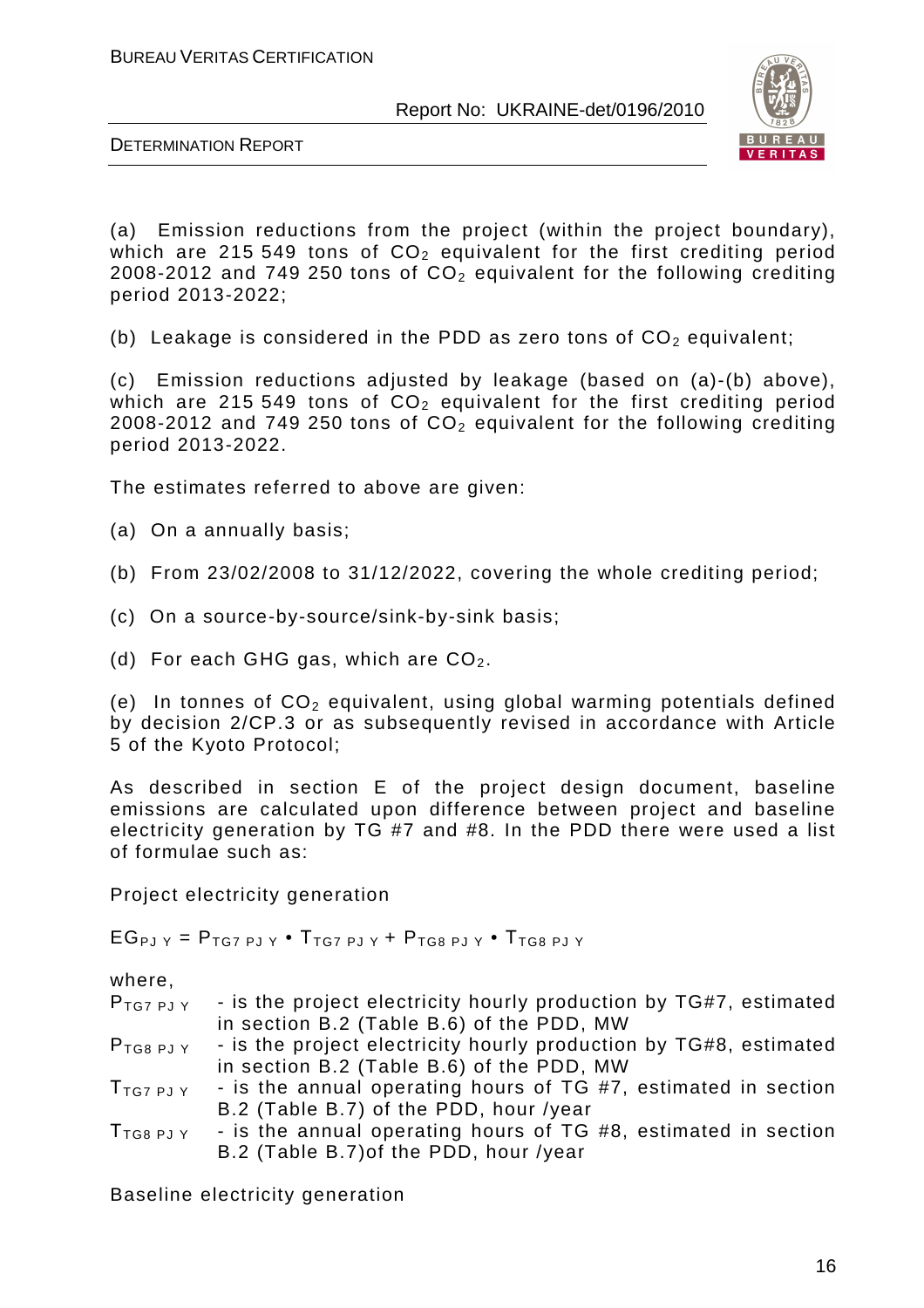

DETERMINATION REPORT

(a) Emission reductions from the project (within the project boundary), which are 215 549 tons of  $CO<sub>2</sub>$  equivalent for the first crediting period 2008-2012 and 749 250 tons of  $CO<sub>2</sub>$  equivalent for the following crediting period 2013-2022;

(b) Leakage is considered in the PDD as zero tons of  $CO<sub>2</sub>$  equivalent;

(c) Emission reductions adjusted by leakage (based on (a)-(b) above), which are 215 549 tons of  $CO<sub>2</sub>$  equivalent for the first crediting period 2008-2012 and 749 250 tons of  $CO<sub>2</sub>$  equivalent for the following crediting period 2013-2022.

The estimates referred to above are given:

(a) On a annually basis;

- (b) From 23/02/2008 to 31/12/2022, covering the whole crediting period;
- (c) On a source-by-source/sink-by-sink basis;
- (d) For each GHG gas, which are  $CO<sub>2</sub>$ .

(e) In tonnes of  $CO<sub>2</sub>$  equivalent, using global warming potentials defined by decision 2/CP.3 or as subsequently revised in accordance with Article 5 of the Kyoto Protocol;

As described in section E of the project design document, baseline emissions are calculated upon difference between project and baseline electricity generation by TG #7 and #8. In the PDD there were used a list of formulae such as:

Project electricity generation

 $EG_{PJ Y} = P_{TG7 PJ Y} \cdot T_{TG7 PJ Y} + P_{TG8 PJ Y} \cdot T_{TG8 PJ Y}$ 

where,

| $P_{TG7PJY}$            | - is the project electricity hourly production by TG#7, estimated |
|-------------------------|-------------------------------------------------------------------|
|                         | in section B.2 (Table B.6) of the PDD, MW                         |
| $P$ <sub>TG8</sub> PJ Y | - is the project electricity hourly production by TG#8, estimated |
|                         | in section B.2 (Table B.6) of the PDD, MW                         |
| $T_{TG7PJY}$            | - is the annual operating hours of TG #7, estimated in section    |
|                         | B.2 (Table B.7) of the PDD, hour /year                            |
| $T_{TGB\ PJ\ Y}$        | - is the annual operating hours of TG #8, estimated in section    |
|                         | B.2 (Table B.7) of the PDD, hour /year                            |

Baseline electricity generation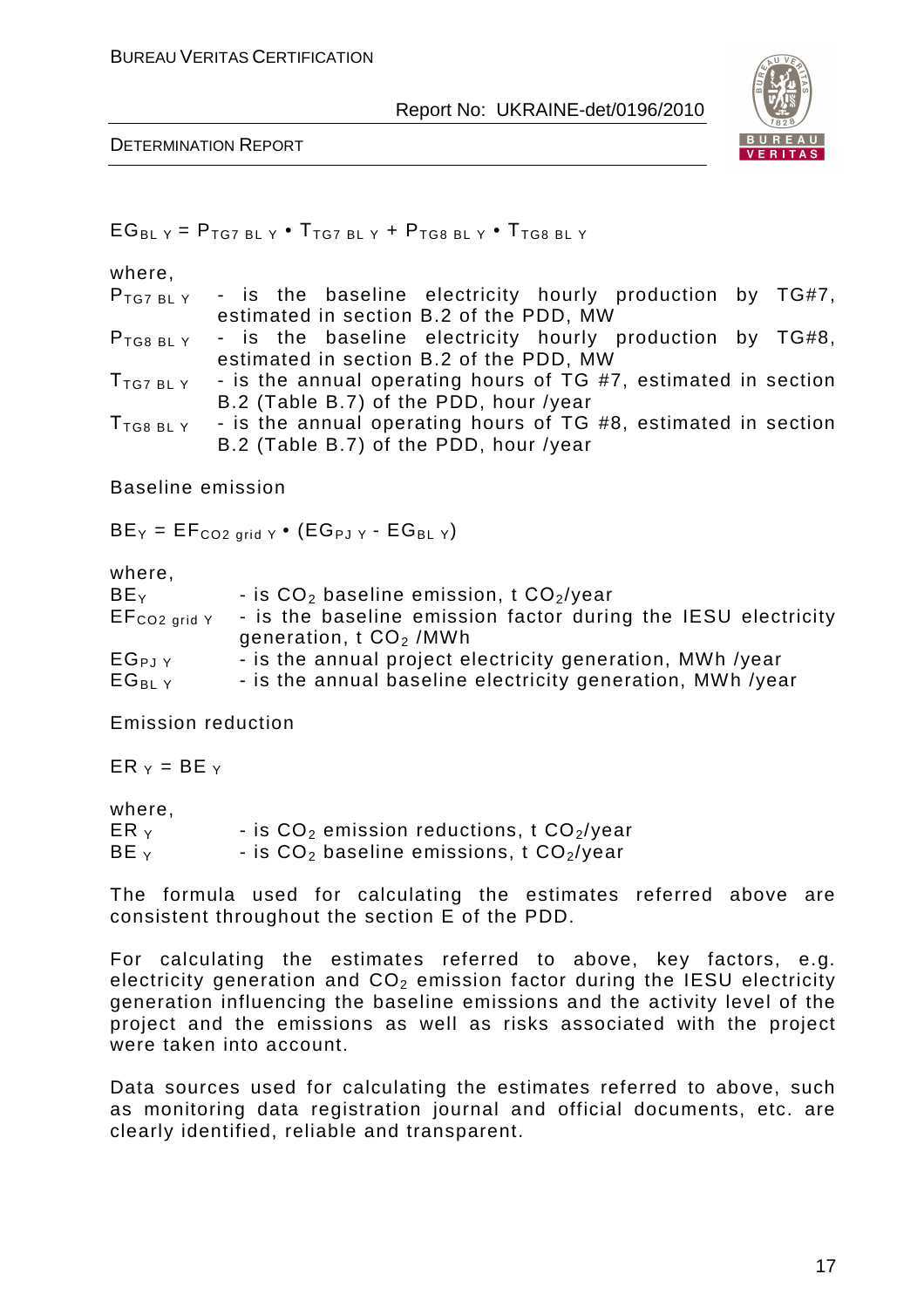

DETERMINATION REPORT

| where,<br>$P$ TG7 BLY<br>$P_{TG8BLY}$<br>$T$ <sub>TG7</sub> bl y<br>$T_{\text{TG8 BL Y}}$ | - is the baseline electricity hourly production by TG#7,<br>estimated in section B.2 of the PDD, MW<br>- is the baseline electricity hourly production by TG#8,<br>estimated in section B.2 of the PDD, MW<br>- is the annual operating hours of TG #7, estimated in section<br>B.2 (Table B.7) of the PDD, hour /year<br>- is the annual operating hours of TG #8, estimated in section<br>B.2 (Table B.7) of the PDD, hour /year |
|-------------------------------------------------------------------------------------------|------------------------------------------------------------------------------------------------------------------------------------------------------------------------------------------------------------------------------------------------------------------------------------------------------------------------------------------------------------------------------------------------------------------------------------|
| <b>Baseline emission</b>                                                                  |                                                                                                                                                                                                                                                                                                                                                                                                                                    |
|                                                                                           | $BE_Y = EF_{CO2 grid Y} \cdot (EG_{PJ Y} - EG_{BL Y})$                                                                                                                                                                                                                                                                                                                                                                             |
| where,<br>BEY<br>$EF_{CO2\ grid\ Y}$<br>$EG_{PJ}Y$<br>$EG_{BLY}$                          | - is $CO2$ baseline emission, t $CO2/year$<br>- is the baseline emission factor during the IESU electricity<br>generation, $t CO2$ /MWh<br>- is the annual project electricity generation, MWh /year<br>- is the annual baseline electricity generation, MWh /year                                                                                                                                                                 |
| <b>Emission reduction</b>                                                                 |                                                                                                                                                                                                                                                                                                                                                                                                                                    |
| $ER_{Y} = BE_{Y}$                                                                         |                                                                                                                                                                                                                                                                                                                                                                                                                                    |
| where,<br>$ER_{Y}$<br>$BE_{Y}$                                                            | - is $CO2$ emission reductions, t $CO2/year$<br>- is $CO2$ baseline emissions, t $CO2/year$                                                                                                                                                                                                                                                                                                                                        |

The formula used for calculating the estimates referred above are consistent throughout the section E of the PDD.

For calculating the estimates referred to above, key factors, e.g. electricity generation and  $CO<sub>2</sub>$  emission factor during the IESU electricity generation influencing the baseline emissions and the activity level of the project and the emissions as well as risks associated with the project were taken into account.

Data sources used for calculating the estimates referred to above, such as monitoring data registration journal and official documents, etc. are clearly identified, reliable and transparent.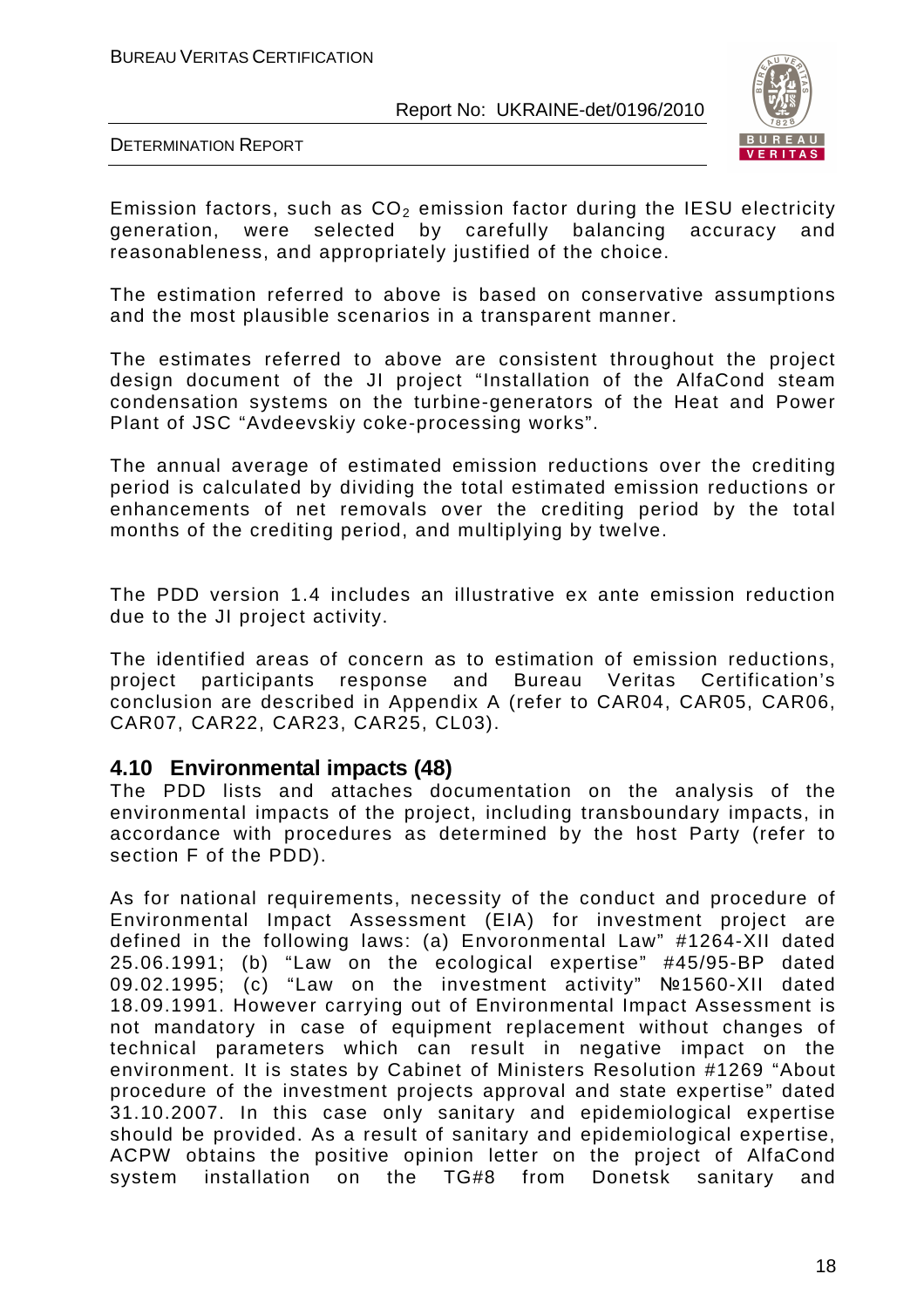

DETERMINATION REPORT

Emission factors, such as  $CO<sub>2</sub>$  emission factor during the IESU electricity generation, were selected by carefully balancing accuracy and reasonableness, and appropriately justified of the choice.

The estimation referred to above is based on conservative assumptions and the most plausible scenarios in a transparent manner.

The estimates referred to above are consistent throughout the project design document of the JI project "Installation of the AlfaCond steam condensation systems on the turbine-generators of the Heat and Power Plant of JSC "Avdeevskiy coke-processing works".

The annual average of estimated emission reductions over the crediting period is calculated by dividing the total estimated emission reductions or enhancements of net removals over the crediting period by the total months of the crediting period, and multiplying by twelve.

The PDD version 1.4 includes an illustrative ex ante emission reduction due to the JI project activity.

The identified areas of concern as to estimation of emission reductions, project participants response and Bureau Veritas Certification's conclusion are described in Appendix A (refer to CAR04, CAR05, CAR06, CAR07, CAR22, CAR23, CAR25, CL03).

#### **4.10 Environmental impacts (48)**

The PDD lists and attaches documentation on the analysis of the environmental impacts of the project, including transboundary impacts, in accordance with procedures as determined by the host Party (refer to section F of the PDD).

As for national requirements, necessity of the conduct and procedure of Environmental Impact Assessment (EIA) for investment project are defined in the following laws: (a) Envoronmental Law" #1264-XII dated 25.06.1991; (b) "Law on the ecological expertise" #45/95-BP dated 09.02.1995; (c) "Law on the investment activity" №1560-XII dated 18.09.1991. However carrying out of Environmental Impact Assessment is not mandatory in case of equipment replacement without changes of technical parameters which can result in negative impact on the environment. It is states by Cabinet of Ministers Resolution #1269 "About procedure of the investment projects approval and state expertise" dated 31.10.2007. In this case only sanitary and epidemiological expertise should be provided. As a result of sanitary and epidemiological expertise, ACPW obtains the positive opinion letter on the project of AlfaCond system installation on the TG#8 from Donetsk sanitary and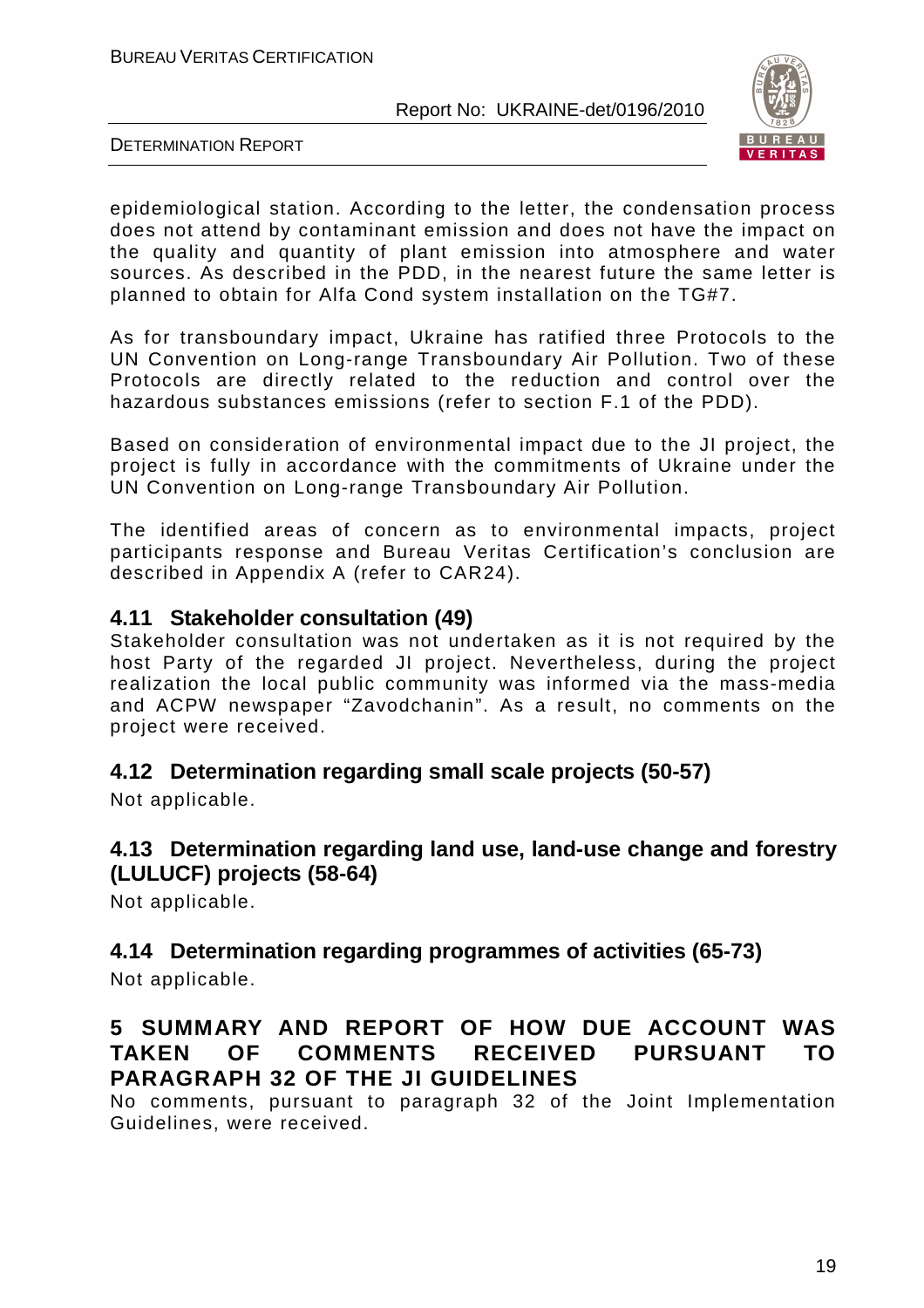

DETERMINATION REPORT

epidemiological station. According to the letter, the condensation process does not attend by contaminant emission and does not have the impact on the quality and quantity of plant emission into atmosphere and water sources. As described in the PDD, in the nearest future the same letter is planned to obtain for Alfa Cond system installation on the TG#7.

As for transboundary impact, Ukraine has ratified three Protocols to the UN Convention on Long-range Transboundary Air Pollution. Two of these Protocols are directly related to the reduction and control over the hazardous substances emissions (refer to section F.1 of the PDD).

Based on consideration of environmental impact due to the JI project, the project is fully in accordance with the commitments of Ukraine under the UN Convention on Long-range Transboundary Air Pollution.

The identified areas of concern as to environmental impacts, project participants response and Bureau Veritas Certification's conclusion are described in Appendix A (refer to CAR24).

#### **4.11 Stakeholder consultation (49)**

Stakeholder consultation was not undertaken as it is not required by the host Party of the regarded JI project. Nevertheless, during the project realization the local public community was informed via the mass-media and ACPW newspaper "Zavodchanin". As a result, no comments on the project were received.

#### **4.12 Determination regarding small scale projects (50-57)**

Not applicable.

#### **4.13 Determination regarding land use, land-use change and forestry (LULUCF) projects (58-64)**

Not applicable.

## **4.14 Determination regarding programmes of activities (65-73)**

Not applicable.

#### **5 SUMMARY AND REPORT OF HOW DUE ACCOUNT WAS TAKEN OF COMMENTS RECEIVED PURSUANT TO PARAGRAPH 32 OF THE JI GUIDELINES**

No comments, pursuant to paragraph 32 of the Joint Implementation Guidelines, were received.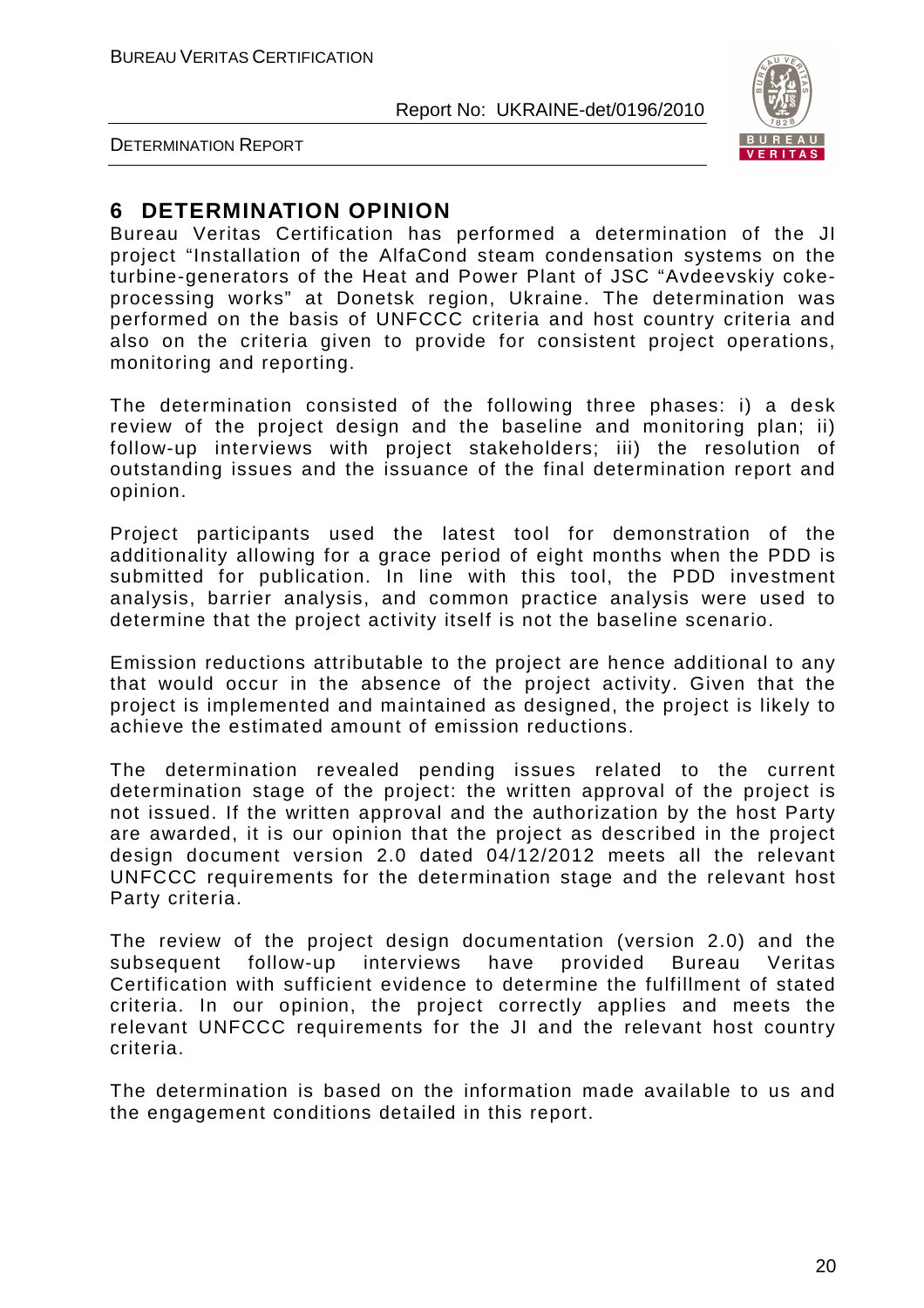

DETERMINATION REPORT

#### **6 DETERMINATION OPINION**

Bureau Veritas Certification has performed a determination of the JI project "Installation of the AlfaCond steam condensation systems on the turbine-generators of the Heat and Power Plant of JSC "Avdeevskiy cokeprocessing works" at Donetsk region, Ukraine. The determination was performed on the basis of UNFCCC criteria and host country criteria and also on the criteria given to provide for consistent project operations, monitoring and reporting.

The determination consisted of the following three phases: i) a desk review of the project design and the baseline and monitoring plan; ii) follow-up interviews with project stakeholders; iii) the resolution of outstanding issues and the issuance of the final determination report and opinion.

Project participants used the latest tool for demonstration of the additionality allowing for a grace period of eight months when the PDD is submitted for publication. In line with this tool, the PDD investment analysis, barrier analysis, and common practice analysis were used to determine that the project activity itself is not the baseline scenario.

Emission reductions attributable to the project are hence additional to any that would occur in the absence of the project activity. Given that the project is implemented and maintained as designed, the project is likely to achieve the estimated amount of emission reductions.

The determination revealed pending issues related to the current determination stage of the project: the written approval of the project is not issued. If the written approval and the authorization by the host Party are awarded, it is our opinion that the project as described in the project design document version 2.0 dated 04/12/2012 meets all the relevant UNFCCC requirements for the determination stage and the relevant host Party criteria.

The review of the project design documentation (version 2.0) and the subsequent follow-up interviews have provided Bureau Veritas Certification with sufficient evidence to determine the fulfillment of stated criteria. In our opinion, the project correctly applies and meets the relevant UNFCCC requirements for the JI and the relevant host country criteria.

The determination is based on the information made available to us and the engagement conditions detailed in this report.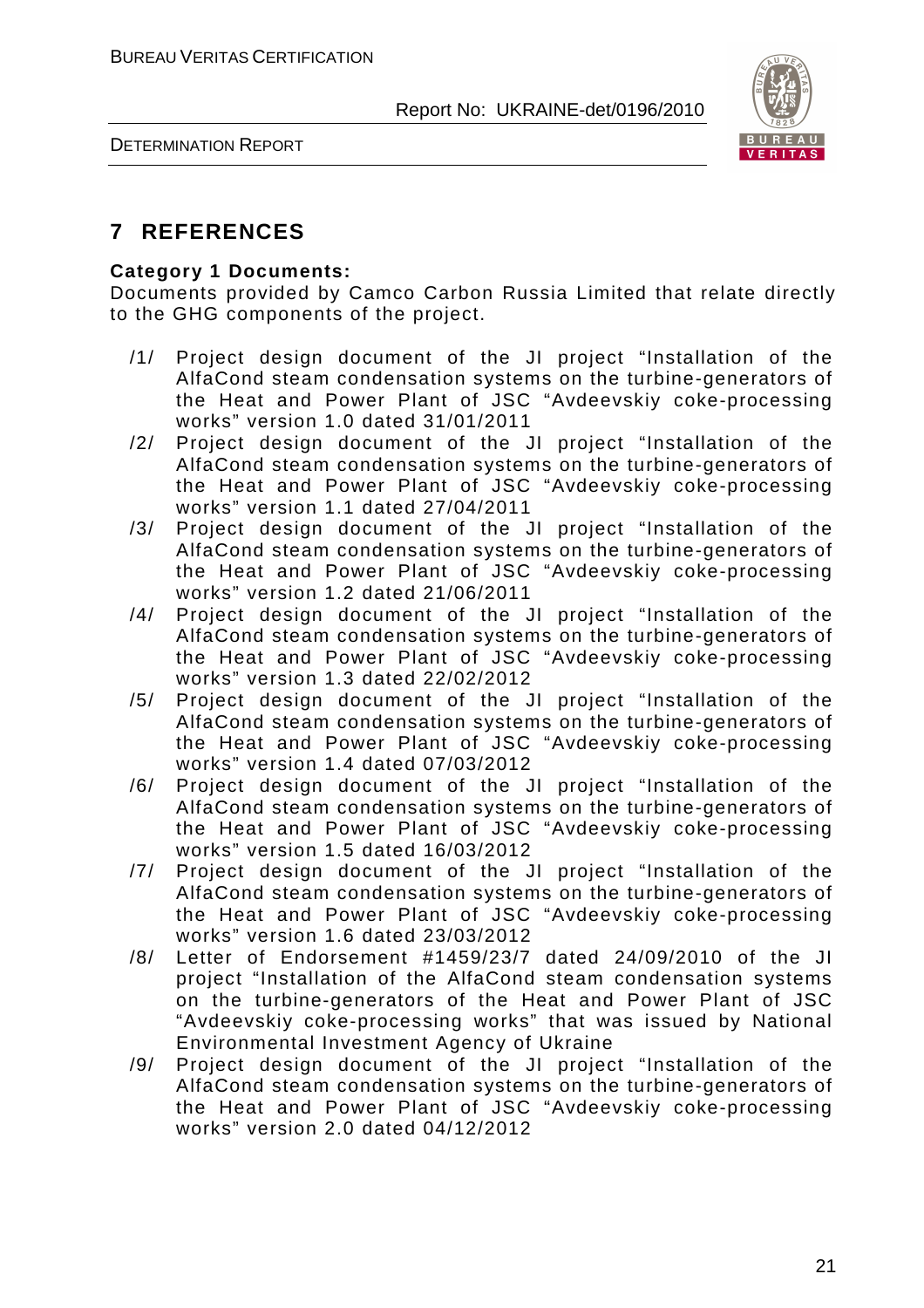

DETERMINATION REPORT

#### **7 REFERENCES**

#### **Category 1 Documents:**

Documents provided by Camco Carbon Russia Limited that relate directly to the GHG components of the project.

- /1/ Project design document of the JI project "Installation of the AlfaCond steam condensation systems on the turbine-generators of the Heat and Power Plant of JSC "Avdeevskiy coke-processing works" version 1.0 dated 31/01/2011
- /2/ Project design document of the JI project "Installation of the AlfaCond steam condensation systems on the turbine-generators of the Heat and Power Plant of JSC "Avdeevskiy coke-processing works" version 1.1 dated 27/04/2011
- /3/ Project design document of the JI project "Installation of the AlfaCond steam condensation systems on the turbine-generators of the Heat and Power Plant of JSC "Avdeevskiy coke-processing works" version 1.2 dated 21/06/2011
- /4/ Project design document of the JI project "Installation of the AlfaCond steam condensation systems on the turbine-generators of the Heat and Power Plant of JSC "Avdeevskiy coke-processing works" version 1.3 dated 22/02/2012
- /5/ Project design document of the JI project "Installation of the AlfaCond steam condensation systems on the turbine-generators of the Heat and Power Plant of JSC "Avdeevskiy coke-processing works" version 1.4 dated 07/03/2012
- /6/ Project design document of the JI project "Installation of the AlfaCond steam condensation systems on the turbine-generators of the Heat and Power Plant of JSC "Avdeevskiy coke-processing works" version 1.5 dated 16/03/2012
- /7/ Project design document of the JI project "Installation of the AlfaCond steam condensation systems on the turbine-generators of the Heat and Power Plant of JSC "Avdeevskiy coke-processing works" version 1.6 dated 23/03/2012
- /8/ Letter of Endorsement #1459/23/7 dated 24/09/2010 of the JI project "Installation of the AlfaCond steam condensation systems on the turbine-generators of the Heat and Power Plant of JSC "Avdeevskiy coke-processing works" that was issued by National Environmental Investment Agency of Ukraine
- /9/ Project design document of the JI project "Installation of the AlfaCond steam condensation systems on the turbine-generators of the Heat and Power Plant of JSC "Avdeevskiy coke-processing works" version 2.0 dated 04/12/2012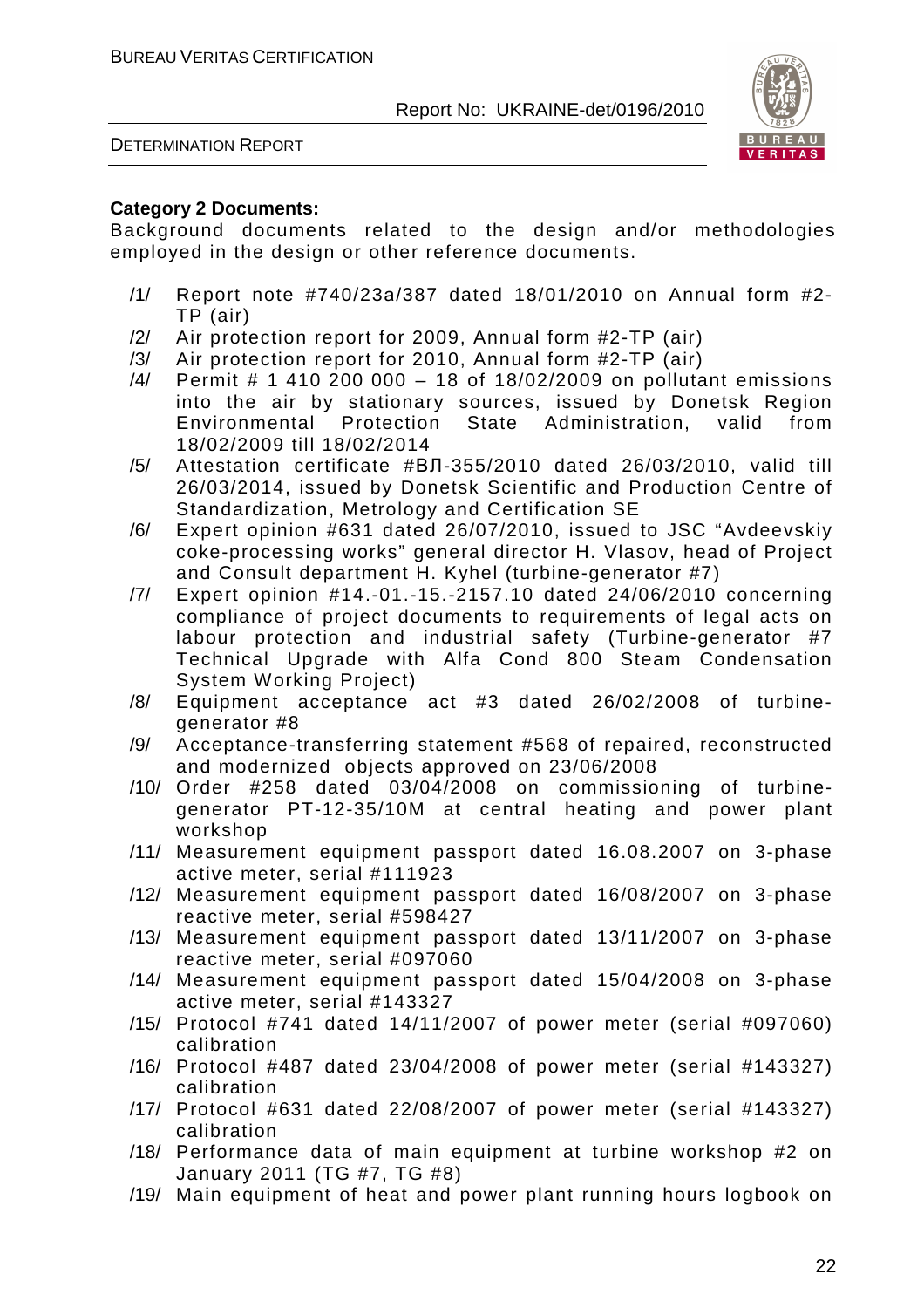DETERMINATION REPORT



#### **Category 2 Documents:**

Background documents related to the design and/or methodologies employed in the design or other reference documents.

- /1/ Report note #740/23а/387 dated 18/01/2010 on Annual form #2- TP (air)
- /2/ Air protection report for 2009, Annual form #2-TP (air)
- /3/ Air protection report for 2010, Annual form #2-TP (air)
- /4/ Permit # 1 410 200 000 18 of 18/02/2009 on pollutant emissions into the air by stationary sources, issued by Donetsk Region Environmental Protection State Administration, valid from 18/02/2009 till 18/02/2014
- /5/ Attestation certificate #ВЛ-355/2010 dated 26/03/2010, valid till 26/03/2014, issued by Donetsk Scientific and Production Centre of Standardization, Metrology and Certification SE
- /6/ Expert opinion #631 dated 26/07/2010, issued to JSC "Avdeevskiy coke-processing works" general director H. Vlasov, head of Project and Consult department H. Kyhel (turbine-generator #7)
- /7/ Expert opinion #14.-01.-15.-2157.10 dated 24/06/2010 concerning compliance of project documents to requirements of legal acts on labour protection and industrial safety (Turbine-generator #7 Technical Upgrade with Alfa Cond 800 Steam Condensation System Working Project)
- /8/ Equipment acceptance act #3 dated 26/02/2008 of turbinegenerator #8
- /9/ Acceptance-transferring statement #568 of repaired, reconstructed and modernized objects approved on 23/06/2008
- /10/ Order #258 dated 03/04/2008 on commissioning of turbinegenerator PT-12-35/10M at central heating and power plant workshop
- /11/ Measurement equipment passport dated 16.08.2007 on 3-phase active meter, serial #111923
- /12/ Measurement equipment passport dated 16/08/2007 on 3-phase reactive meter, serial #598427
- /13/ Measurement equipment passport dated 13/11/2007 on 3-phase reactive meter, serial #097060
- /14/ Measurement equipment passport dated 15/04/2008 on 3-phase active meter, serial #143327
- /15/ Protocol #741 dated 14/11/2007 of power meter (serial #097060) calibration
- /16/ Protocol #487 dated 23/04/2008 of power meter (serial #143327) calibration
- /17/ Protocol #631 dated 22/08/2007 of power meter (serial #143327) calibration
- /18/ Performance data of main equipment at turbine workshop #2 on January 2011 (TG #7, TG #8)
- /19/ Main equipment of heat and power plant running hours logbook on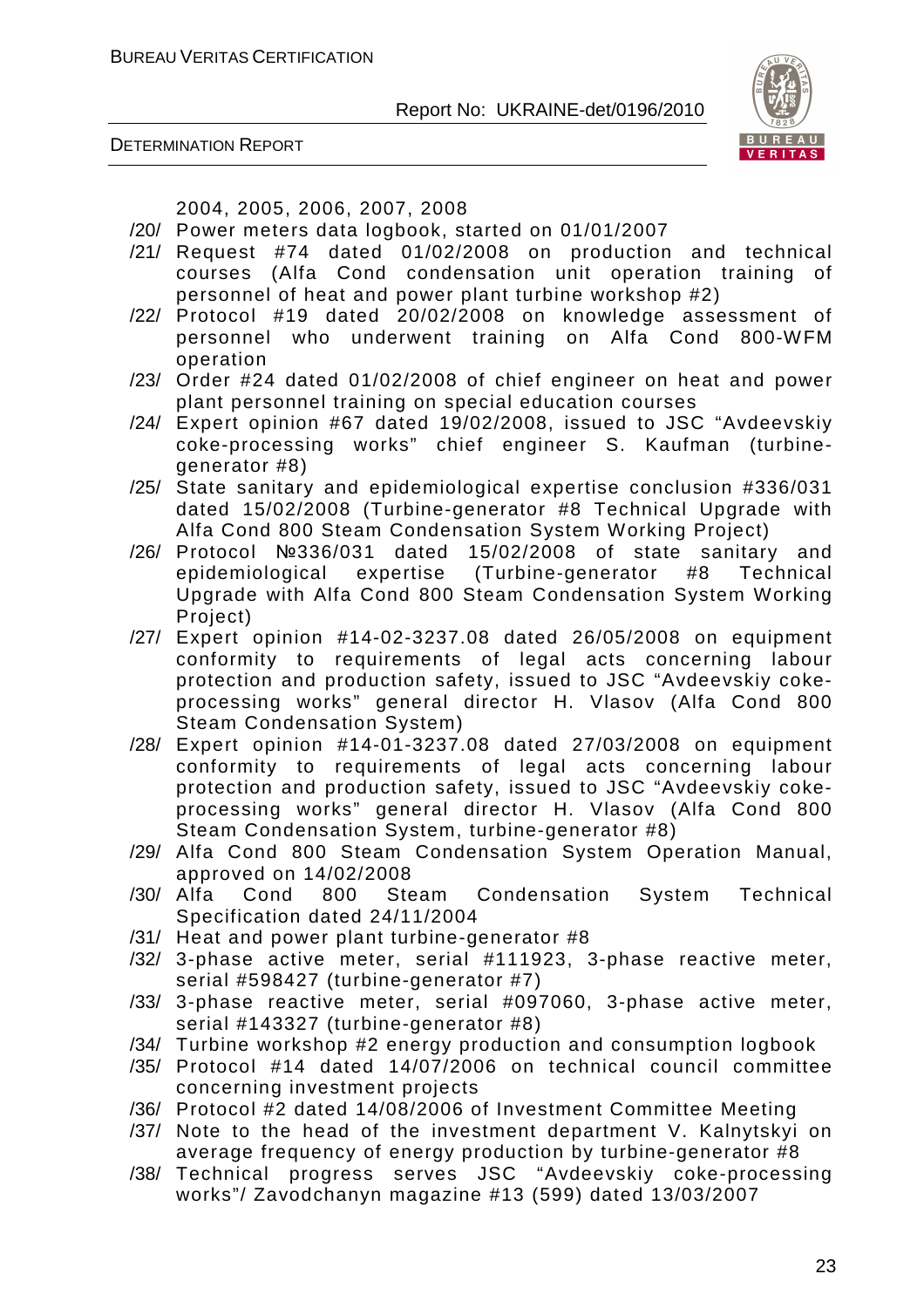

DETERMINATION REPORT

2004, 2005, 2006, 2007, 2008

- /20/ Power meters data logbook, started on 01/01/2007
- /21/ Request #74 dated 01/02/2008 on production and technical courses (Alfa Cond condensation unit operation training of personnel of heat and power plant turbine workshop #2)
- /22/ Protocol #19 dated 20/02/2008 on knowledge assessment of personnel who underwent training on Alfa Cond 800-WFM operation
- /23/ Order #24 dated 01/02/2008 of chief engineer on heat and power plant personnel training on special education courses
- /24/ Expert opinion #67 dated 19/02/2008, issued to JSC "Avdeevskiy coke-processing works" chief engineer S. Kaufman (turbinegenerator #8)
- /25/ State sanitary and epidemiological expertise conclusion #336/031 dated 15/02/2008 (Turbine-generator #8 Technical Upgrade with Alfa Cond 800 Steam Condensation System Working Project)
- /26/ Protocol №336/031 dated 15/02/2008 of state sanitary and epidemiological expertise (Turbine-generator #8 Technical Upgrade with Alfa Cond 800 Steam Condensation System Working Project)
- /27/ Expert opinion #14-02-3237.08 dated 26/05/2008 on equipment conformity to requirements of legal acts concerning labour protection and production safety, issued to JSC "Avdeevskiy cokeprocessing works" general director H. Vlasov (Alfa Cond 800 Steam Condensation System)
- /28/ Expert opinion #14-01-3237.08 dated 27/03/2008 on equipment conformity to requirements of legal acts concerning labour protection and production safety, issued to JSC "Avdeevskiy cokeprocessing works" general director H. Vlasov (Alfa Cond 800 Steam Condensation System, turbine-generator #8)
- /29/ Alfa Cond 800 Steam Condensation System Operation Manual, approved on 14/02/2008
- /30/ Alfa Cond 800 Steam Condensation System Technical Specification dated 24/11/2004
- /31/ Heat and power plant turbine-generator #8
- /32/ 3-phase active meter, serial #111923, 3-phase reactive meter, serial #598427 (turbine-generator #7)
- /33/ 3-phase reactive meter, serial #097060, 3-phase active meter, serial #143327 (turbine-generator #8)
- /34/ Turbine workshop #2 energy production and consumption logbook
- /35/ Protocol #14 dated 14/07/2006 on technical council committee concerning investment projects
- /36/ Protocol #2 dated 14/08/2006 of Investment Committee Meeting
- /37/ Note to the head of the investment department V. Kalnytskyi on average frequency of energy production by turbine-generator #8
- /38/ Technical progress serves JSC "Avdeevskiy coke-processing works"/ Zavodchanyn magazine #13 (599) dated 13/03/2007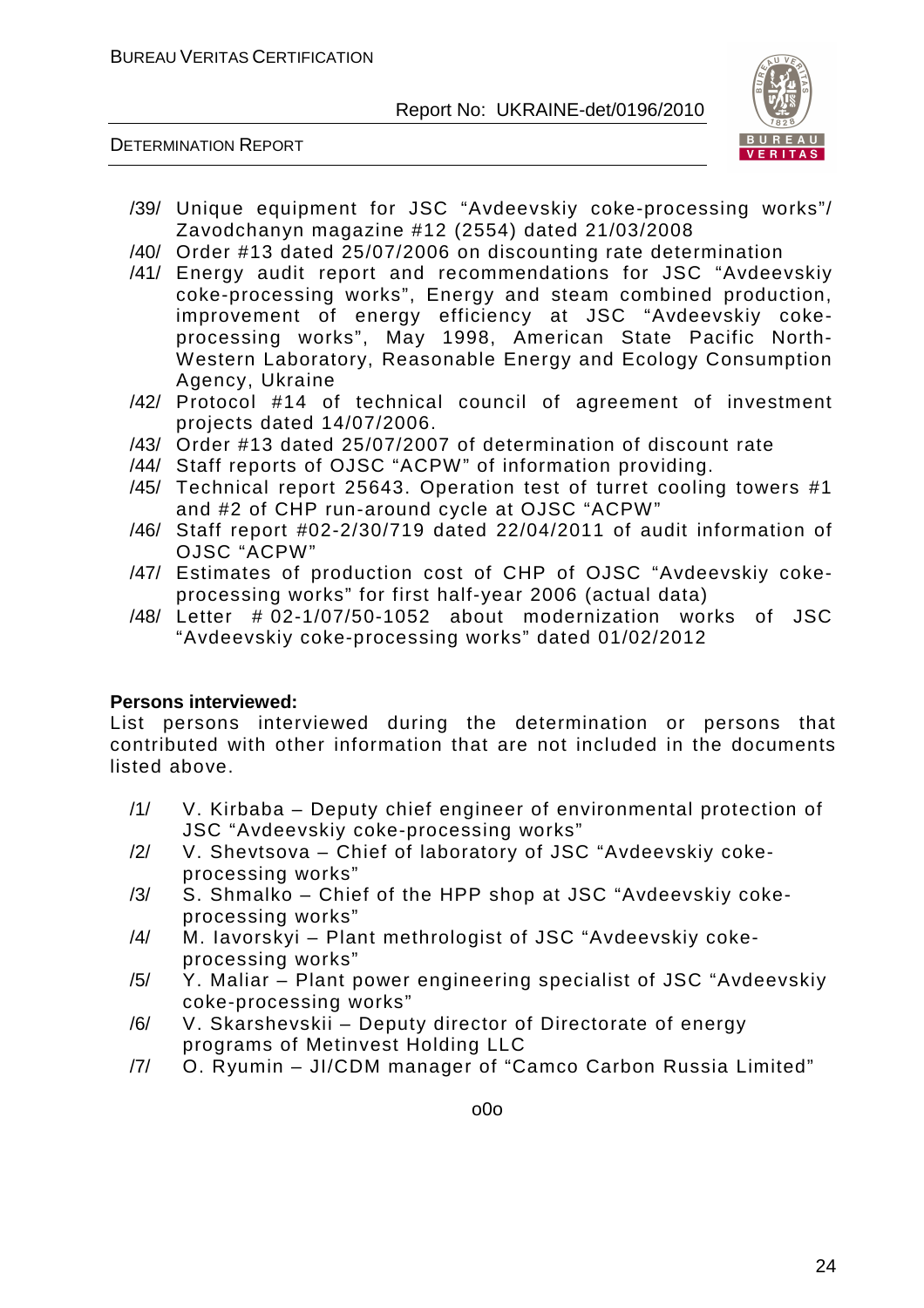DETERMINATION REPORT



- /39/ Unique equipment for JSC "Avdeevskiy coke-processing works"/ Zavodchanyn magazine #12 (2554) dated 21/03/2008
- /40/ Order #13 dated 25/07/2006 on discounting rate determination
- /41/ Energy audit report and recommendations for JSC "Avdeevskiy coke-processing works", Energy and steam combined production, improvement of energy efficiency at JSC "Avdeevskiy cokeprocessing works", May 1998, American State Pacific North-Western Laboratory, Reasonable Energy and Ecology Consumption Agency, Ukraine
- /42/ Protocol #14 of technical council of agreement of investment projects dated 14/07/2006.
- /43/ Order #13 dated 25/07/2007 of determination of discount rate
- /44/ Staff reports of OJSC "ACPW" of information providing.
- /45/ Technical report 25643. Operation test of turret cooling towers #1 and #2 of CHP run-around cycle at OJSC "ACPW"
- /46/ Staff report #02-2/30/719 dated 22/04/2011 of audit information of OJSC "ACPW"
- /47/ Estimates of production cost of CHP of OJSC "Avdeevskiy cokeprocessing works" for first half-year 2006 (actual data)
- /48/ Letter # 02-1/07/50-1052 about modernization works of JSC "Avdeevskiy coke-processing works" dated 01/02/2012

#### **Persons interviewed:**

List persons interviewed during the determination or persons that contributed with other information that are not included in the documents listed above.

- /1/ V. Kirbaba Deputy chief engineer of environmental protection of JSC "Avdeevskiy coke-processing works"
- /2/ V. Shevtsova Chief of laboratory of JSC "Avdeevskiy cokeprocessing works"
- /3/ S. Shmalko Chief of the HPP shop at JSC "Avdeevskiy cokeprocessing works"
- /4/ M. Iavorskyi Plant methrologist of JSC "Avdeevskiy cokeprocessing works"
- /5/ Y. Maliar Plant power engineering specialist of JSC "Avdeevskiy coke-processing works"
- /6/ V. Skarshevskii Deputy director of Directorate of energy programs of Metinvest Holding LLC
- /7/ O. Ryumin JI/CDM manager of "Camco Carbon Russia Limited"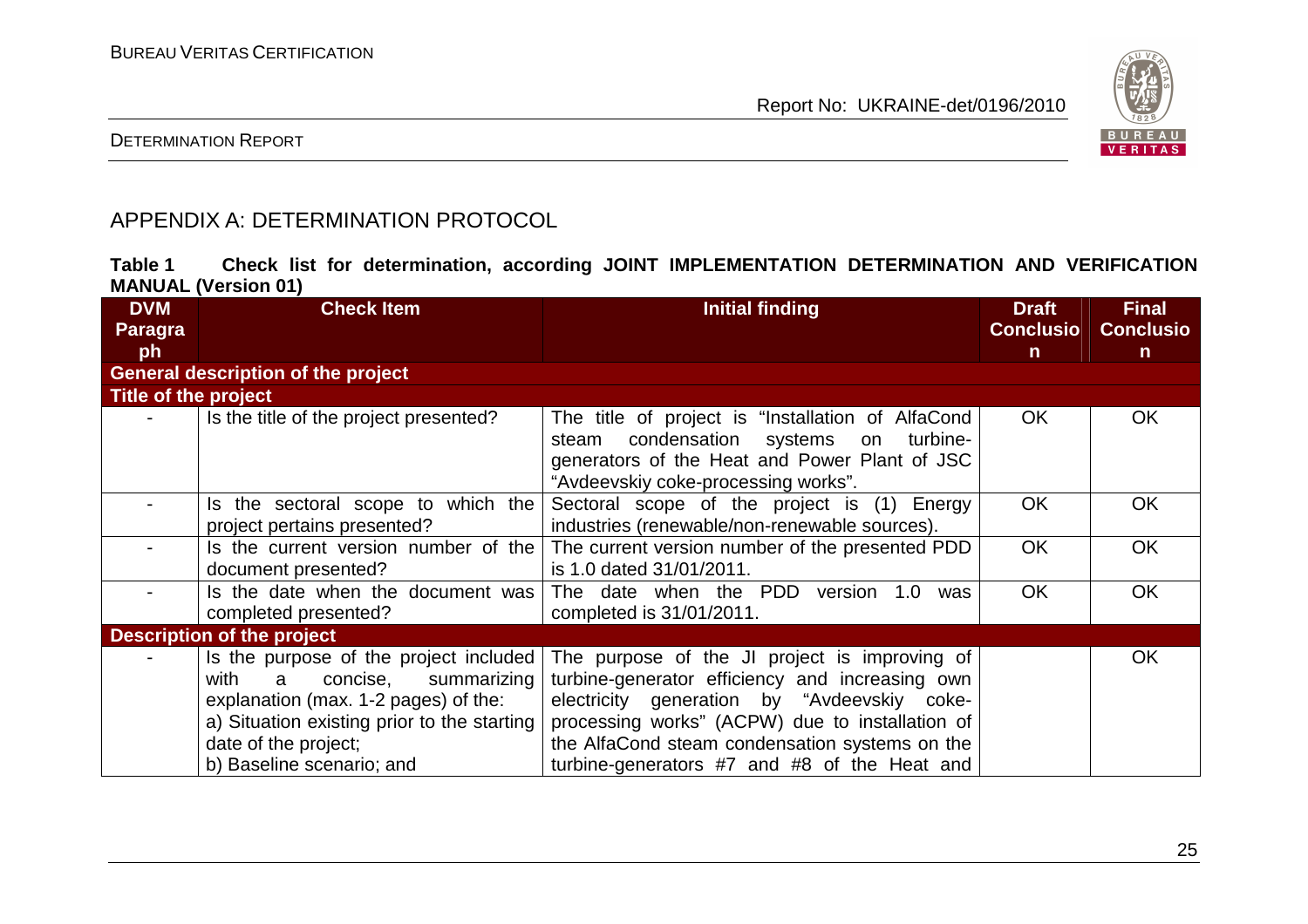

#### DETERMINATION REPORT

### APPENDIX A: DETERMINATION PROTOCOL

| Table 1 |                            |  |  | Check list for determination, according JOINT IMPLEMENTATION DETERMINATION AND VERIFICATION |  |  |
|---------|----------------------------|--|--|---------------------------------------------------------------------------------------------|--|--|
|         | <b>MANUAL (Version 01)</b> |  |  |                                                                                             |  |  |

| <b>DVM</b>                                | <b>Check Item</b>                                                                                                                                                                                                          | <b>Initial finding</b>                                                                                                                                                                                                                                                                               | <b>Draft</b>     | <b>Final</b>     |  |  |  |  |
|-------------------------------------------|----------------------------------------------------------------------------------------------------------------------------------------------------------------------------------------------------------------------------|------------------------------------------------------------------------------------------------------------------------------------------------------------------------------------------------------------------------------------------------------------------------------------------------------|------------------|------------------|--|--|--|--|
| <b>Paragra</b>                            |                                                                                                                                                                                                                            |                                                                                                                                                                                                                                                                                                      | <b>Conclusio</b> | <b>Conclusio</b> |  |  |  |  |
| ph                                        |                                                                                                                                                                                                                            |                                                                                                                                                                                                                                                                                                      | $\mathsf{n}$     | $\mathsf{n}$     |  |  |  |  |
| <b>General description of the project</b> |                                                                                                                                                                                                                            |                                                                                                                                                                                                                                                                                                      |                  |                  |  |  |  |  |
| Title of the project                      |                                                                                                                                                                                                                            |                                                                                                                                                                                                                                                                                                      |                  |                  |  |  |  |  |
|                                           | Is the title of the project presented?                                                                                                                                                                                     | The title of project is "Installation of AlfaCond<br>condensation systems<br>turbine-<br>steam<br>on<br>generators of the Heat and Power Plant of JSC<br>"Avdeevskiy coke-processing works".                                                                                                         | OK.              | <b>OK</b>        |  |  |  |  |
| Ξ.                                        | Is the sectoral scope to which the<br>project pertains presented?                                                                                                                                                          | Sectoral scope of the project is (1) Energy<br>industries (renewable/non-renewable sources).                                                                                                                                                                                                         | <b>OK</b>        | OK               |  |  |  |  |
|                                           | Is the current version number of the<br>document presented?                                                                                                                                                                | The current version number of the presented PDD<br>is 1.0 dated 31/01/2011.                                                                                                                                                                                                                          | <b>OK</b>        | <b>OK</b>        |  |  |  |  |
|                                           | Is the date when the document was<br>completed presented?                                                                                                                                                                  | The date when the PDD version<br>1.0<br>was<br>completed is 31/01/2011.                                                                                                                                                                                                                              | <b>OK</b>        | <b>OK</b>        |  |  |  |  |
|                                           | <b>Description of the project</b>                                                                                                                                                                                          |                                                                                                                                                                                                                                                                                                      |                  |                  |  |  |  |  |
|                                           | Is the purpose of the project included<br>with<br>a<br>concise,<br>summarizing<br>explanation (max. 1-2 pages) of the:<br>a) Situation existing prior to the starting<br>date of the project;<br>b) Baseline scenario; and | The purpose of the JI project is improving of<br>turbine-generator efficiency and increasing own<br>electricity generation by "Avdeevskiy coke-<br>processing works" (ACPW) due to installation of<br>the AlfaCond steam condensation systems on the<br>turbine-generators #7 and #8 of the Heat and |                  | <b>OK</b>        |  |  |  |  |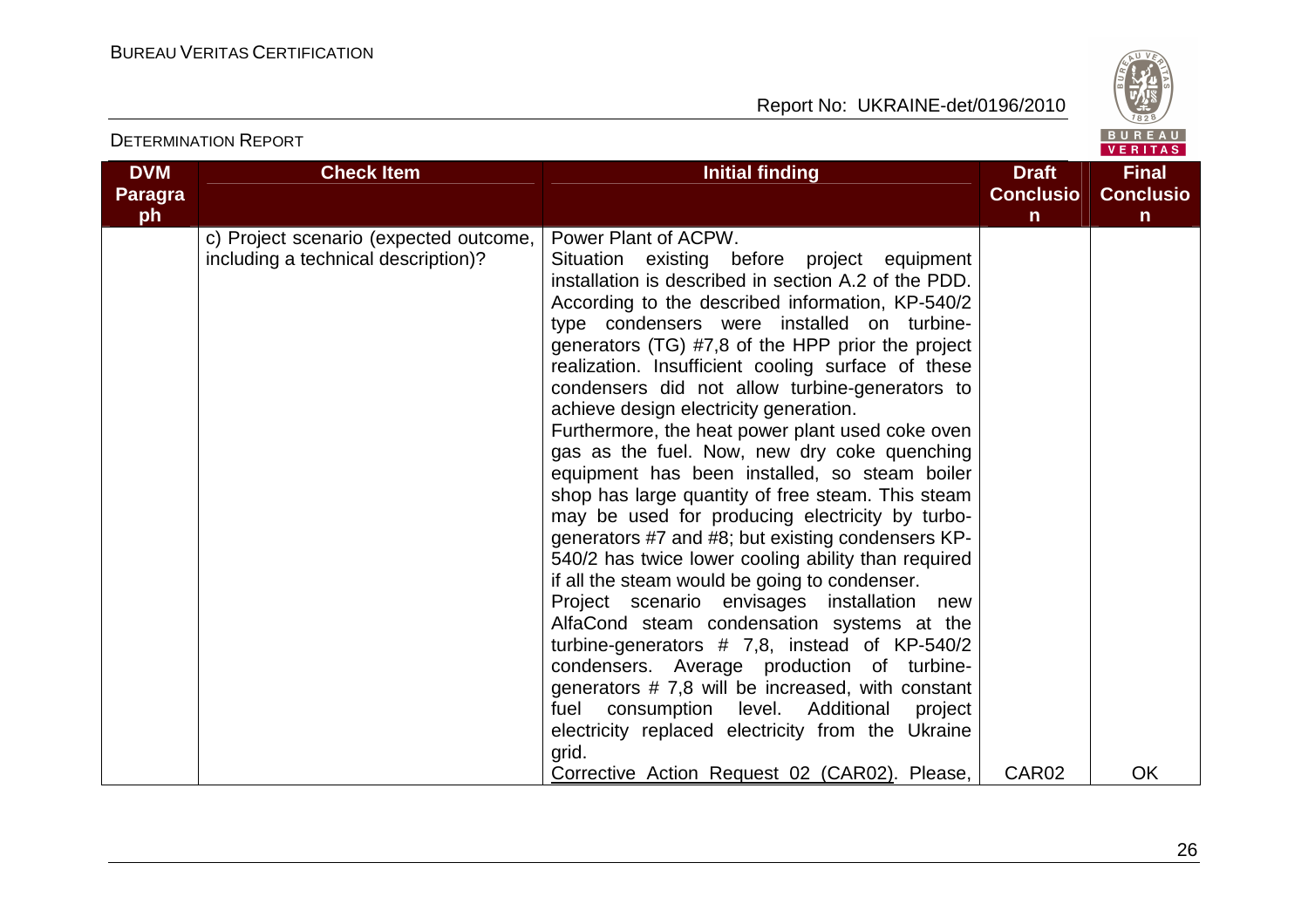

|                |                                                                               |                                                                                                                                                                                                                                                                                                                                                                                                                                                                                                                                                                                                                                                                                                                                                                                                                                                                                                                                                                                                                                                                                                                                                                                                                                        |                   | VENIIAS.         |
|----------------|-------------------------------------------------------------------------------|----------------------------------------------------------------------------------------------------------------------------------------------------------------------------------------------------------------------------------------------------------------------------------------------------------------------------------------------------------------------------------------------------------------------------------------------------------------------------------------------------------------------------------------------------------------------------------------------------------------------------------------------------------------------------------------------------------------------------------------------------------------------------------------------------------------------------------------------------------------------------------------------------------------------------------------------------------------------------------------------------------------------------------------------------------------------------------------------------------------------------------------------------------------------------------------------------------------------------------------|-------------------|------------------|
| <b>DVM</b>     | <b>Check Item</b>                                                             | <b>Initial finding</b>                                                                                                                                                                                                                                                                                                                                                                                                                                                                                                                                                                                                                                                                                                                                                                                                                                                                                                                                                                                                                                                                                                                                                                                                                 | <b>Draft</b>      | <b>Final</b>     |
| <b>Paragra</b> |                                                                               |                                                                                                                                                                                                                                                                                                                                                                                                                                                                                                                                                                                                                                                                                                                                                                                                                                                                                                                                                                                                                                                                                                                                                                                                                                        | <b>Conclusio</b>  | <b>Conclusio</b> |
| ph             |                                                                               |                                                                                                                                                                                                                                                                                                                                                                                                                                                                                                                                                                                                                                                                                                                                                                                                                                                                                                                                                                                                                                                                                                                                                                                                                                        | $\mathsf{n}$      | $\mathsf{n}$     |
|                | c) Project scenario (expected outcome,<br>including a technical description)? | Power Plant of ACPW.<br>Situation existing before project equipment<br>installation is described in section A.2 of the PDD.<br>According to the described information, KP-540/2<br>type condensers were installed on turbine-<br>generators (TG) #7,8 of the HPP prior the project<br>realization. Insufficient cooling surface of these<br>condensers did not allow turbine-generators to<br>achieve design electricity generation.<br>Furthermore, the heat power plant used coke oven<br>gas as the fuel. Now, new dry coke quenching<br>equipment has been installed, so steam boiler<br>shop has large quantity of free steam. This steam<br>may be used for producing electricity by turbo-<br>generators #7 and #8; but existing condensers KP-<br>540/2 has twice lower cooling ability than required<br>if all the steam would be going to condenser.<br>Project scenario envisages installation<br>new<br>AlfaCond steam condensation systems at the<br>turbine-generators $# 7,8$ , instead of KP-540/2<br>condensers. Average production of turbine-<br>generators #7,8 will be increased, with constant<br>consumption level. Additional<br>fuel<br>project<br>electricity replaced electricity from the Ukraine<br>grid. |                   |                  |
|                |                                                                               | Corrective Action Request 02 (CAR02). Please,                                                                                                                                                                                                                                                                                                                                                                                                                                                                                                                                                                                                                                                                                                                                                                                                                                                                                                                                                                                                                                                                                                                                                                                          | CAR <sub>02</sub> | <b>OK</b>        |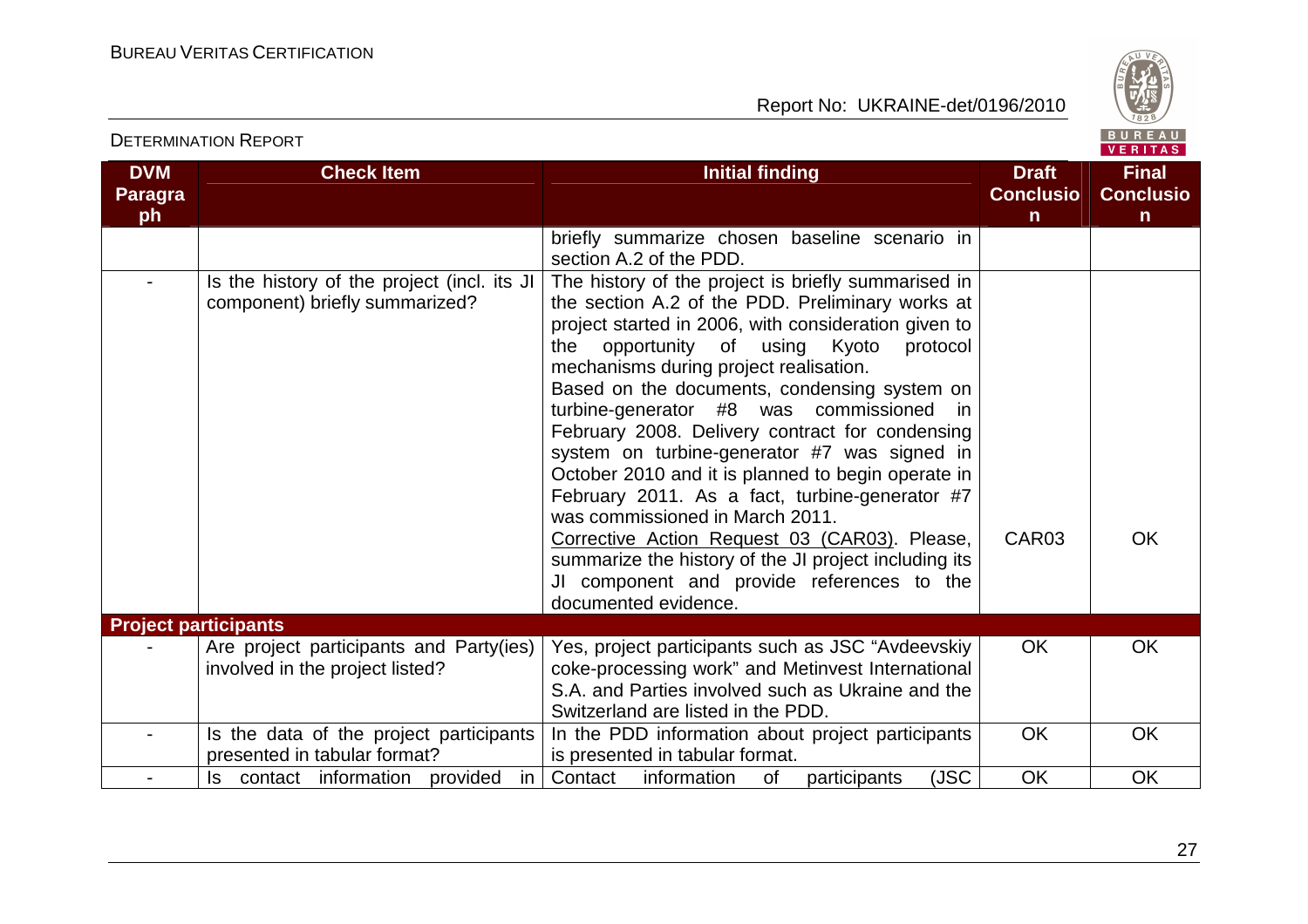

VERITAS

**DVM Paragraph Check Item Initial finding Check Item Initial finding Check Item Initial finding Initial finding Initial finding ConclusionFinal Conclusion** briefly summarize chosen baseline scenario in section A.2 of the PDD. The history of the project is briefly summarised in- Is the history of the project (incl. its JI component) briefly summarized? the section A.2 of the PDD. Preliminary works at project started in 2006, with consideration given to protocol the opportunity of using Kyoto mechanisms during project realisation. Based on the documents, condensing system on turbine-generator #8 was commissioned in February 2008. Delivery contract for condensing system on turbine-generator #7 was signed in October 2010 and it is planned to begin operate in February 2011. As a fact, turbine-generator #7 was commissioned in March 2011. Corrective Action Request 03 (CAR03). Please, summarize the history of the JI project including its JI component and provide references to the documented evidence. CAR03 | OK **Project participants** - **Are project participants and Party(ies)** involved in the project listed? Yes, project participants such as JSC "Avdeevskiy coke-processing work" and Metinvest International S.A. and Parties involved such as Ukraine and the Switzerland are listed in the PDD. In the PDD information about project participants OK OK - Is the data of the project participants presented in tabular format? -  $\vert$  Is contact information provided in Contact information of participants (JSC  $\vert$  OK  $\vert$  OK is presented in tabular format. OK OK

#### DETERMINATION REPORT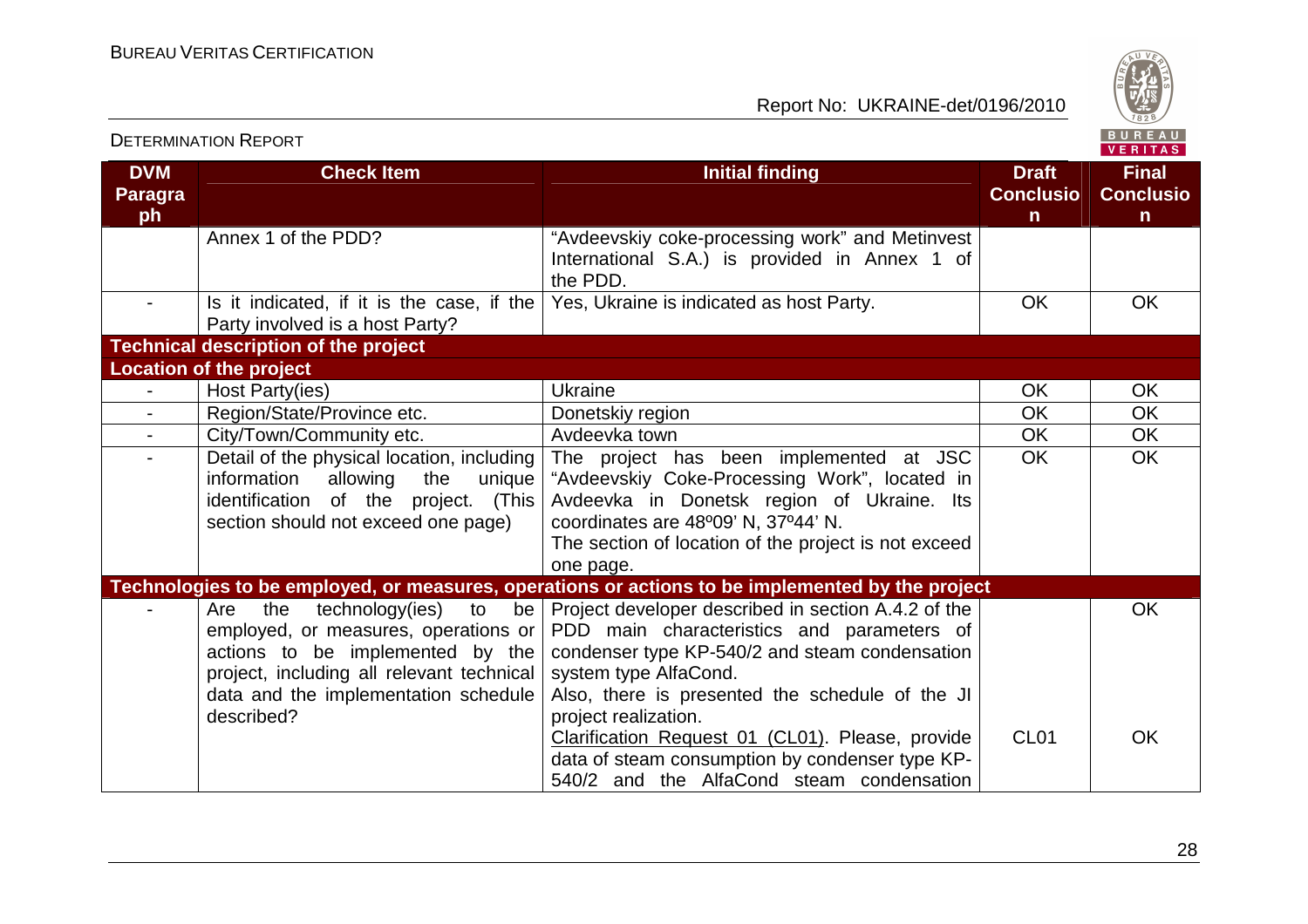

| <b>DETERMINATION REPORT</b>        |                                                                                                                                                                                                                                       |                                                                                                                                                                                                                                                         |                                                  | BUREAU<br><b>VERITAS</b>                         |
|------------------------------------|---------------------------------------------------------------------------------------------------------------------------------------------------------------------------------------------------------------------------------------|---------------------------------------------------------------------------------------------------------------------------------------------------------------------------------------------------------------------------------------------------------|--------------------------------------------------|--------------------------------------------------|
| <b>DVM</b><br><b>Paragra</b><br>ph | <b>Check Item</b>                                                                                                                                                                                                                     | <b>Initial finding</b>                                                                                                                                                                                                                                  | <b>Draft</b><br><b>Conclusio</b><br>$\mathsf{n}$ | <b>Final</b><br><b>Conclusio</b><br>$\mathsf{n}$ |
|                                    | Annex 1 of the PDD?                                                                                                                                                                                                                   | "Avdeevskiy coke-processing work" and Metinvest<br>International S.A.) is provided in Annex 1 of<br>the PDD.                                                                                                                                            |                                                  |                                                  |
|                                    | Is it indicated, if it is the case, if the<br>Party involved is a host Party?                                                                                                                                                         | Yes, Ukraine is indicated as host Party.                                                                                                                                                                                                                | <b>OK</b>                                        | OK                                               |
|                                    | <b>Technical description of the project</b>                                                                                                                                                                                           |                                                                                                                                                                                                                                                         |                                                  |                                                  |
|                                    | <b>Location of the project</b>                                                                                                                                                                                                        |                                                                                                                                                                                                                                                         |                                                  |                                                  |
|                                    | Host Party(ies)                                                                                                                                                                                                                       | <b>Ukraine</b>                                                                                                                                                                                                                                          | OK                                               | <b>OK</b>                                        |
| $\blacksquare$                     | Region/State/Province etc.                                                                                                                                                                                                            | Donetskiy region                                                                                                                                                                                                                                        | <b>OK</b>                                        | <b>OK</b>                                        |
| $\blacksquare$                     | City/Town/Community etc.                                                                                                                                                                                                              | Avdeevka town                                                                                                                                                                                                                                           | <b>OK</b>                                        | <b>OK</b>                                        |
| $\overline{\phantom{0}}$           | Detail of the physical location, including<br>information allowing<br>the<br>unique  <br>identification of the project. (This<br>section should not exceed one page)                                                                  | The project has been implemented at JSC<br>"Avdeevskiy Coke-Processing Work", located in<br>Avdeevka in Donetsk region of Ukraine. Its<br>coordinates are 48°09' N, 37°44' N.<br>The section of location of the project is not exceed<br>one page.      | <b>OK</b>                                        | <b>OK</b>                                        |
|                                    |                                                                                                                                                                                                                                       | Technologies to be employed, or measures, operations or actions to be implemented by the project                                                                                                                                                        |                                                  |                                                  |
|                                    | technology(ies)<br>to<br>Are<br>the<br>be <sub>1</sub><br>employed, or measures, operations or<br>actions to be implemented by the<br>project, including all relevant technical<br>data and the implementation schedule<br>described? | Project developer described in section A.4.2 of the<br>PDD main characteristics and parameters of<br>condenser type KP-540/2 and steam condensation<br>system type AlfaCond.<br>Also, there is presented the schedule of the JI<br>project realization. |                                                  | <b>OK</b>                                        |
|                                    |                                                                                                                                                                                                                                       | Clarification Request 01 (CL01). Please, provide<br>data of steam consumption by condenser type KP-<br>540/2 and the AlfaCond steam condensation                                                                                                        | CL <sub>01</sub>                                 | <b>OK</b>                                        |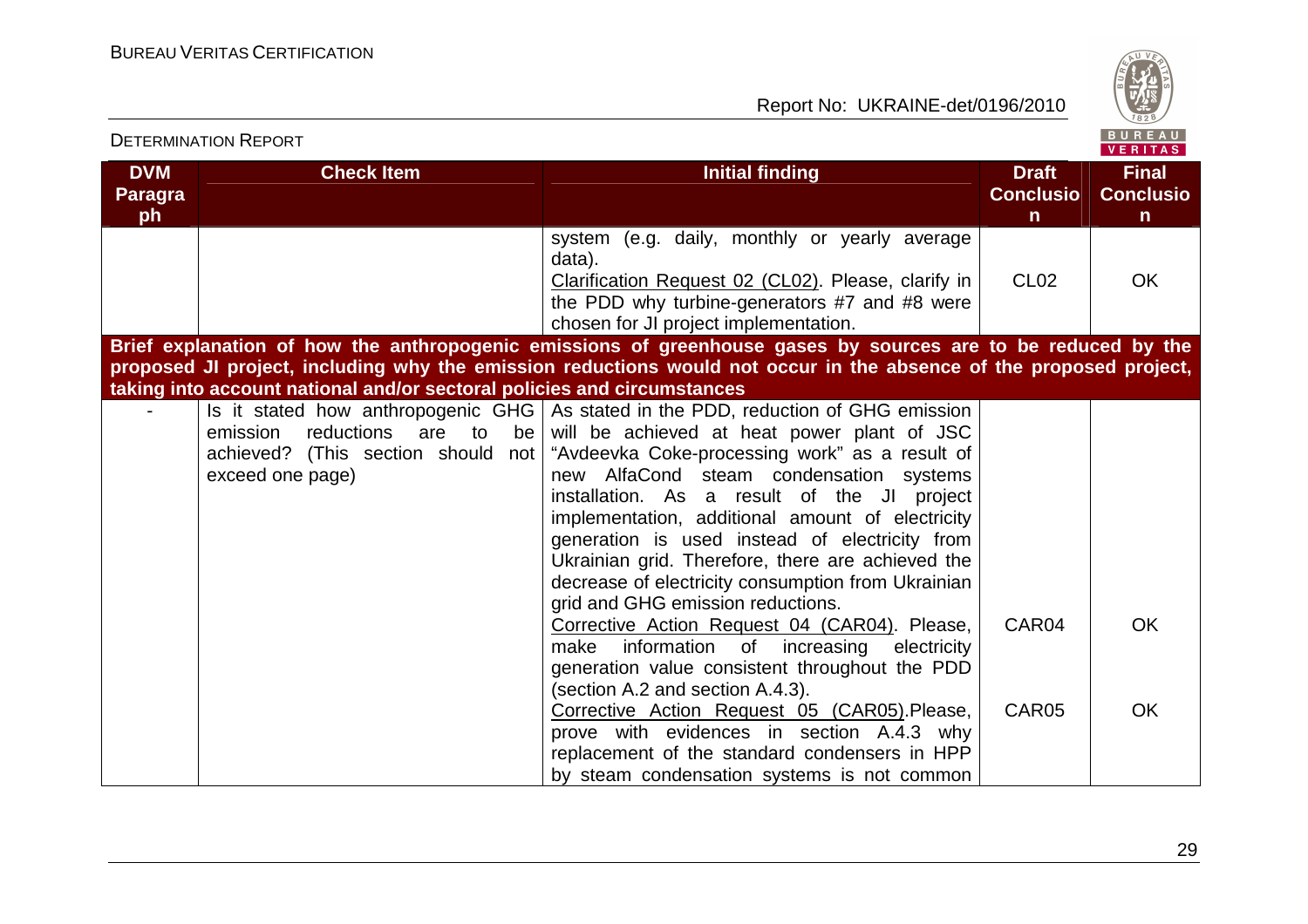

|                                    | <b>DETERMINATION REPORT</b>                                                             |                                                                                                                                                                                                                                                                                                                                                                                                                                                                                                                                                                                           |                                                  | BUREAU<br><b>VERITAS</b>                         |
|------------------------------------|-----------------------------------------------------------------------------------------|-------------------------------------------------------------------------------------------------------------------------------------------------------------------------------------------------------------------------------------------------------------------------------------------------------------------------------------------------------------------------------------------------------------------------------------------------------------------------------------------------------------------------------------------------------------------------------------------|--------------------------------------------------|--------------------------------------------------|
| <b>DVM</b><br><b>Paragra</b><br>ph | <b>Check Item</b>                                                                       | <b>Initial finding</b>                                                                                                                                                                                                                                                                                                                                                                                                                                                                                                                                                                    | <b>Draft</b><br><b>Conclusio</b><br>$\mathsf{n}$ | <b>Final</b><br><b>Conclusio</b><br>$\mathsf{n}$ |
|                                    |                                                                                         | system (e.g. daily, monthly or yearly average<br>data).<br>Clarification Request 02 (CL02). Please, clarify in<br>the PDD why turbine-generators #7 and #8 were<br>chosen for JI project implementation.                                                                                                                                                                                                                                                                                                                                                                                  | CL <sub>02</sub>                                 | <b>OK</b>                                        |
|                                    |                                                                                         | Brief explanation of how the anthropogenic emissions of greenhouse gases by sources are to be reduced by the<br>proposed JI project, including why the emission reductions would not occur in the absence of the proposed project,                                                                                                                                                                                                                                                                                                                                                        |                                                  |                                                  |
|                                    | taking into account national and/or sectoral policies and circumstances                 |                                                                                                                                                                                                                                                                                                                                                                                                                                                                                                                                                                                           |                                                  |                                                  |
|                                    | reductions are to<br>emission<br>achieved? (This section should not<br>exceed one page) | Is it stated how anthropogenic GHG   As stated in the PDD, reduction of GHG emission<br>be will be achieved at heat power plant of JSC<br>"Avdeevka Coke-processing work" as a result of<br>new AlfaCond steam condensation systems<br>installation. As a result of the JI project<br>implementation, additional amount of electricity<br>generation is used instead of electricity from<br>Ukrainian grid. Therefore, there are achieved the<br>decrease of electricity consumption from Ukrainian<br>grid and GHG emission reductions.<br>Corrective Action Request 04 (CAR04). Please, | CAR04                                            | <b>OK</b>                                        |
|                                    |                                                                                         | make information<br>of increasing<br>electricity<br>generation value consistent throughout the PDD<br>(section A.2 and section A.4.3).                                                                                                                                                                                                                                                                                                                                                                                                                                                    |                                                  |                                                  |
|                                    |                                                                                         | Corrective Action Request 05 (CAR05). Please,<br>prove with evidences in section A.4.3 why<br>replacement of the standard condensers in HPP<br>by steam condensation systems is not common                                                                                                                                                                                                                                                                                                                                                                                                | CAR05                                            | <b>OK</b>                                        |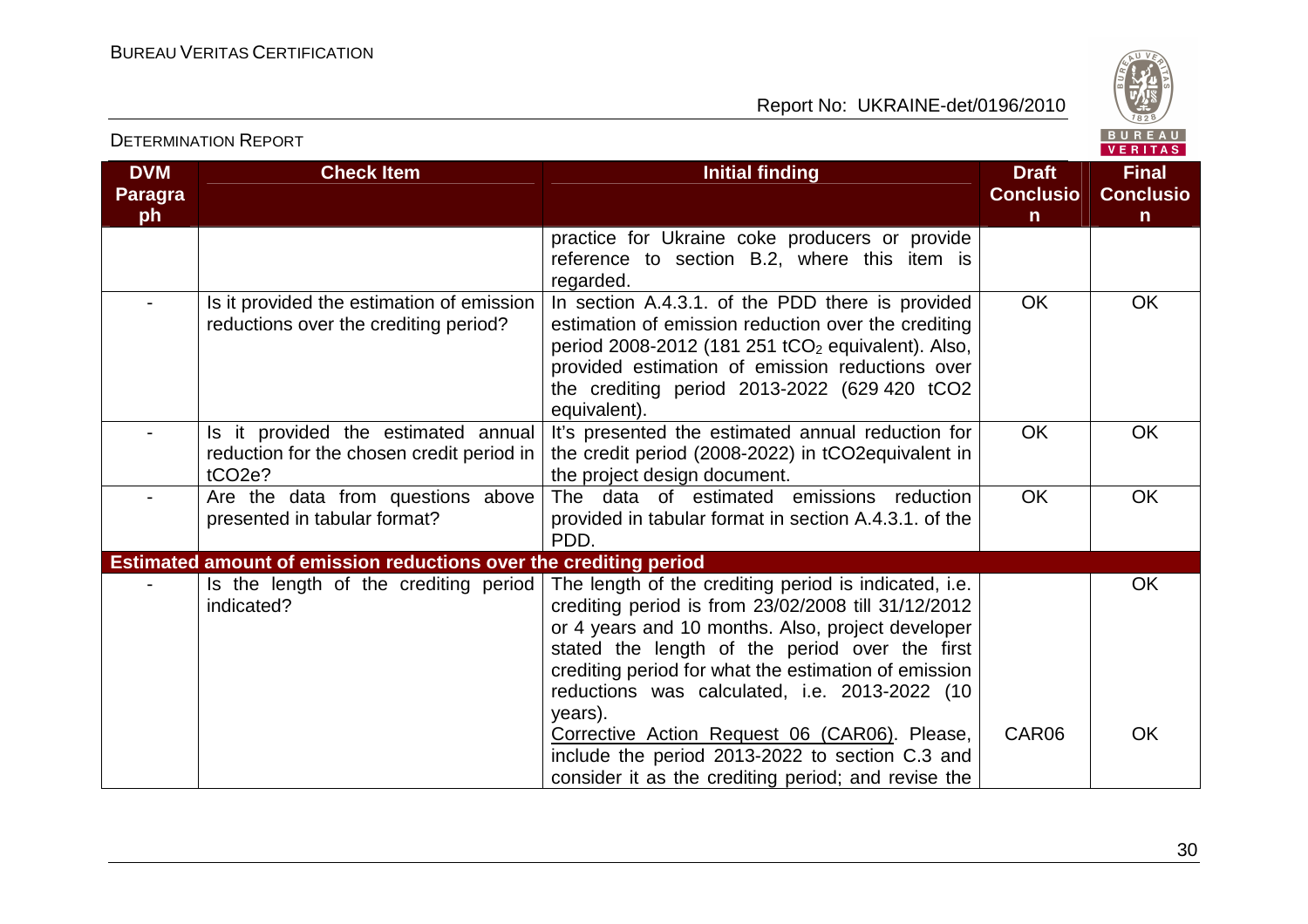

| <b>DVM</b><br><b>Paragra</b><br>ph | <b>Check Item</b>                                                                                       | <b>Initial finding</b>                                                                                                                                                                                                                                                                                                                  | <b>Draft</b><br><b>Conclusio</b><br>$\mathsf{n}$ | <b>Final</b><br><b>Conclusio</b><br>$\mathsf{n}$ |
|------------------------------------|---------------------------------------------------------------------------------------------------------|-----------------------------------------------------------------------------------------------------------------------------------------------------------------------------------------------------------------------------------------------------------------------------------------------------------------------------------------|--------------------------------------------------|--------------------------------------------------|
|                                    |                                                                                                         | practice for Ukraine coke producers or provide<br>reference to section B.2, where this item is<br>regarded.                                                                                                                                                                                                                             |                                                  |                                                  |
|                                    | Is it provided the estimation of emission<br>reductions over the crediting period?                      | In section A.4.3.1. of the PDD there is provided<br>estimation of emission reduction over the crediting<br>period 2008-2012 (181 251 $tCO2$ equivalent). Also,<br>provided estimation of emission reductions over<br>the crediting period 2013-2022 (629 420 tCO2<br>equivalent).                                                       | <b>OK</b>                                        | <b>OK</b>                                        |
|                                    | Is it provided the estimated annual<br>reduction for the chosen credit period in<br>tCO <sub>2</sub> e? | It's presented the estimated annual reduction for<br>the credit period (2008-2022) in tCO2 equivalent in<br>the project design document.                                                                                                                                                                                                | <b>OK</b>                                        | <b>OK</b>                                        |
|                                    | Are the data from questions above<br>presented in tabular format?                                       | The data of estimated emissions reduction<br>provided in tabular format in section A.4.3.1. of the<br>PDD.                                                                                                                                                                                                                              | <b>OK</b>                                        | OK                                               |
|                                    | Estimated amount of emission reductions over the crediting period                                       |                                                                                                                                                                                                                                                                                                                                         |                                                  |                                                  |
|                                    | Is the length of the crediting period<br>indicated?                                                     | The length of the crediting period is indicated, i.e.<br>crediting period is from 23/02/2008 till 31/12/2012<br>or 4 years and 10 months. Also, project developer<br>stated the length of the period over the first<br>crediting period for what the estimation of emission<br>reductions was calculated, i.e. 2013-2022 (10<br>years). |                                                  | OK                                               |
|                                    |                                                                                                         | Corrective Action Request 06 (CAR06). Please,<br>include the period 2013-2022 to section C.3 and<br>consider it as the crediting period; and revise the                                                                                                                                                                                 | CAR06                                            | <b>OK</b>                                        |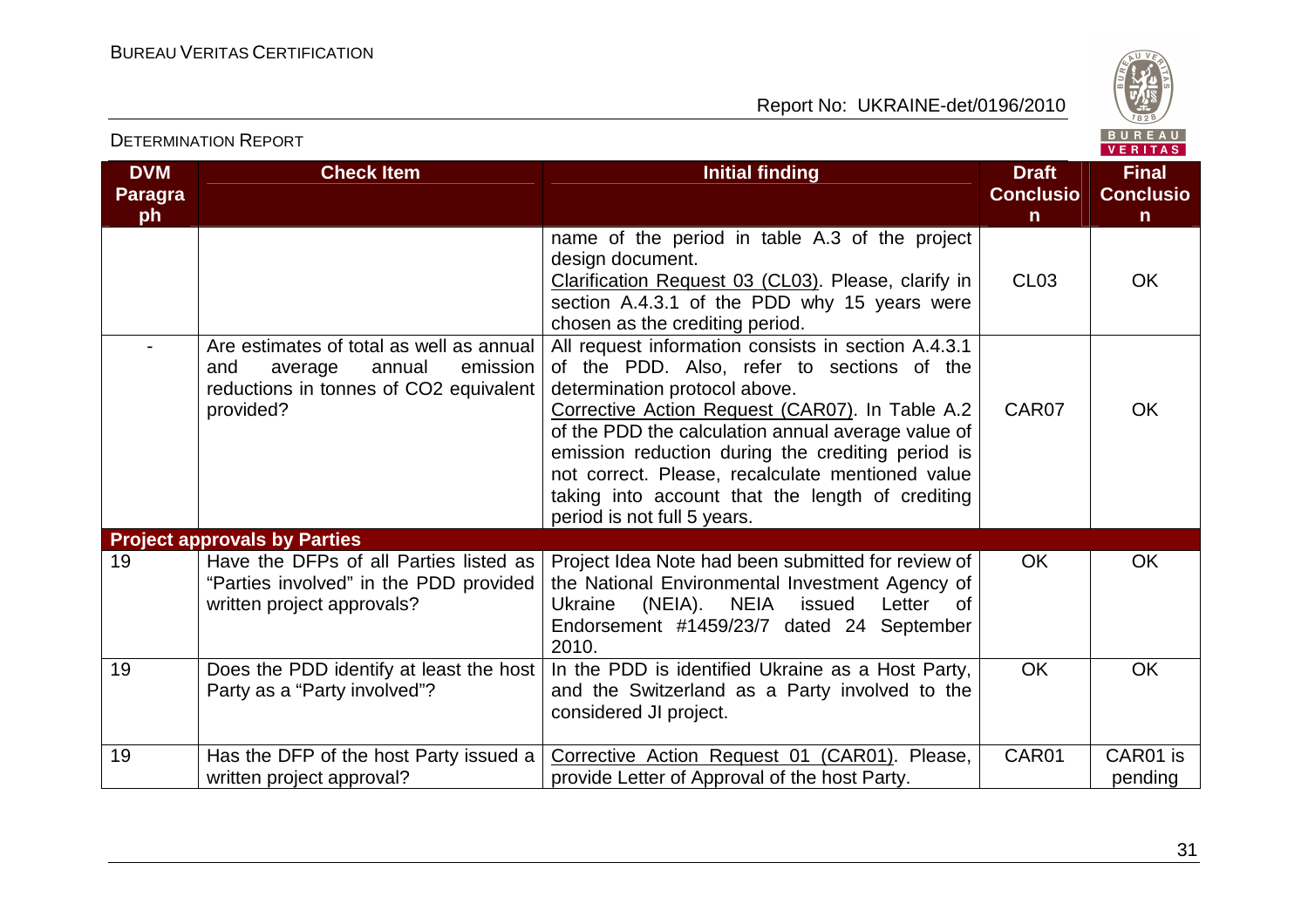

| <b>DVM</b><br><b>Paragra</b><br>ph | <b>Check Item</b>                                                                                                                       | <b>Initial finding</b>                                                                                                                                                                                                                                                                                                                                                                                                                  | <b>Draft</b><br><b>Conclusio</b><br>n | <b>Final</b><br><b>Conclusio</b><br>n |
|------------------------------------|-----------------------------------------------------------------------------------------------------------------------------------------|-----------------------------------------------------------------------------------------------------------------------------------------------------------------------------------------------------------------------------------------------------------------------------------------------------------------------------------------------------------------------------------------------------------------------------------------|---------------------------------------|---------------------------------------|
|                                    |                                                                                                                                         | name of the period in table A.3 of the project<br>design document.<br>Clarification Request 03 (CL03). Please, clarify in<br>section A.4.3.1 of the PDD why 15 years were<br>chosen as the crediting period.                                                                                                                                                                                                                            | CL <sub>03</sub>                      | <b>OK</b>                             |
|                                    | Are estimates of total as well as annual<br>emission<br>and<br>average<br>annual<br>reductions in tonnes of CO2 equivalent<br>provided? | All request information consists in section A.4.3.1<br>of the PDD. Also, refer to sections of the<br>determination protocol above.<br>Corrective Action Request (CAR07). In Table A.2<br>of the PDD the calculation annual average value of<br>emission reduction during the crediting period is<br>not correct. Please, recalculate mentioned value<br>taking into account that the length of crediting<br>period is not full 5 years. | CAR07                                 | <b>OK</b>                             |
|                                    | <b>Project approvals by Parties</b>                                                                                                     |                                                                                                                                                                                                                                                                                                                                                                                                                                         |                                       |                                       |
| 19                                 | Have the DFPs of all Parties listed as<br>"Parties involved" in the PDD provided<br>written project approvals?                          | Project Idea Note had been submitted for review of<br>the National Environmental Investment Agency of<br>(NEIA). NEIA<br>Ukraine<br>issued<br>Letter<br>0f<br>Endorsement #1459/23/7 dated 24 September<br>2010.                                                                                                                                                                                                                        | <b>OK</b>                             | <b>OK</b>                             |
| 19                                 | Does the PDD identify at least the host<br>Party as a "Party involved"?                                                                 | In the PDD is identified Ukraine as a Host Party,<br>and the Switzerland as a Party involved to the<br>considered JI project.                                                                                                                                                                                                                                                                                                           | <b>OK</b>                             | <b>OK</b>                             |
| 19                                 | Has the DFP of the host Party issued a<br>written project approval?                                                                     | Corrective Action Request 01 (CAR01). Please,<br>provide Letter of Approval of the host Party.                                                                                                                                                                                                                                                                                                                                          | CAR01                                 | CAR01 is<br>pending                   |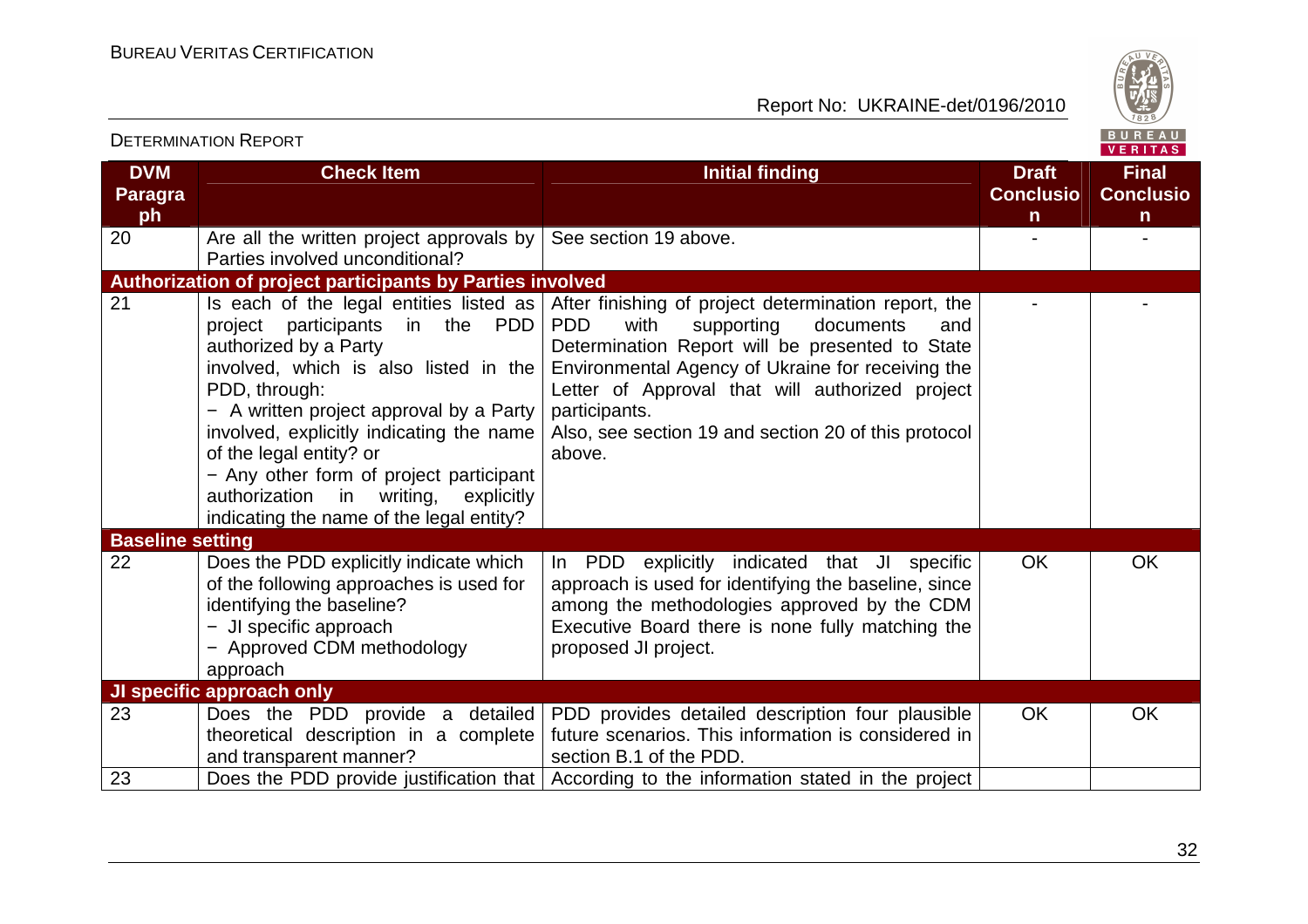

|                              |                                                                                                                                                                                                                                                                                                                                                                                                                            |                                                                                                                                                                                                                                                                                                                                                                 |                                  | 1.1111777                        |
|------------------------------|----------------------------------------------------------------------------------------------------------------------------------------------------------------------------------------------------------------------------------------------------------------------------------------------------------------------------------------------------------------------------------------------------------------------------|-----------------------------------------------------------------------------------------------------------------------------------------------------------------------------------------------------------------------------------------------------------------------------------------------------------------------------------------------------------------|----------------------------------|----------------------------------|
| <b>DVM</b><br><b>Paragra</b> | <b>Check Item</b>                                                                                                                                                                                                                                                                                                                                                                                                          | <b>Initial finding</b>                                                                                                                                                                                                                                                                                                                                          | <b>Draft</b><br><b>Conclusio</b> | <b>Final</b><br><b>Conclusio</b> |
| ph                           |                                                                                                                                                                                                                                                                                                                                                                                                                            |                                                                                                                                                                                                                                                                                                                                                                 | $\mathsf{n}$                     | $\mathsf{n}$                     |
| 20                           | Are all the written project approvals by<br>Parties involved unconditional?                                                                                                                                                                                                                                                                                                                                                | See section 19 above.                                                                                                                                                                                                                                                                                                                                           |                                  |                                  |
|                              | <b>Authorization of project participants by Parties involved</b>                                                                                                                                                                                                                                                                                                                                                           |                                                                                                                                                                                                                                                                                                                                                                 |                                  |                                  |
| 21                           | Is each of the legal entities listed as<br>in the PDD<br>participants<br>project<br>authorized by a Party<br>involved, which is also listed in the<br>PDD, through:<br>- A written project approval by a Party<br>involved, explicitly indicating the name<br>of the legal entity? or<br>- Any other form of project participant<br>authorization in<br>writing,<br>explicitly<br>indicating the name of the legal entity? | After finishing of project determination report, the<br>PD <sub>D</sub><br>with<br>supporting<br>documents<br>and<br>Determination Report will be presented to State<br>Environmental Agency of Ukraine for receiving the<br>Letter of Approval that will authorized project<br>participants.<br>Also, see section 19 and section 20 of this protocol<br>above. |                                  |                                  |
| <b>Baseline setting</b>      |                                                                                                                                                                                                                                                                                                                                                                                                                            |                                                                                                                                                                                                                                                                                                                                                                 |                                  |                                  |
| 22                           | Does the PDD explicitly indicate which<br>of the following approaches is used for<br>identifying the baseline?<br>- JI specific approach<br>- Approved CDM methodology<br>approach                                                                                                                                                                                                                                         | In PDD explicitly indicated that JI specific<br>approach is used for identifying the baseline, since<br>among the methodologies approved by the CDM<br>Executive Board there is none fully matching the<br>proposed JI project.                                                                                                                                 | <b>OK</b>                        | <b>OK</b>                        |
|                              | JI specific approach only                                                                                                                                                                                                                                                                                                                                                                                                  |                                                                                                                                                                                                                                                                                                                                                                 |                                  |                                  |
| 23                           | Does the PDD provide a detailed<br>theoretical description in a complete<br>and transparent manner?                                                                                                                                                                                                                                                                                                                        | PDD provides detailed description four plausible<br>future scenarios. This information is considered in<br>section B.1 of the PDD.                                                                                                                                                                                                                              | <b>OK</b>                        | <b>OK</b>                        |
| 23                           |                                                                                                                                                                                                                                                                                                                                                                                                                            | Does the PDD provide justification that According to the information stated in the project                                                                                                                                                                                                                                                                      |                                  |                                  |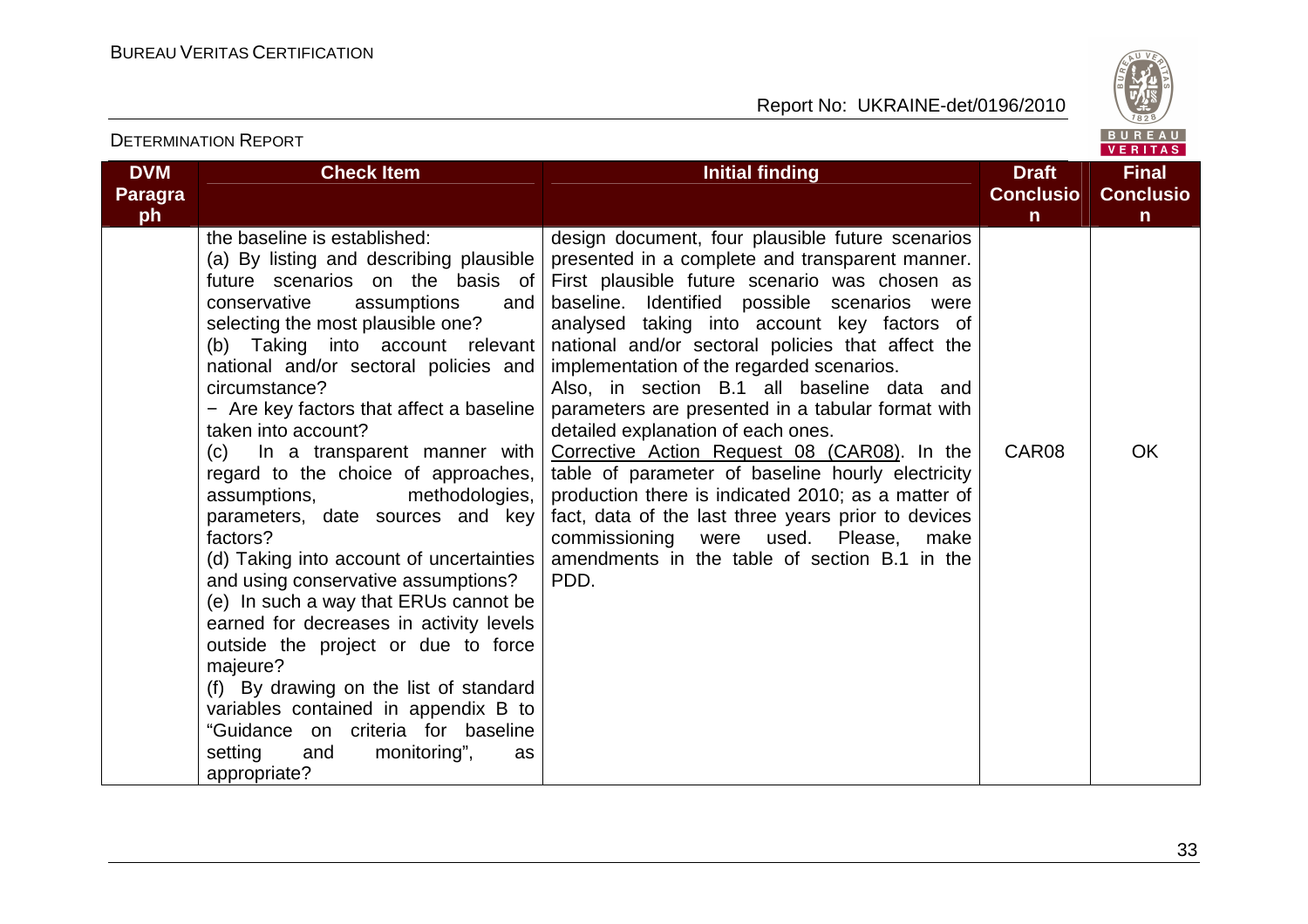

| DETERMINATION REPORT<br>VERITAS    |                                                                                                                                                                                                                                                                                                                                                                                                                                                                                                                                                                                                                                                                                                                                                                                                                                                                                                                                   |                                                                                                                                                                                                                                                                                                                                                                                                                                                                                                                                                                                                                                                                                                                                                                                                                                |                                                  |                                                  |
|------------------------------------|-----------------------------------------------------------------------------------------------------------------------------------------------------------------------------------------------------------------------------------------------------------------------------------------------------------------------------------------------------------------------------------------------------------------------------------------------------------------------------------------------------------------------------------------------------------------------------------------------------------------------------------------------------------------------------------------------------------------------------------------------------------------------------------------------------------------------------------------------------------------------------------------------------------------------------------|--------------------------------------------------------------------------------------------------------------------------------------------------------------------------------------------------------------------------------------------------------------------------------------------------------------------------------------------------------------------------------------------------------------------------------------------------------------------------------------------------------------------------------------------------------------------------------------------------------------------------------------------------------------------------------------------------------------------------------------------------------------------------------------------------------------------------------|--------------------------------------------------|--------------------------------------------------|
| <b>DVM</b><br><b>Paragra</b><br>ph | <b>Check Item</b>                                                                                                                                                                                                                                                                                                                                                                                                                                                                                                                                                                                                                                                                                                                                                                                                                                                                                                                 | <b>Initial finding</b>                                                                                                                                                                                                                                                                                                                                                                                                                                                                                                                                                                                                                                                                                                                                                                                                         | <b>Draft</b><br><b>Conclusio</b><br>$\mathsf{n}$ | <b>Final</b><br><b>Conclusio</b><br>$\mathsf{n}$ |
|                                    | the baseline is established:<br>(a) By listing and describing plausible<br>future scenarios on the basis of<br>conservative<br>assumptions<br>and<br>selecting the most plausible one?<br>(b) Taking into account relevant<br>national and/or sectoral policies and<br>circumstance?<br>- Are key factors that affect a baseline<br>taken into account?<br>(c)<br>In a transparent manner with<br>regard to the choice of approaches,<br>assumptions,<br>methodologies,<br>parameters, date sources and key<br>factors?<br>(d) Taking into account of uncertainties<br>and using conservative assumptions?<br>(e) In such a way that ERUs cannot be<br>earned for decreases in activity levels<br>outside the project or due to force<br>majeure?<br>(f) By drawing on the list of standard<br>variables contained in appendix B to<br>"Guidance on criteria for baseline<br>setting<br>monitoring",<br>and<br>as<br>appropriate? | design document, four plausible future scenarios<br>presented in a complete and transparent manner.<br>First plausible future scenario was chosen as<br>baseline. Identified possible scenarios were<br>analysed taking into account key factors of<br>national and/or sectoral policies that affect the<br>implementation of the regarded scenarios.<br>Also, in section B.1 all baseline data and<br>parameters are presented in a tabular format with<br>detailed explanation of each ones.<br>Corrective Action Request 08 (CAR08). In the<br>table of parameter of baseline hourly electricity<br>production there is indicated 2010; as a matter of<br>fact, data of the last three years prior to devices<br>commissioning<br>used.<br>Please,<br>were<br>make<br>amendments in the table of section B.1 in the<br>PDD. | CAR08                                            | <b>OK</b>                                        |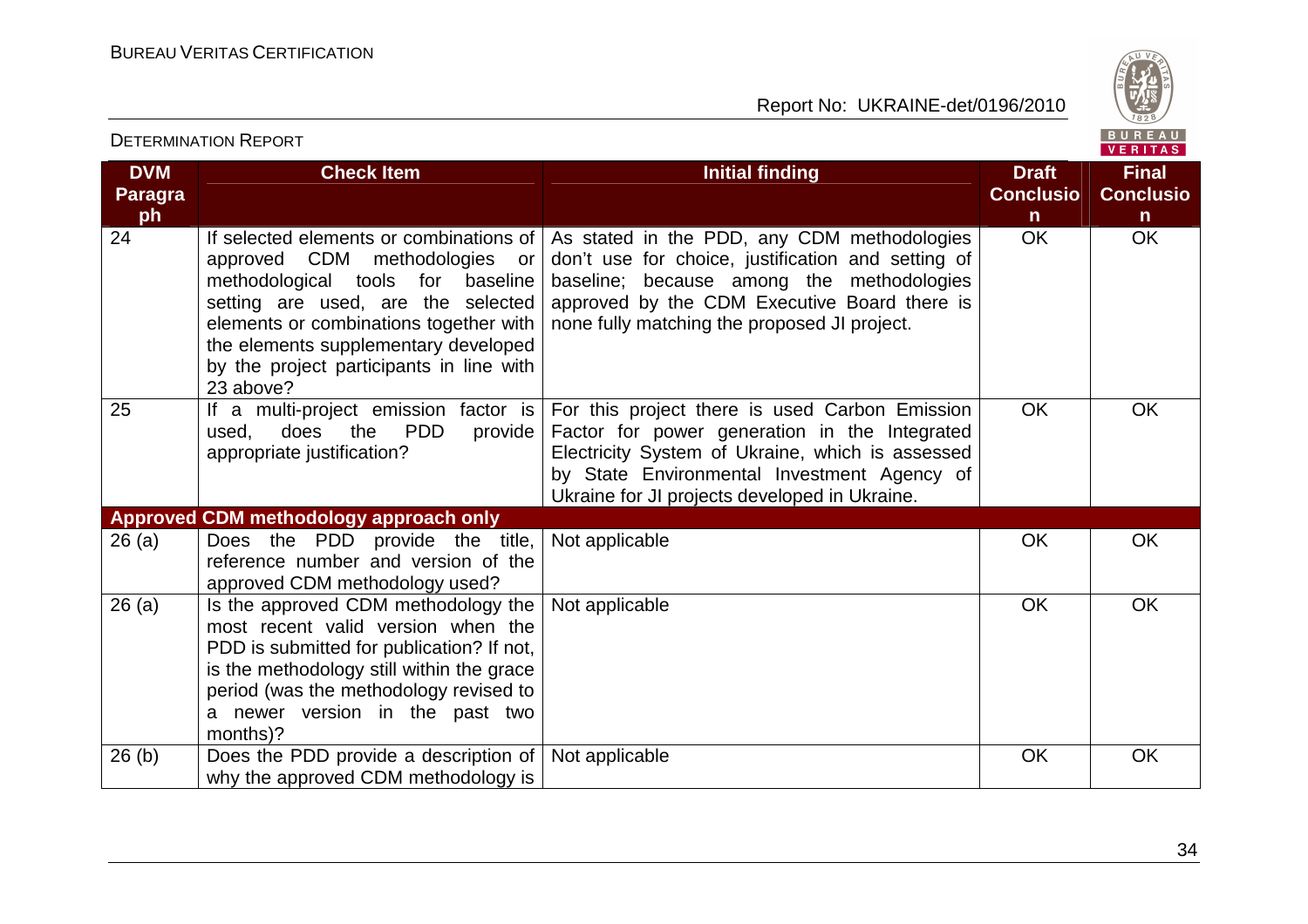DETERMINATION REPORT

Report No: UKRAINE-det/0196/2010



#### VERITAS **DVM Check Item Initial finding Check Item Initial finding Check Item Initial finding Initial finding Initial finding Final Paragra Conclusio Conclusioph nn**  $\overline{OK}$ OK OK 24 If selected elements or combinations of As stated in the PDD, any CDM methodologies approved CDM methodologies or don't use for choice, justification and setting of methodological tools for baseline baseline; because among the methodologies setting are used, are the selected approved by the CDM Executive Board there is none fully matching the proposed JI project. elements or combinations together with the elements supplementary developed by the project participants in line with 23 above? 25 If a multi-project emission factor is For this project there is used Carbon Emission OK OK used, does the PDD provide Factor for power generation in the Integrated appropriate justification? Electricity System of Ukraine, which is assessed by State Environmental Investment Agency of Ukraine for JI projects developed in Ukraine. **Approved CDM methodology approach only**  26 (a) Does the PDD provide the title, Not applicable  $\overline{O}$  OK  $\overline{O}$  OK OK reference number and version of the approved CDM methodology used? 26 (a)  $\vert$  Is the approved CDM methodology the Not applicable  $\overline{O}$  OK  $\overline{O}$  OK OK most recent valid version when the PDD is submitted for publication? If not, is the methodology still within the grace period (was the methodology revised to a newer version in the past two months)? 26 (b) Does the PDD provide a description of Not applicable OK OK why the approved CDM methodology is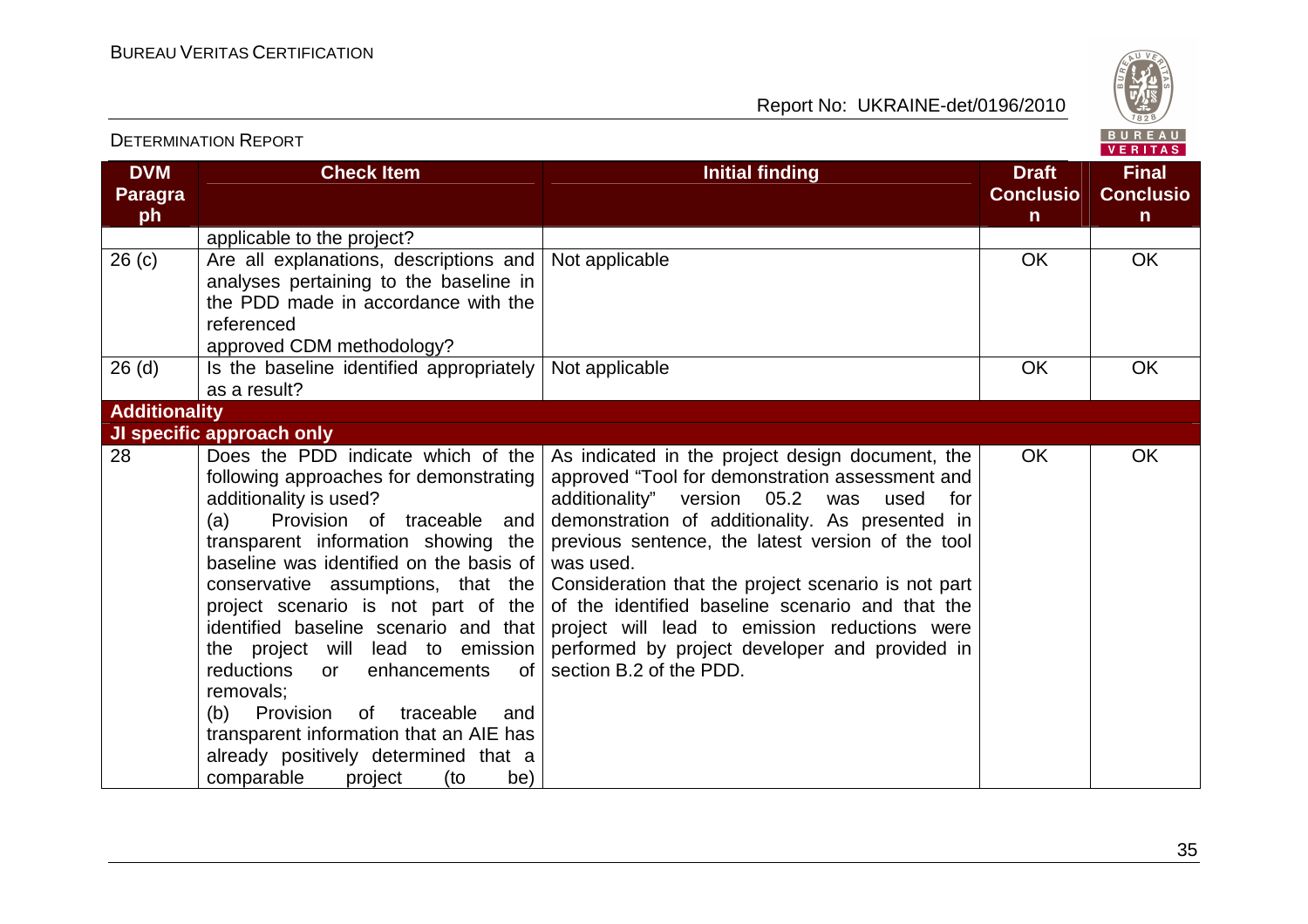

| <b>DETERMINATION REPORT</b>        |                                                                                                                                                                                                                                                                                                                                                                                                                                                                                                                                                                                                                                |                                                                                                                                                                                                                                                                                                                                                                                                                                                                                                                        |                                                  | BUREAU<br><b>VERITAS</b>                         |
|------------------------------------|--------------------------------------------------------------------------------------------------------------------------------------------------------------------------------------------------------------------------------------------------------------------------------------------------------------------------------------------------------------------------------------------------------------------------------------------------------------------------------------------------------------------------------------------------------------------------------------------------------------------------------|------------------------------------------------------------------------------------------------------------------------------------------------------------------------------------------------------------------------------------------------------------------------------------------------------------------------------------------------------------------------------------------------------------------------------------------------------------------------------------------------------------------------|--------------------------------------------------|--------------------------------------------------|
| <b>DVM</b><br><b>Paragra</b><br>ph | <b>Check Item</b>                                                                                                                                                                                                                                                                                                                                                                                                                                                                                                                                                                                                              | <b>Initial finding</b>                                                                                                                                                                                                                                                                                                                                                                                                                                                                                                 | <b>Draft</b><br><b>Conclusio</b><br>$\mathsf{n}$ | <b>Final</b><br><b>Conclusio</b><br>$\mathsf{n}$ |
|                                    | applicable to the project?                                                                                                                                                                                                                                                                                                                                                                                                                                                                                                                                                                                                     |                                                                                                                                                                                                                                                                                                                                                                                                                                                                                                                        |                                                  |                                                  |
| 26(c)                              | Are all explanations, descriptions and<br>analyses pertaining to the baseline in<br>the PDD made in accordance with the<br>referenced<br>approved CDM methodology?                                                                                                                                                                                                                                                                                                                                                                                                                                                             | Not applicable                                                                                                                                                                                                                                                                                                                                                                                                                                                                                                         | <b>OK</b>                                        | <b>OK</b>                                        |
| 26(d)                              | Is the baseline identified appropriately                                                                                                                                                                                                                                                                                                                                                                                                                                                                                                                                                                                       | Not applicable                                                                                                                                                                                                                                                                                                                                                                                                                                                                                                         | <b>OK</b>                                        | <b>OK</b>                                        |
|                                    | as a result?                                                                                                                                                                                                                                                                                                                                                                                                                                                                                                                                                                                                                   |                                                                                                                                                                                                                                                                                                                                                                                                                                                                                                                        |                                                  |                                                  |
| <b>Additionality</b>               |                                                                                                                                                                                                                                                                                                                                                                                                                                                                                                                                                                                                                                |                                                                                                                                                                                                                                                                                                                                                                                                                                                                                                                        |                                                  |                                                  |
|                                    | JI specific approach only                                                                                                                                                                                                                                                                                                                                                                                                                                                                                                                                                                                                      |                                                                                                                                                                                                                                                                                                                                                                                                                                                                                                                        |                                                  |                                                  |
| 28                                 | Does the PDD indicate which of the<br>following approaches for demonstrating<br>additionality is used?<br>Provision of traceable<br>and<br>(a)<br>transparent information showing the<br>baseline was identified on the basis of<br>conservative assumptions, that the<br>project scenario is not part of the<br>identified baseline scenario and that<br>the project will lead to emission<br>of<br>reductions<br>enhancements<br><b>or</b><br>removals:<br>Provision<br>of traceable<br>(b)<br>and<br>transparent information that an AIE has<br>already positively determined that a<br>comparable<br>project<br>(to<br>be) | As indicated in the project design document, the<br>approved "Tool for demonstration assessment and<br>additionality" version 05.2<br>was<br>used<br>for<br>demonstration of additionality. As presented in<br>previous sentence, the latest version of the tool<br>was used.<br>Consideration that the project scenario is not part<br>of the identified baseline scenario and that the<br>project will lead to emission reductions were<br>performed by project developer and provided in<br>section B.2 of the PDD. | <b>OK</b>                                        | <b>OK</b>                                        |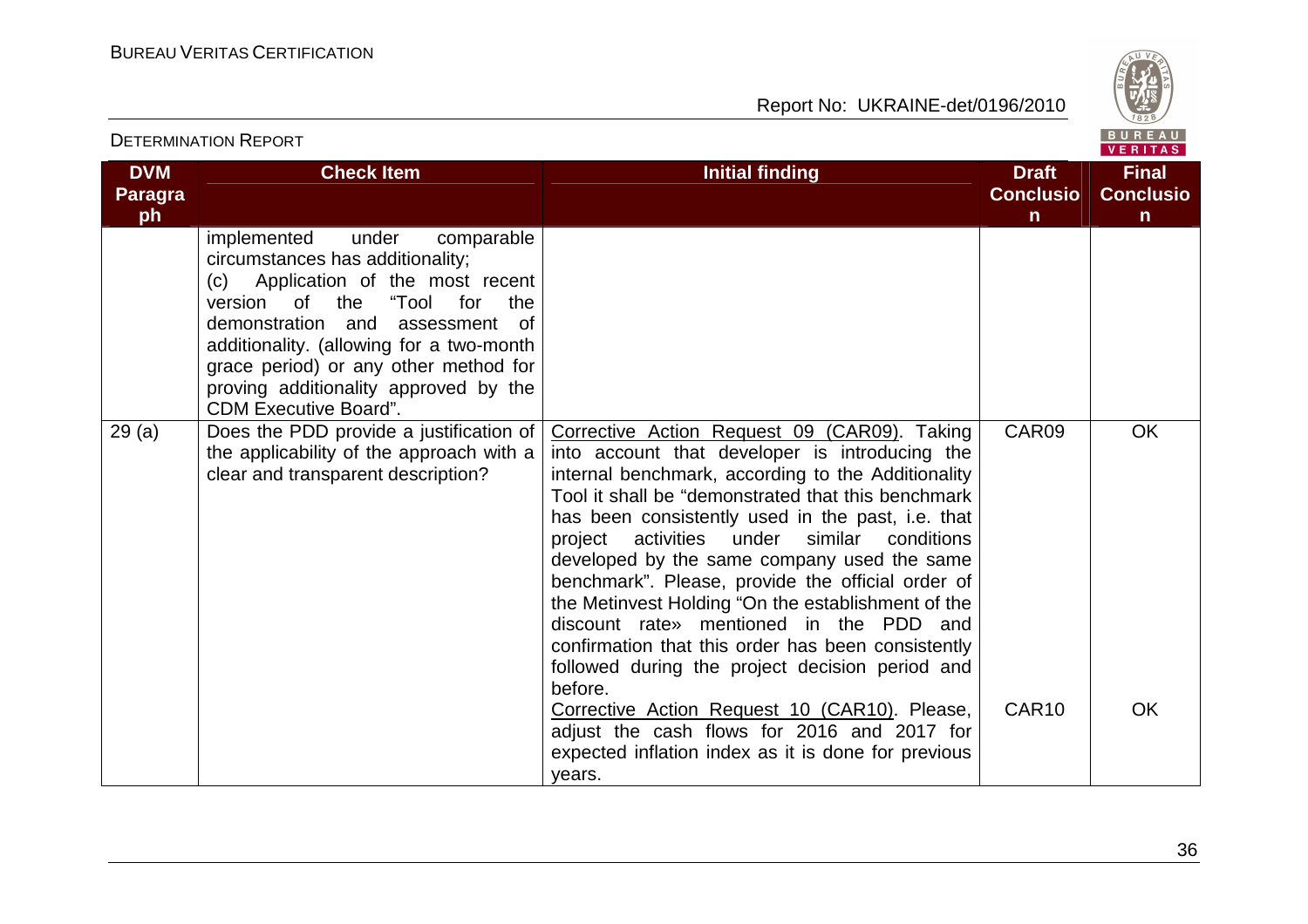

| <b>DETERMINATION REPORT</b>        |                                                                                                                                                                                                                                                                                                                                                           |                                                                                                                                                                                                                                                                                                                                                                                                                                                                                                                                                                                                                                         | BUREAU<br><b>VERITAS</b>                         |                                       |
|------------------------------------|-----------------------------------------------------------------------------------------------------------------------------------------------------------------------------------------------------------------------------------------------------------------------------------------------------------------------------------------------------------|-----------------------------------------------------------------------------------------------------------------------------------------------------------------------------------------------------------------------------------------------------------------------------------------------------------------------------------------------------------------------------------------------------------------------------------------------------------------------------------------------------------------------------------------------------------------------------------------------------------------------------------------|--------------------------------------------------|---------------------------------------|
| <b>DVM</b><br><b>Paragra</b><br>ph | <b>Check Item</b>                                                                                                                                                                                                                                                                                                                                         | <b>Initial finding</b>                                                                                                                                                                                                                                                                                                                                                                                                                                                                                                                                                                                                                  | <b>Draft</b><br><b>Conclusio</b><br>$\mathsf{n}$ | <b>Final</b><br><b>Conclusio</b><br>n |
|                                    | implemented<br>under<br>comparable<br>circumstances has additionality;<br>(c) Application of the most recent<br>"Tool for<br>version of the<br>the<br>demonstration and<br>assessment<br>0f<br>additionality. (allowing for a two-month<br>grace period) or any other method for<br>proving additionality approved by the<br><b>CDM Executive Board".</b> |                                                                                                                                                                                                                                                                                                                                                                                                                                                                                                                                                                                                                                         |                                                  |                                       |
| 29(a)                              | Does the PDD provide a justification of<br>the applicability of the approach with a<br>clear and transparent description?                                                                                                                                                                                                                                 | Corrective Action Request 09 (CAR09). Taking<br>into account that developer is introducing the<br>internal benchmark, according to the Additionality<br>Tool it shall be "demonstrated that this benchmark<br>has been consistently used in the past, i.e. that<br>project activities under similar conditions<br>developed by the same company used the same<br>benchmark". Please, provide the official order of<br>the Metinvest Holding "On the establishment of the<br>discount rate» mentioned in the PDD and<br>confirmation that this order has been consistently<br>followed during the project decision period and<br>before. | CAR09                                            | <b>OK</b>                             |
|                                    |                                                                                                                                                                                                                                                                                                                                                           | Corrective Action Request 10 (CAR10). Please,<br>adjust the cash flows for 2016 and 2017 for<br>expected inflation index as it is done for previous<br>years.                                                                                                                                                                                                                                                                                                                                                                                                                                                                           | CAR <sub>10</sub>                                | <b>OK</b>                             |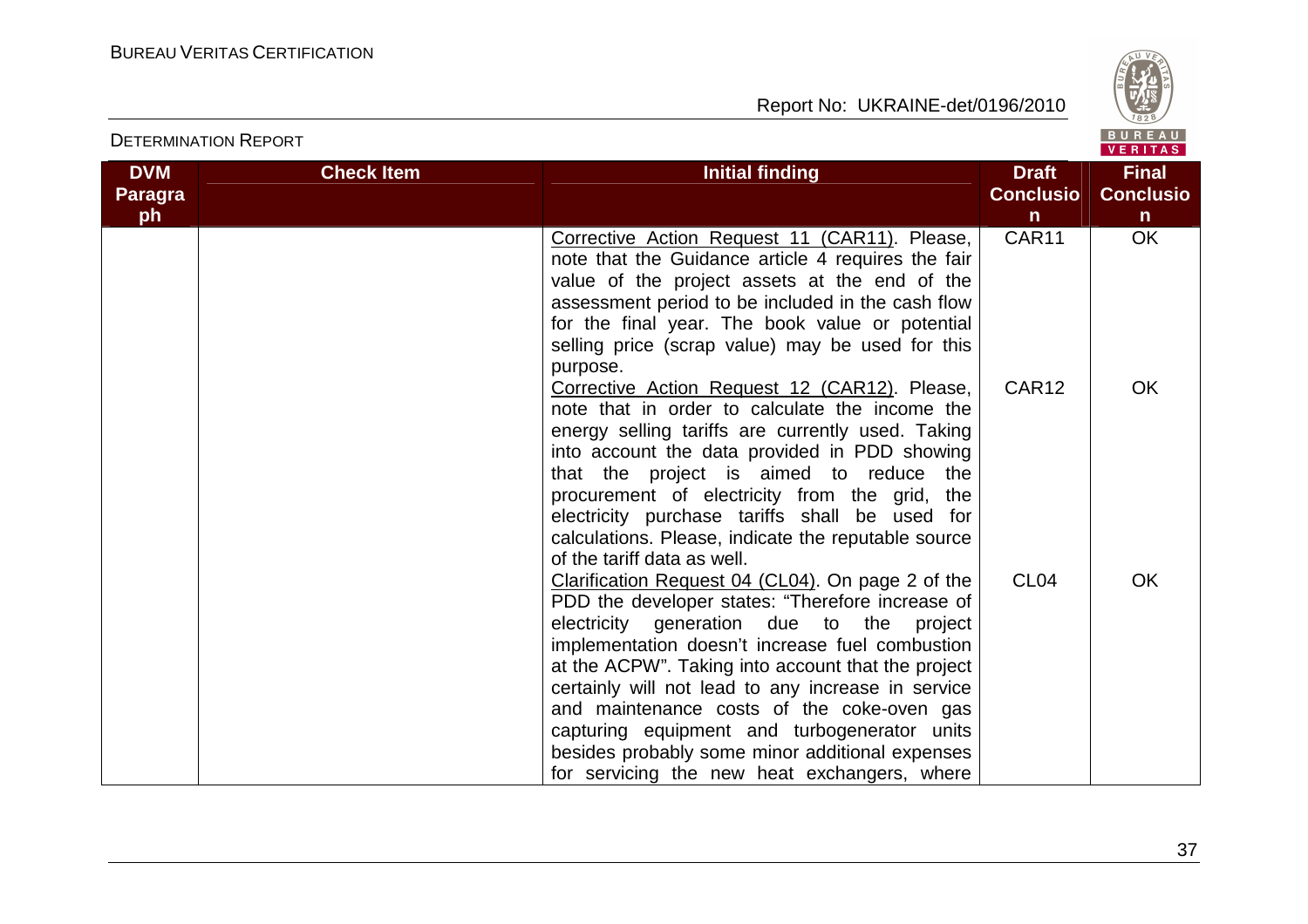

| <b>DETERMINATION REPORT</b> |                   |                                                                                                                                                                                                                                                                                                                                                                                                                                                                                                                       |                                  | BUREAU<br><b>VERITAS</b>         |
|-----------------------------|-------------------|-----------------------------------------------------------------------------------------------------------------------------------------------------------------------------------------------------------------------------------------------------------------------------------------------------------------------------------------------------------------------------------------------------------------------------------------------------------------------------------------------------------------------|----------------------------------|----------------------------------|
| <b>DVM</b><br>Paragra<br>ph | <b>Check Item</b> | <b>Initial finding</b>                                                                                                                                                                                                                                                                                                                                                                                                                                                                                                | <b>Draft</b><br><b>Conclusio</b> | <b>Final</b><br><b>Conclusio</b> |
|                             |                   |                                                                                                                                                                                                                                                                                                                                                                                                                                                                                                                       | n<br>CAR11                       | $\mathsf{n}$<br><b>OK</b>        |
|                             |                   | Corrective Action Request 11 (CAR11). Please,<br>note that the Guidance article 4 requires the fair<br>value of the project assets at the end of the<br>assessment period to be included in the cash flow<br>for the final year. The book value or potential<br>selling price (scrap value) may be used for this                                                                                                                                                                                                      |                                  |                                  |
|                             |                   | purpose.                                                                                                                                                                                                                                                                                                                                                                                                                                                                                                              |                                  |                                  |
|                             |                   | Corrective Action Request 12 (CAR12). Please,<br>note that in order to calculate the income the<br>energy selling tariffs are currently used. Taking<br>into account the data provided in PDD showing<br>that the project is aimed to reduce the<br>procurement of electricity from the grid, the<br>electricity purchase tariffs shall be used for<br>calculations. Please, indicate the reputable source<br>of the tariff data as well.                                                                             | CAR12                            | <b>OK</b>                        |
|                             |                   | Clarification Request 04 (CL04). On page 2 of the<br>PDD the developer states: "Therefore increase of<br>electricity generation due to the<br>project<br>implementation doesn't increase fuel combustion<br>at the ACPW". Taking into account that the project<br>certainly will not lead to any increase in service<br>and maintenance costs of the coke-oven gas<br>capturing equipment and turbogenerator units<br>besides probably some minor additional expenses<br>for servicing the new heat exchangers, where | CL <sub>04</sub>                 | <b>OK</b>                        |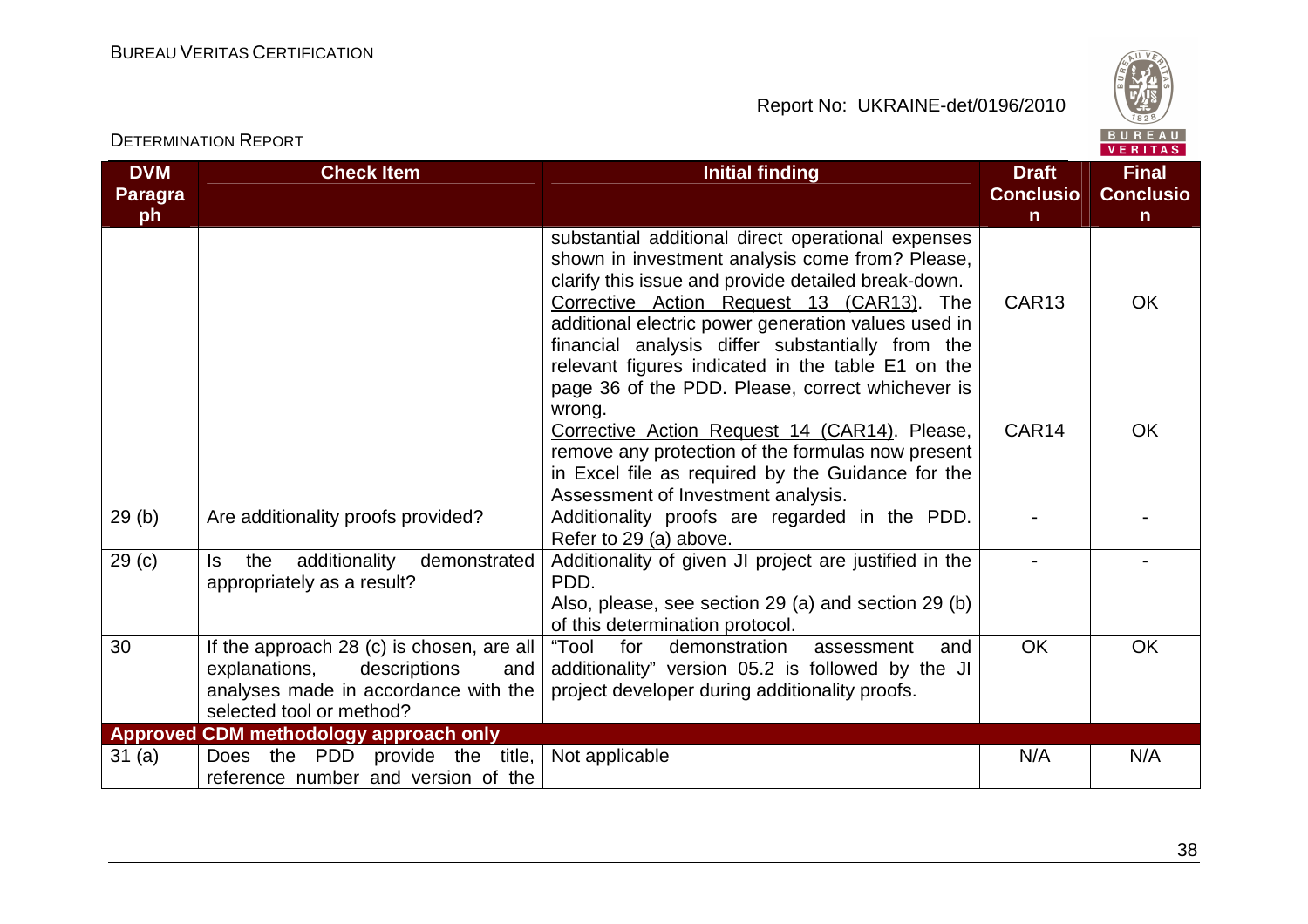

| <b>DVM</b><br><b>Paragra</b><br>ph | <b>Check Item</b>                                                                                                                                     | <b>Initial finding</b>                                                                                                                                                                                                                                                                                                                                                    | <b>Draft</b><br><b>Conclusio</b><br>$\mathsf{n}$ | <b>Final</b><br><b>Conclusio</b><br>$\mathsf{n}$ |
|------------------------------------|-------------------------------------------------------------------------------------------------------------------------------------------------------|---------------------------------------------------------------------------------------------------------------------------------------------------------------------------------------------------------------------------------------------------------------------------------------------------------------------------------------------------------------------------|--------------------------------------------------|--------------------------------------------------|
|                                    |                                                                                                                                                       | substantial additional direct operational expenses<br>shown in investment analysis come from? Please,<br>clarify this issue and provide detailed break-down.<br>Corrective Action Request 13 (CAR13). The<br>additional electric power generation values used in<br>financial analysis differ substantially from the<br>relevant figures indicated in the table E1 on the | CAR <sub>13</sub>                                | <b>OK</b>                                        |
|                                    |                                                                                                                                                       | page 36 of the PDD. Please, correct whichever is<br>wrong.<br>Corrective Action Request 14 (CAR14). Please,<br>remove any protection of the formulas now present<br>in Excel file as required by the Guidance for the<br>Assessment of Investment analysis.                                                                                                               | CAR <sub>14</sub>                                | <b>OK</b>                                        |
| 29(b)                              | Are additionality proofs provided?                                                                                                                    | Additionality proofs are regarded in the PDD.<br>Refer to 29 (a) above.                                                                                                                                                                                                                                                                                                   |                                                  |                                                  |
| 29(c)                              | additionality<br>ls.<br>the<br>demonstrated<br>appropriately as a result?                                                                             | Additionality of given JI project are justified in the<br>PDD.<br>Also, please, see section 29 (a) and section 29 (b)<br>of this determination protocol.                                                                                                                                                                                                                  |                                                  |                                                  |
| 30                                 | If the approach 28 (c) is chosen, are all<br>explanations,<br>descriptions<br>and<br>analyses made in accordance with the<br>selected tool or method? | for<br>"Tool<br>demonstration<br>and<br>assessment<br>additionality" version 05.2 is followed by the JI<br>project developer during additionality proofs.                                                                                                                                                                                                                 | <b>OK</b>                                        | <b>OK</b>                                        |
|                                    | Approved CDM methodology approach only                                                                                                                |                                                                                                                                                                                                                                                                                                                                                                           |                                                  |                                                  |
| 31(a)                              | Does the PDD<br>provide the title,<br>reference number and version of the                                                                             | Not applicable                                                                                                                                                                                                                                                                                                                                                            | N/A                                              | N/A                                              |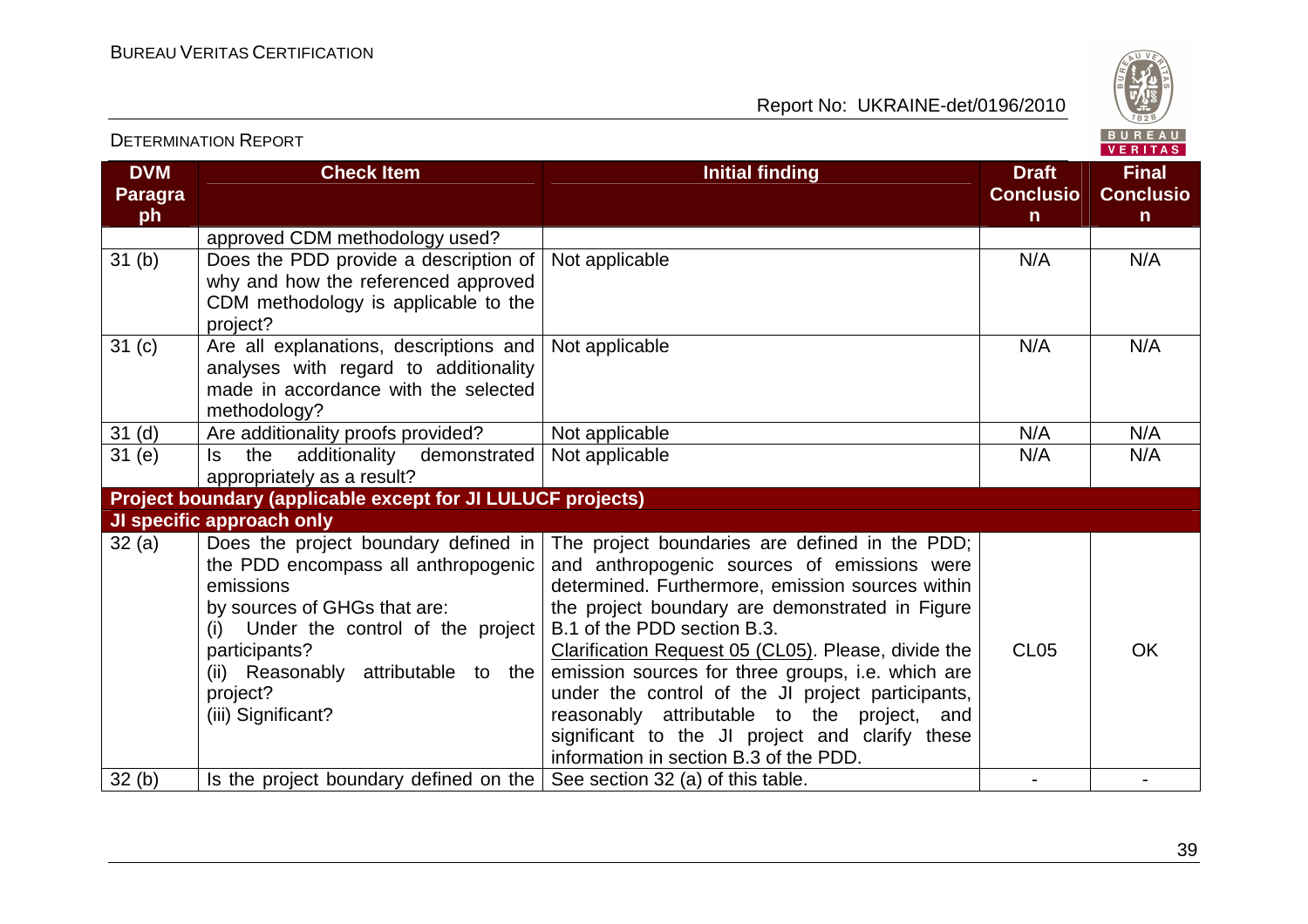

|                                    | <b>DETERMINATION REPORT</b>                                                                                                                                                                                                                                   |                                                                                                                                                                                                                                                                                                                                                                                                                                                                                                                                                  |                                                  | BUREAU<br>VERITAS                     |
|------------------------------------|---------------------------------------------------------------------------------------------------------------------------------------------------------------------------------------------------------------------------------------------------------------|--------------------------------------------------------------------------------------------------------------------------------------------------------------------------------------------------------------------------------------------------------------------------------------------------------------------------------------------------------------------------------------------------------------------------------------------------------------------------------------------------------------------------------------------------|--------------------------------------------------|---------------------------------------|
| <b>DVM</b><br><b>Paragra</b><br>ph | <b>Check Item</b>                                                                                                                                                                                                                                             | <b>Initial finding</b>                                                                                                                                                                                                                                                                                                                                                                                                                                                                                                                           | <b>Draft</b><br><b>Conclusio</b><br>$\mathsf{n}$ | <b>Final</b><br><b>Conclusio</b><br>n |
|                                    | approved CDM methodology used?                                                                                                                                                                                                                                |                                                                                                                                                                                                                                                                                                                                                                                                                                                                                                                                                  |                                                  |                                       |
| 31 <sub>(b)</sub>                  | Does the PDD provide a description of<br>why and how the referenced approved<br>CDM methodology is applicable to the<br>project?                                                                                                                              | Not applicable                                                                                                                                                                                                                                                                                                                                                                                                                                                                                                                                   | N/A                                              | N/A                                   |
| 31 <sub>(c)</sub>                  | Are all explanations, descriptions and<br>analyses with regard to additionality<br>made in accordance with the selected<br>methodology?                                                                                                                       | Not applicable                                                                                                                                                                                                                                                                                                                                                                                                                                                                                                                                   | N/A                                              | N/A                                   |
| 31 <sub>(d)</sub>                  | Are additionality proofs provided?                                                                                                                                                                                                                            | Not applicable                                                                                                                                                                                                                                                                                                                                                                                                                                                                                                                                   | N/A                                              | N/A                                   |
| 31(e)                              | additionality<br>demonstrated<br>the<br>ls.<br>appropriately as a result?                                                                                                                                                                                     | Not applicable                                                                                                                                                                                                                                                                                                                                                                                                                                                                                                                                   | N/A                                              | N/A                                   |
|                                    | Project boundary (applicable except for JI LULUCF projects)                                                                                                                                                                                                   |                                                                                                                                                                                                                                                                                                                                                                                                                                                                                                                                                  |                                                  |                                       |
|                                    | JI specific approach only                                                                                                                                                                                                                                     |                                                                                                                                                                                                                                                                                                                                                                                                                                                                                                                                                  |                                                  |                                       |
| 32(a)                              | Does the project boundary defined in<br>the PDD encompass all anthropogenic<br>emissions<br>by sources of GHGs that are:<br>(i) Under the control of the project<br>participants?<br>(ii) Reasonably<br>attributable to the<br>project?<br>(iii) Significant? | The project boundaries are defined in the PDD;<br>and anthropogenic sources of emissions were<br>determined. Furthermore, emission sources within<br>the project boundary are demonstrated in Figure<br>B.1 of the PDD section B.3.<br>Clarification Request 05 (CL05). Please, divide the<br>emission sources for three groups, i.e. which are<br>under the control of the JI project participants,<br>reasonably attributable to the project, and<br>significant to the JI project and clarify these<br>information in section B.3 of the PDD. | <b>CL05</b>                                      | <b>OK</b>                             |
| 32(b)                              | Is the project boundary defined on the $ $                                                                                                                                                                                                                    | See section 32 (a) of this table.                                                                                                                                                                                                                                                                                                                                                                                                                                                                                                                |                                                  |                                       |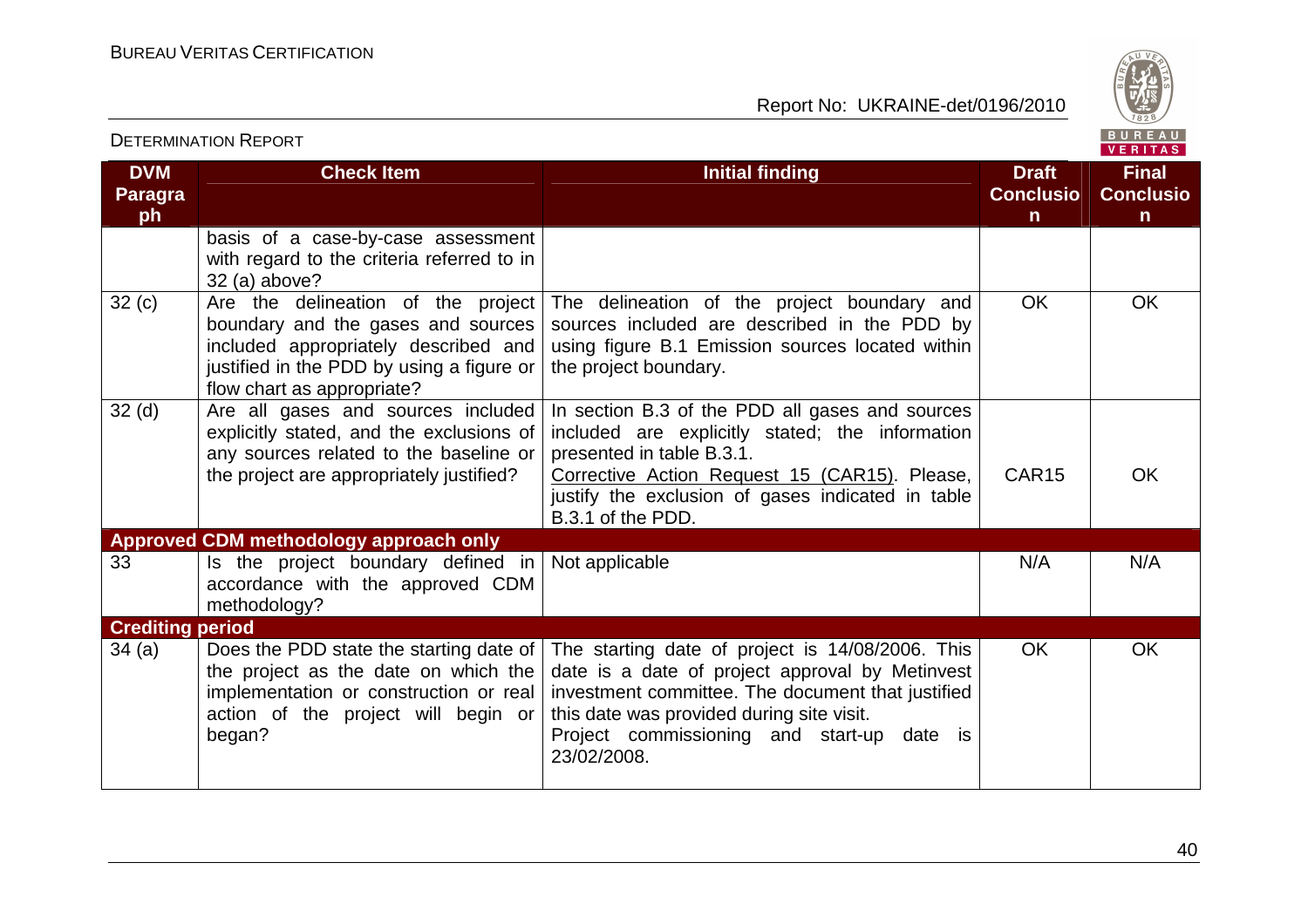

|                                    |                                                                                                                                                                                             |                                                                                                                                                                                                                                                                       |                                                  | <b>VENIIAS</b>                                   |
|------------------------------------|---------------------------------------------------------------------------------------------------------------------------------------------------------------------------------------------|-----------------------------------------------------------------------------------------------------------------------------------------------------------------------------------------------------------------------------------------------------------------------|--------------------------------------------------|--------------------------------------------------|
| <b>DVM</b><br><b>Paragra</b><br>ph | <b>Check Item</b>                                                                                                                                                                           | <b>Initial finding</b>                                                                                                                                                                                                                                                | <b>Draft</b><br><b>Conclusio</b><br>$\mathsf{n}$ | <b>Final</b><br><b>Conclusio</b><br>$\mathsf{n}$ |
|                                    | basis of a case-by-case assessment<br>with regard to the criteria referred to in<br>32 (a) above?                                                                                           |                                                                                                                                                                                                                                                                       |                                                  |                                                  |
| 32(c)                              | Are the delineation of the project<br>boundary and the gases and sources<br>included appropriately described and<br>justified in the PDD by using a figure or<br>flow chart as appropriate? | The delineation of the project boundary and<br>sources included are described in the PDD by<br>using figure B.1 Emission sources located within<br>the project boundary.                                                                                              | <b>OK</b>                                        | <b>OK</b>                                        |
| 32 <sub>(d)</sub>                  | Are all gases and sources included<br>explicitly stated, and the exclusions of<br>any sources related to the baseline or<br>the project are appropriately justified?                        | In section B.3 of the PDD all gases and sources<br>included are explicitly stated; the information<br>presented in table B.3.1.<br>Corrective Action Request 15 (CAR15). Please,<br>justify the exclusion of gases indicated in table<br>B.3.1 of the PDD.            | CAR <sub>15</sub>                                | <b>OK</b>                                        |
|                                    | Approved CDM methodology approach only                                                                                                                                                      |                                                                                                                                                                                                                                                                       |                                                  |                                                  |
| 33                                 | Is the project boundary defined in<br>accordance with the approved CDM<br>methodology?                                                                                                      | Not applicable                                                                                                                                                                                                                                                        | N/A                                              | N/A                                              |
| <b>Crediting period</b>            |                                                                                                                                                                                             |                                                                                                                                                                                                                                                                       |                                                  |                                                  |
| 34(a)                              | Does the PDD state the starting date of<br>the project as the date on which the<br>implementation or construction or real<br>action of the project will begin or<br>began?                  | The starting date of project is 14/08/2006. This<br>date is a date of project approval by Metinvest<br>investment committee. The document that justified<br>this date was provided during site visit.<br>Project commissioning and start-up<br>date is<br>23/02/2008. | <b>OK</b>                                        | <b>OK</b>                                        |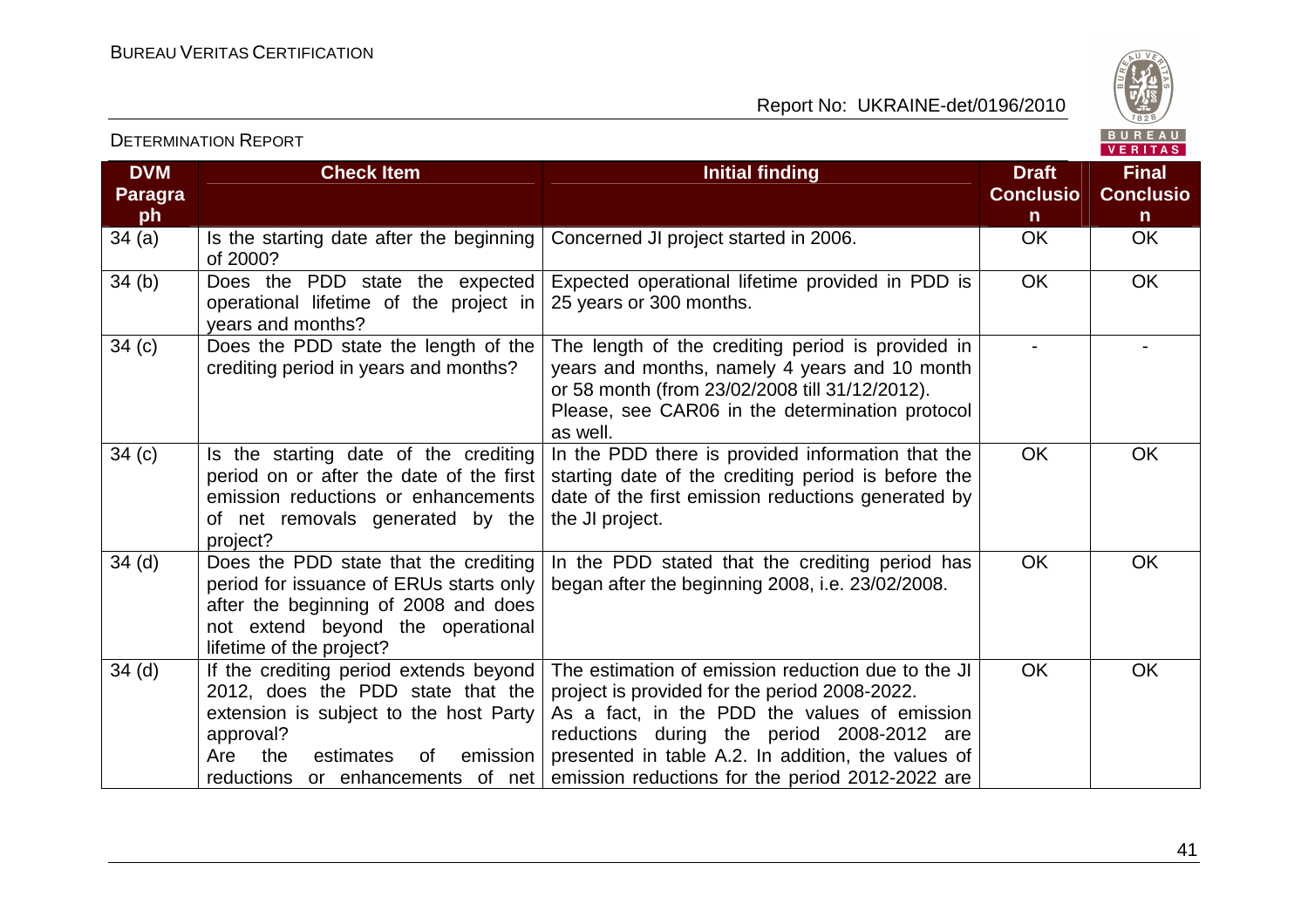

| <b>DVM</b><br><b>Paragra</b><br>ph | <b>Check Item</b>                                                                                                                                                                         | <b>Initial finding</b>                                                                                                                                                                                                                                                                                                                        | <b>Draft</b><br><b>Conclusio</b><br>n. | <b>Final</b><br><b>Conclusio</b><br>$\mathsf{n}$ |
|------------------------------------|-------------------------------------------------------------------------------------------------------------------------------------------------------------------------------------------|-----------------------------------------------------------------------------------------------------------------------------------------------------------------------------------------------------------------------------------------------------------------------------------------------------------------------------------------------|----------------------------------------|--------------------------------------------------|
| 34(a)                              | Is the starting date after the beginning<br>of 2000?                                                                                                                                      | Concerned JI project started in 2006.                                                                                                                                                                                                                                                                                                         | OK                                     | <b>OK</b>                                        |
| 34 <sub>(b)</sub>                  | Does the PDD state the expected<br>operational lifetime of the project in<br>years and months?                                                                                            | Expected operational lifetime provided in PDD is<br>25 years or 300 months.                                                                                                                                                                                                                                                                   | <b>OK</b>                              | OK                                               |
| 34(c)                              | Does the PDD state the length of the<br>crediting period in years and months?                                                                                                             | The length of the crediting period is provided in<br>years and months, namely 4 years and 10 month<br>or 58 month (from 23/02/2008 till 31/12/2012).<br>Please, see CAR06 in the determination protocol<br>as well.                                                                                                                           |                                        |                                                  |
| 34(c)                              | Is the starting date of the crediting<br>period on or after the date of the first<br>emission reductions or enhancements<br>of net removals generated by the<br>project?                  | In the PDD there is provided information that the<br>starting date of the crediting period is before the<br>date of the first emission reductions generated by<br>the JI project.                                                                                                                                                             | <b>OK</b>                              | <b>OK</b>                                        |
| $34$ (d)                           | Does the PDD state that the crediting<br>period for issuance of ERUs starts only<br>after the beginning of 2008 and does<br>not extend beyond the operational<br>lifetime of the project? | In the PDD stated that the crediting period has<br>began after the beginning 2008, i.e. 23/02/2008.                                                                                                                                                                                                                                           | <b>OK</b>                              | OK                                               |
| 34 <sub>(d)</sub>                  | If the crediting period extends beyond<br>2012, does the PDD state that the<br>extension is subject to the host Party<br>approval?<br>estimates<br>emission<br>Are<br>the<br>0f           | The estimation of emission reduction due to the JI<br>project is provided for the period 2008-2022.<br>As a fact, in the PDD the values of emission<br>reductions during the period 2008-2012 are<br>presented in table A.2. In addition, the values of<br>reductions or enhancements of net emission reductions for the period 2012-2022 are | <b>OK</b>                              | <b>OK</b>                                        |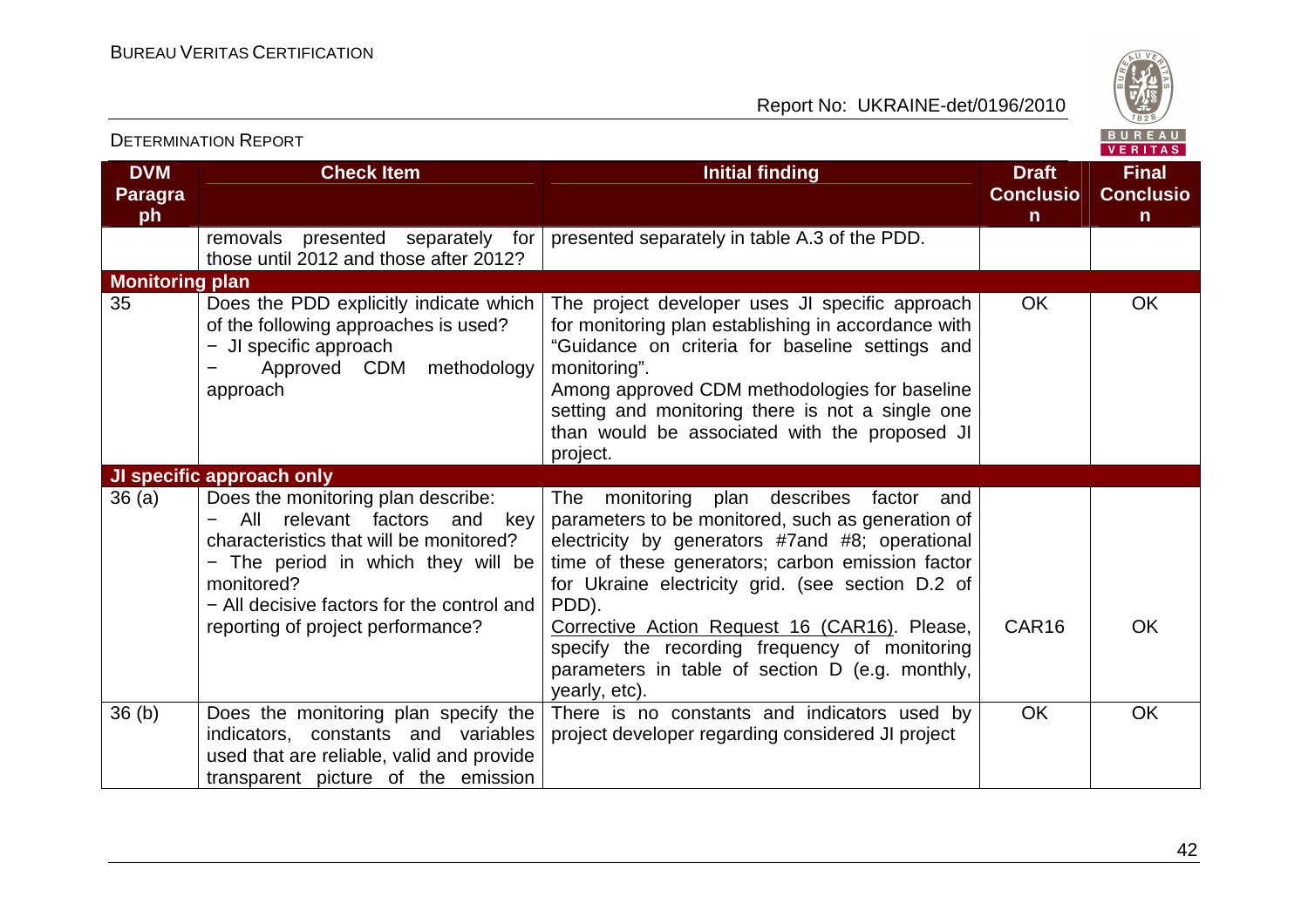

|                                    | <b>DETERMINATION REPORT</b>                                                                                                                                                                                                                                   |                                                                                                                                                                                                                                                                                                                                                                                                                         |                                                  | <b>BUREAU</b><br><b>VERITAS</b>                  |
|------------------------------------|---------------------------------------------------------------------------------------------------------------------------------------------------------------------------------------------------------------------------------------------------------------|-------------------------------------------------------------------------------------------------------------------------------------------------------------------------------------------------------------------------------------------------------------------------------------------------------------------------------------------------------------------------------------------------------------------------|--------------------------------------------------|--------------------------------------------------|
| <b>DVM</b><br><b>Paragra</b><br>ph | <b>Check Item</b>                                                                                                                                                                                                                                             | <b>Initial finding</b>                                                                                                                                                                                                                                                                                                                                                                                                  | <b>Draft</b><br><b>Conclusio</b><br>$\mathsf{n}$ | <b>Final</b><br><b>Conclusio</b><br>$\mathsf{n}$ |
|                                    | removals presented separately for<br>those until 2012 and those after 2012?                                                                                                                                                                                   | presented separately in table A.3 of the PDD.                                                                                                                                                                                                                                                                                                                                                                           |                                                  |                                                  |
| <b>Monitoring plan</b>             |                                                                                                                                                                                                                                                               |                                                                                                                                                                                                                                                                                                                                                                                                                         |                                                  |                                                  |
| 35                                 | Does the PDD explicitly indicate which<br>of the following approaches is used?<br>- JI specific approach<br>methodology<br>Approved CDM<br>approach                                                                                                           | The project developer uses JI specific approach<br>for monitoring plan establishing in accordance with<br>"Guidance on criteria for baseline settings and<br>monitoring".<br>Among approved CDM methodologies for baseline<br>setting and monitoring there is not a single one<br>than would be associated with the proposed JI<br>project.                                                                             | <b>OK</b>                                        | <b>OK</b>                                        |
|                                    | JI specific approach only                                                                                                                                                                                                                                     |                                                                                                                                                                                                                                                                                                                                                                                                                         |                                                  |                                                  |
| 36(a)                              | Does the monitoring plan describe:<br>relevant factors<br>All<br>and<br>key<br>characteristics that will be monitored?<br>- The period in which they will be<br>monitored?<br>- All decisive factors for the control and<br>reporting of project performance? | The monitoring plan describes factor and<br>parameters to be monitored, such as generation of<br>electricity by generators #7and #8; operational<br>time of these generators; carbon emission factor<br>for Ukraine electricity grid. (see section D.2 of<br>PDD).<br>Corrective Action Request 16 (CAR16). Please,<br>specify the recording frequency of monitoring<br>parameters in table of section D (e.g. monthly, | CAR16                                            | <b>OK</b>                                        |
|                                    |                                                                                                                                                                                                                                                               | yearly, etc).                                                                                                                                                                                                                                                                                                                                                                                                           |                                                  |                                                  |
| 36(b)                              | Does the monitoring plan specify the<br>indicators, constants and variables<br>used that are reliable, valid and provide<br>transparent picture of the emission                                                                                               | There is no constants and indicators used by<br>project developer regarding considered JI project                                                                                                                                                                                                                                                                                                                       | <b>OK</b>                                        | <b>OK</b>                                        |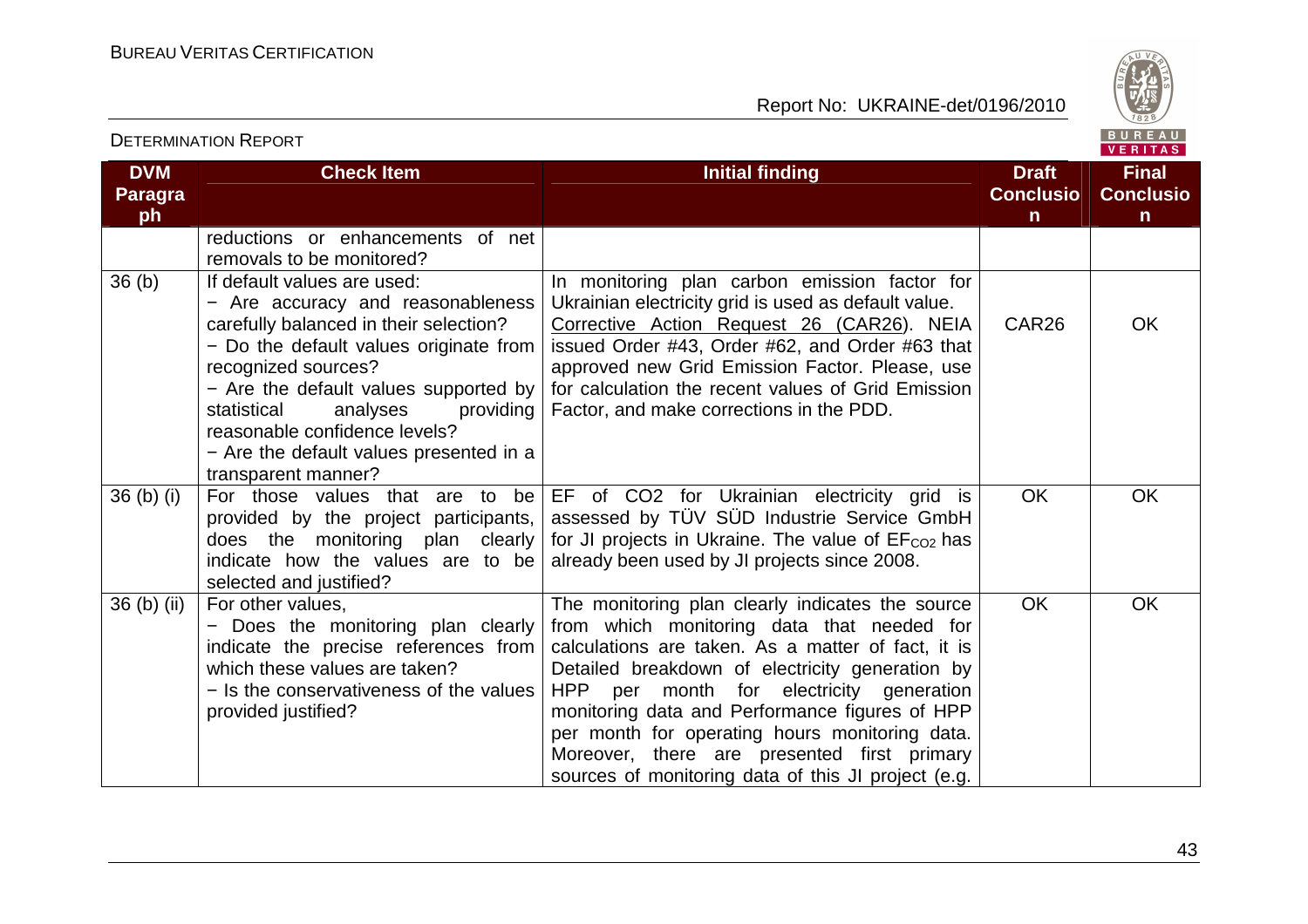DETERMINATION REPORT

Report No: UKRAINE-det/0196/2010



VERITAS

### **DVM Paragraph Check Item Initial finding Check Item Initial finding Check Item Initial finding Initial finding Initial finding ConclusionFinal Conclusion** reductions or enhancements of net removals to be monitored?  $36(b)$  If default values are used: − Are accuracy and reasonableness carefully balanced in their selection? − Do the default values originate from recognized sources? − Are the default values supported by statistical analyses providing reasonable confidence levels? − Are the default values presented in a transparent manner? 36 (b) (i)  $\vert$  For those values that are to be  $\vert$  EF of CO2 for Ukrainian electricity grid is In monitoring plan carbon emission factor for Ukrainian electricity grid is used as default value. Corrective Action Request 26 (CAR26). NEIA issued Order #43, Order #62, and Order #63 that approved new Grid Emission Factor. Please, use for calculation the recent values of Grid Emission Factor, and make corrections in the PDD. CAR26 OK provided by the project participants, does the monitoring plan clearly indicate how the values are to be selected and justified? assessed by TÜV SÜD Industrie Service GmbH for JI projects in Ukraine. The value of  $EF<sub>CO2</sub>$  has already been used by JI projects since 2008. OK OK 36 (b) (ii)  $\vert$  For other values, − Does the monitoring plan clearly indicate the precise references from which these values are taken? − Is the conservativeness of the values provided justified? The monitoring plan clearly indicates the source from which monitoring data that needed for calculations are taken. As a matter of fact, it is Detailed breakdown of electricity generation by HPP per month for electricity generation monitoring data and Performance figures of HPP per month for operating hours monitoring data. Moreover, there are presented first primary sources of monitoring data of this JI project (e.g.OK OK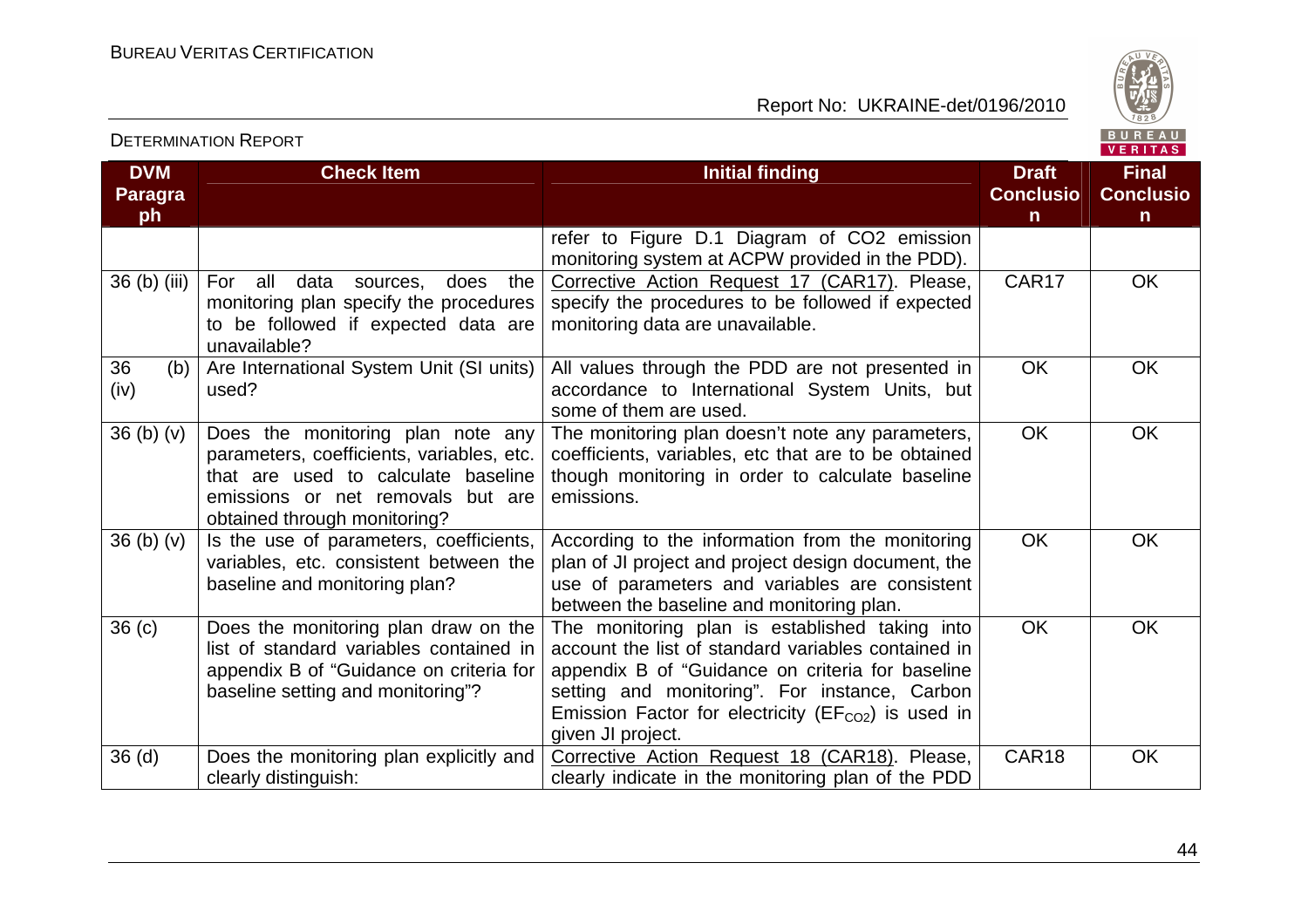

| <b>DVM</b><br>Paragra<br>ph      | <b>Check Item</b>                                                                                                                                                                          | <b>Initial finding</b>                                                                                                                                                                                                                                                                    | <b>Draft</b><br><b>Conclusio</b><br>$\mathsf{n}$ | <b>Final</b><br><b>Conclusio</b><br>$\mathsf{n}$ |
|----------------------------------|--------------------------------------------------------------------------------------------------------------------------------------------------------------------------------------------|-------------------------------------------------------------------------------------------------------------------------------------------------------------------------------------------------------------------------------------------------------------------------------------------|--------------------------------------------------|--------------------------------------------------|
|                                  |                                                                                                                                                                                            | refer to Figure D.1 Diagram of CO2 emission<br>monitoring system at ACPW provided in the PDD).                                                                                                                                                                                            |                                                  |                                                  |
| 36 (b) (iii)                     | For all<br>data<br>does<br>the<br>sources,<br>monitoring plan specify the procedures<br>to be followed if expected data are<br>unavailable?                                                | Corrective Action Request 17 (CAR17). Please,<br>specify the procedures to be followed if expected<br>monitoring data are unavailable.                                                                                                                                                    | CAR17                                            | OK                                               |
| 36<br>(b)<br>(iv)                | Are International System Unit (SI units)<br>used?                                                                                                                                          | All values through the PDD are not presented in<br>accordance to International System Units, but<br>some of them are used.                                                                                                                                                                | <b>OK</b>                                        | <b>OK</b>                                        |
| 36(b)(v)                         | Does the monitoring plan note any<br>parameters, coefficients, variables, etc.<br>that are used to calculate baseline<br>emissions or net removals but are<br>obtained through monitoring? | The monitoring plan doesn't note any parameters,<br>coefficients, variables, etc that are to be obtained<br>though monitoring in order to calculate baseline<br>emissions.                                                                                                                | <b>OK</b>                                        | OK                                               |
| 36 <sub>(b)</sub> <sub>(v)</sub> | Is the use of parameters, coefficients,<br>variables, etc. consistent between the<br>baseline and monitoring plan?                                                                         | According to the information from the monitoring<br>plan of JI project and project design document, the<br>use of parameters and variables are consistent<br>between the baseline and monitoring plan.                                                                                    | <b>OK</b>                                        | <b>OK</b>                                        |
| 36 <sub>(c)</sub>                | Does the monitoring plan draw on the<br>list of standard variables contained in<br>appendix B of "Guidance on criteria for<br>baseline setting and monitoring"?                            | The monitoring plan is established taking into<br>account the list of standard variables contained in<br>appendix B of "Guidance on criteria for baseline<br>setting and monitoring". For instance, Carbon<br>Emission Factor for electricity ( $EFCO2$ ) is used in<br>given JI project. | <b>OK</b>                                        | OK                                               |
| 36 <sub>(d)</sub>                | Does the monitoring plan explicitly and<br>clearly distinguish:                                                                                                                            | Corrective Action Request 18 (CAR18). Please,<br>clearly indicate in the monitoring plan of the PDD                                                                                                                                                                                       | CAR18                                            | <b>OK</b>                                        |

## DETERMINATION REPORT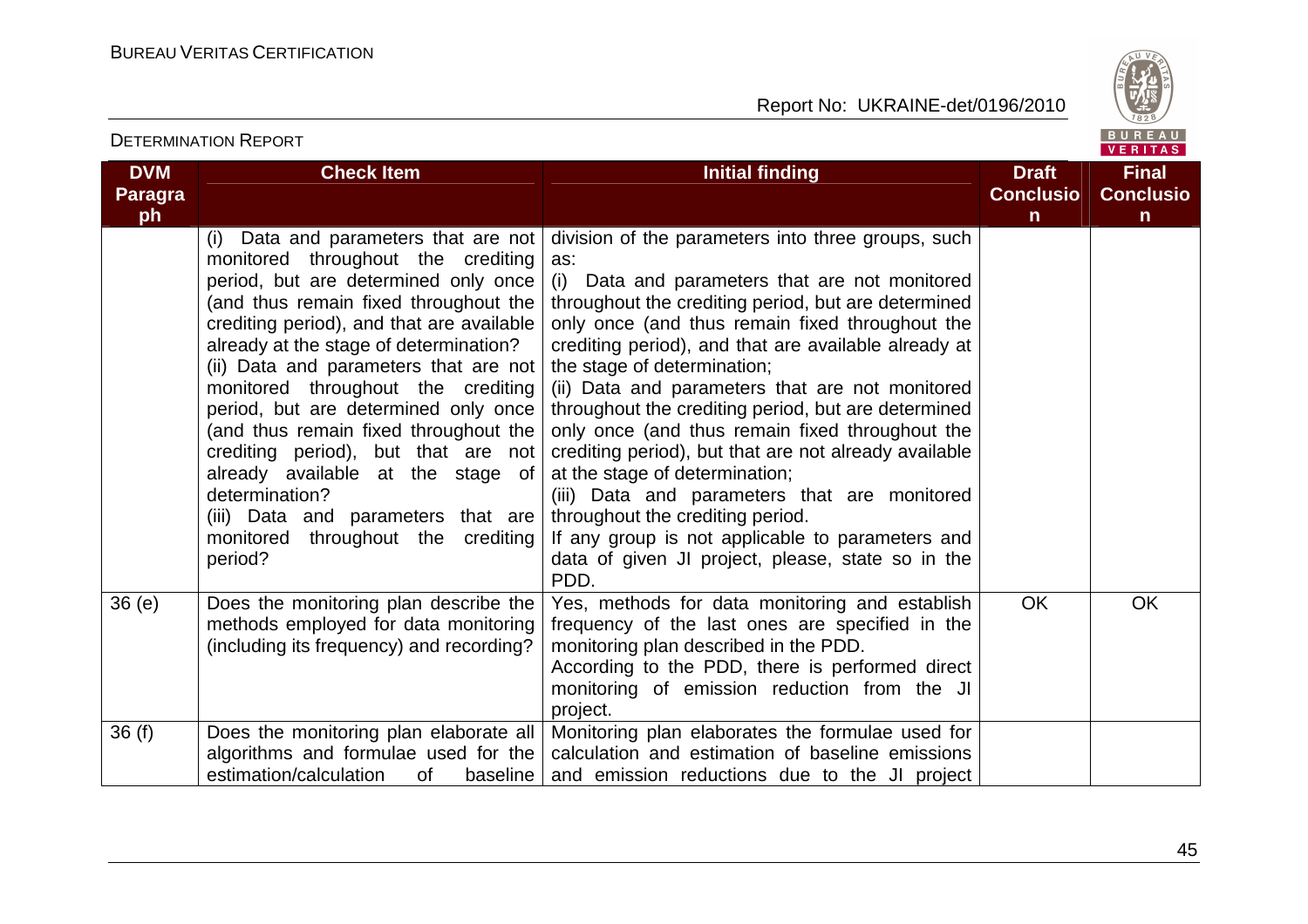

#### VERITAS **DVM Check Item Initial finding Check Item Initial finding Check Item Initial finding Initial finding Initial finding Final Paragra Conclusio Conclusioph nn** (i) Data and parameters that are not division of the parameters into three groups, such monitored throughout the crediting as: period, but are determined only once (i) Data and parameters that are not monitored (and thus remain fixed throughout the throughout the crediting period, but are determined crediting period), and that are available only once (and thus remain fixed throughout the already at the stage of determination? crediting period), and that are available already at (ii) Data and parameters that are not the stage of determination; monitored throughout the crediting (ii) Data and parameters that are not monitored period, but are determined only once throughout the crediting period, but are determined (and thus remain fixed throughout the only once (and thus remain fixed throughout the crediting period), but that are not crediting period), but that are not already available already available at the stage of at the stage of determination; determination? (iii) Data and parameters that are monitored (iii) Data and parameters that are throughout the crediting period. monitored throughout the crediting If any group is not applicable to parameters and period? data of given JI project, please, state so in the PDD. 36 (e) Does the monitoring plan describe the Yes, methods for data monitoring and establish OK OK methods employed for data monitoring frequency of the last ones are specified in the monitoring plan described in the PDD. (including its frequency) and recording? According to the PDD, there is performed direct monitoring of emission reduction from the JI project. 36 (f) Does the monitoring plan elaborate all Monitoring plan elaborates the formulae used for algorithms and formulae used for the calculation and estimation of baseline emissions estimation/calculation of baseline and emission reductions due to the JI project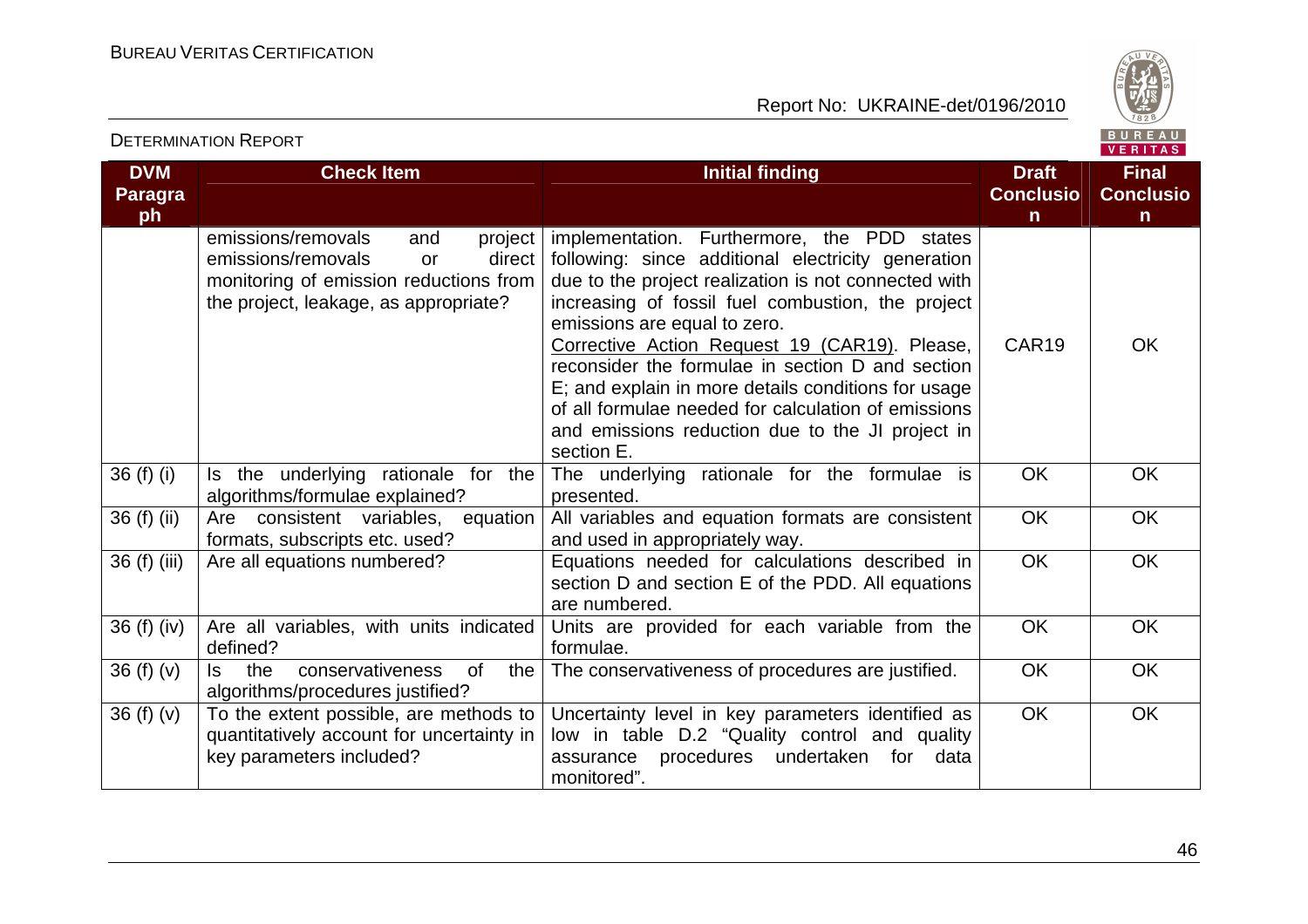

### VERITAS **DVM Check Item Initial finding Check Item Initial finding Initial finding Initial finding Initial finding Initial finding Initial finding Initial finding Initial finding Initial finding Initial finding Initial finding Initial Final Paragra Conclusio Conclusioph nn** project | implementation. Furthermore, the PDD states emissions/removals and emissions/removals or following: since additional electricity generation monitoring of emission reductions from due to the project realization is not connected with the project, leakage, as appropriate? increasing of fossil fuel combustion, the project emissions are equal to zero. Corrective Action Request 19 (CAR19). Please, CAR19 OK reconsider the formulae in section D and section E; and explain in more details conditions for usage of all formulae needed for calculation of emissions and emissions reduction due to the JI project in section E. 36 (f) (i) Is the underlying rationale for the The underlying rationale for the formulae is OK OK algorithms/formulae explained? presented. 36 (f) (ii)  $\begin{vmatrix} \text{Are} & \text{consistent} \\ \text{Variables} & \text{equation} \end{vmatrix}$  All variables and equation formats are consistent OK OK formats, subscripts etc. used? and used in appropriately way. OK OK 36 (f) (iii) Are all equations numbered? The sequations needed for calculations described in section D and section E of the PDD. All equations are numbered. 36 (f) (iv) Are all variables, with units indicated Units are provided for each variable from the OK OK defined? formulae. 36 (f)  $(v)$  Is the conservativeness of the The conservativeness of procedures are justified. | OK | OK algorithms/procedures justified? 36 (f) (v)  $\overline{\phantom{a}}$  To the extent possible, are methods to OK OK Uncertainty level in key parameters identified as quantitatively account for uncertainty in low in table D.2 "Quality control and quality key parameters included? assurance procedures undertaken for data monitored".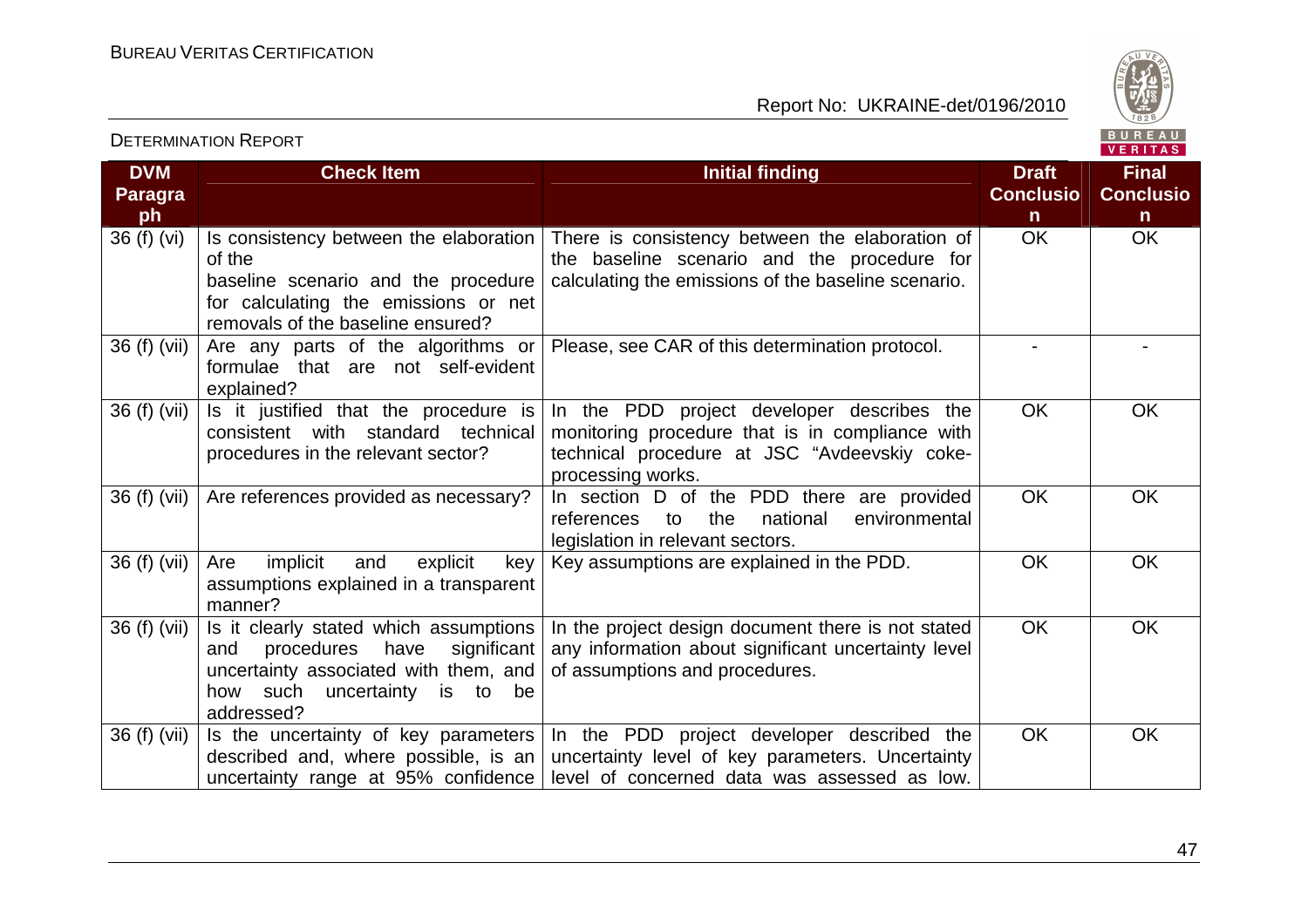

|                             |                                                                                                                                                                               |                                                                                                                                                                    |                                                  | V E R I T A S                                    |
|-----------------------------|-------------------------------------------------------------------------------------------------------------------------------------------------------------------------------|--------------------------------------------------------------------------------------------------------------------------------------------------------------------|--------------------------------------------------|--------------------------------------------------|
| <b>DVM</b><br>Paragra<br>ph | <b>Check Item</b>                                                                                                                                                             | <b>Initial finding</b>                                                                                                                                             | <b>Draft</b><br><b>Conclusio</b><br>$\mathsf{n}$ | <b>Final</b><br><b>Conclusio</b><br>$\mathsf{n}$ |
| 36 (f) (vi)                 | Is consistency between the elaboration<br>of the<br>baseline scenario and the procedure<br>for calculating the emissions or net<br>removals of the baseline ensured?          | There is consistency between the elaboration of<br>the baseline scenario and the procedure for<br>calculating the emissions of the baseline scenario.              | <b>OK</b>                                        | <b>OK</b>                                        |
| 36 (f) (vii)                | Are any parts of the algorithms or<br>formulae that are not self-evident<br>explained?                                                                                        | Please, see CAR of this determination protocol.                                                                                                                    |                                                  |                                                  |
| 36 (f) (vii)                | Is it justified that the procedure is<br>consistent with standard technical<br>procedures in the relevant sector?                                                             | In the PDD project developer describes the<br>monitoring procedure that is in compliance with<br>technical procedure at JSC "Avdeevskiy coke-<br>processing works. | <b>OK</b>                                        | OK                                               |
| 36 (f) (vii)                | Are references provided as necessary?                                                                                                                                         | In section D of the PDD there are provided<br>environmental<br>references<br>national<br>to<br>the<br>legislation in relevant sectors.                             | <b>OK</b>                                        | OK                                               |
| 36 (f) (vii)                | implicit<br>Are<br>explicit<br>and<br>key<br>assumptions explained in a transparent<br>manner?                                                                                | Key assumptions are explained in the PDD.                                                                                                                          | <b>OK</b>                                        | <b>OK</b>                                        |
| 36 (f) (vii)                | Is it clearly stated which assumptions<br>procedures<br>have<br>significant<br>and<br>uncertainty associated with them, and<br>how such uncertainty is to<br>be<br>addressed? | In the project design document there is not stated<br>any information about significant uncertainty level<br>of assumptions and procedures.                        | <b>OK</b>                                        | <b>OK</b>                                        |
| 36 (f) (vii)                | Is the uncertainty of key parameters<br>described and, where possible, is an<br>uncertainty range at 95% confidence                                                           | In the PDD project developer described the<br>uncertainty level of key parameters. Uncertainty<br>level of concerned data was assessed as low.                     | <b>OK</b>                                        | OK                                               |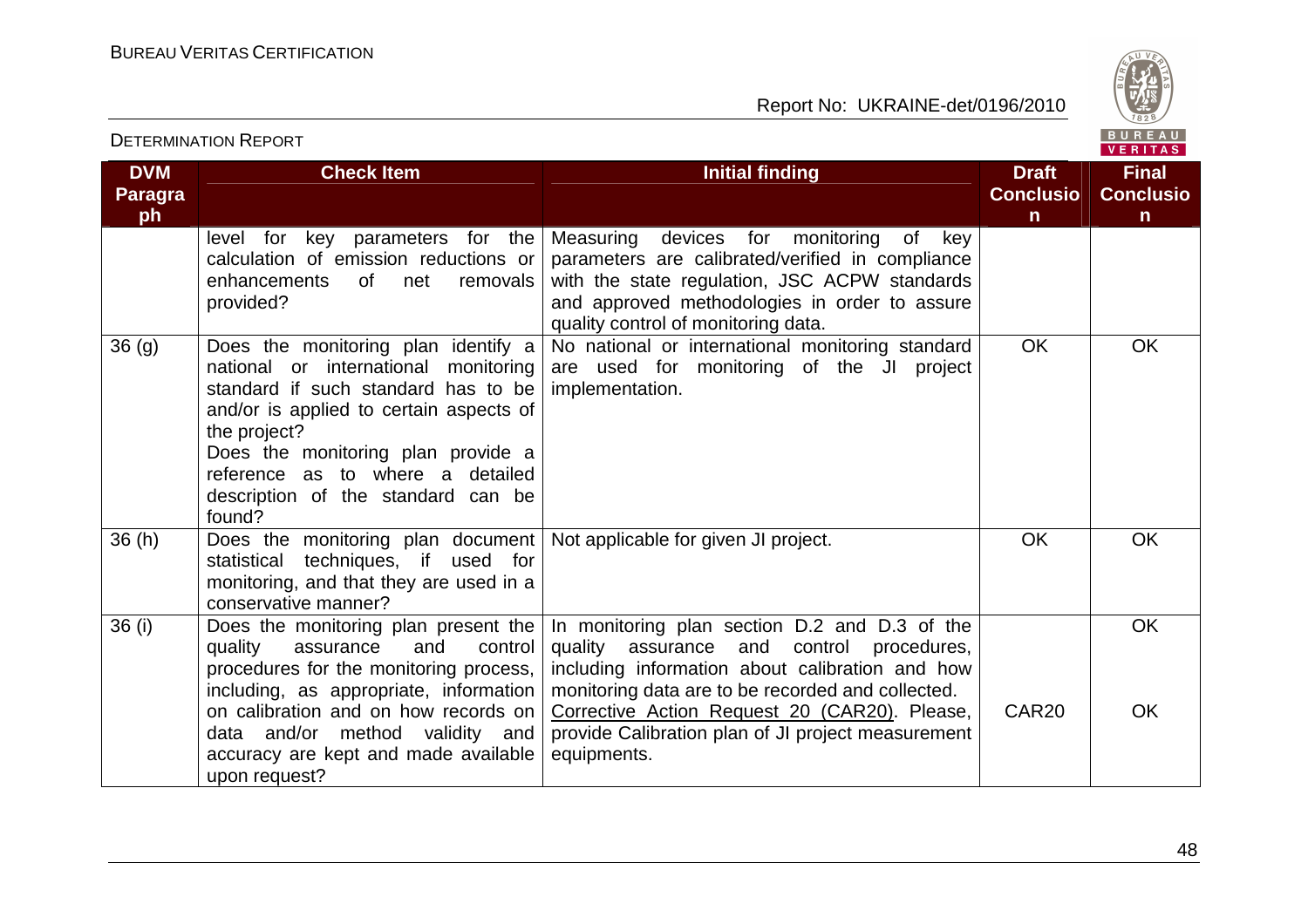

|                                    |                                                                                                                                                                                                                                                                                                         |                                                                                                                                                                                                                                                                                                                                   |                                                  | VERIIAS.                                         |
|------------------------------------|---------------------------------------------------------------------------------------------------------------------------------------------------------------------------------------------------------------------------------------------------------------------------------------------------------|-----------------------------------------------------------------------------------------------------------------------------------------------------------------------------------------------------------------------------------------------------------------------------------------------------------------------------------|--------------------------------------------------|--------------------------------------------------|
| <b>DVM</b><br><b>Paragra</b><br>ph | <b>Check Item</b>                                                                                                                                                                                                                                                                                       | <b>Initial finding</b>                                                                                                                                                                                                                                                                                                            | <b>Draft</b><br><b>Conclusio</b><br>$\mathsf{n}$ | <b>Final</b><br><b>Conclusio</b><br>$\mathsf{n}$ |
|                                    | key parameters for the<br>level<br>for<br>calculation of emission reductions or<br>of net<br>enhancements<br>removals<br>provided?                                                                                                                                                                      | Measuring<br>devices for monitoring<br>0f<br>key<br>parameters are calibrated/verified in compliance<br>with the state regulation, JSC ACPW standards<br>and approved methodologies in order to assure<br>quality control of monitoring data.                                                                                     |                                                  |                                                  |
| 36(9)                              | Does the monitoring plan identify a<br>national or international monitoring<br>standard if such standard has to be<br>and/or is applied to certain aspects of<br>the project?<br>Does the monitoring plan provide a<br>reference as to where a detailed<br>description of the standard can be<br>found? | No national or international monitoring standard<br>are used for monitoring of the JI project<br>implementation.                                                                                                                                                                                                                  | <b>OK</b>                                        | <b>OK</b>                                        |
| 36(h)                              | Does the monitoring plan document   Not applicable for given JI project.<br>techniques, if used for<br>statistical<br>monitoring, and that they are used in a<br>conservative manner?                                                                                                                   |                                                                                                                                                                                                                                                                                                                                   | <b>OK</b>                                        | OK                                               |
| 36 (i)                             | Does the monitoring plan present the<br>quality<br>control<br>assurance<br>and<br>procedures for the monitoring process,<br>including, as appropriate, information<br>on calibration and on how records on<br>data and/or method validity and<br>accuracy are kept and made available<br>upon request?  | In monitoring plan section D.2 and D.3 of the<br>quality<br>assurance and<br>control<br>procedures,<br>including information about calibration and how<br>monitoring data are to be recorded and collected.<br>Corrective Action Request 20 (CAR20). Please,<br>provide Calibration plan of JI project measurement<br>equipments. | CAR <sub>20</sub>                                | OK<br>OK                                         |

DETERMINATION REPORT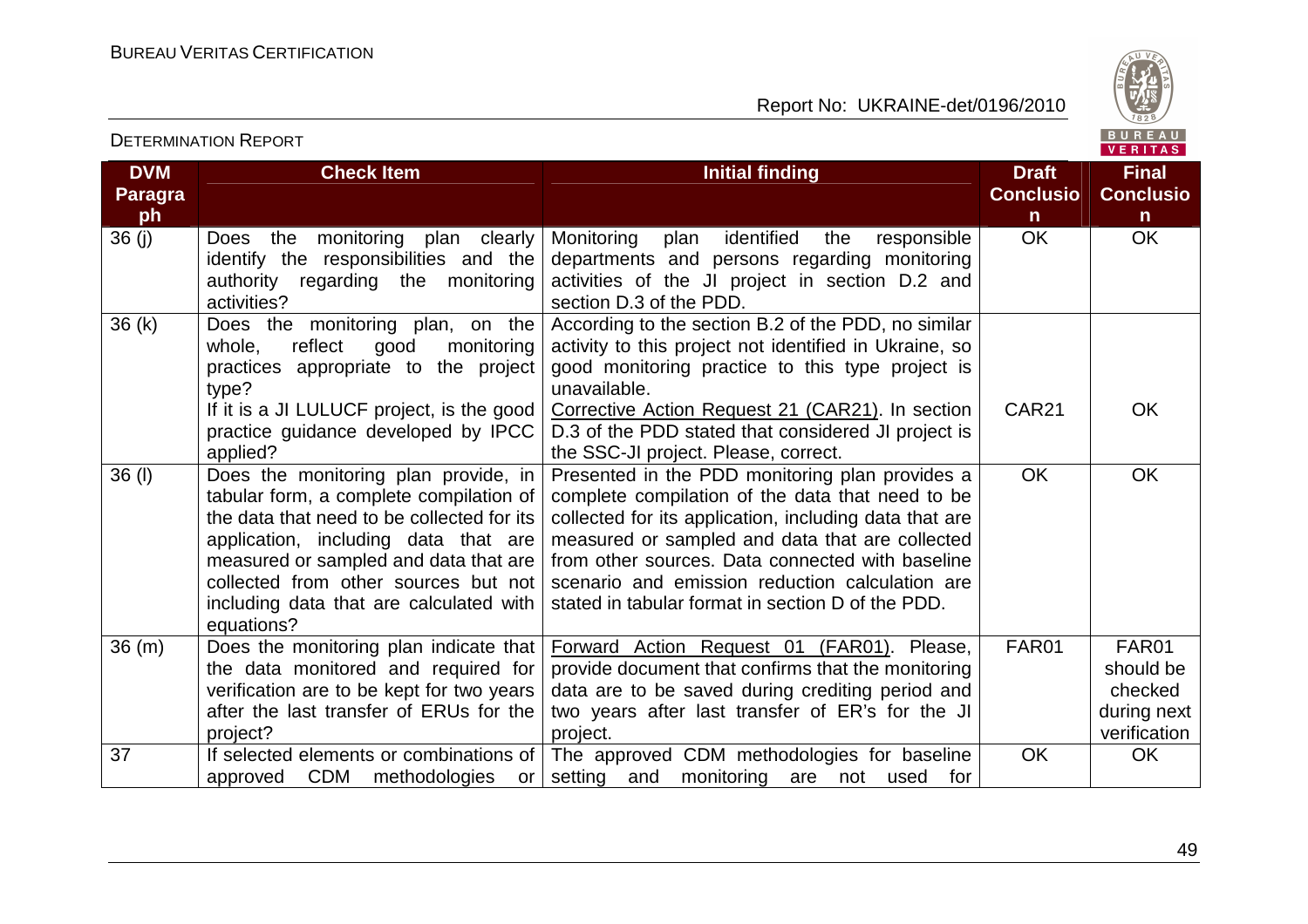

VERITAS

#### **DVM Paragraph Check Item Initial finding Check Item Initial finding Check Item Initial finding Initial finding Initial finding Conclusion** $\overline{OK}$ **Final Conclusion** OK OK 36 (j) Does the monitoring plan clearly identify the responsibilities and the authority regarding the monitoring activities? 36 (k) Does the monitoring plan, on the Monitoring plan identified the responsible departments and persons regarding monitoring activities of the JI project in section D.2 and section D.3 of the PDD. According to the section B.2 of the PDD, no similarwhole, reflect good monitoring practices appropriate to the project type? If it is a JI LULUCF project, is the good practice guidance developed by IPCC applied? 36 (l) Does the monitoring plan provide, in activity to this project not identified in Ukraine, so good monitoring practice to this type project is unavailable. Corrective Action Request 21 (CAR21). In section D.3 of the PDD stated that considered JI project isthe SSC-JI project. Please, correct. Presented in the PDD monitoring plan provides a CAR21 OK tabular form, a complete compilation of the data that need to be collected for its application, including data that are measured or sampled and data that are collected from other sources but not including data that are calculated with equations? 36 (m) Does the monitoring plan indicate that complete compilation of the data that need to be collected for its application, including data that are measured or sampled and data that are collected from other sources. Data connected with baseline scenario and emission reduction calculation are stated in tabular format in section D of the PDD. OK OK the data monitored and required for verification are to be kept for two years after the last transfer of ERUs for the project? 37 If selected elements or combinations of Forward Action Request 01 (FAR01). Please, provide document that confirms that the monitoring data are to be saved during crediting period and two years after last transfer of ER's for the JI project. The approved CDM methodologies for baseline FAR01 FAR01 should be checked during next verification approved CDM methodologies or setting and monitoring are not used for OK OK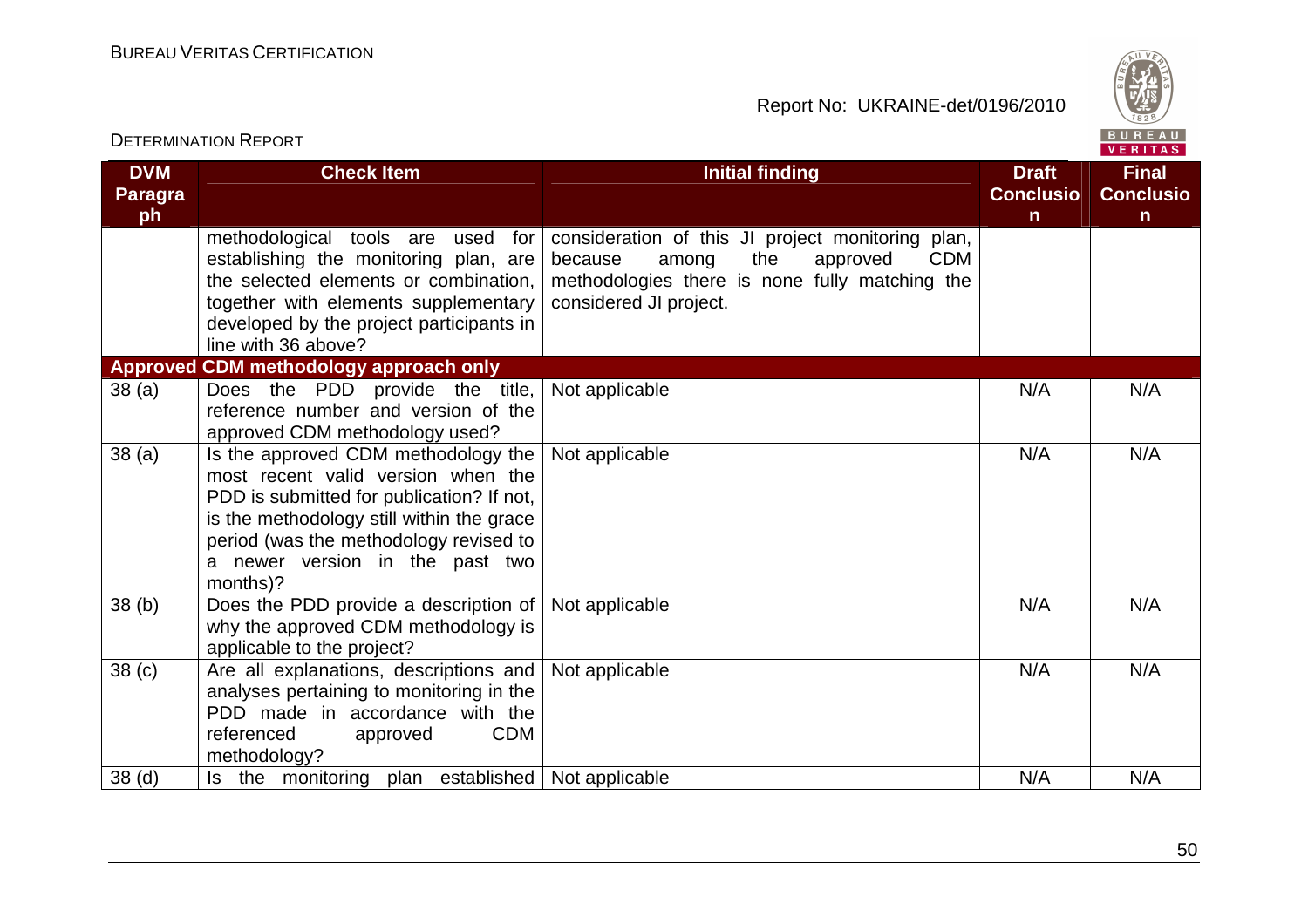

|                                    | <b>DETERMINATION REPORT</b>                                                                                                                                                                                                                                  |                                                                                                                                                                                    |                                                  | BUREAU<br>VERITAS                                |
|------------------------------------|--------------------------------------------------------------------------------------------------------------------------------------------------------------------------------------------------------------------------------------------------------------|------------------------------------------------------------------------------------------------------------------------------------------------------------------------------------|--------------------------------------------------|--------------------------------------------------|
| <b>DVM</b><br><b>Paragra</b><br>ph | <b>Check Item</b>                                                                                                                                                                                                                                            | <b>Initial finding</b>                                                                                                                                                             | <b>Draft</b><br><b>Conclusio</b><br>$\mathsf{n}$ | <b>Final</b><br><b>Conclusio</b><br>$\mathsf{n}$ |
|                                    | methodological tools are<br>used<br>for<br>establishing the monitoring plan, are<br>the selected elements or combination.<br>together with elements supplementary<br>developed by the project participants in<br>line with 36 above?                         | consideration of this JI project monitoring plan,<br>approved<br><b>CDM</b><br>because<br>the<br>among<br>methodologies there is none fully matching the<br>considered JI project. |                                                  |                                                  |
|                                    | Approved CDM methodology approach only                                                                                                                                                                                                                       |                                                                                                                                                                                    |                                                  |                                                  |
| 38(a)                              | Does the PDD provide the title,<br>reference number and version of the<br>approved CDM methodology used?                                                                                                                                                     | Not applicable                                                                                                                                                                     | N/A                                              | N/A                                              |
| 38 <sub>(a)</sub>                  | Is the approved CDM methodology the<br>most recent valid version when the<br>PDD is submitted for publication? If not,<br>is the methodology still within the grace<br>period (was the methodology revised to<br>a newer version in the past two<br>months)? | Not applicable                                                                                                                                                                     | N/A                                              | N/A                                              |
| 38(b)                              | Does the PDD provide a description of<br>why the approved CDM methodology is<br>applicable to the project?                                                                                                                                                   | Not applicable                                                                                                                                                                     | N/A                                              | N/A                                              |
| 38 <sub>(c)</sub>                  | Are all explanations, descriptions and<br>analyses pertaining to monitoring in the<br>PDD made in accordance with the<br>referenced<br><b>CDM</b><br>approved<br>methodology?                                                                                | Not applicable                                                                                                                                                                     | N/A                                              | N/A                                              |
| 38 <sub>(d)</sub>                  | Is the monitoring plan established                                                                                                                                                                                                                           | Not applicable                                                                                                                                                                     | N/A                                              | N/A                                              |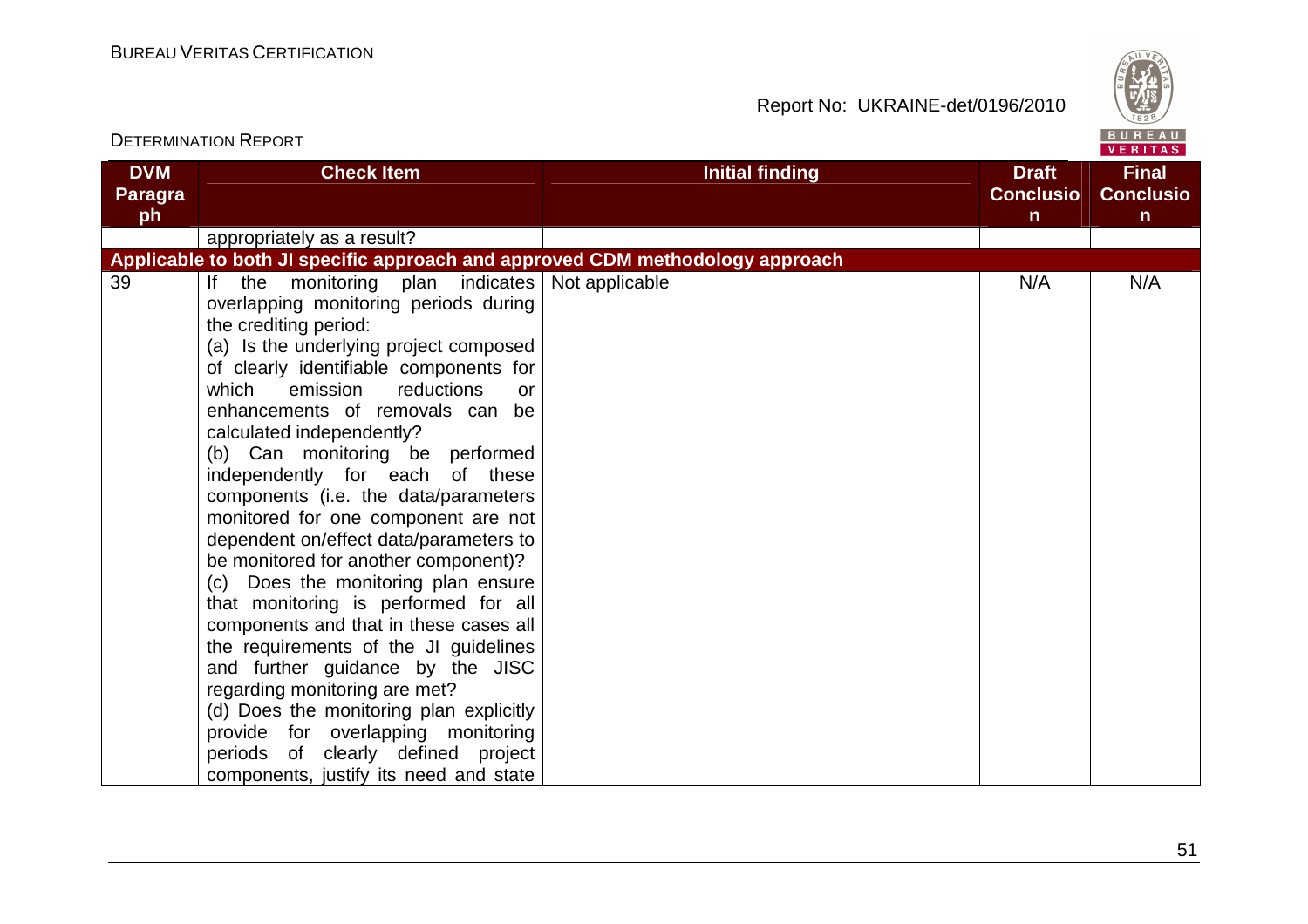

| <b>DETERMINATION REPORT</b>                                                                                                                                                                                                                                                                                                                                                                                                                                                                                                                                                                                                                                                                                                                                                                                                                                                                                                                                  |                        |                                                  | <b>DUNLAU</b><br><b>VERITAS</b>                  |
|--------------------------------------------------------------------------------------------------------------------------------------------------------------------------------------------------------------------------------------------------------------------------------------------------------------------------------------------------------------------------------------------------------------------------------------------------------------------------------------------------------------------------------------------------------------------------------------------------------------------------------------------------------------------------------------------------------------------------------------------------------------------------------------------------------------------------------------------------------------------------------------------------------------------------------------------------------------|------------------------|--------------------------------------------------|--------------------------------------------------|
| <b>DVM</b><br><b>Check Item</b><br><b>Paragra</b><br>ph                                                                                                                                                                                                                                                                                                                                                                                                                                                                                                                                                                                                                                                                                                                                                                                                                                                                                                      | <b>Initial finding</b> | <b>Draft</b><br><b>Conclusio</b><br>$\mathsf{n}$ | <b>Final</b><br><b>Conclusio</b><br>$\mathsf{n}$ |
| appropriately as a result?                                                                                                                                                                                                                                                                                                                                                                                                                                                                                                                                                                                                                                                                                                                                                                                                                                                                                                                                   |                        |                                                  |                                                  |
| Applicable to both JI specific approach and approved CDM methodology approach                                                                                                                                                                                                                                                                                                                                                                                                                                                                                                                                                                                                                                                                                                                                                                                                                                                                                |                        |                                                  |                                                  |
| 39<br>the monitoring plan indicates<br>$\mathsf{If}$<br>overlapping monitoring periods during<br>the crediting period:<br>(a) Is the underlying project composed<br>of clearly identifiable components for<br>which<br>reductions<br>emission<br>enhancements of removals can be<br>calculated independently?<br>(b) Can monitoring be performed<br>independently for each of these<br>components (i.e. the data/parameters<br>monitored for one component are not<br>dependent on/effect data/parameters to<br>be monitored for another component)?<br>(c) Does the monitoring plan ensure<br>that monitoring is performed for all<br>components and that in these cases all<br>the requirements of the JI guidelines<br>and further guidance by the JISC<br>regarding monitoring are met?<br>(d) Does the monitoring plan explicitly<br>provide for overlapping monitoring<br>periods of clearly defined project<br>components, justify its need and state | Not applicable<br>or   | N/A                                              | N/A                                              |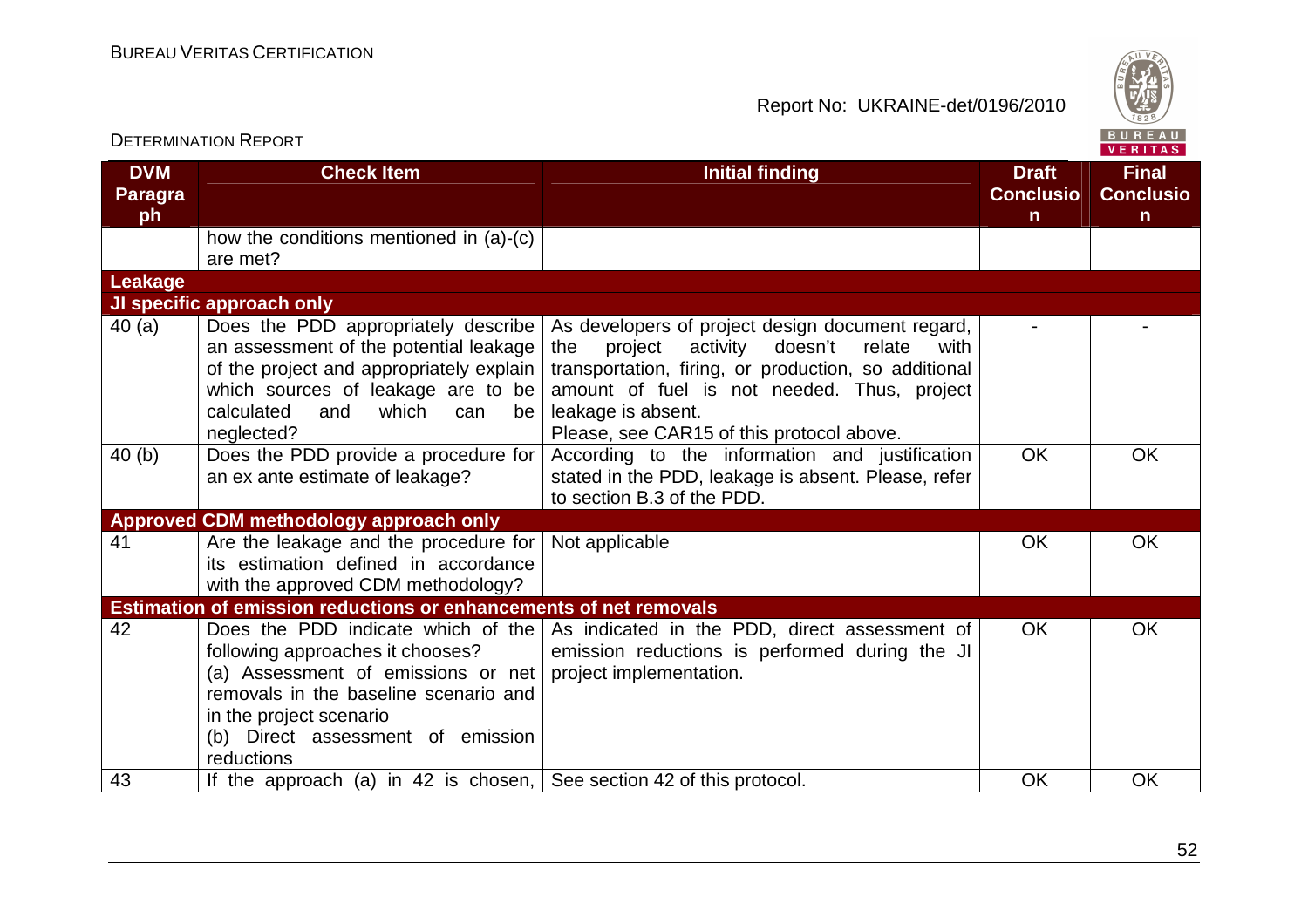

|                                    | <b>DETERMINATION REPORT</b>                                                                                                                                                                                                         |                                                                                                                                                                                                                                                                                       |                                                  | B U K E A U  <br>VERITAS                         |
|------------------------------------|-------------------------------------------------------------------------------------------------------------------------------------------------------------------------------------------------------------------------------------|---------------------------------------------------------------------------------------------------------------------------------------------------------------------------------------------------------------------------------------------------------------------------------------|--------------------------------------------------|--------------------------------------------------|
| <b>DVM</b><br><b>Paragra</b><br>ph | <b>Check Item</b>                                                                                                                                                                                                                   | <b>Initial finding</b>                                                                                                                                                                                                                                                                | <b>Draft</b><br><b>Conclusio</b><br>$\mathsf{n}$ | <b>Final</b><br><b>Conclusio</b><br>$\mathsf{n}$ |
|                                    | how the conditions mentioned in (a)-(c)<br>are met?                                                                                                                                                                                 |                                                                                                                                                                                                                                                                                       |                                                  |                                                  |
| <b>Leakage</b>                     |                                                                                                                                                                                                                                     |                                                                                                                                                                                                                                                                                       |                                                  |                                                  |
|                                    | JI specific approach only                                                                                                                                                                                                           |                                                                                                                                                                                                                                                                                       |                                                  |                                                  |
| 40(a)                              | Does the PDD appropriately describe<br>an assessment of the potential leakage<br>of the project and appropriately explain  <br>which sources of leakage are to be<br>which<br>calculated<br>and<br>can<br>be<br>neglected?          | As developers of project design document regard,<br>doesn't<br>project<br>activity<br>relate<br>the<br>with<br>transportation, firing, or production, so additional<br>amount of fuel is not needed. Thus, project<br>leakage is absent.<br>Please, see CAR15 of this protocol above. |                                                  |                                                  |
| 40(b)                              | Does the PDD provide a procedure for<br>an ex ante estimate of leakage?                                                                                                                                                             | According to the information and justification<br>stated in the PDD, leakage is absent. Please, refer<br>to section B.3 of the PDD.                                                                                                                                                   | <b>OK</b>                                        | <b>OK</b>                                        |
|                                    | Approved CDM methodology approach only                                                                                                                                                                                              |                                                                                                                                                                                                                                                                                       |                                                  |                                                  |
| 41                                 | Are the leakage and the procedure for<br>its estimation defined in accordance<br>with the approved CDM methodology?                                                                                                                 | Not applicable                                                                                                                                                                                                                                                                        | <b>OK</b>                                        | <b>OK</b>                                        |
|                                    | <b>Estimation of emission reductions or enhancements of net removals</b>                                                                                                                                                            |                                                                                                                                                                                                                                                                                       |                                                  |                                                  |
| 42                                 | Does the PDD indicate which of the<br>following approaches it chooses?<br>(a) Assessment of emissions or net<br>removals in the baseline scenario and<br>in the project scenario<br>(b) Direct assessment of emission<br>reductions | As indicated in the PDD, direct assessment of<br>emission reductions is performed during the JI<br>project implementation.                                                                                                                                                            | <b>OK</b>                                        | <b>OK</b>                                        |
| 43                                 | If the approach (a) in 42 is chosen, See section 42 of this protocol.                                                                                                                                                               |                                                                                                                                                                                                                                                                                       | <b>OK</b>                                        | <b>OK</b>                                        |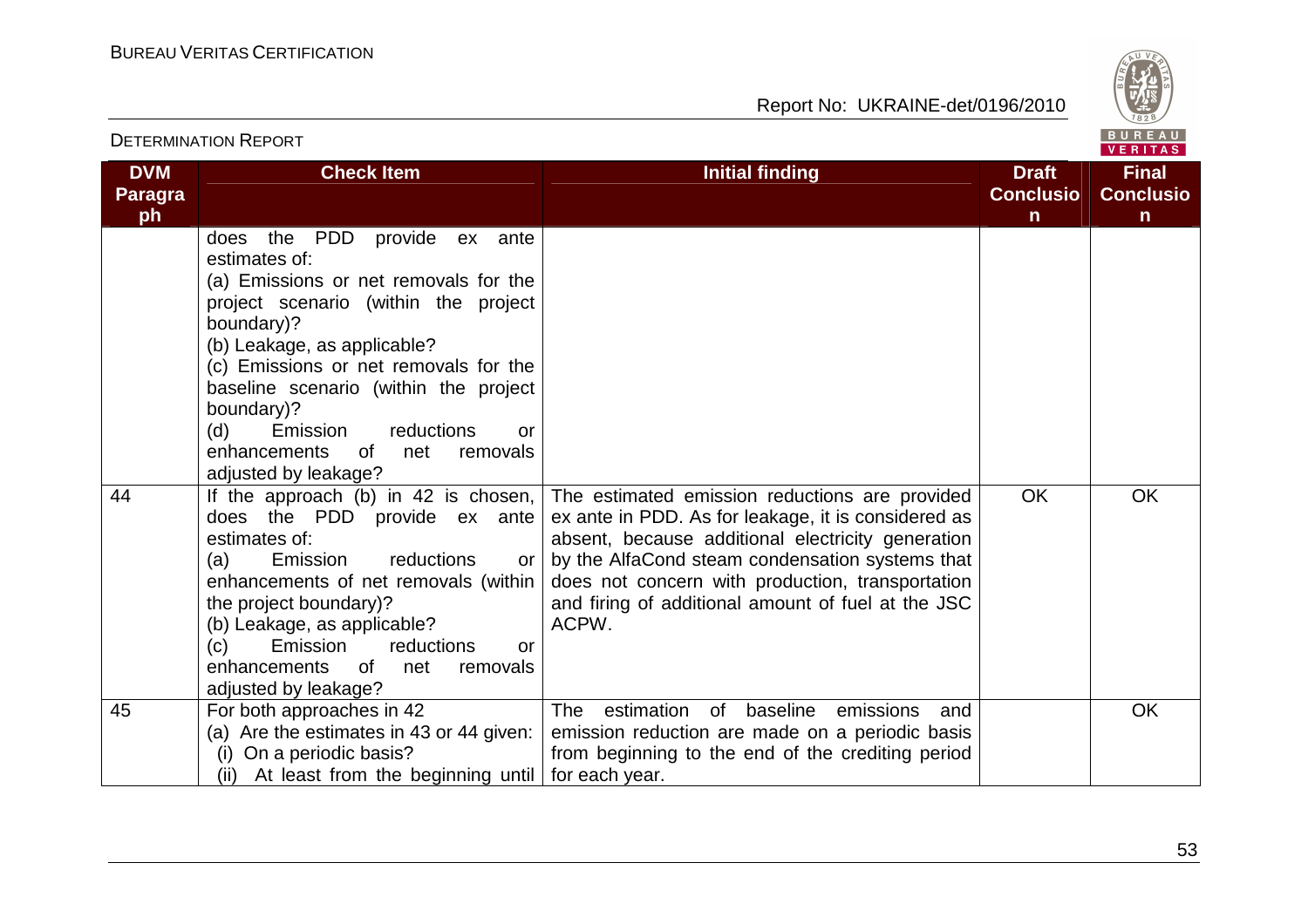

| <b>DETERMINATION REPORT</b>        |                                                                                                                                                                                                                                                                                                                                                                                                                                                                                                                                                                                                                                                                                                                                              |                                                                                                                                                                                                                                                                                                                                  |                                                  |                                                  |
|------------------------------------|----------------------------------------------------------------------------------------------------------------------------------------------------------------------------------------------------------------------------------------------------------------------------------------------------------------------------------------------------------------------------------------------------------------------------------------------------------------------------------------------------------------------------------------------------------------------------------------------------------------------------------------------------------------------------------------------------------------------------------------------|----------------------------------------------------------------------------------------------------------------------------------------------------------------------------------------------------------------------------------------------------------------------------------------------------------------------------------|--------------------------------------------------|--------------------------------------------------|
| <b>DVM</b><br><b>Paragra</b><br>ph | <b>Check Item</b>                                                                                                                                                                                                                                                                                                                                                                                                                                                                                                                                                                                                                                                                                                                            | <b>Initial finding</b>                                                                                                                                                                                                                                                                                                           | <b>Draft</b><br><b>Conclusio</b><br>$\mathsf{n}$ | <b>Final</b><br><b>Conclusio</b><br>$\mathsf{n}$ |
| 44                                 | PDD<br>the<br>provide ex ante<br>does<br>estimates of:<br>(a) Emissions or net removals for the<br>project scenario (within the project<br>boundary)?<br>(b) Leakage, as applicable?<br>(c) Emissions or net removals for the<br>baseline scenario (within the project<br>boundary)?<br>(d)<br>reductions<br>Emission<br>or<br>enhancements<br>of<br>net<br>removals<br>adjusted by leakage?<br>If the approach (b) in 42 is chosen,<br>does the PDD provide ex ante<br>estimates of:<br>reductions<br>(a)<br>Emission<br>or<br>enhancements of net removals (within<br>the project boundary)?<br>(b) Leakage, as applicable?<br>(c)<br>Emission<br>reductions<br><b>or</b><br>enhancements<br>0f<br>net<br>removals<br>adjusted by leakage? | The estimated emission reductions are provided<br>ex ante in PDD. As for leakage, it is considered as<br>absent, because additional electricity generation<br>by the AlfaCond steam condensation systems that<br>does not concern with production, transportation<br>and firing of additional amount of fuel at the JSC<br>ACPW. | <b>OK</b>                                        | <b>OK</b>                                        |
| 45                                 | For both approaches in 42<br>(a) Are the estimates in 43 or 44 given:<br>(i) On a periodic basis?<br>(ii) At least from the beginning until                                                                                                                                                                                                                                                                                                                                                                                                                                                                                                                                                                                                  | estimation<br><b>The</b><br>of<br>baseline<br>emissions<br>and<br>emission reduction are made on a periodic basis<br>from beginning to the end of the crediting period<br>for each year.                                                                                                                                         |                                                  | OK                                               |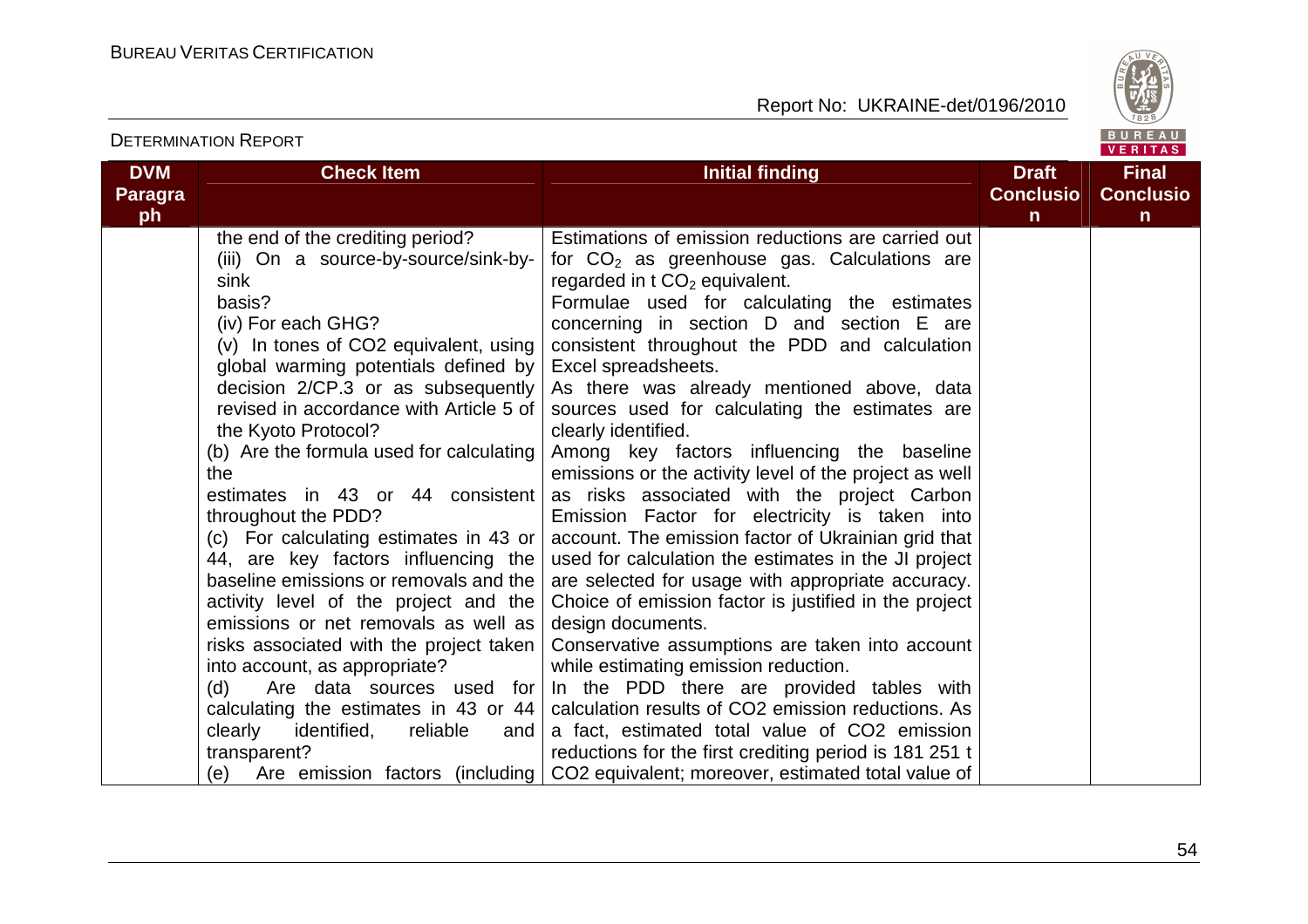

| <b>DVM</b><br><b>Paragra</b><br>ph | <b>Check Item</b>                                                                                                                                                                                                                                                                                                                                                                                                                                                                                                                                                                                                                                                                                                                                                                                                                                                  | <b>Initial finding</b>                                                                                                                                                                                                                                                                                                                                                                                                                                                                                                                                                                                                                                                                                                                                                                                                                                                                                                                                                                                                                                                                                                                                                                                                                                                                                | <b>Draft</b><br><b>Conclusio</b><br>n | <b>Final</b><br><b>Conclusio</b><br>$\mathsf{n}$ |  |  |
|------------------------------------|--------------------------------------------------------------------------------------------------------------------------------------------------------------------------------------------------------------------------------------------------------------------------------------------------------------------------------------------------------------------------------------------------------------------------------------------------------------------------------------------------------------------------------------------------------------------------------------------------------------------------------------------------------------------------------------------------------------------------------------------------------------------------------------------------------------------------------------------------------------------|-------------------------------------------------------------------------------------------------------------------------------------------------------------------------------------------------------------------------------------------------------------------------------------------------------------------------------------------------------------------------------------------------------------------------------------------------------------------------------------------------------------------------------------------------------------------------------------------------------------------------------------------------------------------------------------------------------------------------------------------------------------------------------------------------------------------------------------------------------------------------------------------------------------------------------------------------------------------------------------------------------------------------------------------------------------------------------------------------------------------------------------------------------------------------------------------------------------------------------------------------------------------------------------------------------|---------------------------------------|--------------------------------------------------|--|--|
|                                    | the end of the crediting period?<br>(iii) On a source-by-source/sink-by-<br>sink<br>basis?<br>(iv) For each GHG?<br>(v) In tones of CO2 equivalent, using<br>global warming potentials defined by<br>decision 2/CP.3 or as subsequently<br>revised in accordance with Article 5 of<br>the Kyoto Protocol?<br>(b) Are the formula used for calculating<br>the<br>estimates in 43 or 44 consistent<br>throughout the PDD?<br>(c) For calculating estimates in 43 or  <br>44, are key factors influencing the<br>baseline emissions or removals and the<br>activity level of the project and the<br>emissions or net removals as well as<br>risks associated with the project taken<br>into account, as appropriate?<br>Are data sources used for<br>(d)<br>calculating the estimates in 43 or 44<br>clearly<br>identified,<br>reliable<br>and<br>transparent?<br>(e) | Estimations of emission reductions are carried out<br>for $CO2$ as greenhouse gas. Calculations are<br>regarded in $t \text{ CO}_2$ equivalent.<br>Formulae used for calculating the estimates<br>concerning in section D and section E are<br>consistent throughout the PDD and calculation<br>Excel spreadsheets.<br>As there was already mentioned above, data<br>sources used for calculating the estimates are<br>clearly identified.<br>Among key factors influencing the baseline<br>emissions or the activity level of the project as well<br>as risks associated with the project Carbon<br>Emission Factor for electricity is taken into<br>account. The emission factor of Ukrainian grid that<br>used for calculation the estimates in the JI project<br>are selected for usage with appropriate accuracy.<br>Choice of emission factor is justified in the project<br>design documents.<br>Conservative assumptions are taken into account<br>while estimating emission reduction.<br>In the PDD there are provided tables with<br>calculation results of CO2 emission reductions. As<br>a fact, estimated total value of CO2 emission<br>reductions for the first crediting period is 181 251 t<br>Are emission factors (including   CO2 equivalent; moreover, estimated total value of |                                       |                                                  |  |  |

DETERMINATION REPORT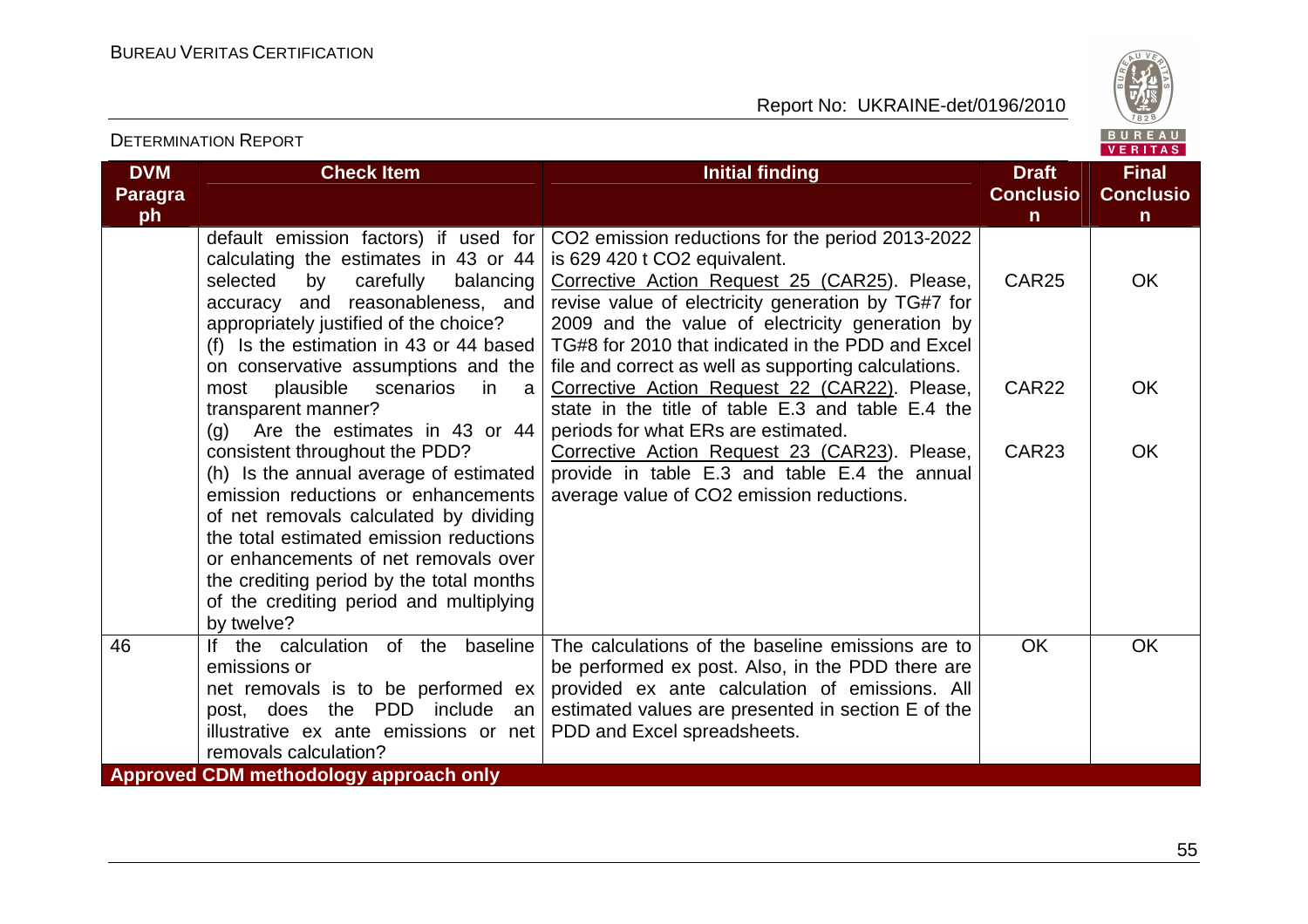DETERMINATION REPORT



| <b>DVM</b><br><b>Paragra</b> | <b>Check Item</b>                                                                                                                                                                                                                                                                                                                                 | <b>Initial finding</b>                                                                                                                                                                                                                                 | <b>Draft</b><br><b>Conclusio</b> | <b>Final</b><br><b>Conclusio</b> |
|------------------------------|---------------------------------------------------------------------------------------------------------------------------------------------------------------------------------------------------------------------------------------------------------------------------------------------------------------------------------------------------|--------------------------------------------------------------------------------------------------------------------------------------------------------------------------------------------------------------------------------------------------------|----------------------------------|----------------------------------|
| ph                           |                                                                                                                                                                                                                                                                                                                                                   |                                                                                                                                                                                                                                                        | $\mathsf{n}$                     | n                                |
|                              | default emission factors) if used for<br>calculating the estimates in 43 or 44<br>carefully<br>selected<br>by<br>balancing<br>accuracy and reasonableness, and<br>appropriately justified of the choice?                                                                                                                                          | CO2 emission reductions for the period 2013-2022<br>is 629 420 t CO2 equivalent.<br>Corrective Action Request 25 (CAR25). Please,<br>revise value of electricity generation by TG#7 for<br>2009 and the value of electricity generation by             | CAR <sub>25</sub>                | <b>OK</b>                        |
|                              | (f) Is the estimation in 43 or 44 based<br>on conservative assumptions and the<br>plausible<br>scenarios<br>most<br>in l<br>a<br>transparent manner?<br>Are the estimates in 43 or 44<br>(q)                                                                                                                                                      | TG#8 for 2010 that indicated in the PDD and Excel<br>file and correct as well as supporting calculations.<br>Corrective Action Request 22 (CAR22). Please,<br>state in the title of table E.3 and table E.4 the<br>periods for what ERs are estimated. | CAR <sub>22</sub>                | <b>OK</b>                        |
|                              | consistent throughout the PDD?<br>(h) Is the annual average of estimated<br>emission reductions or enhancements<br>of net removals calculated by dividing<br>the total estimated emission reductions<br>or enhancements of net removals over<br>the crediting period by the total months<br>of the crediting period and multiplying<br>by twelve? | Corrective Action Request 23 (CAR23). Please,<br>provide in table E.3 and table E.4 the annual<br>average value of CO2 emission reductions.                                                                                                            | CAR <sub>23</sub>                | <b>OK</b>                        |
| 46                           | If the calculation of the baseline<br>emissions or<br>net removals is to be performed ex<br>post, does the PDD include<br>an<br>illustrative ex ante emissions or net<br>removals calculation?                                                                                                                                                    | The calculations of the baseline emissions are to<br>be performed ex post. Also, in the PDD there are<br>provided ex ante calculation of emissions. All<br>estimated values are presented in section E of the<br>PDD and Excel spreadsheets.           | <b>OK</b>                        | <b>OK</b>                        |
|                              | <b>Approved CDM methodology approach only</b>                                                                                                                                                                                                                                                                                                     |                                                                                                                                                                                                                                                        |                                  |                                  |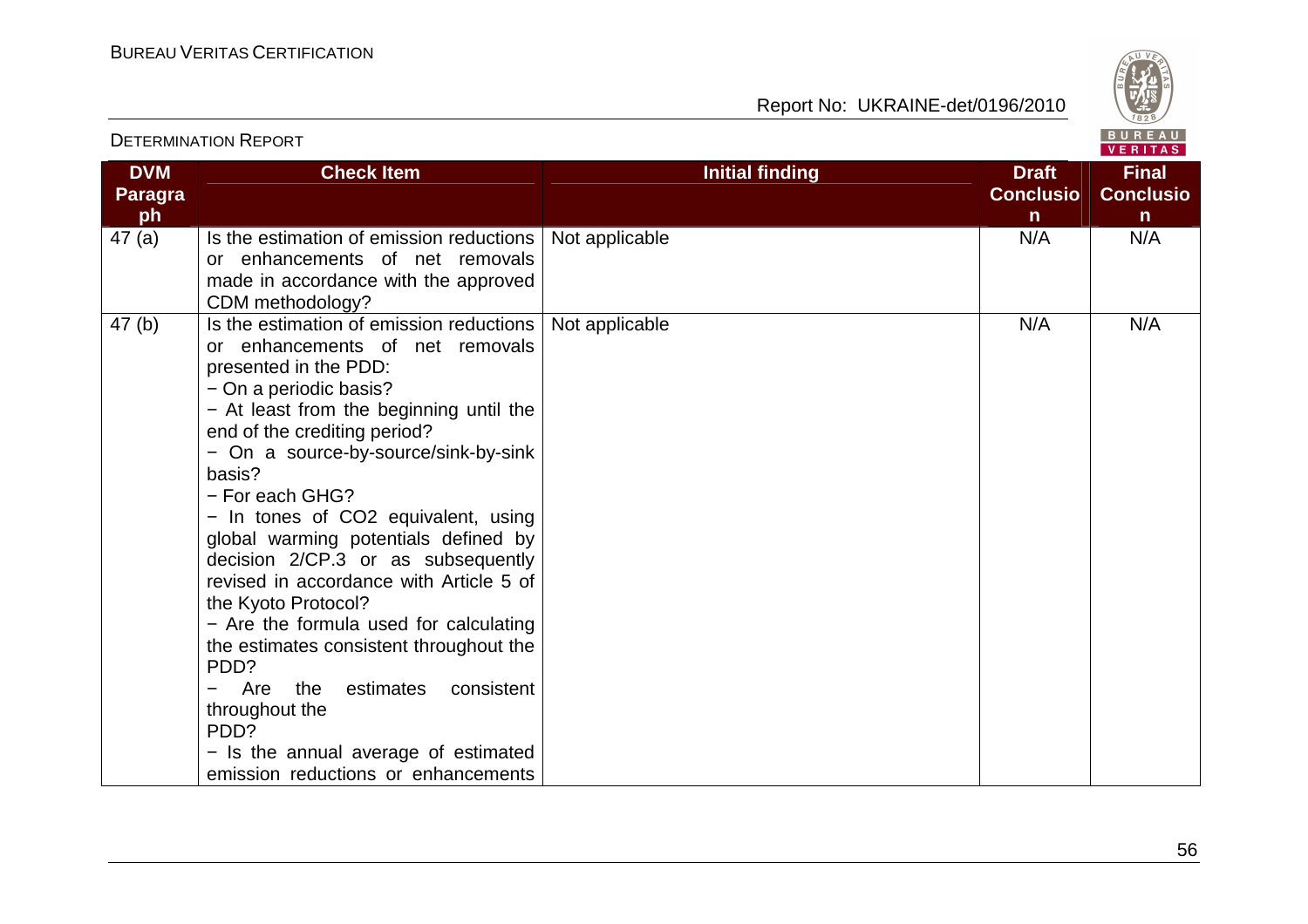

|                                    | DETERMINATION I VEL ORT                                                                                                                                                                                                                                                                                                                                                                                                                                                                                                                                                                                                                                                                                              |                        |                                                  | VERITAS                                          |
|------------------------------------|----------------------------------------------------------------------------------------------------------------------------------------------------------------------------------------------------------------------------------------------------------------------------------------------------------------------------------------------------------------------------------------------------------------------------------------------------------------------------------------------------------------------------------------------------------------------------------------------------------------------------------------------------------------------------------------------------------------------|------------------------|--------------------------------------------------|--------------------------------------------------|
| <b>DVM</b><br><b>Paragra</b><br>ph | <b>Check Item</b>                                                                                                                                                                                                                                                                                                                                                                                                                                                                                                                                                                                                                                                                                                    | <b>Initial finding</b> | <b>Draft</b><br><b>Conclusio</b><br>$\mathsf{n}$ | <b>Final</b><br><b>Conclusio</b><br>$\mathsf{n}$ |
| 47(a)                              | Is the estimation of emission reductions<br>or enhancements of net removals<br>made in accordance with the approved<br>CDM methodology?                                                                                                                                                                                                                                                                                                                                                                                                                                                                                                                                                                              | Not applicable         | N/A                                              | N/A                                              |
| 47(b)                              | Is the estimation of emission reductions<br>or enhancements of net removals<br>presented in the PDD:<br>- On a periodic basis?<br>- At least from the beginning until the<br>end of the crediting period?<br>- On a source-by-source/sink-by-sink<br>basis?<br>- For each GHG?<br>- In tones of CO2 equivalent, using<br>global warming potentials defined by<br>decision 2/CP.3 or as subsequently<br>revised in accordance with Article 5 of<br>the Kyoto Protocol?<br>- Are the formula used for calculating<br>the estimates consistent throughout the<br>PDD?<br>Are<br>the<br>estimates<br>consistent<br>throughout the<br>PDD?<br>- Is the annual average of estimated<br>emission reductions or enhancements | Not applicable         | N/A                                              | N/A                                              |

### DETERMINATION REPORT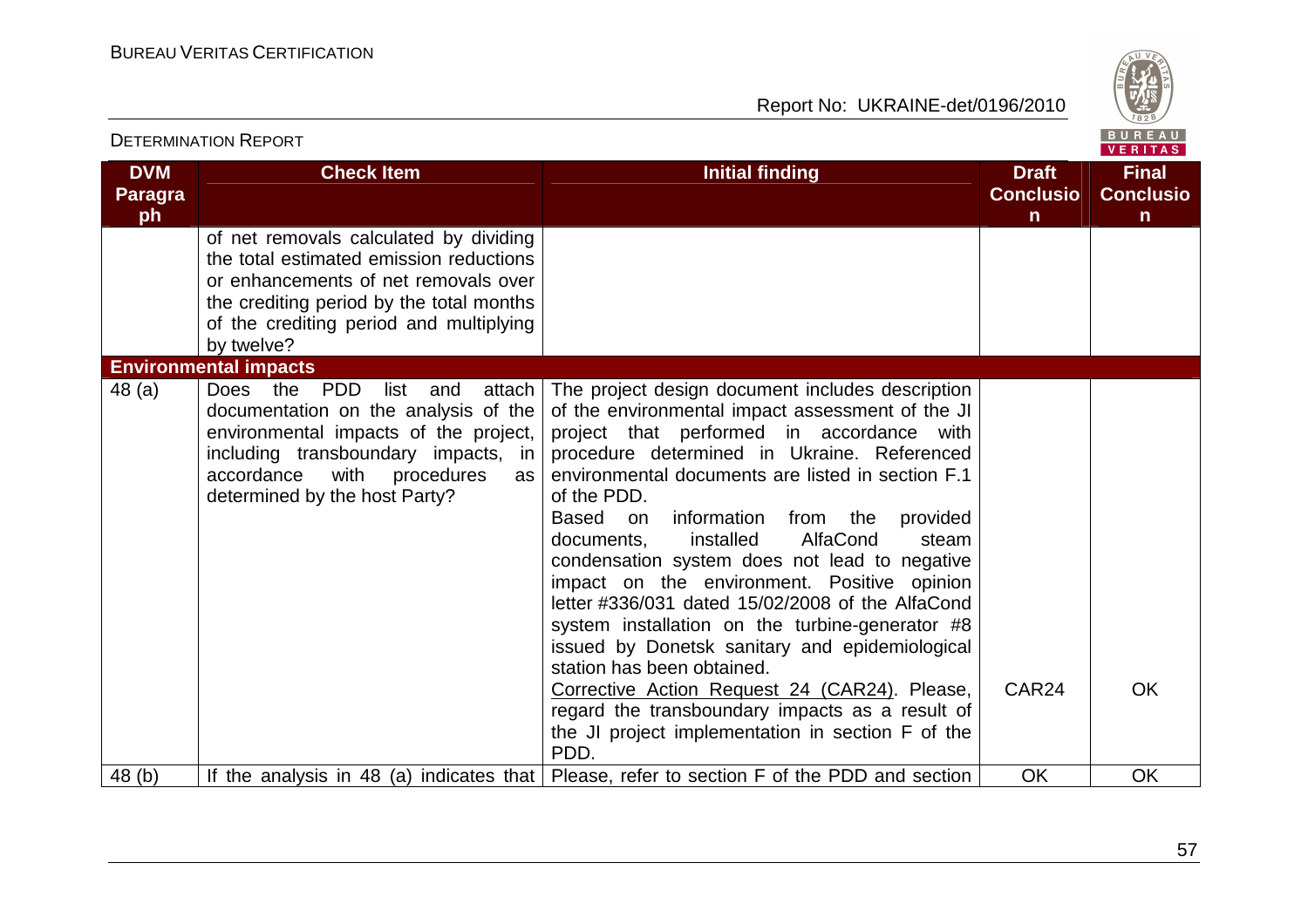

|                                    | <b>DETERMINATION REPORT</b>                                                                                                                                                                                                                        |                                                                                                                                                                                                                                                                                                                                                                                                                                                                                                                                                                                                                                                                                                                                                                                                                                    |                                                  |                                                  |
|------------------------------------|----------------------------------------------------------------------------------------------------------------------------------------------------------------------------------------------------------------------------------------------------|------------------------------------------------------------------------------------------------------------------------------------------------------------------------------------------------------------------------------------------------------------------------------------------------------------------------------------------------------------------------------------------------------------------------------------------------------------------------------------------------------------------------------------------------------------------------------------------------------------------------------------------------------------------------------------------------------------------------------------------------------------------------------------------------------------------------------------|--------------------------------------------------|--------------------------------------------------|
| <b>DVM</b><br><b>Paragra</b><br>ph | <b>Check Item</b>                                                                                                                                                                                                                                  | <b>Initial finding</b>                                                                                                                                                                                                                                                                                                                                                                                                                                                                                                                                                                                                                                                                                                                                                                                                             | <b>Draft</b><br><b>Conclusio</b><br>$\mathsf{n}$ | <b>Final</b><br><b>Conclusio</b><br>$\mathsf{n}$ |
|                                    | of net removals calculated by dividing<br>the total estimated emission reductions<br>or enhancements of net removals over<br>the crediting period by the total months<br>of the crediting period and multiplying<br>by twelve?                     |                                                                                                                                                                                                                                                                                                                                                                                                                                                                                                                                                                                                                                                                                                                                                                                                                                    |                                                  |                                                  |
|                                    | <b>Environmental impacts</b>                                                                                                                                                                                                                       |                                                                                                                                                                                                                                                                                                                                                                                                                                                                                                                                                                                                                                                                                                                                                                                                                                    |                                                  |                                                  |
| 48 (a)                             | Does the<br><b>PDD</b><br>list<br>attach<br>and<br>documentation on the analysis of the<br>environmental impacts of the project,<br>including transboundary impacts, in<br>with<br>accordance<br>procedures<br>as<br>determined by the host Party? | The project design document includes description<br>of the environmental impact assessment of the JI<br>project that performed in accordance with<br>procedure determined in Ukraine. Referenced<br>environmental documents are listed in section F.1<br>of the PDD.<br>information<br>from the<br>Based<br>provided<br>on<br>AlfaCond<br>documents,<br>installed<br>steam<br>condensation system does not lead to negative<br>impact on the environment. Positive opinion<br>letter #336/031 dated 15/02/2008 of the AlfaCond<br>system installation on the turbine-generator #8<br>issued by Donetsk sanitary and epidemiological<br>station has been obtained.<br>Corrective Action Request 24 (CAR24). Please,<br>regard the transboundary impacts as a result of<br>the JI project implementation in section F of the<br>PDD. | CAR <sub>24</sub>                                | <b>OK</b>                                        |
| 48 <sub>(b)</sub>                  |                                                                                                                                                                                                                                                    | If the analysis in 48 (a) indicates that   Please, refer to section F of the PDD and section                                                                                                                                                                                                                                                                                                                                                                                                                                                                                                                                                                                                                                                                                                                                       | <b>OK</b>                                        | OK                                               |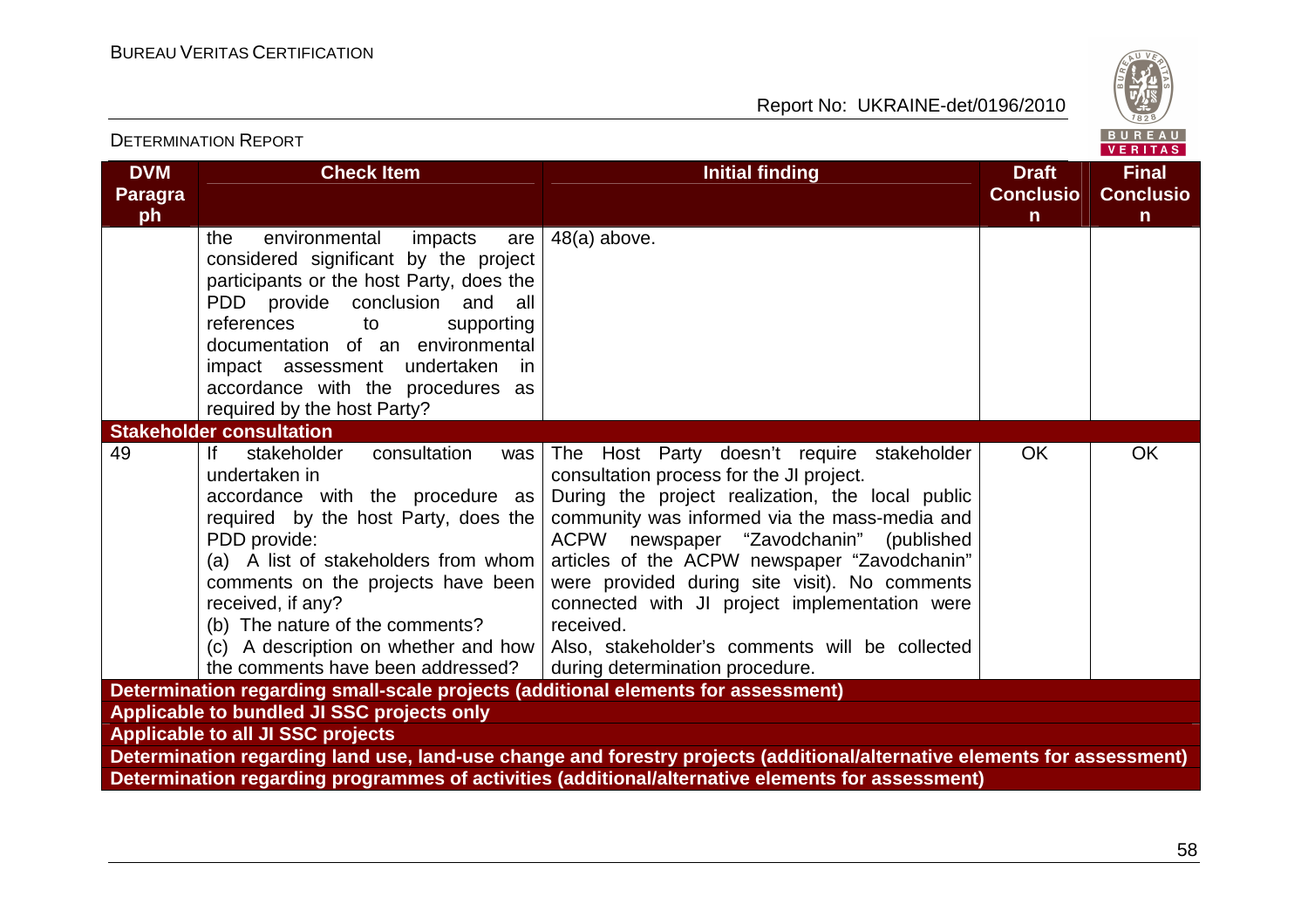

| <b>DETERMINATION REPORT</b>                                                                                                                                                                                                                                                                                                                                                         |                                                                                                                                                                                                                                                                                                                                                                                                                                                                                                      |                                                  |                                                  |  |  |
|-------------------------------------------------------------------------------------------------------------------------------------------------------------------------------------------------------------------------------------------------------------------------------------------------------------------------------------------------------------------------------------|------------------------------------------------------------------------------------------------------------------------------------------------------------------------------------------------------------------------------------------------------------------------------------------------------------------------------------------------------------------------------------------------------------------------------------------------------------------------------------------------------|--------------------------------------------------|--------------------------------------------------|--|--|
| <b>DVM</b><br><b>Check Item</b><br><b>Paragra</b><br>ph                                                                                                                                                                                                                                                                                                                             | <b>Initial finding</b>                                                                                                                                                                                                                                                                                                                                                                                                                                                                               | <b>Draft</b><br><b>Conclusio</b><br>$\mathsf{n}$ | <b>Final</b><br><b>Conclusio</b><br>$\mathsf{n}$ |  |  |
| environmental<br>impacts<br>the<br>are<br>considered significant by the project<br>participants or the host Party, does the<br>PDD provide conclusion and all<br>references<br>supporting<br>to<br>documentation of an environmental<br>impact assessment undertaken<br>in.<br>accordance with the procedures as<br>required by the host Party?                                     | $48(a)$ above.                                                                                                                                                                                                                                                                                                                                                                                                                                                                                       |                                                  |                                                  |  |  |
| <b>Stakeholder consultation</b>                                                                                                                                                                                                                                                                                                                                                     |                                                                                                                                                                                                                                                                                                                                                                                                                                                                                                      |                                                  |                                                  |  |  |
| 49<br>stakeholder<br>consultation<br>lf.<br>was<br>undertaken in<br>accordance with the procedure as<br>required by the host Party, does the<br>PDD provide:<br>(a) A list of stakeholders from whom $ $<br>comments on the projects have been<br>received, if any?<br>(b) The nature of the comments?<br>(c) A description on whether and how<br>the comments have been addressed? | The Host Party doesn't require stakeholder<br>consultation process for the JI project.<br>During the project realization, the local public<br>community was informed via the mass-media and<br><b>ACPW</b><br>newspaper "Zavodchanin" (published<br>articles of the ACPW newspaper "Zavodchanin"<br>were provided during site visit). No comments<br>connected with JI project implementation were<br>received.<br>Also, stakeholder's comments will be collected<br>during determination procedure. | <b>OK</b>                                        | <b>OK</b>                                        |  |  |
| Determination regarding small-scale projects (additional elements for assessment)                                                                                                                                                                                                                                                                                                   |                                                                                                                                                                                                                                                                                                                                                                                                                                                                                                      |                                                  |                                                  |  |  |
| Applicable to bundled JI SSC projects only                                                                                                                                                                                                                                                                                                                                          |                                                                                                                                                                                                                                                                                                                                                                                                                                                                                                      |                                                  |                                                  |  |  |
| <b>Applicable to all JI SSC projects</b><br>Determination regarding land use, land-use change and forestry projects (additional/alternative elements for assessment)                                                                                                                                                                                                                |                                                                                                                                                                                                                                                                                                                                                                                                                                                                                                      |                                                  |                                                  |  |  |
|                                                                                                                                                                                                                                                                                                                                                                                     | Determination regarding programmes of activities (additional/alternative elements for assessment)                                                                                                                                                                                                                                                                                                                                                                                                    |                                                  |                                                  |  |  |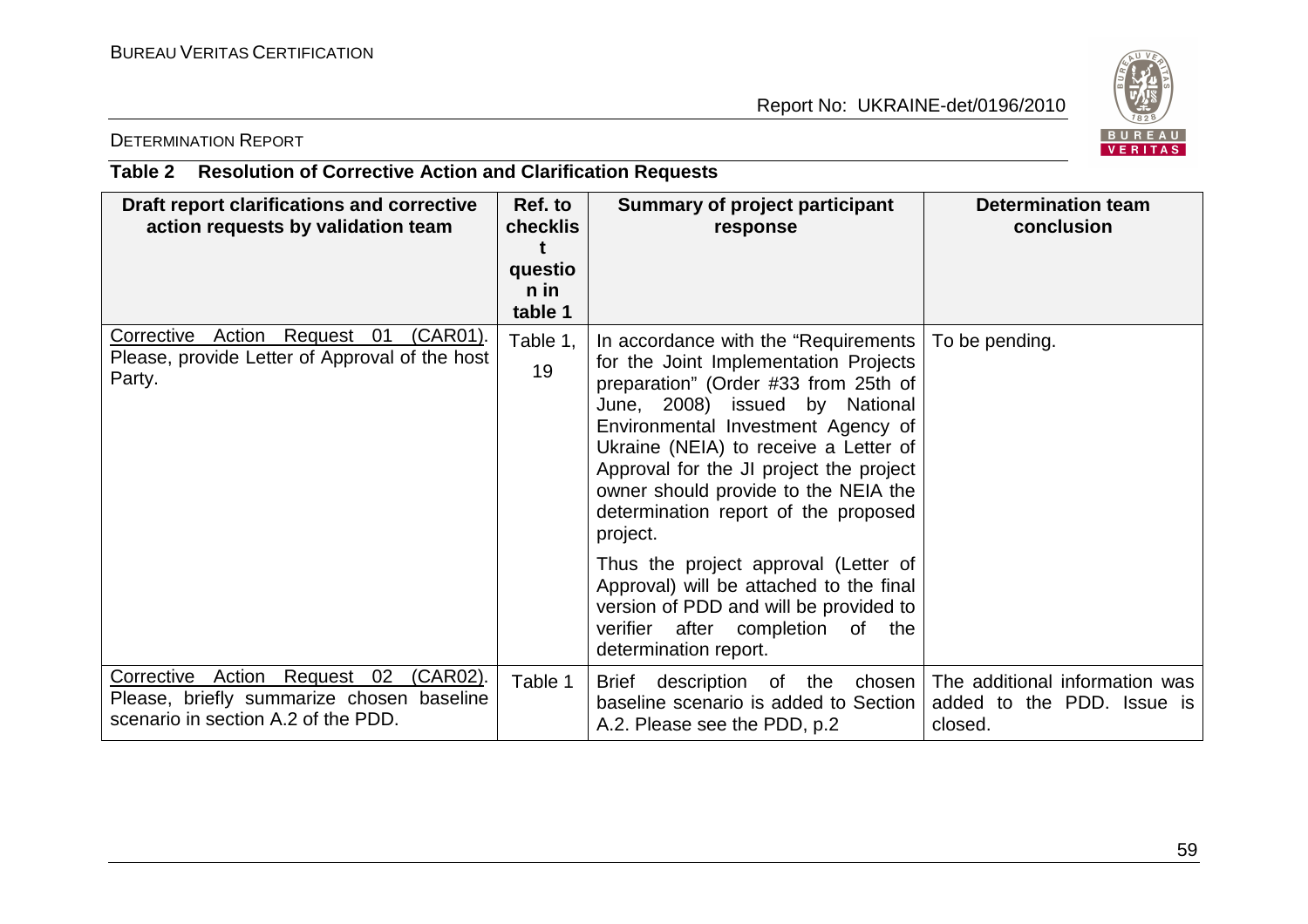

## DETERMINATION REPORT

# **Table 2 Resolution of Corrective Action and Clarification Requests**

| Draft report clarifications and corrective<br>action requests by validation team                                                     | Ref. to<br>checklis<br>questio<br>n in<br>table 1 | <b>Summary of project participant</b><br>response                                                                                                                                                                                                                                                                                                                                                                                                                                                           | <b>Determination team</b><br>conclusion                                                             |
|--------------------------------------------------------------------------------------------------------------------------------------|---------------------------------------------------|-------------------------------------------------------------------------------------------------------------------------------------------------------------------------------------------------------------------------------------------------------------------------------------------------------------------------------------------------------------------------------------------------------------------------------------------------------------------------------------------------------------|-----------------------------------------------------------------------------------------------------|
| Corrective Action Request 01<br>(CAR01).<br>Please, provide Letter of Approval of the host<br>Party.                                 | Table 1,<br>19                                    | In accordance with the "Requirements"<br>for the Joint Implementation Projects<br>preparation" (Order #33 from 25th of<br>June, 2008) issued by National<br>Environmental Investment Agency of<br>Ukraine (NEIA) to receive a Letter of<br>Approval for the JI project the project<br>owner should provide to the NEIA the<br>determination report of the proposed<br>project.<br>Thus the project approval (Letter of<br>Approval) will be attached to the final<br>version of PDD and will be provided to | To be pending.                                                                                      |
|                                                                                                                                      |                                                   | verifier after completion of the<br>determination report.                                                                                                                                                                                                                                                                                                                                                                                                                                                   |                                                                                                     |
| Corrective Action Request 02<br><u>(CAR02)</u> .<br>Please, briefly summarize chosen baseline<br>scenario in section A.2 of the PDD. | Table 1                                           | <b>Brief</b><br>baseline scenario is added to Section<br>A.2. Please see the PDD, p.2                                                                                                                                                                                                                                                                                                                                                                                                                       | description of the chosen   The additional information was<br>added to the PDD. Issue is<br>closed. |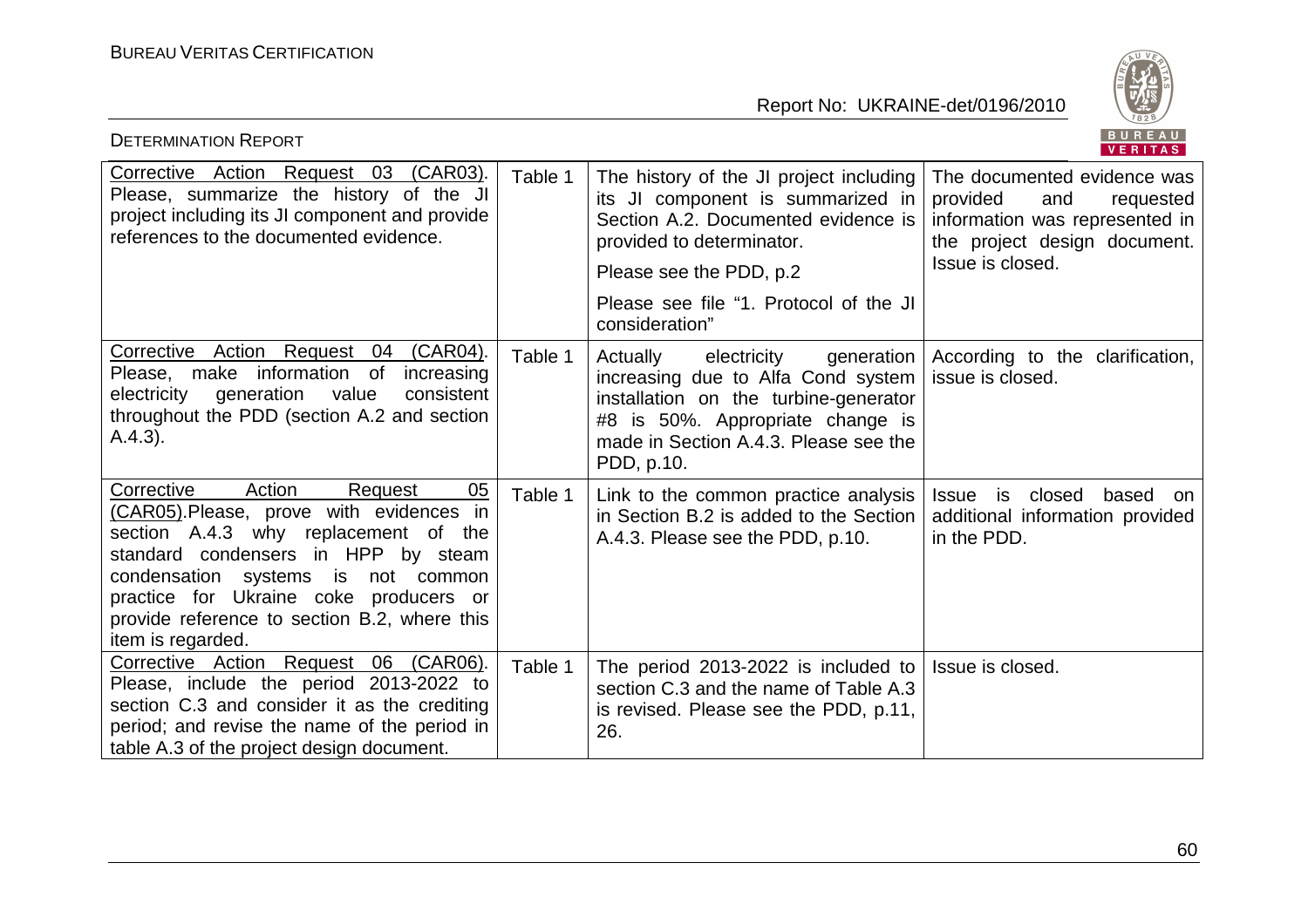

| <b>DETERMINATION REPORT</b>                                                                                                                                                                                                                                                                                           |         |                                                                                                                                                                                                                                         | BUREAU<br>VERITAS                                                                                                                                 |
|-----------------------------------------------------------------------------------------------------------------------------------------------------------------------------------------------------------------------------------------------------------------------------------------------------------------------|---------|-----------------------------------------------------------------------------------------------------------------------------------------------------------------------------------------------------------------------------------------|---------------------------------------------------------------------------------------------------------------------------------------------------|
| Corrective Action Request 03 (CAR03).<br>Please, summarize the history of the JI<br>project including its JI component and provide<br>references to the documented evidence.                                                                                                                                          | Table 1 | The history of the JI project including<br>its JI component is summarized in<br>Section A.2. Documented evidence is<br>provided to determinator.<br>Please see the PDD, p.2<br>Please see file "1. Protocol of the JI<br>consideration" | The documented evidence was<br>provided<br>and<br>requested<br>information was represented in<br>the project design document.<br>Issue is closed. |
| Corrective Action Request 04 (CAR04).<br>Please, make information of increasing<br>electricity generation value<br>consistent<br>throughout the PDD (section A.2 and section<br>(A.4.3).                                                                                                                              | Table 1 | Actually<br>generation  <br>electricity<br>increasing due to Alfa Cond system<br>installation on the turbine-generator<br>#8 is 50%. Appropriate change is<br>made in Section A.4.3. Please see the<br>PDD, p.10.                       | According to the clarification,<br>issue is closed.                                                                                               |
| Corrective<br>Action<br>05<br>Request<br>(CAR05). Please, prove with evidences in<br>section A.4.3 why replacement of the<br>standard condensers in HPP by steam<br>condensation systems is not common<br>practice for Ukraine coke producers or<br>provide reference to section B.2, where this<br>item is regarded. | Table 1 | Link to the common practice analysis<br>in Section B.2 is added to the Section<br>A.4.3. Please see the PDD, p.10.                                                                                                                      | Issue is closed<br>based<br>on<br>additional information provided<br>in the PDD.                                                                  |
| Corrective Action Request 06 (CAR06).<br>Please, include the period 2013-2022 to<br>section C.3 and consider it as the crediting<br>period; and revise the name of the period in<br>table A.3 of the project design document.                                                                                         | Table 1 | The period 2013-2022 is included to<br>section C.3 and the name of Table A.3<br>is revised. Please see the PDD, p.11,<br>26.                                                                                                            | Issue is closed.                                                                                                                                  |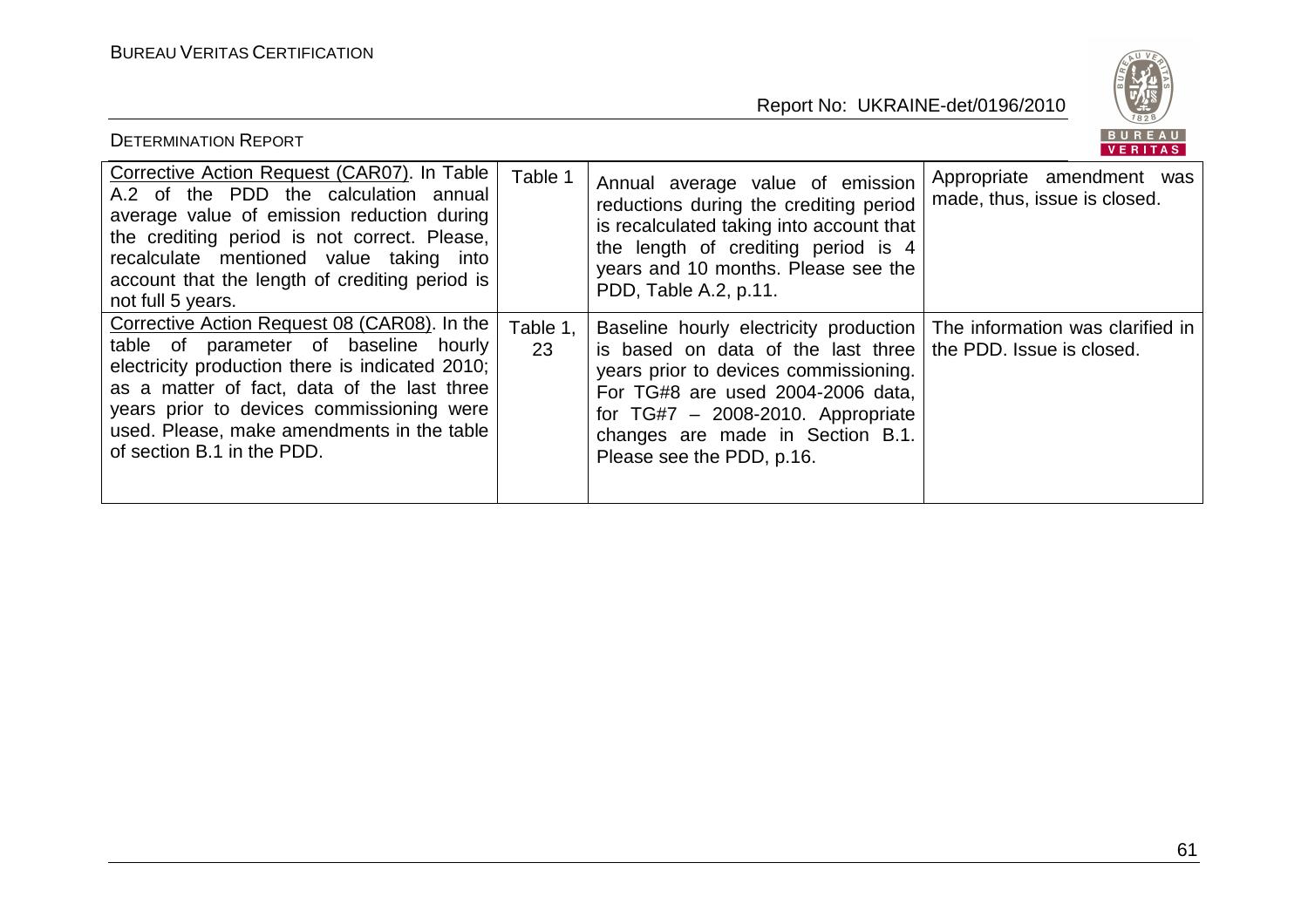

| <b>DETERMINATION REPORT</b>                                                                                                                                                                                                                                                                                      |                |                                                                                                                                                                                                                                                                                                 | B U K E A U<br><b>VERITAS</b>                             |
|------------------------------------------------------------------------------------------------------------------------------------------------------------------------------------------------------------------------------------------------------------------------------------------------------------------|----------------|-------------------------------------------------------------------------------------------------------------------------------------------------------------------------------------------------------------------------------------------------------------------------------------------------|-----------------------------------------------------------|
| Corrective Action Request (CAR07). In Table<br>A.2 of the PDD the calculation annual<br>average value of emission reduction during<br>the crediting period is not correct. Please,<br>recalculate mentioned value taking into<br>account that the length of crediting period is<br>not full 5 years.             | Table 1        | Annual average value of emission<br>reductions during the crediting period<br>is recalculated taking into account that<br>the length of crediting period is 4<br>years and 10 months. Please see the<br>PDD, Table A.2, p.11.                                                                   | Appropriate amendment was<br>made, thus, issue is closed. |
| Corrective Action Request 08 (CAR08). In the<br>table of parameter of baseline hourly<br>electricity production there is indicated 2010;<br>as a matter of fact, data of the last three<br>years prior to devices commissioning were<br>used. Please, make amendments in the table<br>of section B.1 in the PDD. | Table 1.<br>23 | Baseline hourly electricity production<br>is based on data of the last three   the PDD. Issue is closed.<br>years prior to devices commissioning.<br>For TG#8 are used 2004-2006 data,<br>for $TG#7 - 2008-2010$ . Appropriate<br>changes are made in Section B.1.<br>Please see the PDD, p.16. | The information was clarified in                          |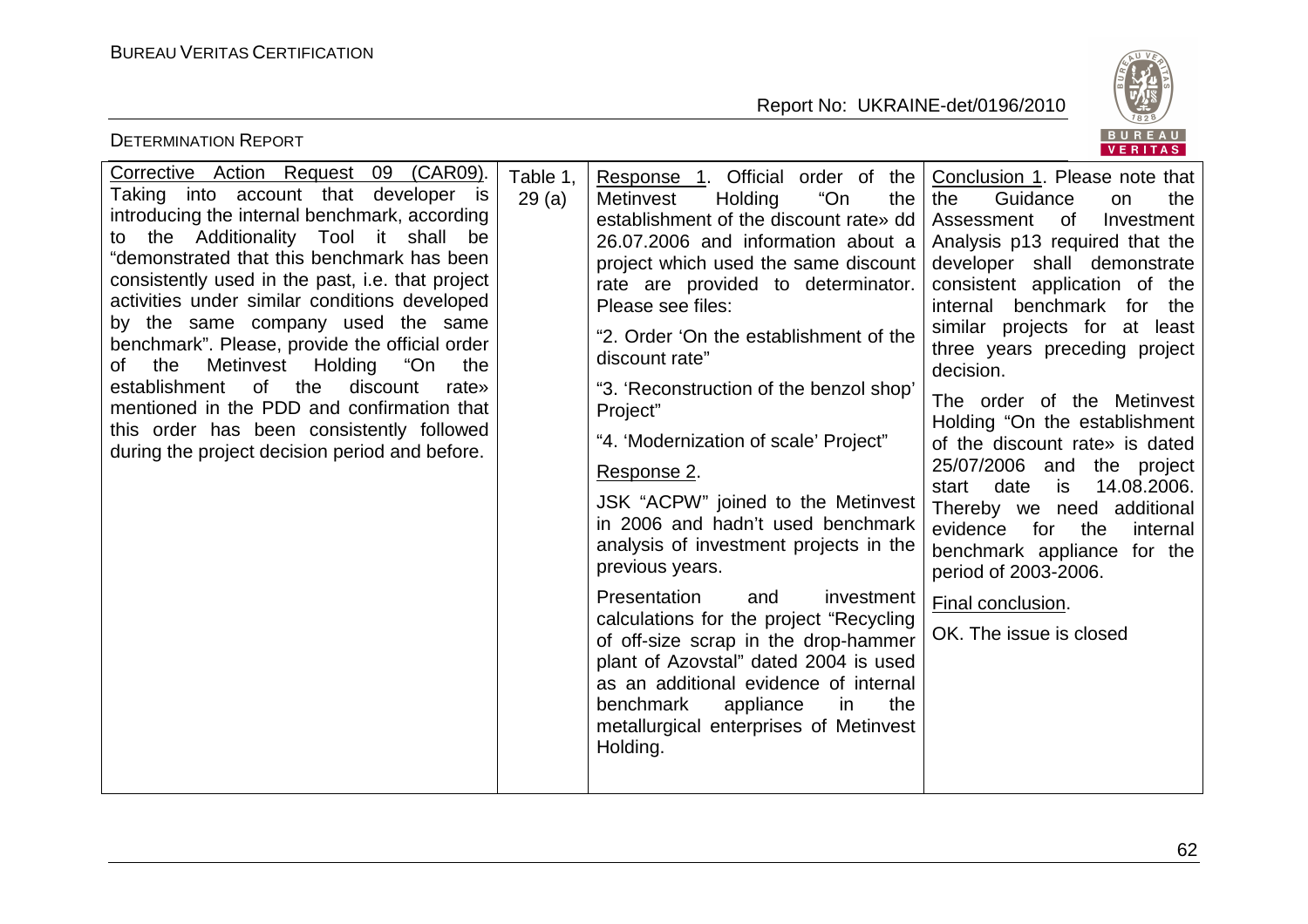

| <b>DETERMINATION REPORT</b>                                                                                                                                                                                                                                                                                                                                                                                                                                                                                                                                                                                                                                        |                   |                                                                                                                                                                                                                                                                                                                                                                                                                                                                                                                                                                                                                                                                                                                                                                                                                                                                                       | BUREAU<br><b>VERITAS</b>                                                                                                                                                                                                                                                                                                                                                                                                                                                                                                                                                                                                                                           |
|--------------------------------------------------------------------------------------------------------------------------------------------------------------------------------------------------------------------------------------------------------------------------------------------------------------------------------------------------------------------------------------------------------------------------------------------------------------------------------------------------------------------------------------------------------------------------------------------------------------------------------------------------------------------|-------------------|---------------------------------------------------------------------------------------------------------------------------------------------------------------------------------------------------------------------------------------------------------------------------------------------------------------------------------------------------------------------------------------------------------------------------------------------------------------------------------------------------------------------------------------------------------------------------------------------------------------------------------------------------------------------------------------------------------------------------------------------------------------------------------------------------------------------------------------------------------------------------------------|--------------------------------------------------------------------------------------------------------------------------------------------------------------------------------------------------------------------------------------------------------------------------------------------------------------------------------------------------------------------------------------------------------------------------------------------------------------------------------------------------------------------------------------------------------------------------------------------------------------------------------------------------------------------|
| Corrective Action Request 09 (CAR09).<br>Taking into account that developer is<br>introducing the internal benchmark, according<br>the Additionality Tool it shall<br>be<br>to<br>"demonstrated that this benchmark has been<br>consistently used in the past, i.e. that project<br>activities under similar conditions developed<br>by the same company used the same<br>benchmark". Please, provide the official order<br>of the<br>Metinvest Holding "On<br>the<br>of<br>the<br>discount<br>establishment<br>rate»<br>mentioned in the PDD and confirmation that<br>this order has been consistently followed<br>during the project decision period and before. | Table 1.<br>29(a) | Response 1. Official order of the<br>"On<br>Holding<br>the<br>Metinvest<br>establishment of the discount rate» dd<br>26.07.2006 and information about a<br>project which used the same discount<br>rate are provided to determinator.<br>Please see files:<br>"2. Order 'On the establishment of the<br>discount rate"<br>"3. 'Reconstruction of the benzol shop'<br>Project"<br>"4. 'Modernization of scale' Project"<br>Response 2.<br>JSK "ACPW" joined to the Metinvest<br>in 2006 and hadn't used benchmark<br>analysis of investment projects in the<br>previous years.<br>Presentation<br>investment<br>and<br>calculations for the project "Recycling<br>of off-size scrap in the drop-hammer<br>plant of Azovstal" dated 2004 is used<br>as an additional evidence of internal<br>benchmark<br>appliance<br>the<br>in.<br>metallurgical enterprises of Metinvest<br>Holding. | Conclusion 1. Please note that<br>Guidance<br>the<br>the<br>on<br>Investment<br>Assessment<br>of<br>Analysis p13 required that the<br>developer shall demonstrate<br>consistent application of the<br>benchmark for the<br>internal<br>similar projects for at least<br>three years preceding project<br>decision.<br>The order of the Metinvest<br>Holding "On the establishment<br>of the discount rate» is dated<br>25/07/2006 and the project<br>14.08.2006.<br>date<br>is<br>start<br>Thereby we need additional<br>evidence<br>for<br>the<br>internal<br>benchmark appliance for the<br>period of 2003-2006.<br>Final conclusion.<br>OK. The issue is closed |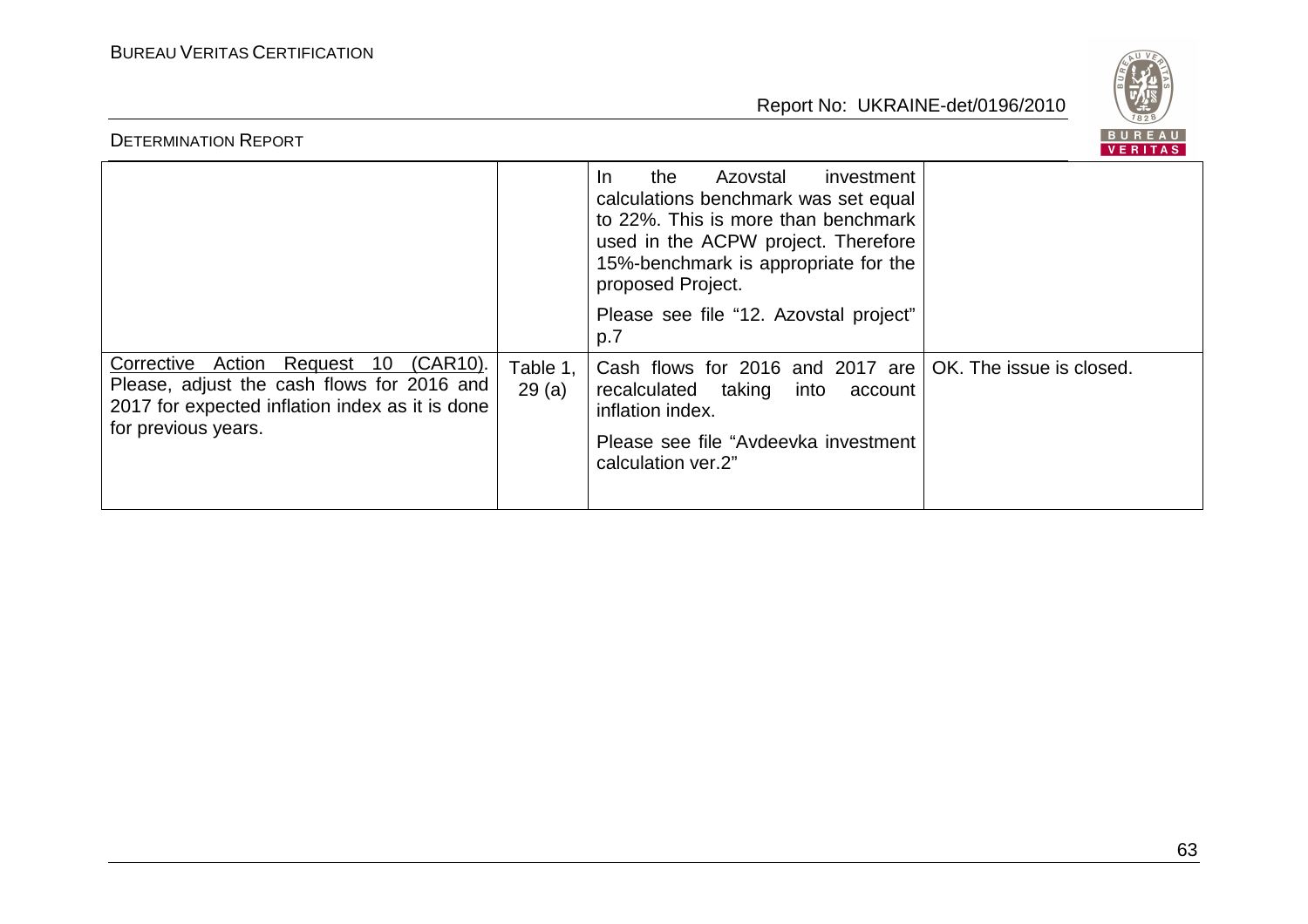

| <b>DETERMINATION REPORT</b>                                                                                                                                            |                   |                                                                                                                                                                                                                         | <b>RIIRFAII</b><br><b>VERITAS</b> |
|------------------------------------------------------------------------------------------------------------------------------------------------------------------------|-------------------|-------------------------------------------------------------------------------------------------------------------------------------------------------------------------------------------------------------------------|-----------------------------------|
|                                                                                                                                                                        |                   | Azovstal<br>the<br>investment<br>In.<br>calculations benchmark was set equal<br>to 22%. This is more than benchmark<br>used in the ACPW project. Therefore<br>15%-benchmark is appropriate for the<br>proposed Project. |                                   |
|                                                                                                                                                                        |                   | Please see file "12. Azovstal project"<br>p.7                                                                                                                                                                           |                                   |
| Corrective Action<br>Request<br>10<br>(CAR10).<br>Please, adjust the cash flows for 2016 and<br>2017 for expected inflation index as it is done<br>for previous years. | Table 1,<br>29(a) | Cash flows for 2016 and 2017 are   OK. The issue is closed.<br>recalculated taking<br>into<br>account<br>inflation index.<br>Please see file "Avdeevka investment"<br>calculation ver.2"                                |                                   |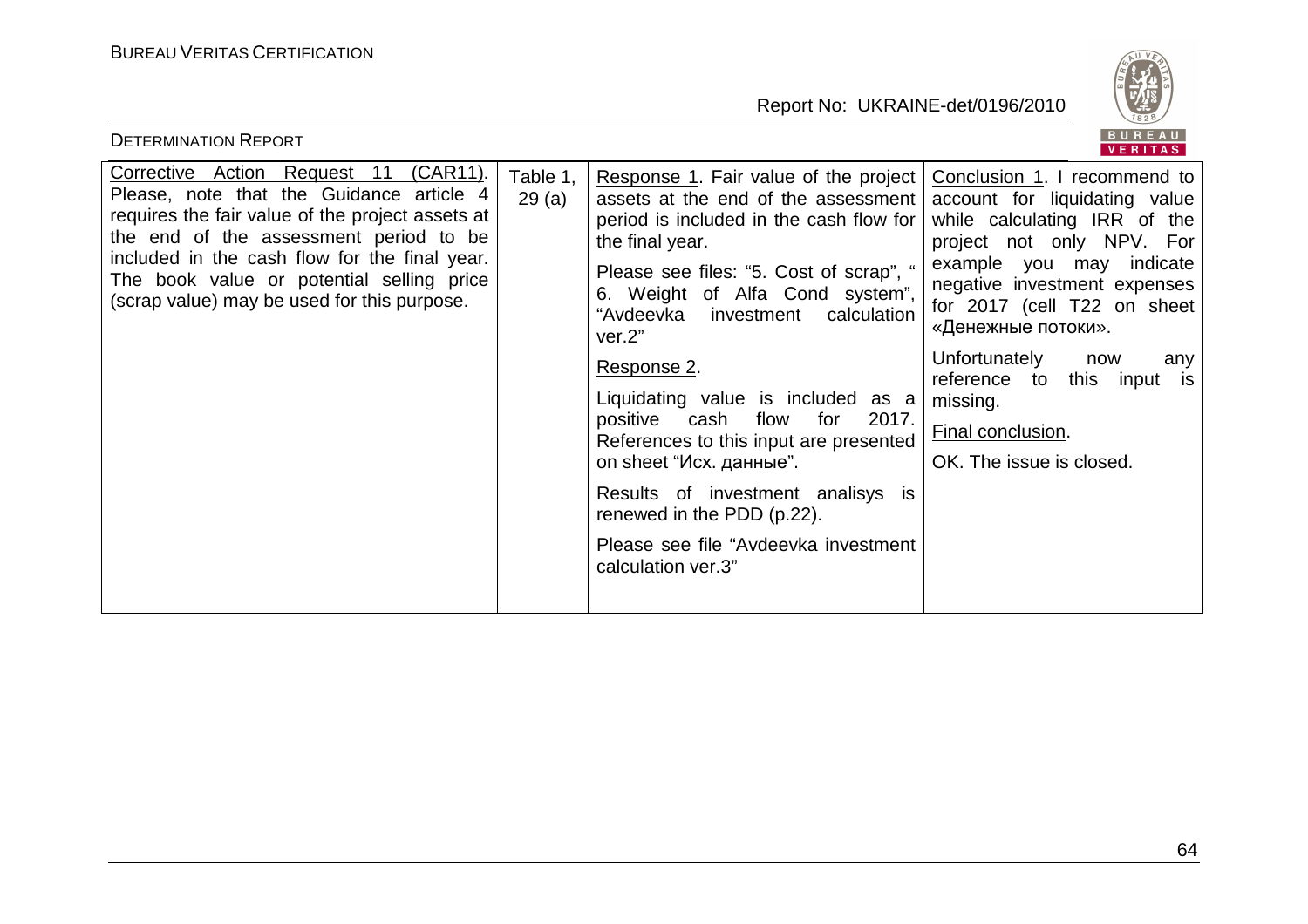BUREAU<br>VERITAS

| <b>DETERMINATION REPORT</b>                                                                                                                                                                                                                                                                                                     |                   |                                                                                                                                                                                                                                                                                                                                                                                                                                                                                                                                                                                                               | BUREAU<br><b>VERITAS</b>                                                                                                                                                                                                                                                                                                                       |
|---------------------------------------------------------------------------------------------------------------------------------------------------------------------------------------------------------------------------------------------------------------------------------------------------------------------------------|-------------------|---------------------------------------------------------------------------------------------------------------------------------------------------------------------------------------------------------------------------------------------------------------------------------------------------------------------------------------------------------------------------------------------------------------------------------------------------------------------------------------------------------------------------------------------------------------------------------------------------------------|------------------------------------------------------------------------------------------------------------------------------------------------------------------------------------------------------------------------------------------------------------------------------------------------------------------------------------------------|
| (CAR11).<br>Corrective Action Request 11<br>Please, note that the Guidance article 4<br>requires the fair value of the project assets at<br>the end of the assessment period to be<br>included in the cash flow for the final year.<br>The book value or potential selling price<br>(scrap value) may be used for this purpose. | Table 1,<br>29(a) | Response 1. Fair value of the project   Conclusion 1. I recommend to<br>assets at the end of the assessment<br>period is included in the cash flow for<br>the final year.<br>Please see files: "5. Cost of scrap", "<br>6. Weight of Alfa Cond system",<br>"Avdeevka investment calculation<br>ver.2"<br>Response 2.<br>Liquidating value is included as a<br>2017.<br>positive<br>cash<br>flow<br>for<br>References to this input are presented<br>on sheet "Исх. данные".<br>Results of investment analisys is<br>renewed in the PDD (p.22).<br>Please see file "Avdeevka investment"<br>calculation ver.3" | account for liquidating value<br>while calculating IRR of the<br>project not only NPV. For<br>example you may<br>indicate<br>negative investment expenses<br>for 2017 (cell T22 on sheet<br>«Денежные потоки».<br>Unfortunately<br>now<br>any<br>reference to<br>this<br>input is<br>missing.<br>Final conclusion.<br>OK. The issue is closed. |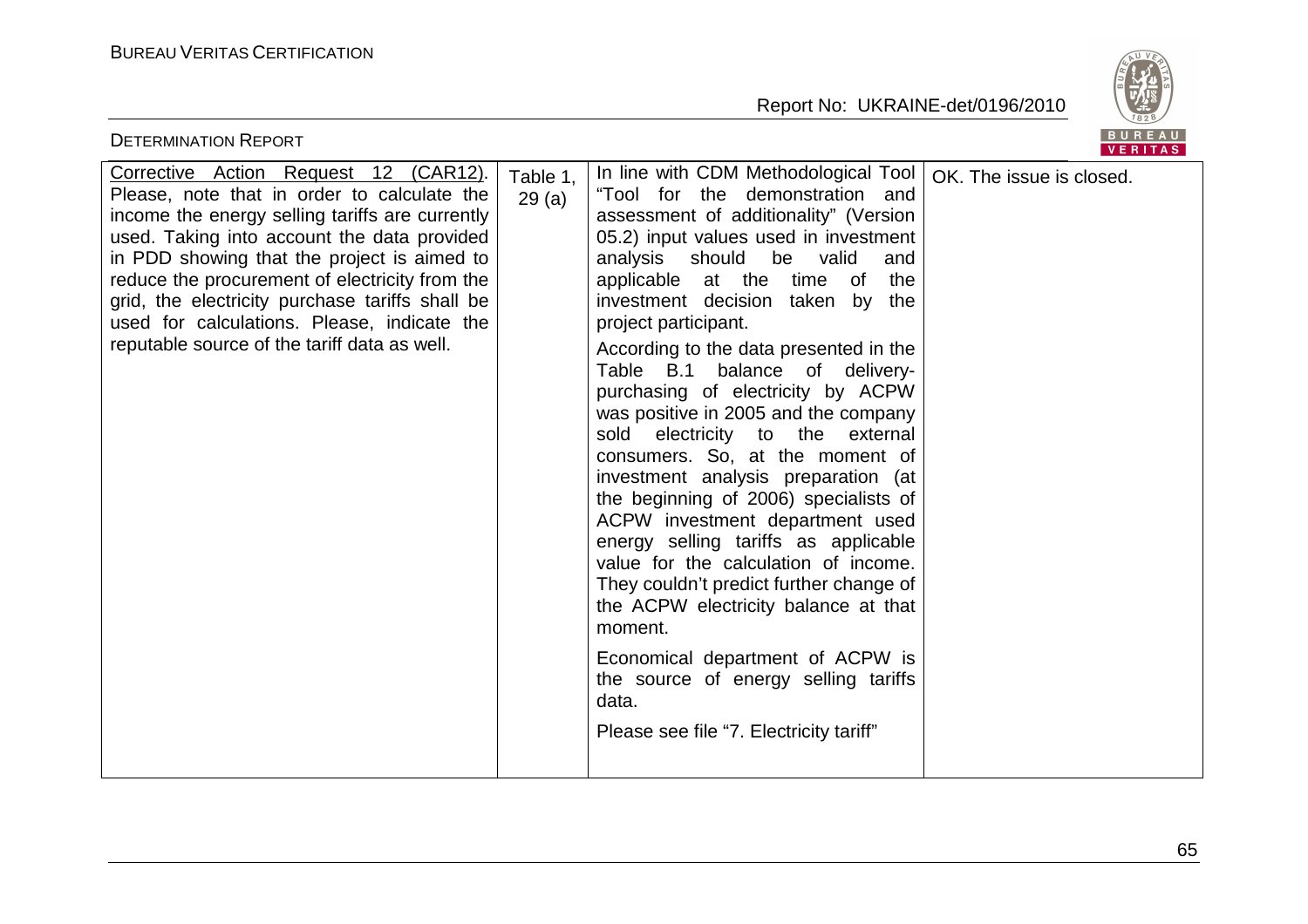

| <b>DETERMINATION REPORT</b>                                                                                                                                                                                                                                                                                                                                                                                                               |                   |                                                                                                                                                                                                                                                                                                                                                                                                                                                                                                                                                                                                                                                                                                                                                                                                                                                                                                                                                                                 | BUREAU<br><b>VERITAS</b> |
|-------------------------------------------------------------------------------------------------------------------------------------------------------------------------------------------------------------------------------------------------------------------------------------------------------------------------------------------------------------------------------------------------------------------------------------------|-------------------|---------------------------------------------------------------------------------------------------------------------------------------------------------------------------------------------------------------------------------------------------------------------------------------------------------------------------------------------------------------------------------------------------------------------------------------------------------------------------------------------------------------------------------------------------------------------------------------------------------------------------------------------------------------------------------------------------------------------------------------------------------------------------------------------------------------------------------------------------------------------------------------------------------------------------------------------------------------------------------|--------------------------|
| Corrective Action Request 12 (CAR12).<br>Please, note that in order to calculate the<br>income the energy selling tariffs are currently<br>used. Taking into account the data provided<br>in PDD showing that the project is aimed to<br>reduce the procurement of electricity from the<br>grid, the electricity purchase tariffs shall be<br>used for calculations. Please, indicate the<br>reputable source of the tariff data as well. | Table 1,<br>29(a) | In line with CDM Methodological Tool<br>"Tool for the demonstration and<br>assessment of additionality" (Version<br>05.2) input values used in investment<br>be valid<br>analysis<br>should<br>and<br>applicable at the time<br>of<br>the<br>investment decision taken<br>by the<br>project participant.<br>According to the data presented in the<br>Table B.1<br>balance of delivery-<br>purchasing of electricity by ACPW<br>was positive in 2005 and the company<br>sold<br>electricity to the external<br>consumers. So, at the moment of<br>investment analysis preparation (at<br>the beginning of 2006) specialists of<br>ACPW investment department used<br>energy selling tariffs as applicable<br>value for the calculation of income.<br>They couldn't predict further change of<br>the ACPW electricity balance at that<br>moment.<br>Economical department of ACPW is<br>the source of energy selling tariffs<br>data.<br>Please see file "7. Electricity tariff" | OK. The issue is closed. |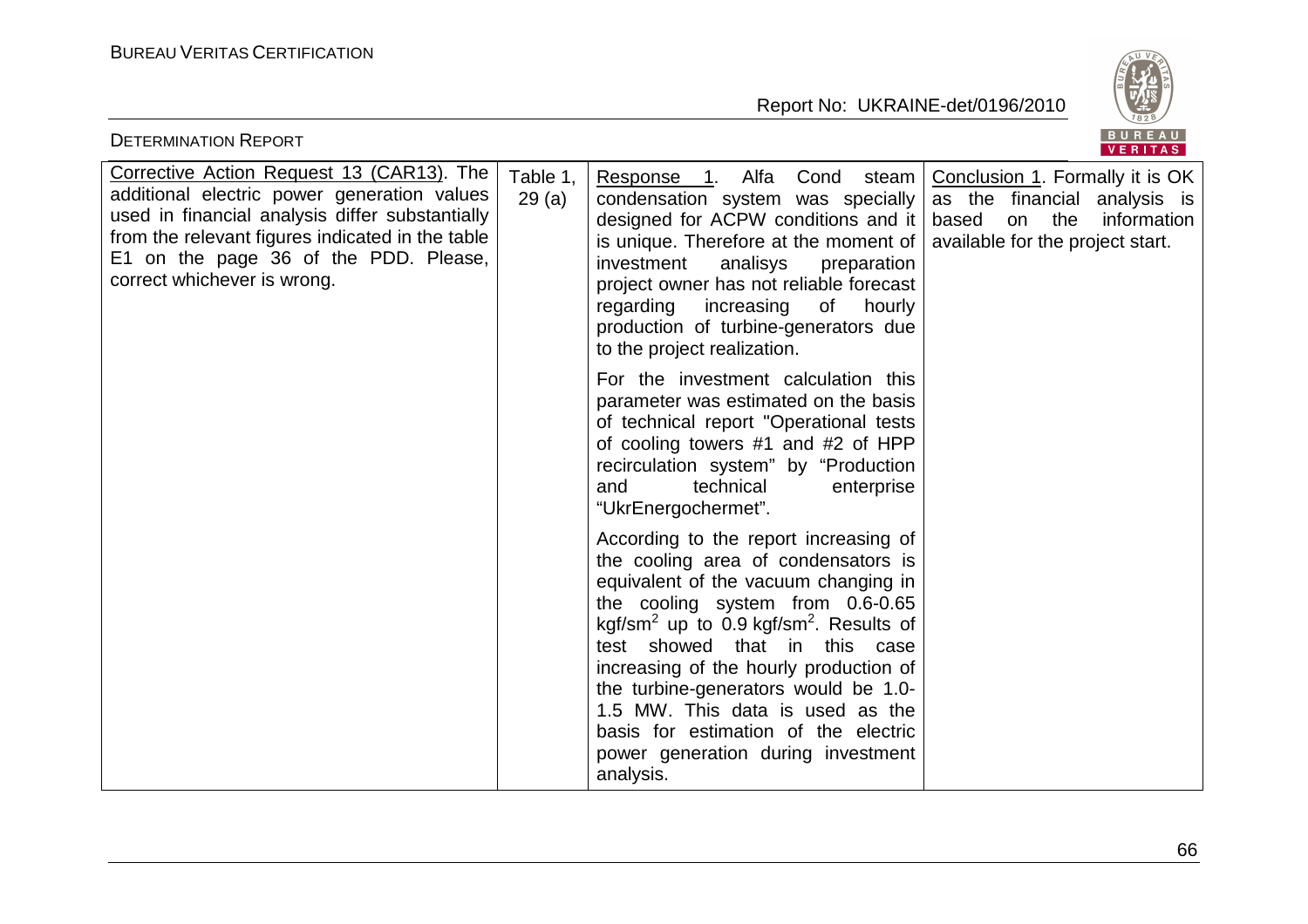

| <b>DETERMINATION REPORT</b>                                                                                                                                                                                                                                             |                   |                                                                                                                                                                                                                                                                                                                                                                                                                                                                              | BUREAU<br>VERITAS                                                                                                                        |
|-------------------------------------------------------------------------------------------------------------------------------------------------------------------------------------------------------------------------------------------------------------------------|-------------------|------------------------------------------------------------------------------------------------------------------------------------------------------------------------------------------------------------------------------------------------------------------------------------------------------------------------------------------------------------------------------------------------------------------------------------------------------------------------------|------------------------------------------------------------------------------------------------------------------------------------------|
| Corrective Action Request 13 (CAR13). The<br>additional electric power generation values<br>used in financial analysis differ substantially<br>from the relevant figures indicated in the table<br>E1 on the page 36 of the PDD. Please,<br>correct whichever is wrong. | Table 1,<br>29(a) | Alfa<br>Cond<br>Response<br>steam<br>$\overline{1}$ .<br>condensation system was specially<br>designed for ACPW conditions and it<br>is unique. Therefore at the moment of<br>investment<br>analisys<br>preparation<br>project owner has not reliable forecast<br>regarding<br>increasing<br>of<br>hourly<br>production of turbine-generators due<br>to the project realization.                                                                                             | Conclusion 1. Formally it is OK<br>as the financial analysis is<br>based<br>the<br>information<br>on<br>available for the project start. |
|                                                                                                                                                                                                                                                                         |                   | For the investment calculation this<br>parameter was estimated on the basis<br>of technical report "Operational tests<br>of cooling towers #1 and #2 of HPP<br>recirculation system" by "Production<br>technical<br>enterprise<br>and<br>"UkrEnergochermet".                                                                                                                                                                                                                 |                                                                                                                                          |
|                                                                                                                                                                                                                                                                         |                   | According to the report increasing of<br>the cooling area of condensators is<br>equivalent of the vacuum changing in<br>the cooling system from 0.6-0.65<br>kgf/sm <sup>2</sup> up to 0.9 kgf/sm <sup>2</sup> . Results of<br>test showed that in this case<br>increasing of the hourly production of<br>the turbine-generators would be 1.0-<br>1.5 MW. This data is used as the<br>basis for estimation of the electric<br>power generation during investment<br>analysis. |                                                                                                                                          |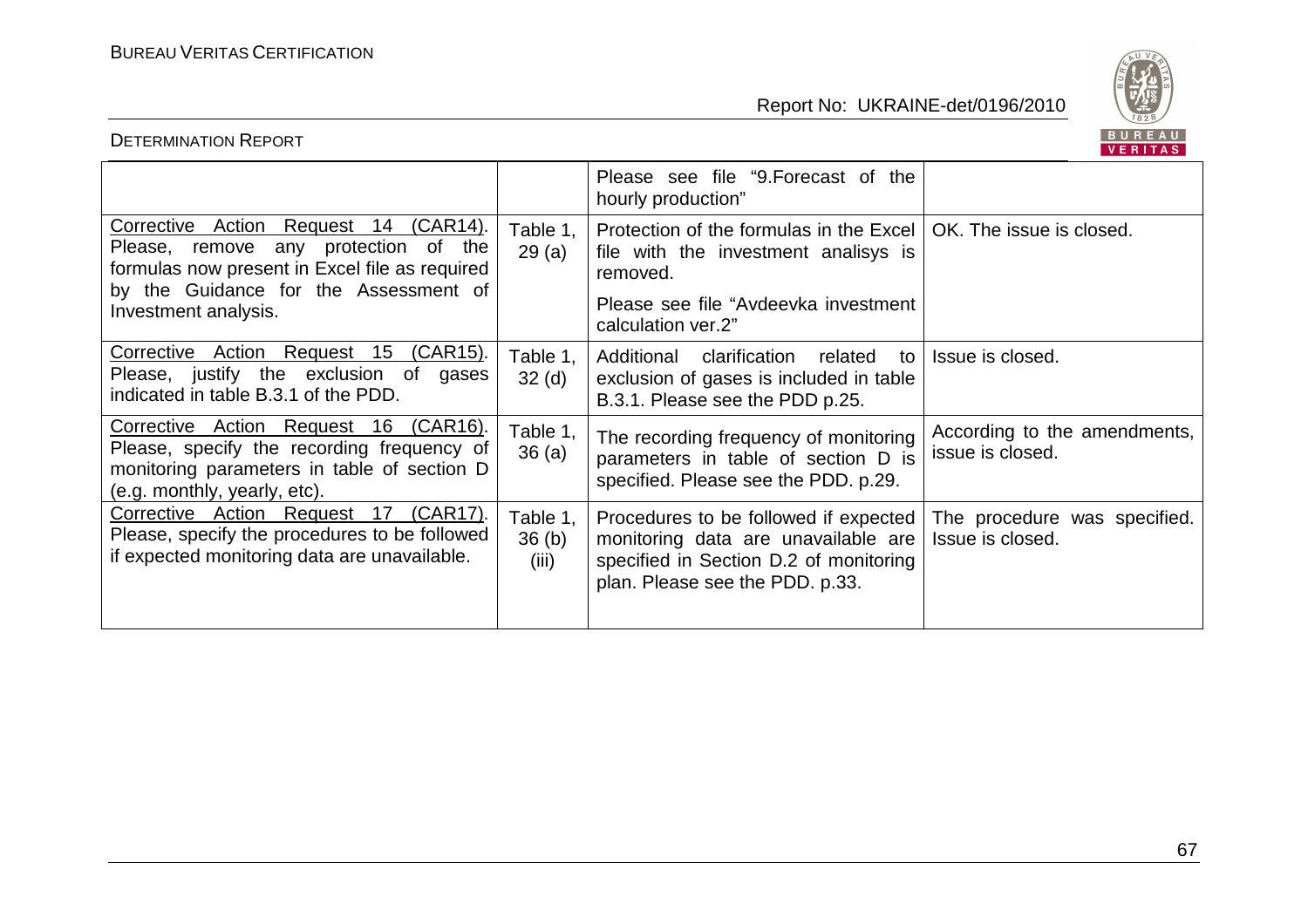

# DETERMINATION REPORT

|                                                                                                                                                                                                  |                               | Please see file "9. Forecast of the<br>hourly production"                                                                                                    |                                                  |
|--------------------------------------------------------------------------------------------------------------------------------------------------------------------------------------------------|-------------------------------|--------------------------------------------------------------------------------------------------------------------------------------------------------------|--------------------------------------------------|
| Corrective Action Request 14 (CAR14).<br>Please, remove any protection of the<br>formulas now present in Excel file as required<br>by the Guidance for the Assessment of<br>Investment analysis. | Table 1,<br>29(a)             | Protection of the formulas in the Excel  <br>file with the investment analisys is<br>removed.<br>Please see file "Avdeevka investment"<br>calculation ver.2" | OK. The issue is closed.                         |
| Corrective Action Request 15 (CAR15).<br>Please, justify the exclusion of<br>gases<br>indicated in table B.3.1 of the PDD.                                                                       | Table 1,<br>32 <sub>(d)</sub> | Additional clarification related<br>to<br>exclusion of gases is included in table<br>B.3.1. Please see the PDD p.25.                                         | Issue is closed.                                 |
| Corrective Action Request 16 (CAR16).<br>Please, specify the recording frequency of<br>monitoring parameters in table of section D<br>(e.g. monthly, yearly, etc).                               | Table 1,<br>36(a)             | The recording frequency of monitoring<br>parameters in table of section D is<br>specified. Please see the PDD. p.29.                                         | According to the amendments,<br>issue is closed. |
| Corrective Action Request 17<br>$(CAR17)$ .<br>Please, specify the procedures to be followed<br>if expected monitoring data are unavailable.                                                     | Table 1,<br>36(b)<br>(iii)    | Procedures to be followed if expected<br>monitoring data are unavailable are<br>specified in Section D.2 of monitoring<br>plan. Please see the PDD. p.33.    | The procedure was specified.<br>Issue is closed. |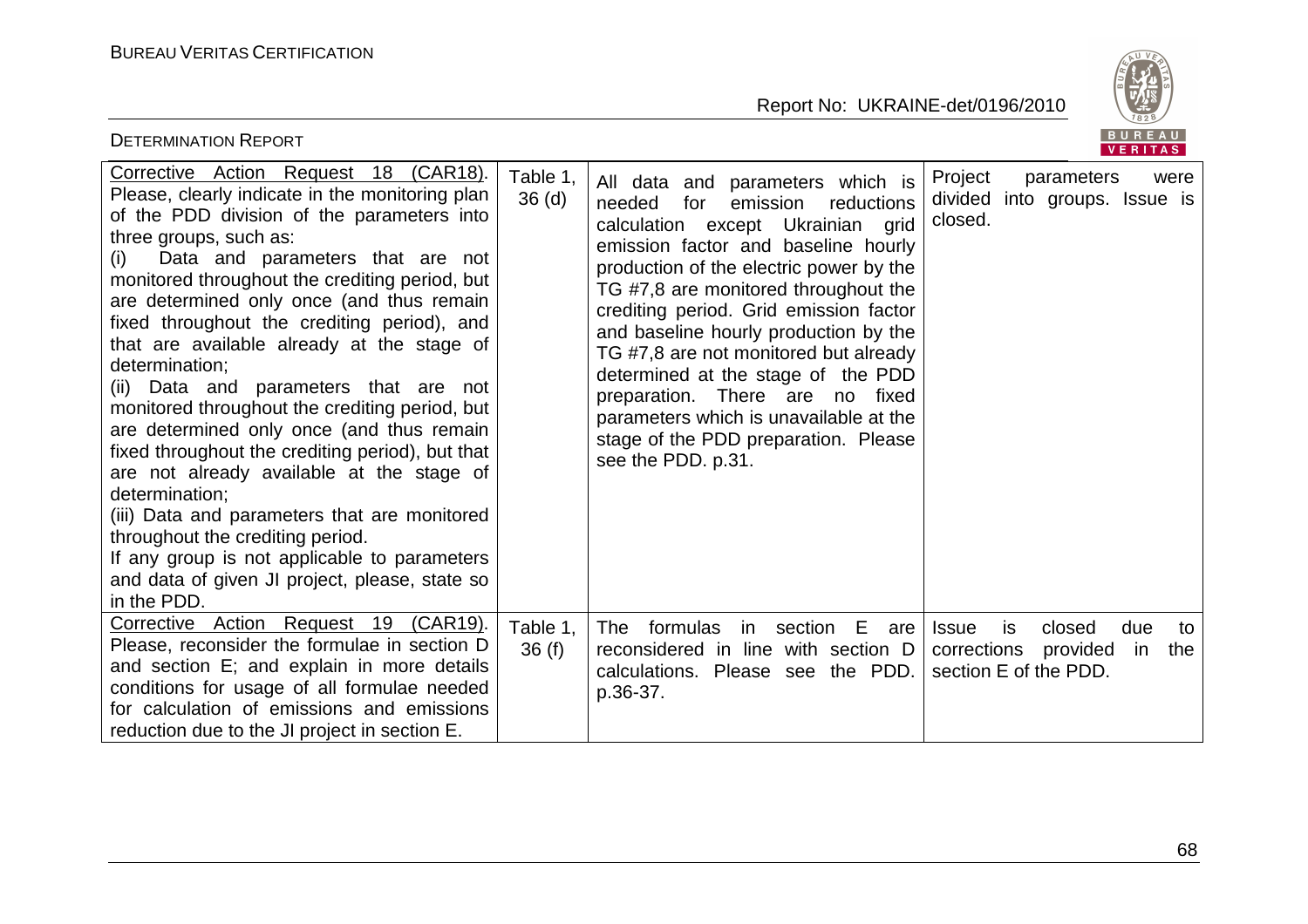

| <b>DETERMINATION REPORT</b>                                                                                                                                                                                                                                                                                                                                                                                                                                                                                                                                                                                                                                                                                                                                                                                                                                                               |                               |                                                                                                                                                                                                                                                                                                                                                                                                                                                                                                                                                               | <b>BUREAU</b><br>VERITAS                                                                                    |
|-------------------------------------------------------------------------------------------------------------------------------------------------------------------------------------------------------------------------------------------------------------------------------------------------------------------------------------------------------------------------------------------------------------------------------------------------------------------------------------------------------------------------------------------------------------------------------------------------------------------------------------------------------------------------------------------------------------------------------------------------------------------------------------------------------------------------------------------------------------------------------------------|-------------------------------|---------------------------------------------------------------------------------------------------------------------------------------------------------------------------------------------------------------------------------------------------------------------------------------------------------------------------------------------------------------------------------------------------------------------------------------------------------------------------------------------------------------------------------------------------------------|-------------------------------------------------------------------------------------------------------------|
| Corrective Action Request 18 (CAR18).<br>Please, clearly indicate in the monitoring plan<br>of the PDD division of the parameters into<br>three groups, such as:<br>Data and parameters that are not<br>(i)<br>monitored throughout the crediting period, but<br>are determined only once (and thus remain<br>fixed throughout the crediting period), and<br>that are available already at the stage of<br>determination;<br>(ii) Data and parameters that are not<br>monitored throughout the crediting period, but<br>are determined only once (and thus remain<br>fixed throughout the crediting period), but that<br>are not already available at the stage of<br>determination;<br>(iii) Data and parameters that are monitored<br>throughout the crediting period.<br>If any group is not applicable to parameters<br>and data of given JI project, please, state so<br>in the PDD. | Table 1,<br>36 <sub>(d)</sub> | All data and parameters which is<br>needed<br>emission<br>reductions<br>for<br>calculation except Ukrainian grid<br>emission factor and baseline hourly<br>production of the electric power by the<br>TG #7,8 are monitored throughout the<br>crediting period. Grid emission factor<br>and baseline hourly production by the<br>TG #7,8 are not monitored but already<br>determined at the stage of the PDD<br>There are no<br>preparation.<br>fixed<br>parameters which is unavailable at the<br>stage of the PDD preparation. Please<br>see the PDD. p.31. | Project<br>parameters<br>were<br>divided into groups. Issue is<br>closed.                                   |
| Corrective Action Request 19 (CAR19).<br>Please, reconsider the formulae in section D<br>and section E; and explain in more details<br>conditions for usage of all formulae needed<br>for calculation of emissions and emissions<br>reduction due to the JI project in section E.                                                                                                                                                                                                                                                                                                                                                                                                                                                                                                                                                                                                         | Table 1,<br>36(f)             | formulas<br>E<br><b>The</b><br>section<br>in l<br>are<br>reconsidered in line with section D<br>calculations. Please see the PDD.<br>p.36-37.                                                                                                                                                                                                                                                                                                                                                                                                                 | closed<br>due<br><b>Issue</b><br>is.<br>to<br>corrections<br>provided<br>in<br>the<br>section E of the PDD. |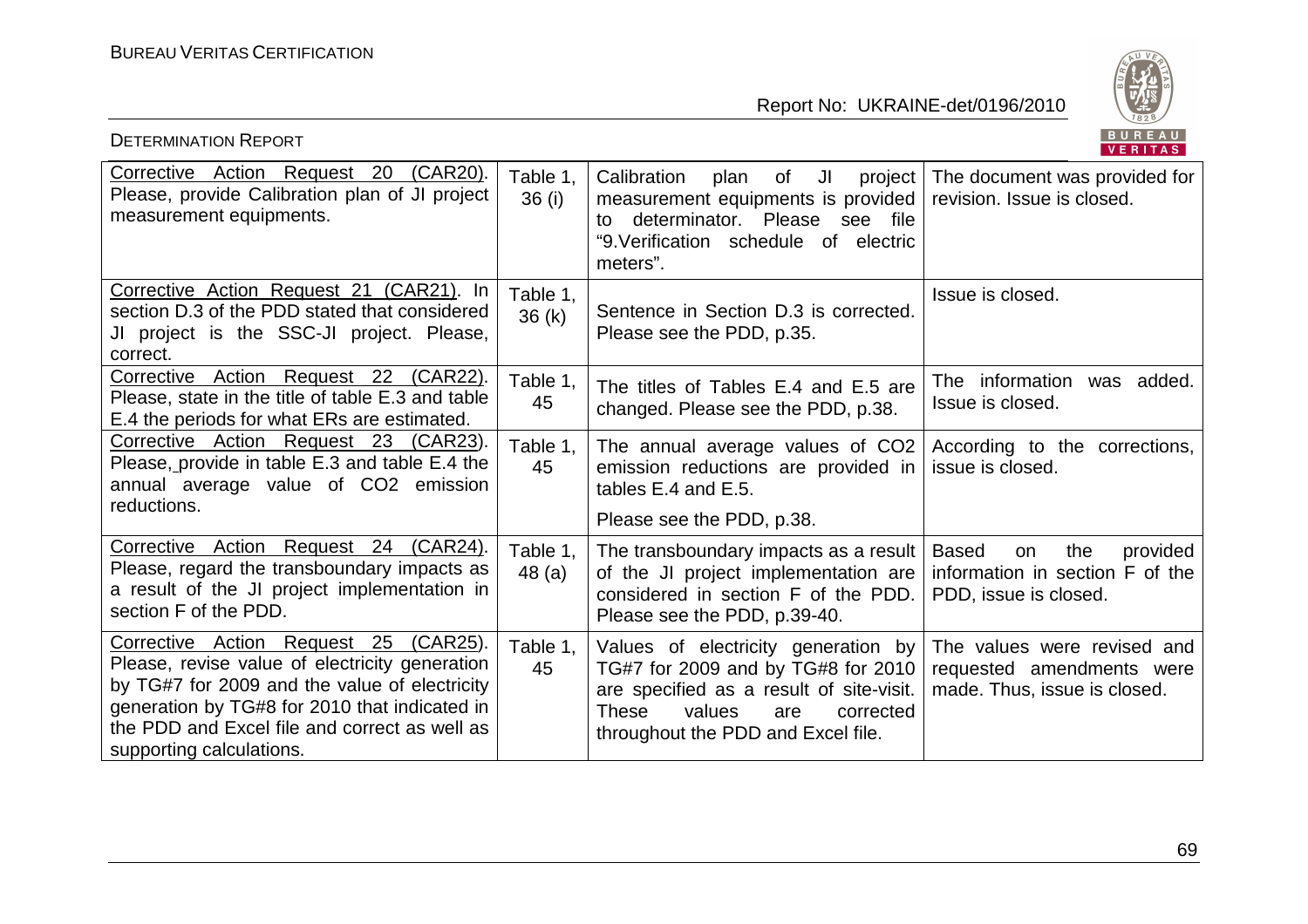

| <b>DETERMINATION REPORT</b>                                                                                                                                                                                                                                               |                    |                                                                                                                                                                                                           | BUREAU<br>VERITAS                                                                                 |
|---------------------------------------------------------------------------------------------------------------------------------------------------------------------------------------------------------------------------------------------------------------------------|--------------------|-----------------------------------------------------------------------------------------------------------------------------------------------------------------------------------------------------------|---------------------------------------------------------------------------------------------------|
| Corrective Action Request 20 (CAR20).<br>Please, provide Calibration plan of JI project<br>measurement equipments.                                                                                                                                                        | Table 1,<br>36 (i) | Calibration<br>JI<br>of<br>project<br>plan<br>measurement equipments is provided<br>to determinator. Please see file<br>"9. Verification schedule of electric<br>meters".                                 | The document was provided for<br>revision. Issue is closed.                                       |
| Corrective Action Request 21 (CAR21). In<br>section D.3 of the PDD stated that considered<br>JI project is the SSC-JI project. Please,<br>correct.                                                                                                                        | Table 1,<br>36 (k) | Sentence in Section D.3 is corrected.<br>Please see the PDD, p.35.                                                                                                                                        | Issue is closed.                                                                                  |
| Corrective Action Request 22 (CAR22).<br>Please, state in the title of table E.3 and table<br>E.4 the periods for what ERs are estimated.                                                                                                                                 | Table 1,<br>45     | The titles of Tables E.4 and E.5 are<br>changed. Please see the PDD, p.38.                                                                                                                                | The information<br>was added.<br>Issue is closed.                                                 |
| Corrective Action Request 23 (CAR23).<br>Please, provide in table E.3 and table E.4 the<br>annual average value of CO2 emission<br>reductions.                                                                                                                            | Table 1,<br>45     | The annual average values of CO2<br>emission reductions are provided in<br>tables E.4 and E.5.<br>Please see the PDD, p.38.                                                                               | According to the corrections,<br>issue is closed.                                                 |
| Corrective Action Request 24 (CAR24).<br>Please, regard the transboundary impacts as<br>a result of the JI project implementation in<br>section F of the PDD.                                                                                                             | Table 1,<br>48(a)  | The transboundary impacts as a result<br>of the JI project implementation are<br>considered in section F of the PDD.<br>Please see the PDD, p.39-40.                                                      | <b>Based</b><br>the<br>provided<br>on<br>information in section F of the<br>PDD, issue is closed. |
| Corrective Action Request 25<br>(CAR25).<br>Please, revise value of electricity generation<br>by TG#7 for 2009 and the value of electricity<br>generation by TG#8 for 2010 that indicated in<br>the PDD and Excel file and correct as well as<br>supporting calculations. | Table 1,<br>45     | Values of electricity generation by<br>TG#7 for 2009 and by TG#8 for 2010<br>are specified as a result of site-visit.<br><b>These</b><br>values<br>corrected<br>are<br>throughout the PDD and Excel file. | The values were revised and<br>requested amendments were<br>made. Thus, issue is closed.          |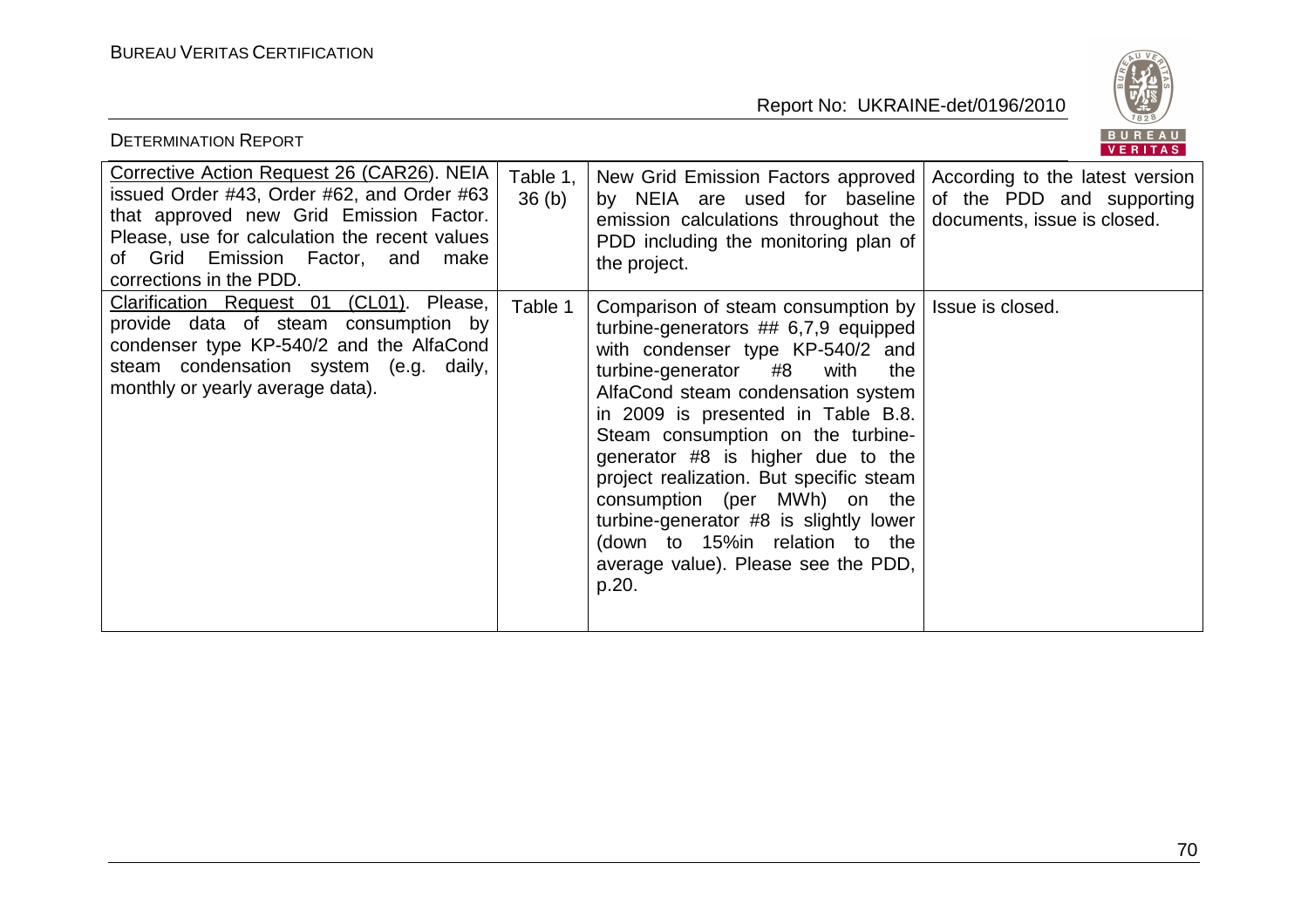

| <b>DETERMINATION REPORT</b>                                                                                                                                                                                                                          |                               |                                                                                                                                                                                                                                                                                                                                                                                                                                                                                                                                          | BUREAU<br><b>VERITAS</b>  |
|------------------------------------------------------------------------------------------------------------------------------------------------------------------------------------------------------------------------------------------------------|-------------------------------|------------------------------------------------------------------------------------------------------------------------------------------------------------------------------------------------------------------------------------------------------------------------------------------------------------------------------------------------------------------------------------------------------------------------------------------------------------------------------------------------------------------------------------------|---------------------------|
| Corrective Action Request 26 (CAR26). NEIA<br>issued Order #43, Order #62, and Order #63<br>that approved new Grid Emission Factor.<br>Please, use for calculation the recent values<br>of Grid Emission Factor, and make<br>corrections in the PDD. | Table 1,<br>36 <sub>(b)</sub> | New Grid Emission Factors approved According to the latest version<br>by NEIA are used for baseline<br>emission calculations throughout the $\vert$ documents, issue is closed.<br>PDD including the monitoring plan of<br>the project.                                                                                                                                                                                                                                                                                                  | of the PDD and supporting |
| Clarification Request 01 (CL01). Please,<br>provide data of steam consumption by<br>condenser type KP-540/2 and the AlfaCond<br>steam condensation system (e.g. daily,<br>monthly or yearly average data).                                           | Table 1                       | Comparison of steam consumption by   Issue is closed.<br>turbine-generators $\#$ 6,7,9 equipped<br>with condenser type KP-540/2 and<br>turbine-generator #8<br>with<br>the<br>AlfaCond steam condensation system<br>in 2009 is presented in Table B.8.<br>Steam consumption on the turbine-<br>generator #8 is higher due to the<br>project realization. But specific steam<br>consumption (per MWh) on the<br>turbine-generator #8 is slightly lower<br>(down to 15% in relation to the<br>average value). Please see the PDD,<br>p.20. |                           |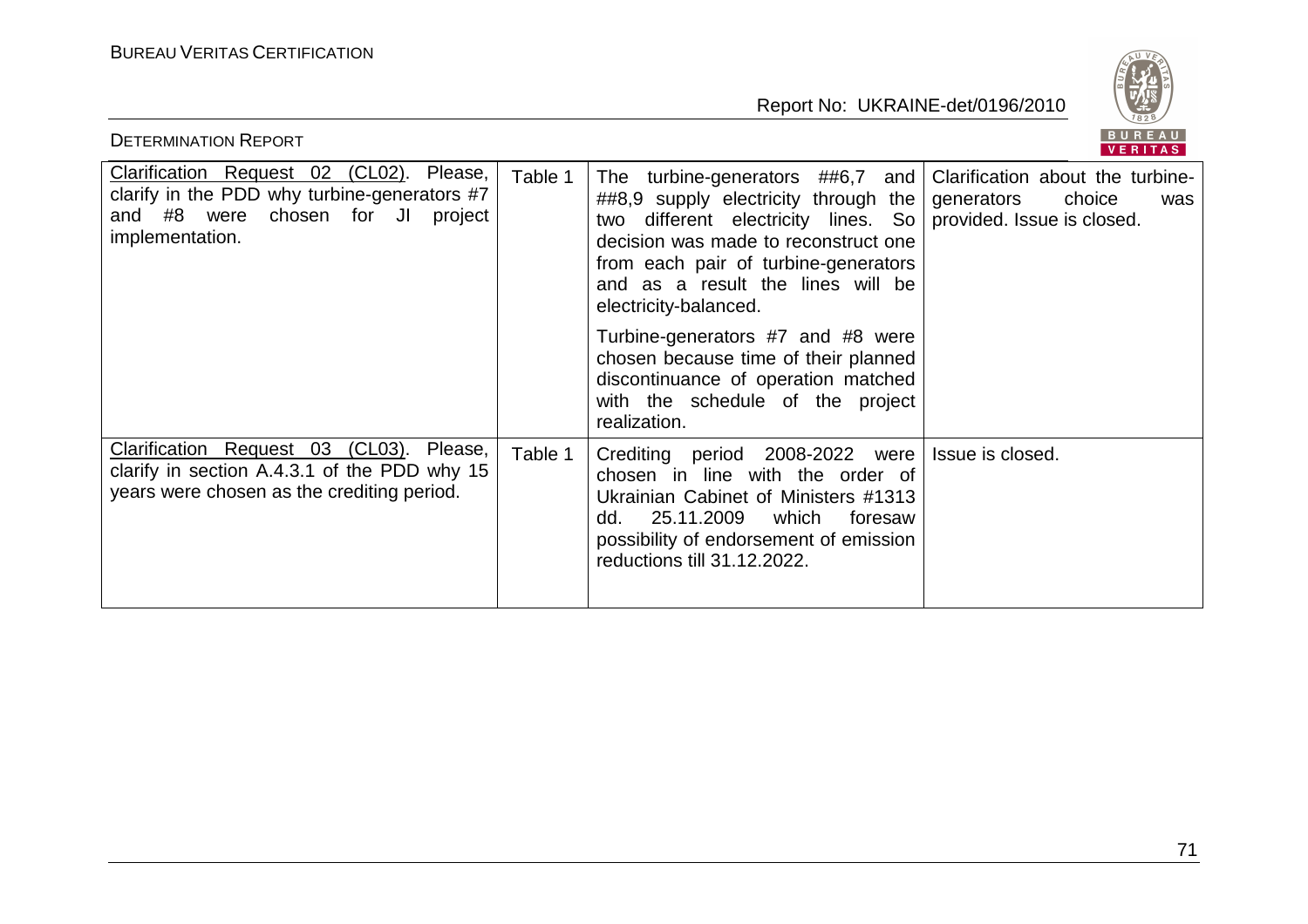

| <b>DETERMINATION REPORT</b>                                                                                                                         |         |                                                                                                                                                                                                                                                                                               | BUREAU<br>VERITAS                                               |
|-----------------------------------------------------------------------------------------------------------------------------------------------------|---------|-----------------------------------------------------------------------------------------------------------------------------------------------------------------------------------------------------------------------------------------------------------------------------------------------|-----------------------------------------------------------------|
| Clarification Request 02 (CL02). Please,<br>clarify in the PDD why turbine-generators #7<br>and #8 were<br>chosen for JI project<br>implementation. | Table 1 | The turbine-generators ##6,7 and<br>$\#48,9$ supply electricity through the<br>different electricity lines. So provided Issue is closed.<br>two<br>decision was made to reconstruct one<br>from each pair of turbine-generators<br>and as a result the lines will be<br>electricity-balanced. | Clarification about the turbine-<br>choice<br>generators<br>was |
|                                                                                                                                                     |         | Turbine-generators #7 and #8 were<br>chosen because time of their planned<br>discontinuance of operation matched<br>with the schedule of the project<br>realization.                                                                                                                          |                                                                 |
| Clarification Request 03 (CL03). Please,<br>clarify in section A.4.3.1 of the PDD why 15<br>years were chosen as the crediting period.              | Table 1 | Crediting period 2008-2022 were<br>chosen in line with the order of<br>Ukrainian Cabinet of Ministers #1313<br>25.11.2009<br>which<br>foresaw<br>dd.<br>possibility of endorsement of emission<br>reductions till 31.12.2022.                                                                 | Issue is closed.                                                |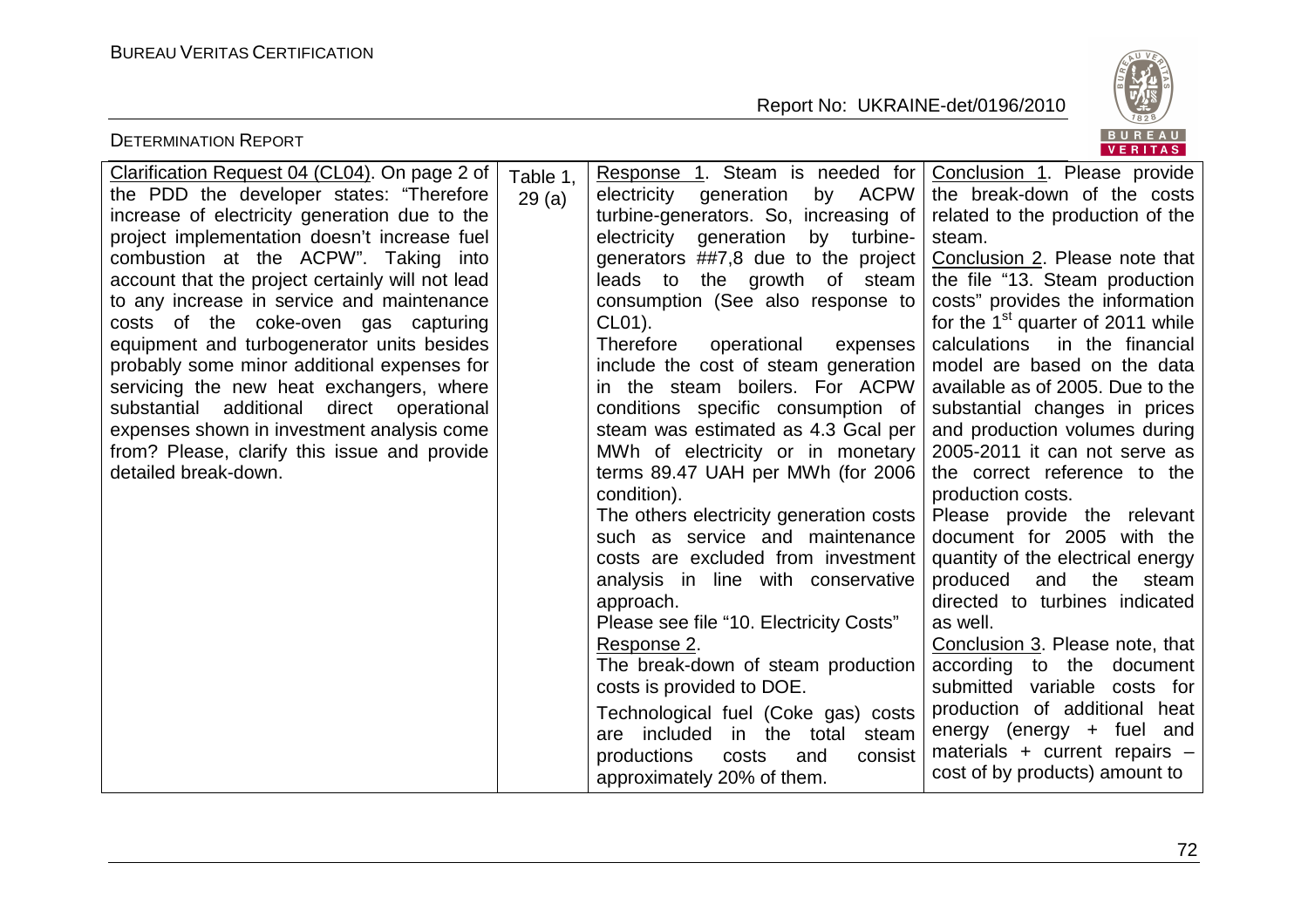

| <b>DETERMINATION REPORT</b>                                                                                                                                                                                                                                                                                                                                                                                                                                                                                                                                                                                                                                                                                                                                                                                                                                       | BUREAU<br>VERITAS                                                                                                                                                                                                                                                                                                                                                                                                                                                                                                                                                                                                                                                                                                                                                                                                                                                                                                                                                                                                                                                                                                                                                                                                                                                                                                                                                                                                                                                                                                                                                                                                                                                                                                                                                                                                                      |
|-------------------------------------------------------------------------------------------------------------------------------------------------------------------------------------------------------------------------------------------------------------------------------------------------------------------------------------------------------------------------------------------------------------------------------------------------------------------------------------------------------------------------------------------------------------------------------------------------------------------------------------------------------------------------------------------------------------------------------------------------------------------------------------------------------------------------------------------------------------------|----------------------------------------------------------------------------------------------------------------------------------------------------------------------------------------------------------------------------------------------------------------------------------------------------------------------------------------------------------------------------------------------------------------------------------------------------------------------------------------------------------------------------------------------------------------------------------------------------------------------------------------------------------------------------------------------------------------------------------------------------------------------------------------------------------------------------------------------------------------------------------------------------------------------------------------------------------------------------------------------------------------------------------------------------------------------------------------------------------------------------------------------------------------------------------------------------------------------------------------------------------------------------------------------------------------------------------------------------------------------------------------------------------------------------------------------------------------------------------------------------------------------------------------------------------------------------------------------------------------------------------------------------------------------------------------------------------------------------------------------------------------------------------------------------------------------------------------|
| Clarification Request 04 (CL04). On page 2 of<br>Table 1,<br>the PDD the developer states: "Therefore<br>electricity<br>29(a)<br>increase of electricity generation due to the<br>project implementation doesn't increase fuel<br>electricity<br>combustion at the ACPW". Taking into<br>account that the project certainly will not lead<br>to any increase in service and maintenance<br>CL01).<br>costs of the coke-oven gas capturing<br>equipment and turbogenerator units besides<br><b>Therefore</b><br>probably some minor additional expenses for<br>servicing the new heat exchangers, where<br>substantial additional direct operational<br>expenses shown in investment analysis come<br>from? Please, clarify this issue and provide<br>detailed break-down.<br>condition).<br>approach.<br>Response 2.<br>productions<br>approximately 20% of them. | Response 1. Steam is needed for<br>Conclusion 1. Please provide<br>by ACPW<br>generation<br>the break-down of the costs<br>turbine-generators. So, increasing of<br>related to the production of the<br>generation<br>turbine-<br>by<br>steam.<br>generators ##7,8 due to the project<br>Conclusion 2. Please note that<br>leads to the growth of steam<br>the file "13. Steam production<br>consumption (See also response to<br>costs" provides the information<br>for the $1st$ quarter of 2011 while<br>calculations<br>in the financial<br>operational<br>expenses<br>include the cost of steam generation<br>model are based on the data<br>in the steam boilers. For ACPW<br>available as of 2005. Due to the<br>conditions specific consumption of<br>substantial changes in prices<br>steam was estimated as 4.3 Gcal per<br>and production volumes during<br>2005-2011 it can not serve as<br>MWh of electricity or in monetary<br>terms 89.47 UAH per MWh (for 2006<br>the correct reference to the<br>production costs.<br>The others electricity generation costs<br>Please provide the relevant<br>such as service and maintenance<br>document for 2005 with the<br>costs are excluded from investment<br>quantity of the electrical energy<br>analysis in line with conservative<br>produced<br>and<br>the<br>steam<br>directed to turbines indicated<br>Please see file "10. Electricity Costs"<br>as well.<br>Conclusion 3. Please note, that<br>The break-down of steam production<br>according to the document<br>costs is provided to DOE.<br>submitted variable costs for<br>production of additional heat<br>Technological fuel (Coke gas) costs<br>energy (energy $+$ fuel and<br>are included in the total steam<br>materials + current repairs -<br>consist<br>costs<br>and<br>cost of by products) amount to |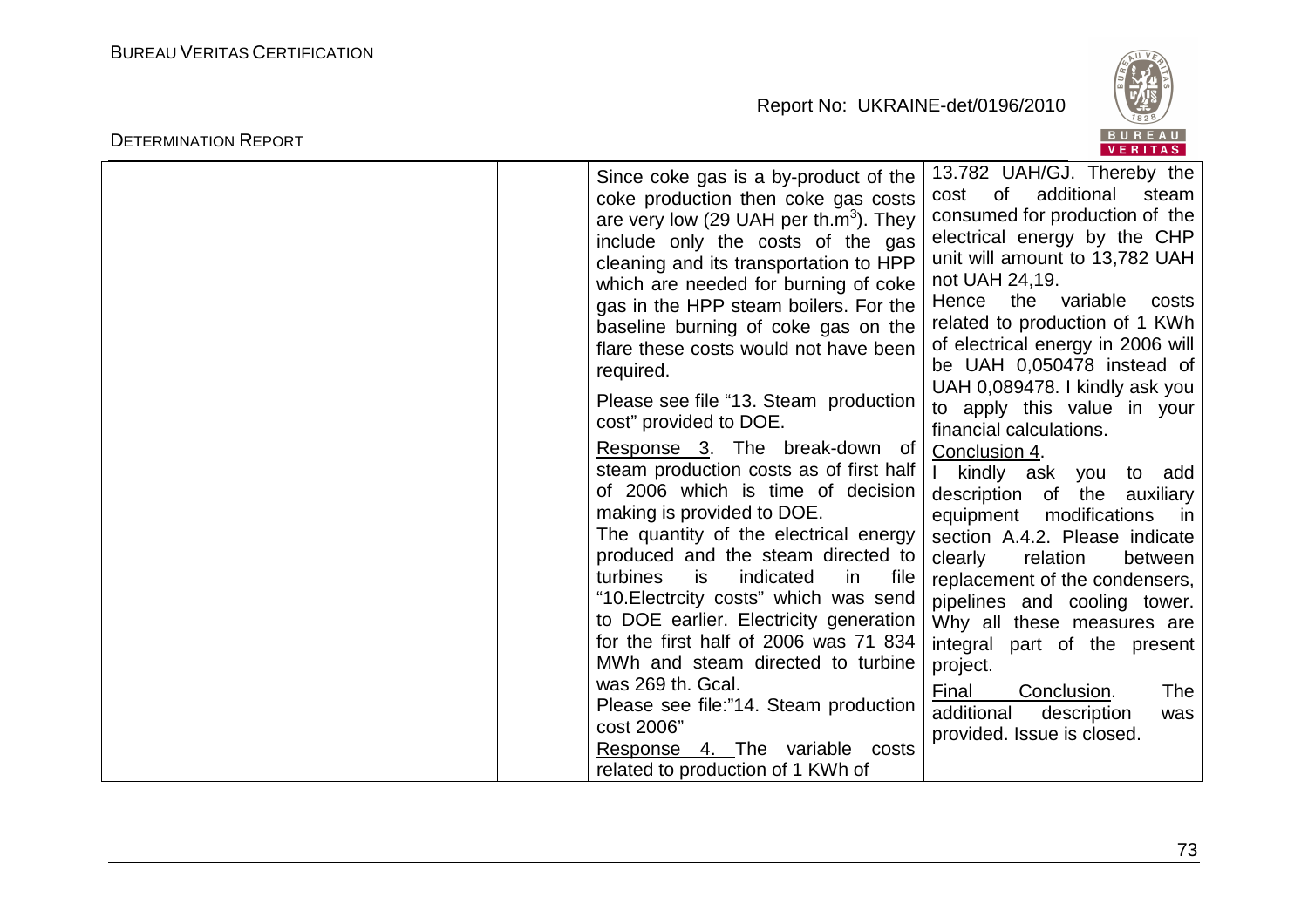

| <b>DETERMINATION REPORT</b> |                                                                                                                                                                                                                                                                                                                                                                                                                                                                                                                                                                                                                                                                                                                                                                                                                                                                                                                                                                                                                                                                   | BUREAU<br><b>VERITAS</b>                                                                                                                                                                                                                                                                                                                                                                                                                                                                                                                                                                                                                                                                                                                                                                                                                                                        |
|-----------------------------|-------------------------------------------------------------------------------------------------------------------------------------------------------------------------------------------------------------------------------------------------------------------------------------------------------------------------------------------------------------------------------------------------------------------------------------------------------------------------------------------------------------------------------------------------------------------------------------------------------------------------------------------------------------------------------------------------------------------------------------------------------------------------------------------------------------------------------------------------------------------------------------------------------------------------------------------------------------------------------------------------------------------------------------------------------------------|---------------------------------------------------------------------------------------------------------------------------------------------------------------------------------------------------------------------------------------------------------------------------------------------------------------------------------------------------------------------------------------------------------------------------------------------------------------------------------------------------------------------------------------------------------------------------------------------------------------------------------------------------------------------------------------------------------------------------------------------------------------------------------------------------------------------------------------------------------------------------------|
|                             | Since coke gas is a by-product of the<br>coke production then coke gas costs<br>are very low (29 UAH per th. $m^3$ ). They<br>include only the costs of the gas<br>cleaning and its transportation to HPP<br>which are needed for burning of coke<br>gas in the HPP steam boilers. For the<br>baseline burning of coke gas on the<br>flare these costs would not have been<br>required.<br>Please see file "13. Steam production<br>cost" provided to DOE.<br>Response 3. The break-down of<br>steam production costs as of first half<br>of 2006 which is time of decision<br>making is provided to DOE.<br>The quantity of the electrical energy<br>produced and the steam directed to<br>turbines<br>indicated<br>file<br>is.<br><i>in</i><br>"10. Electrcity costs" which was send<br>to DOE earlier. Electricity generation<br>for the first half of 2006 was 71 834<br>MWh and steam directed to turbine<br>was 269 th. Gcal.<br>Please see file:"14. Steam production<br>cost 2006"<br>Response 4. The variable costs<br>related to production of 1 KWh of | 13.782 UAH/GJ. Thereby the<br>additional<br>of<br>steam<br>cost<br>consumed for production of the<br>electrical energy by the CHP<br>unit will amount to 13,782 UAH<br>not UAH 24,19.<br>the<br>variable<br>Hence<br>costs<br>related to production of 1 KWh<br>of electrical energy in 2006 will<br>be UAH 0,050478 instead of<br>UAH 0,089478. I kindly ask you<br>to apply this value in your<br>financial calculations.<br>Conclusion 4.<br>I kindly ask you<br>to add<br>description<br>of the<br>auxiliary<br>modifications<br>equipment<br>in in<br>section A.4.2. Please indicate<br>clearly<br>relation<br>between<br>replacement of the condensers,<br>pipelines and cooling tower.<br>Why all these measures are<br>integral part of the present<br>project.<br>Final<br>Conclusion.<br><b>The</b><br>additional<br>description<br>was<br>provided. Issue is closed. |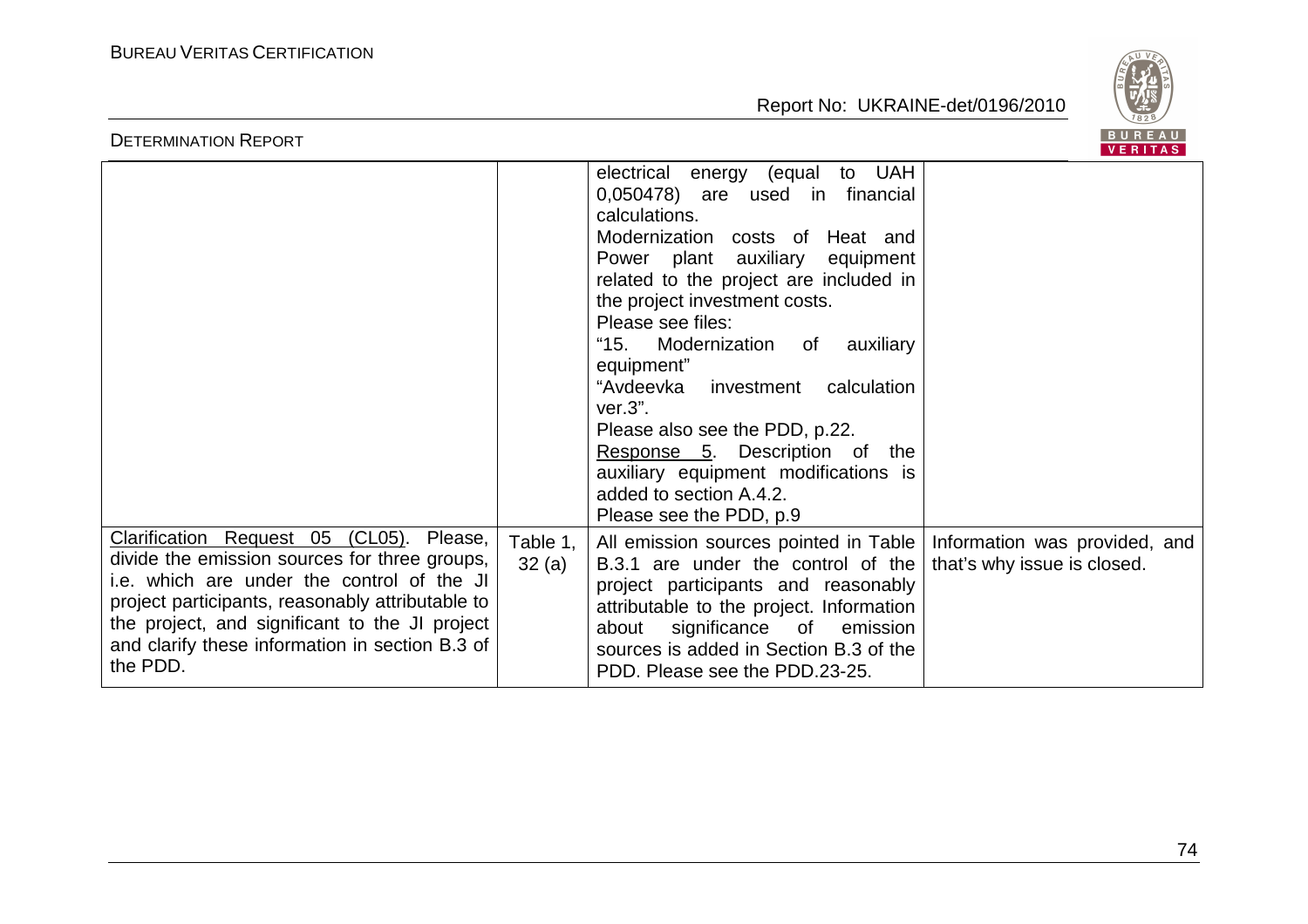

| BUREAU<br><b>DETERMINATION REPORT</b><br><b>VERITAS</b>                                                                                                                                                                                                                                                         |                   |                                                                                                                                                                                                                                                                                                                                                                                                                                                                                                                                         |                             |  |
|-----------------------------------------------------------------------------------------------------------------------------------------------------------------------------------------------------------------------------------------------------------------------------------------------------------------|-------------------|-----------------------------------------------------------------------------------------------------------------------------------------------------------------------------------------------------------------------------------------------------------------------------------------------------------------------------------------------------------------------------------------------------------------------------------------------------------------------------------------------------------------------------------------|-----------------------------|--|
|                                                                                                                                                                                                                                                                                                                 |                   | to UAH<br>electrical<br>energy (equal<br>0,050478) are used in financial<br>calculations.<br>Modernization costs of Heat and<br>Power plant auxiliary equipment<br>related to the project are included in<br>the project investment costs.<br>Please see files:<br>"15. Modernization of auxiliary<br>equipment"<br>"Avdeevka investment<br>calculation<br>$ver.3$ ".<br>Please also see the PDD, p.22.<br>Response 5. Description of the<br>auxiliary equipment modifications is<br>added to section A.4.2.<br>Please see the PDD, p.9 |                             |  |
| Clarification Request 05 (CL05).<br>Please,<br>divide the emission sources for three groups,<br>i.e. which are under the control of the JI<br>project participants, reasonably attributable to<br>the project, and significant to the JI project<br>and clarify these information in section B.3 of<br>the PDD. | Table 1,<br>32(a) | All emission sources pointed in Table   Information was provided, and<br>B.3.1 are under the control of the<br>project participants and reasonably<br>attributable to the project. Information<br>significance of<br>emission<br>about<br>sources is added in Section B.3 of the<br>PDD. Please see the PDD.23-25.                                                                                                                                                                                                                      | that's why issue is closed. |  |